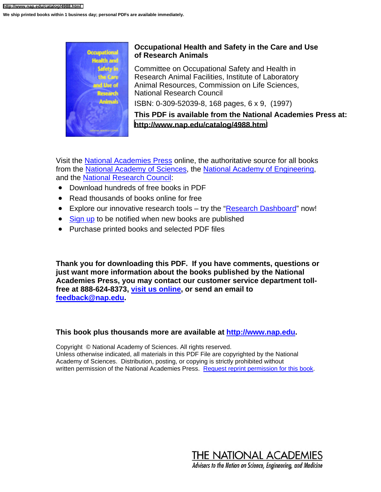

### **Occupational Health and Safety in the Care and Use of Research Animals**

Committee on Occupational Safety and Health in Research Animal Facilities, Institute of Laboratory Animal Resources, Commission on Life Sciences, National Research Council

ISBN: 0-309-52039-8, 168 pages, 6 x 9, (1997)

**This PDF is available from the National Academies Press at: <http://www.nap.edu/catalog/4988.html>**

Visit the [National Academies Press](http://www.nap.edu) online, the authoritative source for all books from the [National Academy of Sciences](http://www.nas.edu/nas), the [National Academy of Engineering,](http://www.nae.edu) and the [National Research Council](http://www.nationalacademies.org/nrc/):

- Download hundreds of free books in PDF
- Read thousands of books online for free
- Explore our innovative research tools try the ["Research Dashboard](http://lab.nap.edu/nap-cgi/dashboard.cgi?isbn=0309068371&act=dashboard)" now!
- [Sign up to](http://www.nap.edu/agent.html) be notified when new books are published
- Purchase printed books and selected PDF files

**Thank you for downloading this PDF. If you have comments, questions or just want more information about the books published by the National Academies Press, you may contact our customer service department tollfree at 888-624-8373, [visit us online](http://www.nap.edu), or send an email to [feedback@nap.edu](mailto:feedback@nap.edu).** 

### **This book plus thousands more are available a[t http://www.nap.edu.](http://www.nap.edu)**

Copyright © National Academy of Sciences. All rights reserved. Unless otherwise indicated, all materials in this PDF File are copyrighted by the National Academy of Sciences. Distribution, posting, or copying is strictly prohibited without written permission of the National Academies Press. [Request reprint permission for this book](http://www.nap.edu/v3/makepage.phtml?val1=reprint).

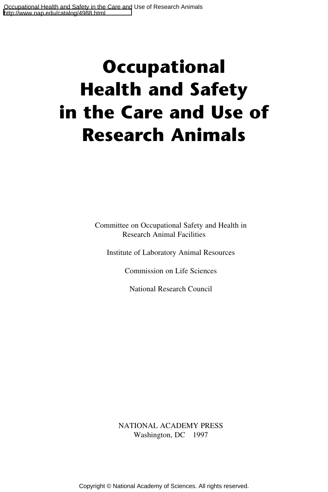# **Occupational Health and Safety in the Care and Use of Research Animals**

Committee on Occupational Safety and Health in Research Animal Facilities

Institute of Laboratory Animal Resources

Commission on Life Sciences

National Research Council

NATIONAL ACADEMY PRESS Washington, DC 1997

Copyright © National Academy of Sciences. All rights reserved.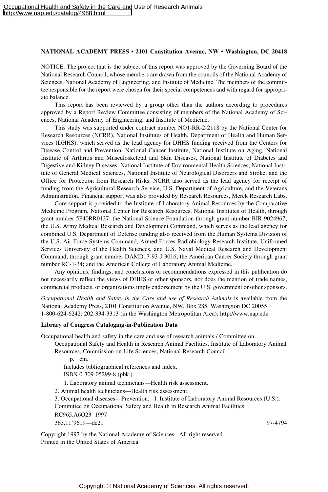#### **NATIONAL ACADEMY PRESS • 2101 Constitution Avenue, NW • Washington, DC 20418**

NOTICE: The project that is the subject of this report was approved by the Governing Board of the National Research Council, whose members are drawn from the councils of the National Academy of Sciences, National Academy of Engineering, and Institute of Medicine. The members of the committee responsible for the report were chosen for their special competences and with regard for appropriate balance.

This report has been reviewed by a group other than the authors according to procedures approved by a Report Review Committee consisting of members of the National Academy of Sciences, National Academy of Engineering, and Institute of Medicine.

This study was supported under contract number NO1-RR-2-2118 by the National Center for Research Resources (NCRR), National Institutes of Health, Department of Health and Human Services (DHHS), which served as the lead agency for DHHS funding received from the Centers for Disease Control and Prevention, National Cancer Institute, National Institute on Aging, National Institute of Arthritis and Musculoskeletal and Skin Diseases, National Institute of Diabetes and Digestive and Kidney Diseases, National Institute of Environmental Health Sciences, National Institute of General Medical Sciences, National Institute of Neurological Disorders and Stroke, and the Office for Protection from Research Risks. NCRR also served as the lead agency for receipt of funding from the Agricultural Research Service, U.S. Department of Agriculture, and the Veterans Administration. Financial support was also provided by Research Resources, Merck Research Labs.

Core support is provided to the Institute of Laboratory Animal Resources by the Comparative Medicine Program, National Center for Research Resources, National Institutes of Health, through grant number 5P40RR0137; the National Science Foundation through grant number BIR-9024967; the U.S. Army Medical Research and Development Command, which serves as the lead agency for combined U.S. Department of Defense funding also received from the Human Systems Division of the U.S. Air Force Systems Command, Armed Forces Radiobiology Research Institute, Uniformed Services University of the Health Sciences, and U.S. Naval Medical Research and Development Command, through grant number DAMD17-93-J-3016; the American Cancer Society through grant number RC-1-34; and the American College of Laboratory Animal Medicine.

Any opinions, findings, and conclusions or recommendations expressed in this publication do not necessarily reflect the views of DHHS or other sponsors, nor does the mention of trade names, commercial products, or organizations imply endorsement by the U.S. government or other sponsors.

*Occupational Health and Safety in the Care and use of Research Animals* is available from the National Academy Press, 2101 Constitution Avenue, NW, Box 285, Washington DC 20055 1-800-624-6242; 202-334-3313 (in the Washington Metropolitan Area); http://www.nap.edu

#### **Library of Congress Cataloging-in-Publication Data**

Occupational health and safety in the care and use of research animals / Committee on

Occupational Safety and Health in Research Animal Facilities, Institute of Laboratory Animal Resources, Commission on Life Sciences, National Research Council.

p. cm. Includes bibliographical references and index. ISBN 0-309-05299-8 (pbk.)

1. Laboratory animal technicians—Health risk assessment.

2. Animal health technicians—Health risk assessment.

3. Occupational diseases—Prevention. I. Institute of Laboratory Animal Resources (U.S.). Committee on Occupational Safety and Health in Research Animal Facilities. RC965.A6O23 1997

363.11'9619—dc21 97-4794

Copyright 1997 by the National Academy of Sciences. All right reserved. Printed in the United States of America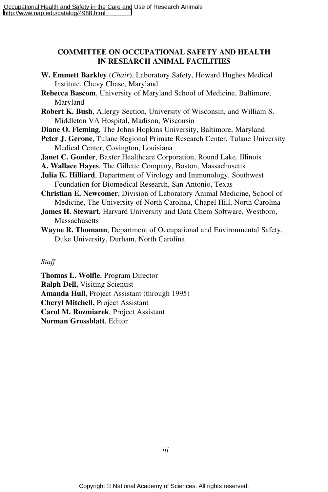#### **COMMITTEE ON OCCUPATIONAL SAFETY AND HEALTH IN RESEARCH ANIMAL FACILITIES**

- **W. Emmett Barkley** (*Chair*), Laboratory Safety, Howard Hughes Medical Institute, Chevy Chase, Maryland
- **Rebecca Bascom**, University of Maryland School of Medicine, Baltimore, Maryland
- **Robert K. Bush**, Allergy Section, University of Wisconsin, and William S. Middleton VA Hospital, Madison, Wisconsin
- **Diane O. Fleming**, The Johns Hopkins University, Baltimore, Maryland
- **Peter J. Gerone**, Tulane Regional Primate Research Center, Tulane University Medical Center, Covington, Louisiana
- **Janet C. Gonder**, Baxter Healthcare Corporation, Round Lake, Illinois
- **A. Wallace Hayes**, The Gillette Company, Boston, Massachusetts
- **Julia K. Hilliard**, Department of Virology and Immunology, Southwest Foundation for Biomedical Research, San Antonio, Texas
- **Christian E. Newcomer**, Division of Laboratory Animal Medicine, School of Medicine, The University of North Carolina, Chapel Hill, North Carolina
- **James H. Stewart**, Harvard University and Data Chem Software, Westboro, Massachusetts
- **Wayne R. Thomann**, Department of Occupational and Environmental Safety, Duke University, Durham, North Carolina

#### *Staff*

**Thomas L. Wolfle**, Program Director **Ralph Dell,** Visiting Scientist **Amanda Hull**, Project Assistant (through 1995) **Cheryl Mitchell,** Project Assistant **Carol M. Rozmiarek**, Project Assistant **Norman Grossblatt**, Editor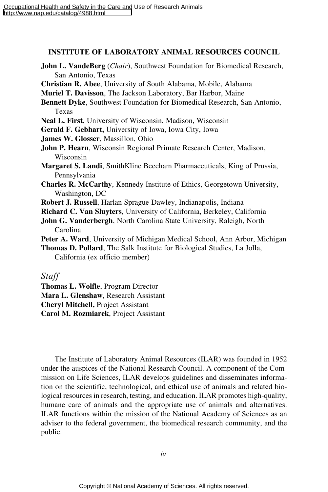#### **INSTITUTE OF LABORATORY ANIMAL RESOURCES COUNCIL**

- **John L. VandeBerg** (*Chair*), Southwest Foundation for Biomedical Research, San Antonio, Texas
- **Christian R. Abee**, University of South Alabama, Mobile, Alabama
- **Muriel T. Davisson**, The Jackson Laboratory, Bar Harbor, Maine
- **Bennett Dyke**, Southwest Foundation for Biomedical Research, San Antonio, Texas
- **Neal L. First**, University of Wisconsin, Madison, Wisconsin
- **Gerald F. Gebhart,** University of Iowa, Iowa City, Iowa
- **James W. Glosser**, Massillon, Ohio
- **John P. Hearn**, Wisconsin Regional Primate Research Center, Madison, Wisconsin
- **Margaret S. Landi**, SmithKline Beecham Pharmaceuticals, King of Prussia, Pennsylvania
- **Charles R. McCarthy**, Kennedy Institute of Ethics, Georgetown University, Washington, DC
- **Robert J. Russell**, Harlan Sprague Dawley, Indianapolis, Indiana
- **Richard C. Van Sluyters**, University of California, Berkeley, California
- **John G. Vanderbergh**, North Carolina State University, Raleigh, North Carolina
- **Peter A. Ward**, University of Michigan Medical School, Ann Arbor, Michigan

**Thomas D. Pollard**, The Salk Institute for Biological Studies, La Jolla, California (ex officio member)

#### *Staff*

- **Thomas L. Wolfle**, Program Director
- **Mara L. Glenshaw**, Research Assistant

**Cheryl Mitchell,** Project Assistant

**Carol M. Rozmiarek**, Project Assistant

The Institute of Laboratory Animal Resources (ILAR) was founded in 1952 under the auspices of the National Research Council. A component of the Commission on Life Sciences, ILAR develops guidelines and disseminates information on the scientific, technological, and ethical use of animals and related biological resources in research, testing, and education. ILAR promotes high-quality, humane care of animals and the appropriate use of animals and alternatives. ILAR functions within the mission of the National Academy of Sciences as an adviser to the federal government, the biomedical research community, and the public.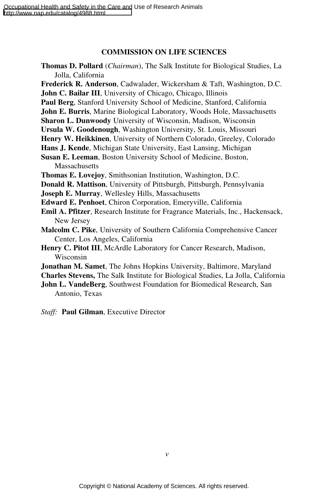#### **COMMISSION ON LIFE SCIENCES**

| <b>Thomas D. Pollard</b> ( <i>Chairman</i> ), The Salk Institute for Biological Studies, La |  |  |  |  |
|---------------------------------------------------------------------------------------------|--|--|--|--|
| Jolla, California                                                                           |  |  |  |  |

**Frederick R. Anderson**, Cadwalader, Wickersham & Taft, Washington, D.C.

**John C. Bailar III**, University of Chicago, Chicago, Illinois

**Paul Berg**, Stanford University School of Medicine, Stanford, California

**John E. Burris**, Marine Biological Laboratory, Woods Hole, Massachusetts

**Sharon L. Dunwoody** University of Wisconsin, Madison, Wisconsin

**Ursula W. Goodenough**, Washington University, St. Louis, Missouri

**Henry W. Heikkinen**, University of Northern Colorado, Greeley, Colorado

**Hans J. Kende**, Michigan State University, East Lansing, Michigan

**Susan E. Leeman**, Boston University School of Medicine, Boston, **Massachusetts** 

**Thomas E. Lovejoy**, Smithsonian Institution, Washington, D.C.

**Donald R. Mattison**, University of Pittsburgh, Pittsburgh, Pennsylvania

**Joseph E. Murray**, Wellesley Hills, Massachusetts

**Edward E. Penhoet**, Chiron Corporation, Emeryville, California

**Emil A. Pfitzer**, Research Institute for Fragrance Materials, Inc., Hackensack, New Jersey

**Malcolm C. Pike**, University of Southern California Comprehensive Cancer Center, Los Angeles, California

**Henry C. Pitot III**, McArdle Laboratory for Cancer Research, Madison, Wisconsin

**Jonathan M. Samet**, The Johns Hopkins University, Baltimore, Maryland

**Charles Stevens,** The Salk Institute for Biological Studies, La Jolla, California

**John L. VandeBerg**, Southwest Foundation for Biomedical Research, San Antonio, Texas

*Staff:* **Paul Gilman**, Executive Director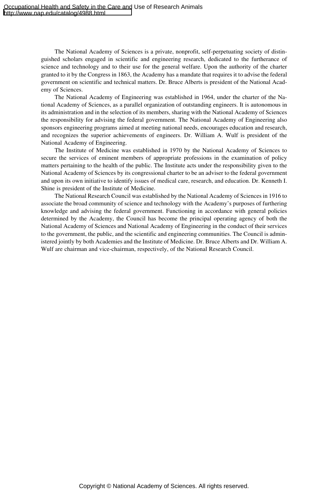The National Academy of Sciences is a private, nonprofit, self-perpetuating society of distinguished scholars engaged in scientific and engineering research, dedicated to the furtherance of science and technology and to their use for the general welfare. Upon the authority of the charter granted to it by the Congress in 1863, the Academy has a mandate that requires it to advise the federal government on scientific and technical matters. Dr. Bruce Alberts is president of the National Academy of Sciences.

The National Academy of Engineering was established in 1964, under the charter of the National Academy of Sciences, as a parallel organization of outstanding engineers. It is autonomous in its administration and in the selection of its members, sharing with the National Academy of Sciences the responsibility for advising the federal government. The National Academy of Engineering also sponsors engineering programs aimed at meeting national needs, encourages education and research, and recognizes the superior achievements of engineers. Dr. William A. Wulf is president of the National Academy of Engineering.

The Institute of Medicine was established in 1970 by the National Academy of Sciences to secure the services of eminent members of appropriate professions in the examination of policy matters pertaining to the health of the public. The Institute acts under the responsibility given to the National Academy of Sciences by its congressional charter to be an adviser to the federal government and upon its own initiative to identify issues of medical care, research, and education. Dr. Kenneth I. Shine is president of the Institute of Medicine.

The National Research Council was established by the National Academy of Sciences in 1916 to associate the broad community of science and technology with the Academy's purposes of furthering knowledge and advising the federal government. Functioning in accordance with general policies determined by the Academy, the Council has become the principal operating agency of both the National Academy of Sciences and National Academy of Engineering in the conduct of their services to the government, the public, and the scientific and engineering communities. The Council is administered jointly by both Academies and the Institute of Medicine. Dr. Bruce Alberts and Dr. William A. Wulf are chairman and vice-chairman, respectively, of the National Research Council.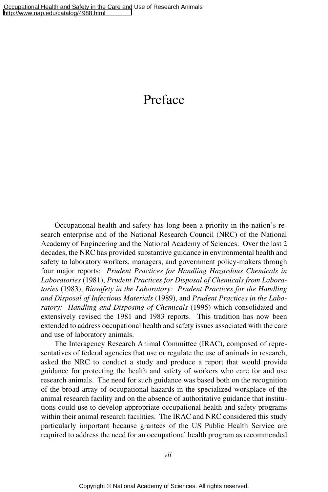## Preface

Occupational health and safety has long been a priority in the nation's research enterprise and of the National Research Council (NRC) of the National Academy of Engineering and the National Academy of Sciences. Over the last 2 decades, the NRC has provided substantive guidance in environmental health and safety to laboratory workers, managers, and government policy-makers through four major reports: *Prudent Practices for Handling Hazardous Chemicals in Laboratories* (1981), *Prudent Practices for Disposal of Chemicals from Laboratories* (1983), *Biosafety in the Laboratory: Prudent Practices for the Handling and Disposal of Infectious Materials* (1989), and *Prudent Practices in the Laboratory: Handling and Disposing of Chemicals* (1995) which consolidated and extensively revised the 1981 and 1983 reports. This tradition has now been extended to address occupational health and safety issues associated with the care and use of laboratory animals.

The Interagency Research Animal Committee (IRAC), composed of representatives of federal agencies that use or regulate the use of animals in research, asked the NRC to conduct a study and produce a report that would provide guidance for protecting the health and safety of workers who care for and use research animals. The need for such guidance was based both on the recognition of the broad array of occupational hazards in the specialized workplace of the animal research facility and on the absence of authoritative guidance that institutions could use to develop appropriate occupational health and safety programs within their animal research facilities. The IRAC and NRC considered this study particularly important because grantees of the US Public Health Service are required to address the need for an occupational health program as recommended

*vii*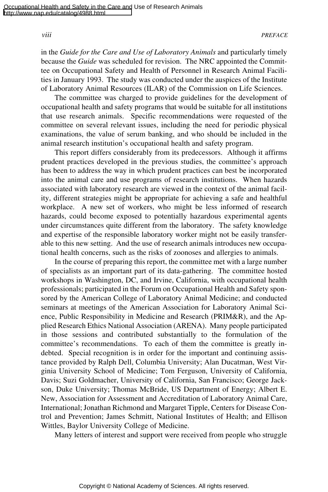in the *Guide for the Care and Use of Laboratory Animals* and particularly timely because the *Guide* was scheduled for revision. The NRC appointed the Committee on Occupational Safety and Health of Personnel in Research Animal Facilities in January 1993. The study was conducted under the auspices of the Institute of Laboratory Animal Resources (ILAR) of the Commission on Life Sciences.

The committee was charged to provide guidelines for the development of occupational health and safety programs that would be suitable for all institutions that use research animals. Specific recommendations were requested of the committee on several relevant issues, including the need for periodic physical examinations, the value of serum banking, and who should be included in the animal research institution's occupational health and safety program.

This report differs considerably from its predecessors. Although it affirms prudent practices developed in the previous studies, the committee's approach has been to address the way in which prudent practices can best be incorporated into the animal care and use programs of research institutions. When hazards associated with laboratory research are viewed in the context of the animal facility, different strategies might be appropriate for achieving a safe and healthful workplace. A new set of workers, who might be less informed of research hazards, could become exposed to potentially hazardous experimental agents under circumstances quite different from the laboratory. The safety knowledge and expertise of the responsible laboratory worker might not be easily transferable to this new setting. And the use of research animals introduces new occupational health concerns, such as the risks of zoonoses and allergies to animals.

In the course of preparing this report, the committee met with a large number of specialists as an important part of its data-gathering. The committee hosted workshops in Washington, DC, and Irvine, California, with occupational health professionals; participated in the Forum on Occupational Health and Safety sponsored by the American College of Laboratory Animal Medicine; and conducted seminars at meetings of the American Association for Laboratory Animal Science, Public Responsibility in Medicine and Research (PRIM&R), and the Applied Research Ethics National Association (ARENA). Many people participated in those sessions and contributed substantially to the formulation of the committee's recommendations. To each of them the committee is greatly indebted. Special recognition is in order for the important and continuing assistance provided by Ralph Dell, Columbia University; Alan Ducatman, West Virginia University School of Medicine; Tom Ferguson, University of California, Davis; Suzi Goldmacher, University of California, San Francisco; George Jackson, Duke University; Thomas McBride, US Department of Energy; Albert E. New, Association for Assessment and Accreditation of Laboratory Animal Care, International; Jonathan Richmond and Margaret Tipple, Centers for Disease Control and Prevention; James Schmitt, National Institutes of Health; and Ellison Wittles, Baylor University College of Medicine.

Many letters of interest and support were received from people who struggle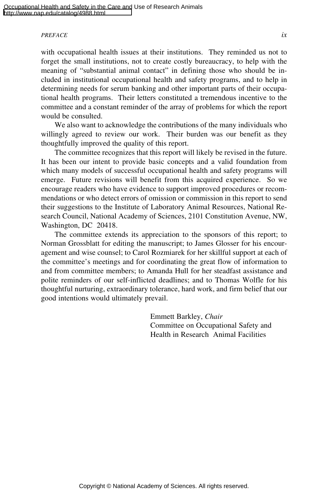#### *PREFACE ix*

with occupational health issues at their institutions. They reminded us not to forget the small institutions, not to create costly bureaucracy, to help with the meaning of "substantial animal contact" in defining those who should be included in institutional occupational health and safety programs, and to help in determining needs for serum banking and other important parts of their occupational health programs. Their letters constituted a tremendous incentive to the committee and a constant reminder of the array of problems for which the report would be consulted.

We also want to acknowledge the contributions of the many individuals who willingly agreed to review our work. Their burden was our benefit as they thoughtfully improved the quality of this report.

The committee recognizes that this report will likely be revised in the future. It has been our intent to provide basic concepts and a valid foundation from which many models of successful occupational health and safety programs will emerge. Future revisions will benefit from this acquired experience. So we encourage readers who have evidence to support improved procedures or recommendations or who detect errors of omission or commission in this report to send their suggestions to the Institute of Laboratory Animal Resources, National Research Council, National Academy of Sciences, 2101 Constitution Avenue, NW, Washington, DC 20418.

The committee extends its appreciation to the sponsors of this report; to Norman Grossblatt for editing the manuscript; to James Glosser for his encouragement and wise counsel; to Carol Rozmiarek for her skillful support at each of the committee's meetings and for coordinating the great flow of information to and from committee members; to Amanda Hull for her steadfast assistance and polite reminders of our self-inflicted deadlines; and to Thomas Wolfle for his thoughtful nurturing, extraordinary tolerance, hard work, and firm belief that our good intentions would ultimately prevail.

> Emmett Barkley, *Chair* Committee on Occupational Safety and Health in Research Animal Facilities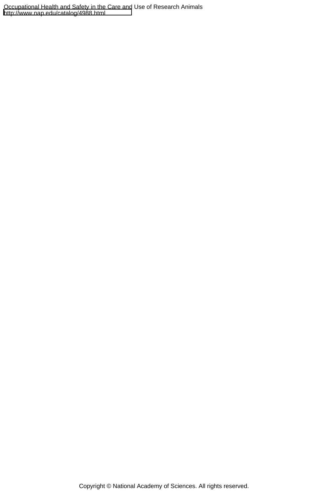Copyright © National Academy of Sciences. All rights reserved.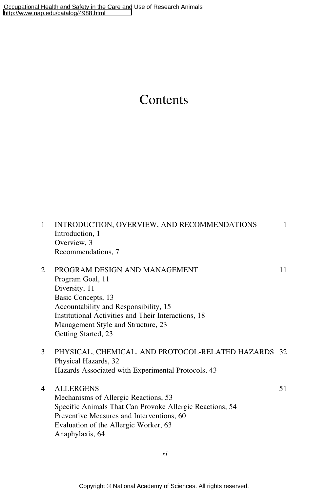# Contents

| $\mathbf{1}$ | INTRODUCTION, OVERVIEW, AND RECOMMENDATIONS<br>Introduction, 1<br>Overview, 3<br>Recommendations, 7                                                                                                                                                   | 1  |
|--------------|-------------------------------------------------------------------------------------------------------------------------------------------------------------------------------------------------------------------------------------------------------|----|
| 2            | PROGRAM DESIGN AND MANAGEMENT<br>Program Goal, 11<br>Diversity, 11<br>Basic Concepts, 13<br>Accountability and Responsibility, 15<br>Institutional Activities and Their Interactions, 18<br>Management Style and Structure, 23<br>Getting Started, 23 | 11 |
| 3            | PHYSICAL, CHEMICAL, AND PROTOCOL-RELATED HAZARDS 32<br>Physical Hazards, 32<br>Hazards Associated with Experimental Protocols, 43                                                                                                                     |    |
| 4            | <b>ALLERGENS</b><br>Mechanisms of Allergic Reactions, 53<br>Specific Animals That Can Provoke Allergic Reactions, 54<br>Preventive Measures and Interventions, 60<br>Evaluation of the Allergic Worker, 63<br>Anaphylaxis, 64                         | 51 |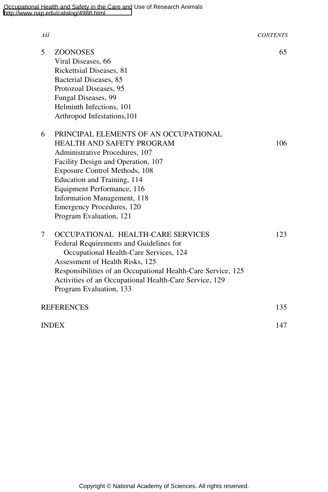| xii                                                                                                                                                                                                                                                                                                                                         | <b>CONTENTS</b>                                                     |
|---------------------------------------------------------------------------------------------------------------------------------------------------------------------------------------------------------------------------------------------------------------------------------------------------------------------------------------------|---------------------------------------------------------------------|
| 5<br><b>ZOONOSES</b><br>Viral Diseases, 66<br>Rickettsial Diseases, 81<br>Bacterial Diseases, 85<br>Protozoal Diseases, 95<br>Fungal Diseases, 99<br>Helminth Infections, 101<br>Arthropod Infestations, 101                                                                                                                                | 65                                                                  |
| PRINCIPAL ELEMENTS OF AN OCCUPATIONAL<br>6<br><b>HEALTH AND SAFETY PROGRAM</b><br>Administrative Procedures, 107<br>Facility Design and Operation, 107<br>Exposure Control Methods, 108<br>Education and Training, 114<br>Equipment Performance, 116<br>Information Management, 118<br>Emergency Procedures, 120<br>Program Evaluation, 121 | 106                                                                 |
| OCCUPATIONAL HEALTH-CARE SERVICES<br>7<br>Federal Requirements and Guidelines for<br>Occupational Health-Care Services, 124<br>Assessment of Health Risks, 125<br>Activities of an Occupational Health-Care Service, 129<br>Program Evaluation, 133                                                                                         | 123<br>Responsibilities of an Occupational Health-Care Service, 125 |
| <b>REFERENCES</b>                                                                                                                                                                                                                                                                                                                           | 135                                                                 |
| <b>INDEX</b>                                                                                                                                                                                                                                                                                                                                | 147                                                                 |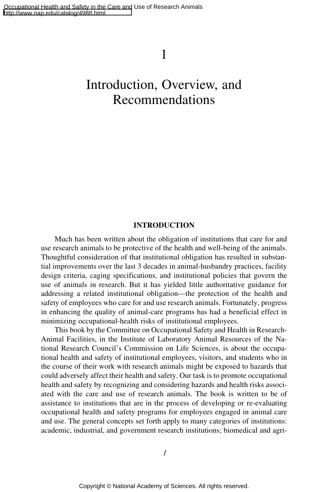### 1

# Introduction, Overview, and Recommendations

#### **INTRODUCTION**

Much has been written about the obligation of institutions that care for and use research animals to be protective of the health and well-being of the animals. Thoughtful consideration of that institutional obligation has resulted in substantial improvements over the last 3 decades in animal-husbandry practices, facility design criteria, caging specifications, and institutional policies that govern the use of animals in research. But it has yielded little authoritative guidance for addressing a related institutional obligation—the protection of the health and safety of employees who care for and use research animals. Fortunately, progress in enhancing the quality of animal-care programs has had a beneficial effect in minimizing occupational-health risks of institutional employees.

This book by the Committee on Occupational Safety and Health in Research-Animal Facilities, in the Institute of Laboratory Animal Resources of the National Research Council's Commission on Life Sciences, is about the occupational health and safety of institutional employees, visitors, and students who in the course of their work with research animals might be exposed to hazards that could adversely affect their health and safety. Our task is to promote occupational health and safety by recognizing and considering hazards and health risks associated with the care and use of research animals. The book is written to be of assistance to institutions that are in the process of developing or re-evaluating occupational health and safety programs for employees engaged in animal care and use. The general concepts set forth apply to many categories of institutions: academic, industrial, and government research institutions; biomedical and agri-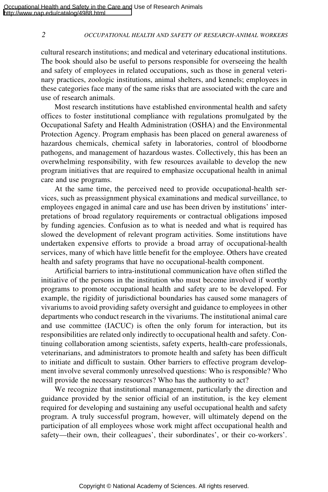cultural research institutions; and medical and veterinary educational institutions. The book should also be useful to persons responsible for overseeing the health and safety of employees in related occupations, such as those in general veterinary practices, zoologic institutions, animal shelters, and kennels; employees in these categories face many of the same risks that are associated with the care and use of research animals.

Most research institutions have established environmental health and safety offices to foster institutional compliance with regulations promulgated by the Occupational Safety and Health Administration (OSHA) and the Environmental Protection Agency. Program emphasis has been placed on general awareness of hazardous chemicals, chemical safety in laboratories, control of bloodborne pathogens, and management of hazardous wastes. Collectively, this has been an overwhelming responsibility, with few resources available to develop the new program initiatives that are required to emphasize occupational health in animal care and use programs.

At the same time, the perceived need to provide occupational-health services, such as preassignment physical examinations and medical surveillance, to employees engaged in animal care and use has been driven by institutions' interpretations of broad regulatory requirements or contractual obligations imposed by funding agencies. Confusion as to what is needed and what is required has slowed the development of relevant program activities. Some institutions have undertaken expensive efforts to provide a broad array of occupational-health services, many of which have little benefit for the employee. Others have created health and safety programs that have no occupational-health component.

Artificial barriers to intra-institutional communication have often stifled the initiative of the persons in the institution who must become involved if worthy programs to promote occupational health and safety are to be developed. For example, the rigidity of jurisdictional boundaries has caused some managers of vivariums to avoid providing safety oversight and guidance to employees in other departments who conduct research in the vivariums. The institutional animal care and use committee (IACUC) is often the only forum for interaction, but its responsibilities are related only indirectly to occupational health and safety. Continuing collaboration among scientists, safety experts, health-care professionals, veterinarians, and administrators to promote health and safety has been difficult to initiate and difficult to sustain. Other barriers to effective program development involve several commonly unresolved questions: Who is responsible? Who will provide the necessary resources? Who has the authority to act?

We recognize that institutional management, particularly the direction and guidance provided by the senior official of an institution, is the key element required for developing and sustaining any useful occupational health and safety program. A truly successful program, however, will ultimately depend on the participation of all employees whose work might affect occupational health and safety—their own, their colleagues', their subordinates', or their co-workers'.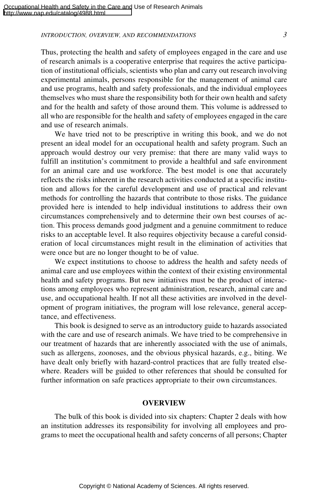#### *INTRODUCTION, OVERVIEW, AND RECOMMENDATIONS 3*

Thus, protecting the health and safety of employees engaged in the care and use of research animals is a cooperative enterprise that requires the active participation of institutional officials, scientists who plan and carry out research involving experimental animals, persons responsible for the management of animal care and use programs, health and safety professionals, and the individual employees themselves who must share the responsibility both for their own health and safety and for the health and safety of those around them. This volume is addressed to all who are responsible for the health and safety of employees engaged in the care and use of research animals.

We have tried not to be prescriptive in writing this book, and we do not present an ideal model for an occupational health and safety program. Such an approach would destroy our very premise: that there are many valid ways to fulfill an institution's commitment to provide a healthful and safe environment for an animal care and use workforce. The best model is one that accurately reflects the risks inherent in the research activities conducted at a specific institution and allows for the careful development and use of practical and relevant methods for controlling the hazards that contribute to those risks. The guidance provided here is intended to help individual institutions to address their own circumstances comprehensively and to determine their own best courses of action. This process demands good judgment and a genuine commitment to reduce risks to an acceptable level. It also requires objectivity because a careful consideration of local circumstances might result in the elimination of activities that were once but are no longer thought to be of value.

We expect institutions to choose to address the health and safety needs of animal care and use employees within the context of their existing environmental health and safety programs. But new initiatives must be the product of interactions among employees who represent administration, research, animal care and use, and occupational health. If not all these activities are involved in the development of program initiatives, the program will lose relevance, general acceptance, and effectiveness.

This book is designed to serve as an introductory guide to hazards associated with the care and use of research animals. We have tried to be comprehensive in our treatment of hazards that are inherently associated with the use of animals, such as allergens, zoonoses, and the obvious physical hazards, e.g., biting. We have dealt only briefly with hazard-control practices that are fully treated elsewhere. Readers will be guided to other references that should be consulted for further information on safe practices appropriate to their own circumstances.

#### **OVERVIEW**

The bulk of this book is divided into six chapters: Chapter 2 deals with how an institution addresses its responsibility for involving all employees and programs to meet the occupational health and safety concerns of all persons; Chapter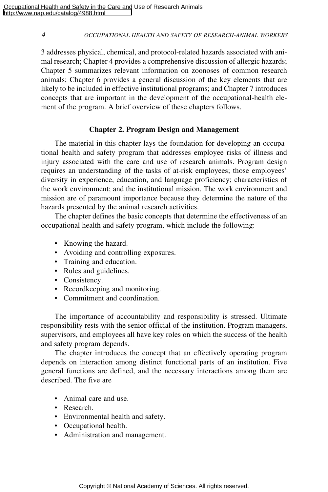3 addresses physical, chemical, and protocol-related hazards associated with animal research; Chapter 4 provides a comprehensive discussion of allergic hazards; Chapter 5 summarizes relevant information on zoonoses of common research animals; Chapter 6 provides a general discussion of the key elements that are likely to be included in effective institutional programs; and Chapter 7 introduces concepts that are important in the development of the occupational-health element of the program. A brief overview of these chapters follows.

#### **Chapter 2. Program Design and Management**

The material in this chapter lays the foundation for developing an occupational health and safety program that addresses employee risks of illness and injury associated with the care and use of research animals. Program design requires an understanding of the tasks of at-risk employees; those employees' diversity in experience, education, and language proficiency; characteristics of the work environment; and the institutional mission. The work environment and mission are of paramount importance because they determine the nature of the hazards presented by the animal research activities.

The chapter defines the basic concepts that determine the effectiveness of an occupational health and safety program, which include the following:

- Knowing the hazard.
- Avoiding and controlling exposures.
- Training and education.
- Rules and guidelines.
- Consistency.
- Recordkeeping and monitoring.
- Commitment and coordination.

The importance of accountability and responsibility is stressed. Ultimate responsibility rests with the senior official of the institution. Program managers, supervisors, and employees all have key roles on which the success of the health and safety program depends.

The chapter introduces the concept that an effectively operating program depends on interaction among distinct functional parts of an institution. Five general functions are defined, and the necessary interactions among them are described. The five are

- Animal care and use.
- Research.
- Environmental health and safety.
- Occupational health.
- Administration and management.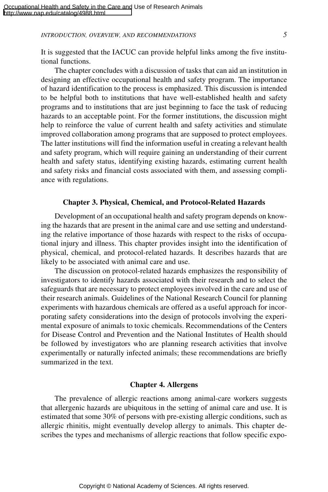#### *INTRODUCTION, OVERVIEW, AND RECOMMENDATIONS 5*

It is suggested that the IACUC can provide helpful links among the five institutional functions.

The chapter concludes with a discussion of tasks that can aid an institution in designing an effective occupational health and safety program. The importance of hazard identification to the process is emphasized. This discussion is intended to be helpful both to institutions that have well-established health and safety programs and to institutions that are just beginning to face the task of reducing hazards to an acceptable point. For the former institutions, the discussion might help to reinforce the value of current health and safety activities and stimulate improved collaboration among programs that are supposed to protect employees. The latter institutions will find the information useful in creating a relevant health and safety program, which will require gaining an understanding of their current health and safety status, identifying existing hazards, estimating current health and safety risks and financial costs associated with them, and assessing compliance with regulations.

#### **Chapter 3. Physical, Chemical, and Protocol-Related Hazards**

Development of an occupational health and safety program depends on knowing the hazards that are present in the animal care and use setting and understanding the relative importance of those hazards with respect to the risks of occupational injury and illness. This chapter provides insight into the identification of physical, chemical, and protocol-related hazards. It describes hazards that are likely to be associated with animal care and use.

The discussion on protocol-related hazards emphasizes the responsibility of investigators to identify hazards associated with their research and to select the safeguards that are necessary to protect employees involved in the care and use of their research animals. Guidelines of the National Research Council for planning experiments with hazardous chemicals are offered as a useful approach for incorporating safety considerations into the design of protocols involving the experimental exposure of animals to toxic chemicals. Recommendations of the Centers for Disease Control and Prevention and the National Institutes of Health should be followed by investigators who are planning research activities that involve experimentally or naturally infected animals; these recommendations are briefly summarized in the text.

#### **Chapter 4. Allergens**

The prevalence of allergic reactions among animal-care workers suggests that allergenic hazards are ubiquitous in the setting of animal care and use. It is estimated that some 30% of persons with pre-existing allergic conditions, such as allergic rhinitis, might eventually develop allergy to animals. This chapter describes the types and mechanisms of allergic reactions that follow specific expo-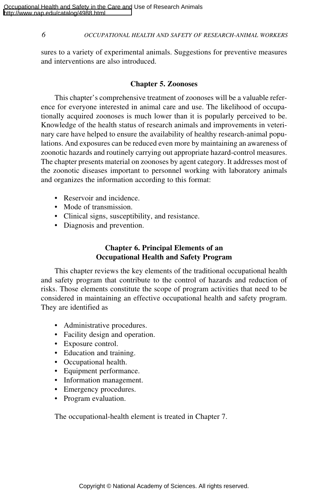sures to a variety of experimental animals. Suggestions for preventive measures and interventions are also introduced.

#### **Chapter 5. Zoonoses**

This chapter's comprehensive treatment of zoonoses will be a valuable reference for everyone interested in animal care and use. The likelihood of occupationally acquired zoonoses is much lower than it is popularly perceived to be. Knowledge of the health status of research animals and improvements in veterinary care have helped to ensure the availability of healthy research-animal populations. And exposures can be reduced even more by maintaining an awareness of zoonotic hazards and routinely carrying out appropriate hazard-control measures. The chapter presents material on zoonoses by agent category. It addresses most of the zoonotic diseases important to personnel working with laboratory animals and organizes the information according to this format:

- Reservoir and incidence.
- Mode of transmission.
- Clinical signs, susceptibility, and resistance.
- Diagnosis and prevention.

#### **Chapter 6. Principal Elements of an Occupational Health and Safety Program**

This chapter reviews the key elements of the traditional occupational health and safety program that contribute to the control of hazards and reduction of risks. Those elements constitute the scope of program activities that need to be considered in maintaining an effective occupational health and safety program. They are identified as

- Administrative procedures.
- Facility design and operation.
- Exposure control.
- Education and training.
- Occupational health.
- Equipment performance.
- Information management.
- Emergency procedures.
- Program evaluation.

The occupational-health element is treated in Chapter 7.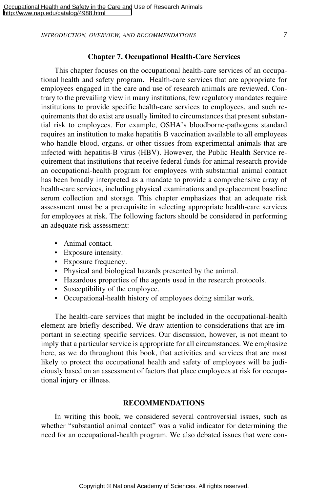*INTRODUCTION, OVERVIEW, AND RECOMMENDATIONS 7*

#### **Chapter 7. Occupational Health-Care Services**

This chapter focuses on the occupational health-care services of an occupational health and safety program. Health-care services that are appropriate for employees engaged in the care and use of research animals are reviewed. Contrary to the prevailing view in many institutions, few regulatory mandates require institutions to provide specific health-care services to employees, and such requirements that do exist are usually limited to circumstances that present substantial risk to employees. For example, OSHA's bloodborne-pathogens standard requires an institution to make hepatitis B vaccination available to all employees who handle blood, organs, or other tissues from experimental animals that are infected with hepatitis-B virus (HBV). However, the Public Health Service requirement that institutions that receive federal funds for animal research provide an occupational-health program for employees with substantial animal contact has been broadly interpreted as a mandate to provide a comprehensive array of health-care services, including physical examinations and preplacement baseline serum collection and storage. This chapter emphasizes that an adequate risk assessment must be a prerequisite in selecting appropriate health-care services for employees at risk. The following factors should be considered in performing an adequate risk assessment:

- Animal contact.
- Exposure intensity.
- Exposure frequency.
- Physical and biological hazards presented by the animal.
- Hazardous properties of the agents used in the research protocols.
- Susceptibility of the employee.
- Occupational-health history of employees doing similar work.

The health-care services that might be included in the occupational-health element are briefly described. We draw attention to considerations that are important in selecting specific services. Our discussion, however, is not meant to imply that a particular service is appropriate for all circumstances. We emphasize here, as we do throughout this book, that activities and services that are most likely to protect the occupational health and safety of employees will be judiciously based on an assessment of factors that place employees at risk for occupational injury or illness.

#### **RECOMMENDATIONS**

In writing this book, we considered several controversial issues, such as whether "substantial animal contact" was a valid indicator for determining the need for an occupational-health program. We also debated issues that were con-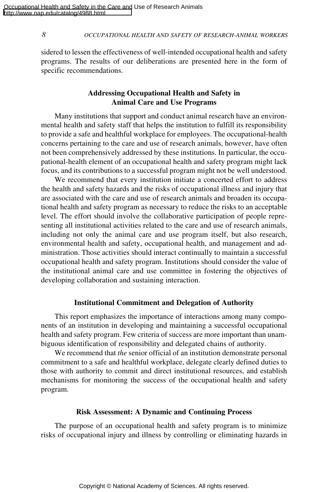sidered to lessen the effectiveness of well-intended occupational health and safety programs. The results of our deliberations are presented here in the form of specific recommendations.

#### **Addressing Occupational Health and Safety in Animal Care and Use Programs**

Many institutions that support and conduct animal research have an environmental health and safety staff that helps the institution to fulfill its responsibility to provide a safe and healthful workplace for employees. The occupational-health concerns pertaining to the care and use of research animals, however, have often not been comprehensively addressed by these institutions. In particular, the occupational-health element of an occupational health and safety program might lack focus, and its contributions to a successful program might not be well understood.

We recommend that every institution initiate a concerted effort to address the health and safety hazards and the risks of occupational illness and injury that are associated with the care and use of research animals and broaden its occupational health and safety program as necessary to reduce the risks to an acceptable level. The effort should involve the collaborative participation of people representing all institutional activities related to the care and use of research animals, including not only the animal care and use program itself, but also research, environmental health and safety, occupational health, and management and administration. Those activities should interact continually to maintain a successful occupational health and safety program. Institutions should consider the value of the institutional animal care and use committee in fostering the objectives of developing collaboration and sustaining interaction.

#### **Institutional Commitment and Delegation of Authority**

This report emphasizes the importance of interactions among many components of an institution in developing and maintaining a successful occupational health and safety program. Few criteria of success are more important than unambiguous identification of responsibility and delegated chains of authority.

We recommend that *the* senior official of an institution demonstrate personal commitment to a safe and healthful workplace, delegate clearly defined duties to those with authority to commit and direct institutional resources, and establish mechanisms for monitoring the success of the occupational health and safety program.

#### **Risk Assessment: A Dynamic and Continuing Process**

The purpose of an occupational health and safety program is to minimize risks of occupational injury and illness by controlling or eliminating hazards in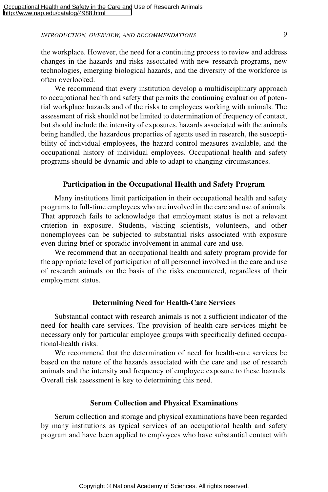#### *INTRODUCTION, OVERVIEW, AND RECOMMENDATIONS 9*

the workplace. However, the need for a continuing process to review and address changes in the hazards and risks associated with new research programs, new technologies, emerging biological hazards, and the diversity of the workforce is often overlooked.

We recommend that every institution develop a multidisciplinary approach to occupational health and safety that permits the continuing evaluation of potential workplace hazards and of the risks to employees working with animals. The assessment of risk should not be limited to determination of frequency of contact, but should include the intensity of exposures, hazards associated with the animals being handled, the hazardous properties of agents used in research, the susceptibility of individual employees, the hazard-control measures available, and the occupational history of individual employees. Occupational health and safety programs should be dynamic and able to adapt to changing circumstances.

#### **Participation in the Occupational Health and Safety Program**

Many institutions limit participation in their occupational health and safety programs to full-time employees who are involved in the care and use of animals. That approach fails to acknowledge that employment status is not a relevant criterion in exposure. Students, visiting scientists, volunteers, and other nonemployees can be subjected to substantial risks associated with exposure even during brief or sporadic involvement in animal care and use.

We recommend that an occupational health and safety program provide for the appropriate level of participation of all personnel involved in the care and use of research animals on the basis of the risks encountered, regardless of their employment status.

#### **Determining Need for Health-Care Services**

Substantial contact with research animals is not a sufficient indicator of the need for health-care services. The provision of health-care services might be necessary only for particular employee groups with specifically defined occupational-health risks.

We recommend that the determination of need for health-care services be based on the nature of the hazards associated with the care and use of research animals and the intensity and frequency of employee exposure to these hazards. Overall risk assessment is key to determining this need.

#### **Serum Collection and Physical Examinations**

Serum collection and storage and physical examinations have been regarded by many institutions as typical services of an occupational health and safety program and have been applied to employees who have substantial contact with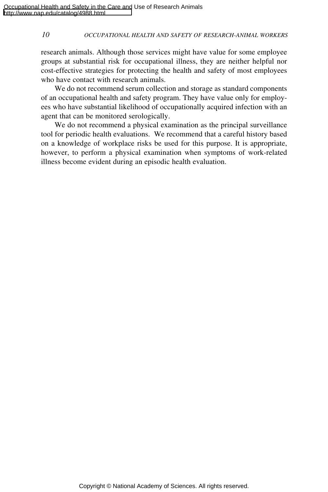research animals. Although those services might have value for some employee groups at substantial risk for occupational illness, they are neither helpful nor cost-effective strategies for protecting the health and safety of most employees who have contact with research animals.

We do not recommend serum collection and storage as standard components of an occupational health and safety program. They have value only for employees who have substantial likelihood of occupationally acquired infection with an agent that can be monitored serologically.

We do not recommend a physical examination as the principal surveillance tool for periodic health evaluations. We recommend that a careful history based on a knowledge of workplace risks be used for this purpose. It is appropriate, however, to perform a physical examination when symptoms of work-related illness become evident during an episodic health evaluation.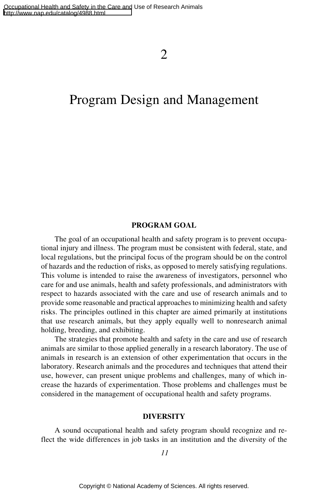### Program Design and Management

#### **PROGRAM GOAL**

The goal of an occupational health and safety program is to prevent occupational injury and illness. The program must be consistent with federal, state, and local regulations, but the principal focus of the program should be on the control of hazards and the reduction of risks, as opposed to merely satisfying regulations. This volume is intended to raise the awareness of investigators, personnel who care for and use animals, health and safety professionals, and administrators with respect to hazards associated with the care and use of research animals and to provide some reasonable and practical approaches to minimizing health and safety risks. The principles outlined in this chapter are aimed primarily at institutions that use research animals, but they apply equally well to nonresearch animal holding, breeding, and exhibiting.

The strategies that promote health and safety in the care and use of research animals are similar to those applied generally in a research laboratory. The use of animals in research is an extension of other experimentation that occurs in the laboratory. Research animals and the procedures and techniques that attend their use, however, can present unique problems and challenges, many of which increase the hazards of experimentation. Those problems and challenges must be considered in the management of occupational health and safety programs.

#### **DIVERSITY**

A sound occupational health and safety program should recognize and reflect the wide differences in job tasks in an institution and the diversity of the

*11*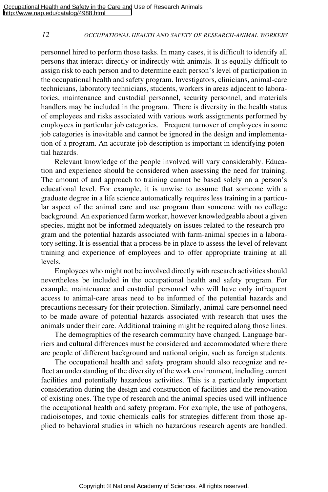personnel hired to perform those tasks. In many cases, it is difficult to identify all persons that interact directly or indirectly with animals. It is equally difficult to assign risk to each person and to determine each person's level of participation in the occupational health and safety program. Investigators, clinicians, animal-care technicians, laboratory technicians, students, workers in areas adjacent to laboratories, maintenance and custodial personnel, security personnel, and materials handlers may be included in the program. There is diversity in the health status of employees and risks associated with various work assignments performed by employees in particular job categories. Frequent turnover of employees in some job categories is inevitable and cannot be ignored in the design and implementation of a program. An accurate job description is important in identifying potential hazards.

Relevant knowledge of the people involved will vary considerably. Education and experience should be considered when assessing the need for training. The amount of and approach to training cannot be based solely on a person's educational level. For example, it is unwise to assume that someone with a graduate degree in a life science automatically requires less training in a particular aspect of the animal care and use program than someone with no college background. An experienced farm worker, however knowledgeable about a given species, might not be informed adequately on issues related to the research program and the potential hazards associated with farm-animal species in a laboratory setting. It is essential that a process be in place to assess the level of relevant training and experience of employees and to offer appropriate training at all levels.

Employees who might not be involved directly with research activities should nevertheless be included in the occupational health and safety program. For example, maintenance and custodial personnel who will have only infrequent access to animal-care areas need to be informed of the potential hazards and precautions necessary for their protection. Similarly, animal-care personnel need to be made aware of potential hazards associated with research that uses the animals under their care. Additional training might be required along those lines.

The demographics of the research community have changed. Language barriers and cultural differences must be considered and accommodated where there are people of different background and national origin, such as foreign students.

The occupational health and safety program should also recognize and reflect an understanding of the diversity of the work environment, including current facilities and potentially hazardous activities. This is a particularly important consideration during the design and construction of facilities and the renovation of existing ones. The type of research and the animal species used will influence the occupational health and safety program. For example, the use of pathogens, radioisotopes, and toxic chemicals calls for strategies different from those applied to behavioral studies in which no hazardous research agents are handled.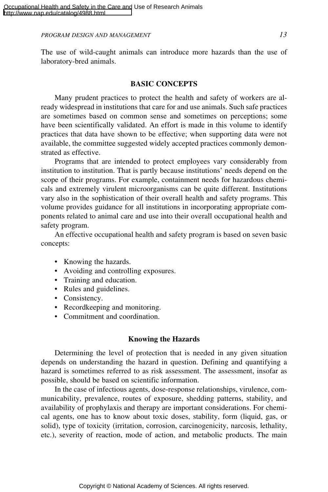*PROGRAM DESIGN AND MANAGEMENT 13*

The use of wild-caught animals can introduce more hazards than the use of laboratory-bred animals.

#### **BASIC CONCEPTS**

Many prudent practices to protect the health and safety of workers are already widespread in institutions that care for and use animals. Such safe practices are sometimes based on common sense and sometimes on perceptions; some have been scientifically validated. An effort is made in this volume to identify practices that data have shown to be effective; when supporting data were not available, the committee suggested widely accepted practices commonly demonstrated as effective.

Programs that are intended to protect employees vary considerably from institution to institution. That is partly because institutions' needs depend on the scope of their programs. For example, containment needs for hazardous chemicals and extremely virulent microorganisms can be quite different. Institutions vary also in the sophistication of their overall health and safety programs. This volume provides guidance for all institutions in incorporating appropriate components related to animal care and use into their overall occupational health and safety program.

An effective occupational health and safety program is based on seven basic concepts:

- Knowing the hazards.
- Avoiding and controlling exposures.
- Training and education.
- Rules and guidelines.
- Consistency.
- Recordkeeping and monitoring.
- Commitment and coordination.

#### **Knowing the Hazards**

Determining the level of protection that is needed in any given situation depends on understanding the hazard in question. Defining and quantifying a hazard is sometimes referred to as risk assessment. The assessment, insofar as possible, should be based on scientific information.

In the case of infectious agents, dose-response relationships, virulence, communicability, prevalence, routes of exposure, shedding patterns, stability, and availability of prophylaxis and therapy are important considerations. For chemical agents, one has to know about toxic doses, stability, form (liquid, gas, or solid), type of toxicity (irritation, corrosion, carcinogenicity, narcosis, lethality, etc.), severity of reaction, mode of action, and metabolic products. The main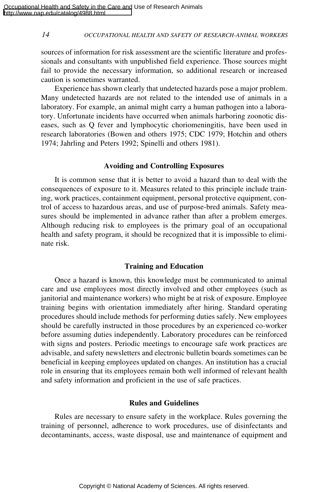sources of information for risk assessment are the scientific literature and professionals and consultants with unpublished field experience. Those sources might fail to provide the necessary information, so additional research or increased caution is sometimes warranted.

Experience has shown clearly that undetected hazards pose a major problem. Many undetected hazards are not related to the intended use of animals in a laboratory. For example, an animal might carry a human pathogen into a laboratory. Unfortunate incidents have occurred when animals harboring zoonotic diseases, such as Q fever and lymphocytic choriomeningitis, have been used in research laboratories (Bowen and others 1975; CDC 1979; Hotchin and others 1974; Jahrling and Peters 1992; Spinelli and others 1981).

#### **Avoiding and Controlling Exposures**

It is common sense that it is better to avoid a hazard than to deal with the consequences of exposure to it. Measures related to this principle include training, work practices, containment equipment, personal protective equipment, control of access to hazardous areas, and use of purpose-bred animals. Safety measures should be implemented in advance rather than after a problem emerges. Although reducing risk to employees is the primary goal of an occupational health and safety program, it should be recognized that it is impossible to eliminate risk.

#### **Training and Education**

Once a hazard is known, this knowledge must be communicated to animal care and use employees most directly involved and other employees (such as janitorial and maintenance workers) who might be at risk of exposure. Employee training begins with orientation immediately after hiring. Standard operating procedures should include methods for performing duties safely. New employees should be carefully instructed in those procedures by an experienced co-worker before assuming duties independently. Laboratory procedures can be reinforced with signs and posters. Periodic meetings to encourage safe work practices are advisable, and safety newsletters and electronic bulletin boards sometimes can be beneficial in keeping employees updated on changes. An institution has a crucial role in ensuring that its employees remain both well informed of relevant health and safety information and proficient in the use of safe practices.

#### **Rules and Guidelines**

Rules are necessary to ensure safety in the workplace. Rules governing the training of personnel, adherence to work procedures, use of disinfectants and decontaminants, access, waste disposal, use and maintenance of equipment and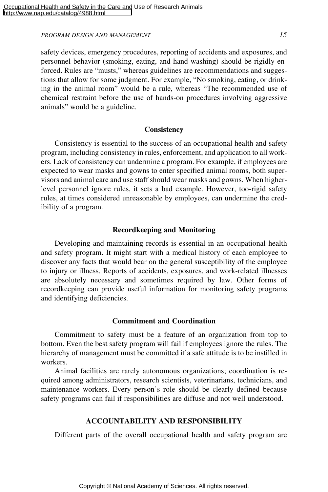*PROGRAM DESIGN AND MANAGEMENT 15*

safety devices, emergency procedures, reporting of accidents and exposures, and personnel behavior (smoking, eating, and hand-washing) should be rigidly enforced. Rules are "musts," whereas guidelines are recommendations and suggestions that allow for some judgment. For example, "No smoking, eating, or drinking in the animal room" would be a rule, whereas "The recommended use of chemical restraint before the use of hands-on procedures involving aggressive animals" would be a guideline.

#### **Consistency**

Consistency is essential to the success of an occupational health and safety program, including consistency in rules, enforcement, and application to all workers. Lack of consistency can undermine a program. For example, if employees are expected to wear masks and gowns to enter specified animal rooms, both supervisors and animal care and use staff should wear masks and gowns. When higherlevel personnel ignore rules, it sets a bad example. However, too-rigid safety rules, at times considered unreasonable by employees, can undermine the credibility of a program.

#### **Recordkeeping and Monitoring**

Developing and maintaining records is essential in an occupational health and safety program. It might start with a medical history of each employee to discover any facts that would bear on the general susceptibility of the employee to injury or illness. Reports of accidents, exposures, and work-related illnesses are absolutely necessary and sometimes required by law. Other forms of recordkeeping can provide useful information for monitoring safety programs and identifying deficiencies.

#### **Commitment and Coordination**

Commitment to safety must be a feature of an organization from top to bottom. Even the best safety program will fail if employees ignore the rules. The hierarchy of management must be committed if a safe attitude is to be instilled in workers.

Animal facilities are rarely autonomous organizations; coordination is required among administrators, research scientists, veterinarians, technicians, and maintenance workers. Every person's role should be clearly defined because safety programs can fail if responsibilities are diffuse and not well understood.

#### **ACCOUNTABILITY AND RESPONSIBILITY**

Different parts of the overall occupational health and safety program are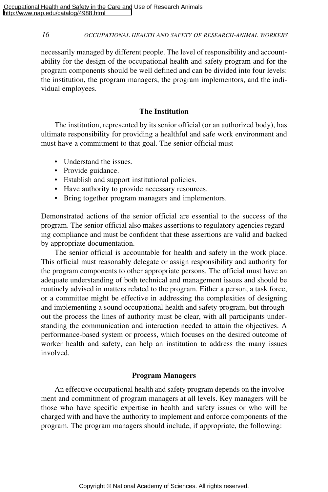necessarily managed by different people. The level of responsibility and accountability for the design of the occupational health and safety program and for the program components should be well defined and can be divided into four levels: the institution, the program managers, the program implementors, and the individual employees.

#### **The Institution**

The institution, represented by its senior official (or an authorized body), has ultimate responsibility for providing a healthful and safe work environment and must have a commitment to that goal. The senior official must

- Understand the issues.
- Provide guidance.
- Establish and support institutional policies.
- Have authority to provide necessary resources.
- Bring together program managers and implementors.

Demonstrated actions of the senior official are essential to the success of the program. The senior official also makes assertions to regulatory agencies regarding compliance and must be confident that these assertions are valid and backed by appropriate documentation.

The senior official is accountable for health and safety in the work place. This official must reasonably delegate or assign responsibility and authority for the program components to other appropriate persons. The official must have an adequate understanding of both technical and management issues and should be routinely advised in matters related to the program. Either a person, a task force, or a committee might be effective in addressing the complexities of designing and implementing a sound occupational health and safety program, but throughout the process the lines of authority must be clear, with all participants understanding the communication and interaction needed to attain the objectives. A performance-based system or process, which focuses on the desired outcome of worker health and safety, can help an institution to address the many issues involved.

#### **Program Managers**

An effective occupational health and safety program depends on the involvement and commitment of program managers at all levels. Key managers will be those who have specific expertise in health and safety issues or who will be charged with and have the authority to implement and enforce components of the program. The program managers should include, if appropriate, the following: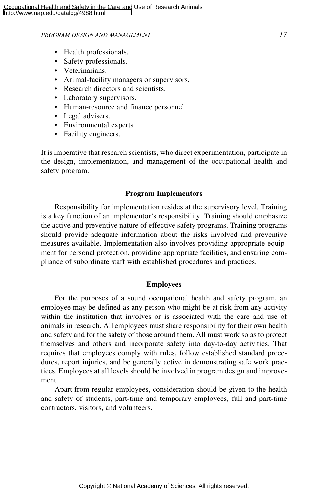#### *PROGRAM DESIGN AND MANAGEMENT 17*

- Health professionals.
- Safety professionals.
- Veterinarians.
- Animal-facility managers or supervisors.
- Research directors and scientists.
- Laboratory supervisors.
- Human-resource and finance personnel.
- Legal advisers.
- Environmental experts.
- Facility engineers.

It is imperative that research scientists, who direct experimentation, participate in the design, implementation, and management of the occupational health and safety program.

#### **Program Implementors**

Responsibility for implementation resides at the supervisory level. Training is a key function of an implementor's responsibility. Training should emphasize the active and preventive nature of effective safety programs. Training programs should provide adequate information about the risks involved and preventive measures available. Implementation also involves providing appropriate equipment for personal protection, providing appropriate facilities, and ensuring compliance of subordinate staff with established procedures and practices.

#### **Employees**

For the purposes of a sound occupational health and safety program, an employee may be defined as any person who might be at risk from any activity within the institution that involves or is associated with the care and use of animals in research. All employees must share responsibility for their own health and safety and for the safety of those around them. All must work so as to protect themselves and others and incorporate safety into day-to-day activities. That requires that employees comply with rules, follow established standard procedures, report injuries, and be generally active in demonstrating safe work practices. Employees at all levels should be involved in program design and improvement.

Apart from regular employees, consideration should be given to the health and safety of students, part-time and temporary employees, full and part-time contractors, visitors, and volunteers.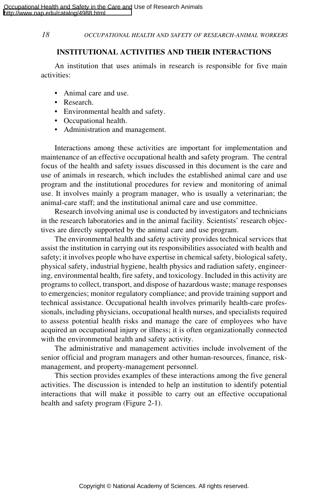#### **INSTITUTIONAL ACTIVITIES AND THEIR INTERACTIONS**

An institution that uses animals in research is responsible for five main activities:

- Animal care and use.
- Research.
- Environmental health and safety.
- Occupational health.
- Administration and management.

Interactions among these activities are important for implementation and maintenance of an effective occupational health and safety program. The central focus of the health and safety issues discussed in this document is the care and use of animals in research, which includes the established animal care and use program and the institutional procedures for review and monitoring of animal use. It involves mainly a program manager, who is usually a veterinarian; the animal-care staff; and the institutional animal care and use committee.

Research involving animal use is conducted by investigators and technicians in the research laboratories and in the animal facility. Scientists' research objectives are directly supported by the animal care and use program.

The environmental health and safety activity provides technical services that assist the institution in carrying out its responsibilities associated with health and safety; it involves people who have expertise in chemical safety, biological safety, physical safety, industrial hygiene, health physics and radiation safety, engineering, environmental health, fire safety, and toxicology. Included in this activity are programs to collect, transport, and dispose of hazardous waste; manage responses to emergencies; monitor regulatory compliance; and provide training support and technical assistance. Occupational health involves primarily health-care professionals, including physicians, occupational health nurses, and specialists required to assess potential health risks and manage the care of employees who have acquired an occupational injury or illness; it is often organizationally connected with the environmental health and safety activity.

The administrative and management activities include involvement of the senior official and program managers and other human-resources, finance, riskmanagement, and property-management personnel.

This section provides examples of these interactions among the five general activities. The discussion is intended to help an institution to identify potential interactions that will make it possible to carry out an effective occupational health and safety program (Figure 2-1).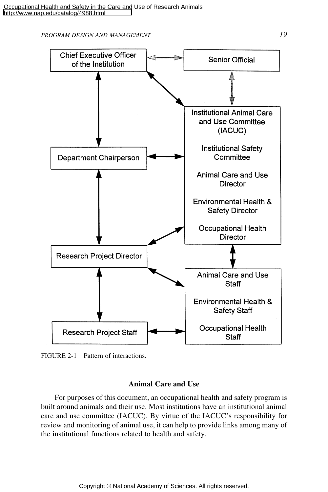*PROGRAM DESIGN AND MANAGEMENT 19*



FIGURE 2-1 Pattern of interactions.

#### **Animal Care and Use**

For purposes of this document, an occupational health and safety program is built around animals and their use. Most institutions have an institutional animal care and use committee (IACUC). By virtue of the IACUC's responsibility for review and monitoring of animal use, it can help to provide links among many of the institutional functions related to health and safety.

Copyright © National Academy of Sciences. All rights reserved.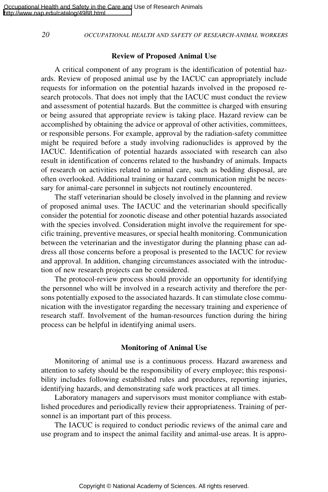#### **Review of Proposed Animal Use**

A critical component of any program is the identification of potential hazards. Review of proposed animal use by the IACUC can appropriately include requests for information on the potential hazards involved in the proposed research protocols. That does not imply that the IACUC must conduct the review and assessment of potential hazards. But the committee is charged with ensuring or being assured that appropriate review is taking place. Hazard review can be accomplished by obtaining the advice or approval of other activities, committees, or responsible persons. For example, approval by the radiation-safety committee might be required before a study involving radionuclides is approved by the IACUC. Identification of potential hazards associated with research can also result in identification of concerns related to the husbandry of animals. Impacts of research on activities related to animal care, such as bedding disposal, are often overlooked. Additional training or hazard communication might be necessary for animal-care personnel in subjects not routinely encountered.

The staff veterinarian should be closely involved in the planning and review of proposed animal uses. The IACUC and the veterinarian should specifically consider the potential for zoonotic disease and other potential hazards associated with the species involved. Consideration might involve the requirement for specific training, preventive measures, or special health monitoring. Communication between the veterinarian and the investigator during the planning phase can address all those concerns before a proposal is presented to the IACUC for review and approval. In addition, changing circumstances associated with the introduction of new research projects can be considered.

The protocol-review process should provide an opportunity for identifying the personnel who will be involved in a research activity and therefore the persons potentially exposed to the associated hazards. It can stimulate close communication with the investigator regarding the necessary training and experience of research staff. Involvement of the human-resources function during the hiring process can be helpful in identifying animal users.

#### **Monitoring of Animal Use**

Monitoring of animal use is a continuous process. Hazard awareness and attention to safety should be the responsibility of every employee; this responsibility includes following established rules and procedures, reporting injuries, identifying hazards, and demonstrating safe work practices at all times.

Laboratory managers and supervisors must monitor compliance with established procedures and periodically review their appropriateness. Training of personnel is an important part of this process.

The IACUC is required to conduct periodic reviews of the animal care and use program and to inspect the animal facility and animal-use areas. It is appro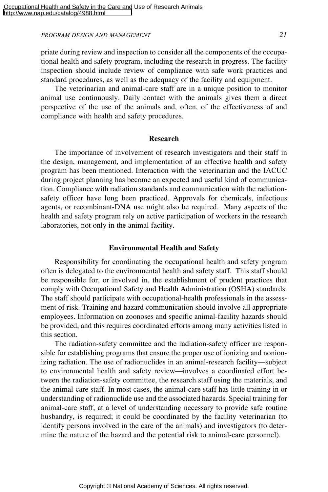*PROGRAM DESIGN AND MANAGEMENT 21*

priate during review and inspection to consider all the components of the occupational health and safety program, including the research in progress. The facility inspection should include review of compliance with safe work practices and standard procedures, as well as the adequacy of the facility and equipment.

The veterinarian and animal-care staff are in a unique position to monitor animal use continuously. Daily contact with the animals gives them a direct perspective of the use of the animals and, often, of the effectiveness of and compliance with health and safety procedures.

#### **Research**

The importance of involvement of research investigators and their staff in the design, management, and implementation of an effective health and safety program has been mentioned. Interaction with the veterinarian and the IACUC during project planning has become an expected and useful kind of communication. Compliance with radiation standards and communication with the radiationsafety officer have long been practiced. Approvals for chemicals, infectious agents, or recombinant-DNA use might also be required. Many aspects of the health and safety program rely on active participation of workers in the research laboratories, not only in the animal facility.

#### **Environmental Health and Safety**

Responsibility for coordinating the occupational health and safety program often is delegated to the environmental health and safety staff. This staff should be responsible for, or involved in, the establishment of prudent practices that comply with Occupational Safety and Health Administration (OSHA) standards. The staff should participate with occupational-health professionals in the assessment of risk. Training and hazard communication should involve all appropriate employees. Information on zoonoses and specific animal-facility hazards should be provided, and this requires coordinated efforts among many activities listed in this section.

The radiation-safety committee and the radiation-safety officer are responsible for establishing programs that ensure the proper use of ionizing and nonionizing radiation. The use of radionuclides in an animal-research facility—subject to environmental health and safety review—involves a coordinated effort between the radiation-safety committee, the research staff using the materials, and the animal-care staff. In most cases, the animal-care staff has little training in or understanding of radionuclide use and the associated hazards. Special training for animal-care staff, at a level of understanding necessary to provide safe routine husbandry, is required; it could be coordinated by the facility veterinarian (to identify persons involved in the care of the animals) and investigators (to determine the nature of the hazard and the potential risk to animal-care personnel).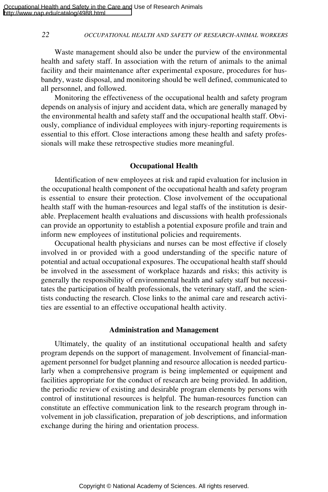Waste management should also be under the purview of the environmental health and safety staff. In association with the return of animals to the animal facility and their maintenance after experimental exposure, procedures for husbandry, waste disposal, and monitoring should be well defined, communicated to all personnel, and followed.

Monitoring the effectiveness of the occupational health and safety program depends on analysis of injury and accident data, which are generally managed by the environmental health and safety staff and the occupational health staff. Obviously, compliance of individual employees with injury-reporting requirements is essential to this effort. Close interactions among these health and safety professionals will make these retrospective studies more meaningful.

#### **Occupational Health**

Identification of new employees at risk and rapid evaluation for inclusion in the occupational health component of the occupational health and safety program is essential to ensure their protection. Close involvement of the occupational health staff with the human-resources and legal staffs of the institution is desirable. Preplacement health evaluations and discussions with health professionals can provide an opportunity to establish a potential exposure profile and train and inform new employees of institutional policies and requirements.

Occupational health physicians and nurses can be most effective if closely involved in or provided with a good understanding of the specific nature of potential and actual occupational exposures. The occupational health staff should be involved in the assessment of workplace hazards and risks; this activity is generally the responsibility of environmental health and safety staff but necessitates the participation of health professionals, the veterinary staff, and the scientists conducting the research. Close links to the animal care and research activities are essential to an effective occupational health activity.

#### **Administration and Management**

Ultimately, the quality of an institutional occupational health and safety program depends on the support of management. Involvement of financial-management personnel for budget planning and resource allocation is needed particularly when a comprehensive program is being implemented or equipment and facilities appropriate for the conduct of research are being provided. In addition, the periodic review of existing and desirable program elements by persons with control of institutional resources is helpful. The human-resources function can constitute an effective communication link to the research program through involvement in job classification, preparation of job descriptions, and information exchange during the hiring and orientation process.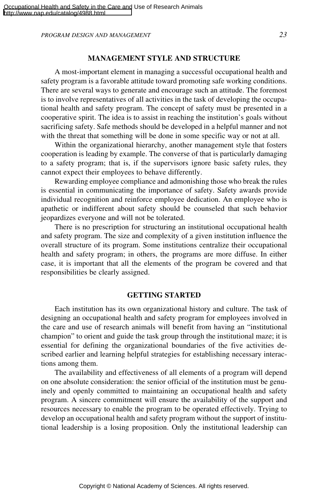*PROGRAM DESIGN AND MANAGEMENT 23*

#### **MANAGEMENT STYLE AND STRUCTURE**

A most-important element in managing a successful occupational health and safety program is a favorable attitude toward promoting safe working conditions. There are several ways to generate and encourage such an attitude. The foremost is to involve representatives of all activities in the task of developing the occupational health and safety program. The concept of safety must be presented in a cooperative spirit. The idea is to assist in reaching the institution's goals without sacrificing safety. Safe methods should be developed in a helpful manner and not with the threat that something will be done in some specific way or not at all.

Within the organizational hierarchy, another management style that fosters cooperation is leading by example. The converse of that is particularly damaging to a safety program; that is, if the supervisors ignore basic safety rules, they cannot expect their employees to behave differently.

Rewarding employee compliance and admonishing those who break the rules is essential in communicating the importance of safety. Safety awards provide individual recognition and reinforce employee dedication. An employee who is apathetic or indifferent about safety should be counseled that such behavior jeopardizes everyone and will not be tolerated.

There is no prescription for structuring an institutional occupational health and safety program. The size and complexity of a given institution influence the overall structure of its program. Some institutions centralize their occupational health and safety program; in others, the programs are more diffuse. In either case, it is important that all the elements of the program be covered and that responsibilities be clearly assigned.

#### **GETTING STARTED**

Each institution has its own organizational history and culture. The task of designing an occupational health and safety program for employees involved in the care and use of research animals will benefit from having an "institutional champion" to orient and guide the task group through the institutional maze; it is essential for defining the organizational boundaries of the five activities described earlier and learning helpful strategies for establishing necessary interactions among them.

The availability and effectiveness of all elements of a program will depend on one absolute consideration: the senior official of the institution must be genuinely and openly committed to maintaining an occupational health and safety program. A sincere commitment will ensure the availability of the support and resources necessary to enable the program to be operated effectively. Trying to develop an occupational health and safety program without the support of institutional leadership is a losing proposition. Only the institutional leadership can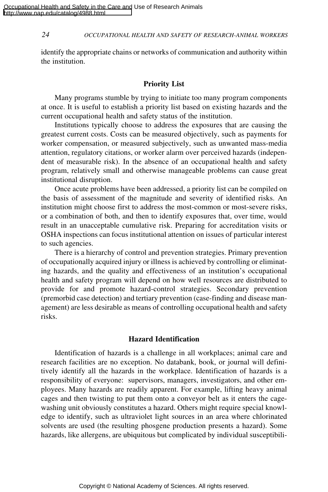identify the appropriate chains or networks of communication and authority within the institution.

# **Priority List**

Many programs stumble by trying to initiate too many program components at once. It is useful to establish a priority list based on existing hazards and the current occupational health and safety status of the institution.

Institutions typically choose to address the exposures that are causing the greatest current costs. Costs can be measured objectively, such as payments for worker compensation, or measured subjectively, such as unwanted mass-media attention, regulatory citations, or worker alarm over perceived hazards (independent of measurable risk). In the absence of an occupational health and safety program, relatively small and otherwise manageable problems can cause great institutional disruption.

Once acute problems have been addressed, a priority list can be compiled on the basis of assessment of the magnitude and severity of identified risks. An institution might choose first to address the most-common or most-severe risks, or a combination of both, and then to identify exposures that, over time, would result in an unacceptable cumulative risk. Preparing for accreditation visits or OSHA inspections can focus institutional attention on issues of particular interest to such agencies.

There is a hierarchy of control and prevention strategies. Primary prevention of occupationally acquired injury or illness is achieved by controlling or eliminating hazards, and the quality and effectiveness of an institution's occupational health and safety program will depend on how well resources are distributed to provide for and promote hazard-control strategies. Secondary prevention (premorbid case detection) and tertiary prevention (case-finding and disease management) are less desirable as means of controlling occupational health and safety risks.

## **Hazard Identification**

Identification of hazards is a challenge in all workplaces; animal care and research facilities are no exception. No databank, book, or journal will definitively identify all the hazards in the workplace. Identification of hazards is a responsibility of everyone: supervisors, managers, investigators, and other employees. Many hazards are readily apparent. For example, lifting heavy animal cages and then twisting to put them onto a conveyor belt as it enters the cagewashing unit obviously constitutes a hazard. Others might require special knowledge to identify, such as ultraviolet light sources in an area where chlorinated solvents are used (the resulting phosgene production presents a hazard). Some hazards, like allergens, are ubiquitous but complicated by individual susceptibili-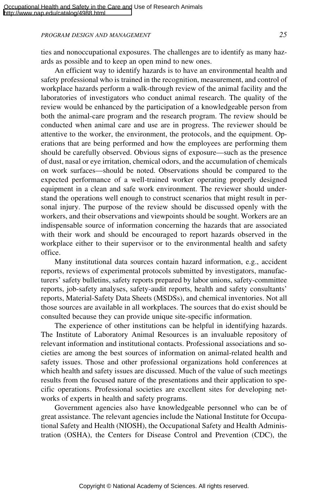## *PROGRAM DESIGN AND MANAGEMENT 25*

ties and nonoccupational exposures. The challenges are to identify as many hazards as possible and to keep an open mind to new ones.

An efficient way to identify hazards is to have an environmental health and safety professional who is trained in the recognition, measurement, and control of workplace hazards perform a walk-through review of the animal facility and the laboratories of investigators who conduct animal research. The quality of the review would be enhanced by the participation of a knowledgeable person from both the animal-care program and the research program. The review should be conducted when animal care and use are in progress. The reviewer should be attentive to the worker, the environment, the protocols, and the equipment. Operations that are being performed and how the employees are performing them should be carefully observed. Obvious signs of exposure—such as the presence of dust, nasal or eye irritation, chemical odors, and the accumulation of chemicals on work surfaces—should be noted. Observations should be compared to the expected performance of a well-trained worker operating properly designed equipment in a clean and safe work environment. The reviewer should understand the operations well enough to construct scenarios that might result in personal injury. The purpose of the review should be discussed openly with the workers, and their observations and viewpoints should be sought. Workers are an indispensable source of information concerning the hazards that are associated with their work and should be encouraged to report hazards observed in the workplace either to their supervisor or to the environmental health and safety office.

Many institutional data sources contain hazard information, e.g., accident reports, reviews of experimental protocols submitted by investigators, manufacturers' safety bulletins, safety reports prepared by labor unions, safety-committee reports, job-safety analyses, safety-audit reports, health and safety consultants' reports, Material-Safety Data Sheets (MSDSs), and chemical inventories. Not all those sources are available in all workplaces. The sources that do exist should be consulted because they can provide unique site-specific information.

The experience of other institutions can be helpful in identifying hazards. The Institute of Laboratory Animal Resources is an invaluable repository of relevant information and institutional contacts. Professional associations and societies are among the best sources of information on animal-related health and safety issues. Those and other professional organizations hold conferences at which health and safety issues are discussed. Much of the value of such meetings results from the focused nature of the presentations and their application to specific operations. Professional societies are excellent sites for developing networks of experts in health and safety programs.

Government agencies also have knowledgeable personnel who can be of great assistance. The relevant agencies include the National Institute for Occupational Safety and Health (NIOSH), the Occupational Safety and Health Administration (OSHA), the Centers for Disease Control and Prevention (CDC), the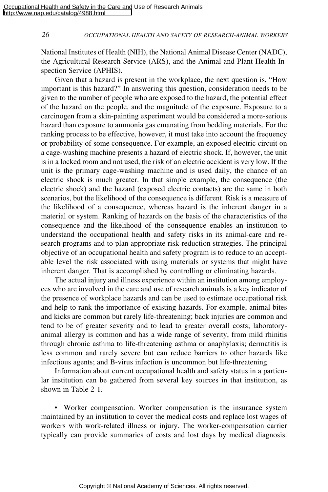National Institutes of Health (NIH), the National Animal Disease Center (NADC), the Agricultural Research Service (ARS), and the Animal and Plant Health Inspection Service (APHIS).

Given that a hazard is present in the workplace, the next question is, "How important is this hazard?" In answering this question, consideration needs to be given to the number of people who are exposed to the hazard, the potential effect of the hazard on the people, and the magnitude of the exposure. Exposure to a carcinogen from a skin-painting experiment would be considered a more-serious hazard than exposure to ammonia gas emanating from bedding materials. For the ranking process to be effective, however, it must take into account the frequency or probability of some consequence. For example, an exposed electric circuit on a cage-washing machine presents a hazard of electric shock. If, however, the unit is in a locked room and not used, the risk of an electric accident is very low. If the unit is the primary cage-washing machine and is used daily, the chance of an electric shock is much greater. In that simple example, the consequence (the electric shock) and the hazard (exposed electric contacts) are the same in both scenarios, but the likelihood of the consequence is different. Risk is a measure of the likelihood of a consequence, whereas hazard is the inherent danger in a material or system. Ranking of hazards on the basis of the characteristics of the consequence and the likelihood of the consequence enables an institution to understand the occupational health and safety risks in its animal-care and research programs and to plan appropriate risk-reduction strategies. The principal objective of an occupational health and safety program is to reduce to an acceptable level the risk associated with using materials or systems that might have inherent danger. That is accomplished by controlling or eliminating hazards.

The actual injury and illness experience within an institution among employees who are involved in the care and use of research animals is a key indicator of the presence of workplace hazards and can be used to estimate occupational risk and help to rank the importance of existing hazards. For example, animal bites and kicks are common but rarely life-threatening; back injuries are common and tend to be of greater severity and to lead to greater overall costs; laboratoryanimal allergy is common and has a wide range of severity, from mild rhinitis through chronic asthma to life-threatening asthma or anaphylaxis; dermatitis is less common and rarely severe but can reduce barriers to other hazards like infectious agents; and B-virus infection is uncommon but life-threatening.

Information about current occupational health and safety status in a particular institution can be gathered from several key sources in that institution, as shown in Table 2-1.

• Worker compensation. Worker compensation is the insurance system maintained by an institution to cover the medical costs and replace lost wages of workers with work-related illness or injury. The worker-compensation carrier typically can provide summaries of costs and lost days by medical diagnosis.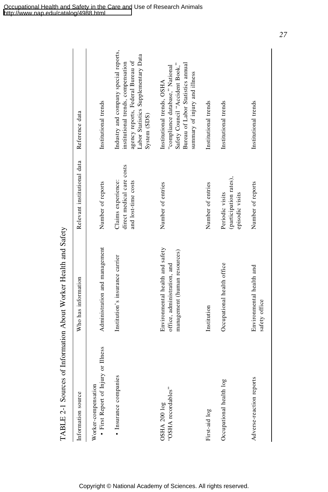| TABLE 2-1 Sources of Information About Worker Health and Safety |                                                                                                |                                                                        |                                                                                                                                                                         |  |
|-----------------------------------------------------------------|------------------------------------------------------------------------------------------------|------------------------------------------------------------------------|-------------------------------------------------------------------------------------------------------------------------------------------------------------------------|--|
| Information source                                              | Who has information                                                                            | Relevant institutional data                                            | Reference data                                                                                                                                                          |  |
| • First Report of Injury or Illness<br>Worker-compensation      | Administration and management                                                                  | Number of reports                                                      | Institutional trends                                                                                                                                                    |  |
| · Insurance companies                                           | Institution's insurance carrier                                                                | direct medical care costs<br>Claims experience:<br>and lost-time costs | Industry and company special reports,<br>Labor Statistics Supplementary Data<br>agency reports, Federal Bureau of<br>institutional trends, compensation<br>System (SDS) |  |
| "OSHA recordables"<br>OSHA 200 log                              | Environmental health and safety<br>management (human resources)<br>office, administration, and | Number of entries                                                      | Safety Council "Accident Book,"<br>Bureau of Labor Statistics annual<br>"compliance database," National<br>summary of injury and illness<br>Institutional trends, OSHA  |  |
| First-aid log                                                   | Institution                                                                                    | Number of entries                                                      | Institutional trends                                                                                                                                                    |  |
| Occupational health log                                         | Occupational health office                                                                     | (participation rates),<br>episodic visits<br>Periodic visits           | Institutional trends                                                                                                                                                    |  |
| Adverse-reaction reports                                        | Environmental health and<br>safety office                                                      | Number of reports                                                      | Institutional trends                                                                                                                                                    |  |

TABLE 2-1 Sources of Information About Worker Health and Safety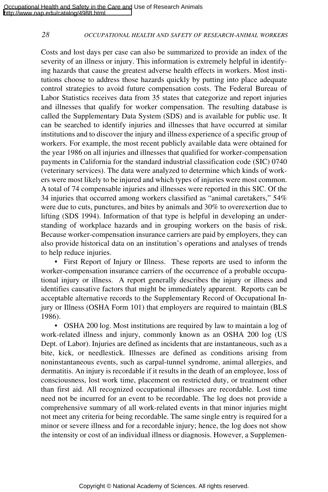Costs and lost days per case can also be summarized to provide an index of the severity of an illness or injury. This information is extremely helpful in identifying hazards that cause the greatest adverse health effects in workers. Most institutions choose to address those hazards quickly by putting into place adequate control strategies to avoid future compensation costs. The Federal Bureau of Labor Statistics receives data from 35 states that categorize and report injuries and illnesses that qualify for worker compensation. The resulting database is called the Supplementary Data System (SDS) and is available for public use. It can be searched to identify injuries and illnesses that have occurred at similar institutions and to discover the injury and illness experience of a specific group of workers. For example, the most recent publicly available data were obtained for the year 1986 on all injuries and illnesses that qualified for worker-compensation payments in California for the standard industrial classification code (SIC) 0740 (veterinary services). The data were analyzed to determine which kinds of workers were most likely to be injured and which types of injuries were most common. A total of 74 compensable injuries and illnesses were reported in this SIC. Of the 34 injuries that occurred among workers classified as "animal caretakers," 54% were due to cuts, punctures, and bites by animals and 30% to overexertion due to lifting (SDS 1994). Information of that type is helpful in developing an understanding of workplace hazards and in grouping workers on the basis of risk. Because worker-compensation insurance carriers are paid by employers, they can also provide historical data on an institution's operations and analyses of trends to help reduce injuries.

• First Report of Injury or Illness. These reports are used to inform the worker-compensation insurance carriers of the occurrence of a probable occupational injury or illness. A report generally describes the injury or illness and identifies causative factors that might be immediately apparent. Reports can be acceptable alternative records to the Supplementary Record of Occupational Injury or Illness (OSHA Form 101) that employers are required to maintain (BLS 1986).

• OSHA 200 log. Most institutions are required by law to maintain a log of work-related illness and injury, commonly known as an OSHA 200 log (US Dept. of Labor). Injuries are defined as incidents that are instantaneous, such as a bite, kick, or needlestick. Illnesses are defined as conditions arising from noninstantaneous events, such as carpal-tunnel syndrome, animal allergies, and dermatitis. An injury is recordable if it results in the death of an employee, loss of consciousness, lost work time, placement on restricted duty, or treatment other than first aid. All recognized occupational illnesses are recordable. Lost time need not be incurred for an event to be recordable. The log does not provide a comprehensive summary of all work-related events in that minor injuries might not meet any criteria for being recordable. The same single entry is required for a minor or severe illness and for a recordable injury; hence, the log does not show the intensity or cost of an individual illness or diagnosis. However, a Supplemen-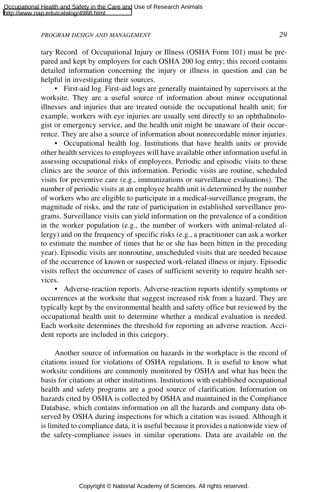## *PROGRAM DESIGN AND MANAGEMENT 29*

tary Record of Occupational Injury or Illness (OSHA Form 101) must be prepared and kept by employers for each OSHA 200 log entry; this record contains detailed information concerning the injury or illness in question and can be helpful in investigating their sources.

• First-aid log. First-aid logs are generally maintained by supervisors at the worksite. They are a useful source of information about minor occupational illnesses and injuries that are treated outside the occupational health unit; for example, workers with eye injuries are usually sent directly to an ophthalmologist or emergency service, and the health unit might be unaware of their occurrence. They are also a source of information about nonrecordable minor injuries.

• Occupational health log. Institutions that have health units or provide other health services to employees will have available other information useful in assessing occupational risks of employees. Periodic and episodic visits to these clinics are the source of this information. Periodic visits are routine, scheduled visits for preventive care (e.g., immunizations or surveillance evaluations). The number of periodic visits at an employee health unit is determined by the number of workers who are eligible to participate in a medical-surveillance program, the magnitude of risks, and the rate of participation in established surveillance programs. Surveillance visits can yield information on the prevalence of a condition in the worker population (e.g., the number of workers with animal-related allergy) and on the frequency of specific risks (e.g., a practitioner can ask a worker to estimate the number of times that he or she has been bitten in the preceding year). Episodic visits are nonroutine, unscheduled visits that are needed because of the occurrence of known or suspected work-related illness or injury. Episodic visits reflect the occurrence of cases of sufficient severity to require health services.

• Adverse-reaction reports. Adverse-reaction reports identify symptoms or occurrences at the worksite that suggest increased risk from a hazard. They are typically kept by the environmental health and safety office but reviewed by the occupational health unit to determine whether a medical evaluation is needed. Each worksite determines the threshold for reporting an adverse reaction. Accident reports are included in this category.

Another source of information on hazards in the workplace is the record of citations issued for violations of OSHA regulations. It is useful to know what worksite conditions are commonly monitored by OSHA and what has been the basis for citations at other institutions. Institutions with established occupational health and safety programs are a good source of clarification. Information on hazards cited by OSHA is collected by OSHA and maintained in the Compliance Database, which contains information on all the hazards and company data observed by OSHA during inspections for which a citation was issued. Although it is limited to compliance data, it is useful because it provides a nationwide view of the safety-compliance issues in similar operations. Data are available on the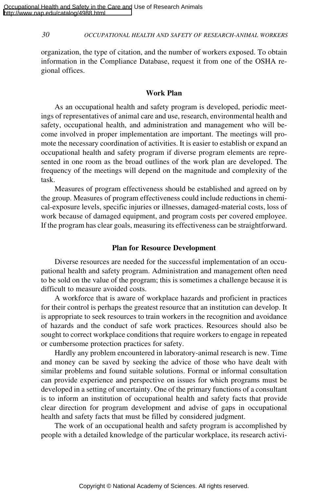organization, the type of citation, and the number of workers exposed. To obtain information in the Compliance Database, request it from one of the OSHA regional offices.

## **Work Plan**

As an occupational health and safety program is developed, periodic meetings of representatives of animal care and use, research, environmental health and safety, occupational health, and administration and management who will become involved in proper implementation are important. The meetings will promote the necessary coordination of activities. It is easier to establish or expand an occupational health and safety program if diverse program elements are represented in one room as the broad outlines of the work plan are developed. The frequency of the meetings will depend on the magnitude and complexity of the task.

Measures of program effectiveness should be established and agreed on by the group. Measures of program effectiveness could include reductions in chemical-exposure levels, specific injuries or illnesses, damaged-material costs, loss of work because of damaged equipment, and program costs per covered employee. If the program has clear goals, measuring its effectiveness can be straightforward.

## **Plan for Resource Development**

Diverse resources are needed for the successful implementation of an occupational health and safety program. Administration and management often need to be sold on the value of the program; this is sometimes a challenge because it is difficult to measure avoided costs.

A workforce that is aware of workplace hazards and proficient in practices for their control is perhaps the greatest resource that an institution can develop. It is appropriate to seek resources to train workers in the recognition and avoidance of hazards and the conduct of safe work practices. Resources should also be sought to correct workplace conditions that require workers to engage in repeated or cumbersome protection practices for safety.

Hardly any problem encountered in laboratory-animal research is new. Time and money can be saved by seeking the advice of those who have dealt with similar problems and found suitable solutions. Formal or informal consultation can provide experience and perspective on issues for which programs must be developed in a setting of uncertainty. One of the primary functions of a consultant is to inform an institution of occupational health and safety facts that provide clear direction for program development and advise of gaps in occupational health and safety facts that must be filled by considered judgment.

The work of an occupational health and safety program is accomplished by people with a detailed knowledge of the particular workplace, its research activi-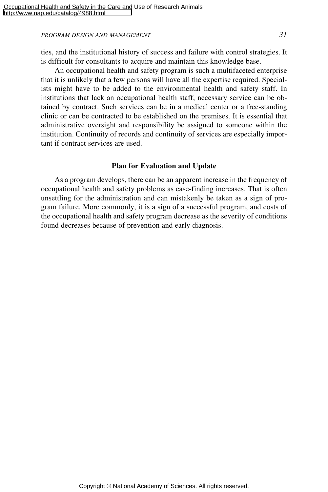## *PROGRAM DESIGN AND MANAGEMENT 31*

ties, and the institutional history of success and failure with control strategies. It is difficult for consultants to acquire and maintain this knowledge base.

An occupational health and safety program is such a multifaceted enterprise that it is unlikely that a few persons will have all the expertise required. Specialists might have to be added to the environmental health and safety staff. In institutions that lack an occupational health staff, necessary service can be obtained by contract. Such services can be in a medical center or a free-standing clinic or can be contracted to be established on the premises. It is essential that administrative oversight and responsibility be assigned to someone within the institution. Continuity of records and continuity of services are especially important if contract services are used.

# **Plan for Evaluation and Update**

As a program develops, there can be an apparent increase in the frequency of occupational health and safety problems as case-finding increases. That is often unsettling for the administration and can mistakenly be taken as a sign of program failure. More commonly, it is a sign of a successful program, and costs of the occupational health and safety program decrease as the severity of conditions found decreases because of prevention and early diagnosis.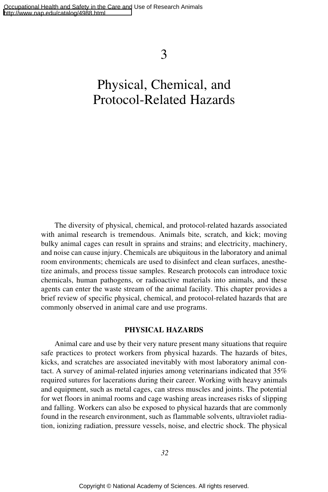3

# Physical, Chemical, and Protocol-Related Hazards

The diversity of physical, chemical, and protocol-related hazards associated with animal research is tremendous. Animals bite, scratch, and kick; moving bulky animal cages can result in sprains and strains; and electricity, machinery, and noise can cause injury. Chemicals are ubiquitous in the laboratory and animal room environments; chemicals are used to disinfect and clean surfaces, anesthetize animals, and process tissue samples. Research protocols can introduce toxic chemicals, human pathogens, or radioactive materials into animals, and these agents can enter the waste stream of the animal facility. This chapter provides a brief review of specific physical, chemical, and protocol-related hazards that are commonly observed in animal care and use programs.

# **PHYSICAL HAZARDS**

Animal care and use by their very nature present many situations that require safe practices to protect workers from physical hazards. The hazards of bites, kicks, and scratches are associated inevitably with most laboratory animal contact. A survey of animal-related injuries among veterinarians indicated that 35% required sutures for lacerations during their career. Working with heavy animals and equipment, such as metal cages, can stress muscles and joints. The potential for wet floors in animal rooms and cage washing areas increases risks of slipping and falling. Workers can also be exposed to physical hazards that are commonly found in the research environment, such as flammable solvents, ultraviolet radiation, ionizing radiation, pressure vessels, noise, and electric shock. The physical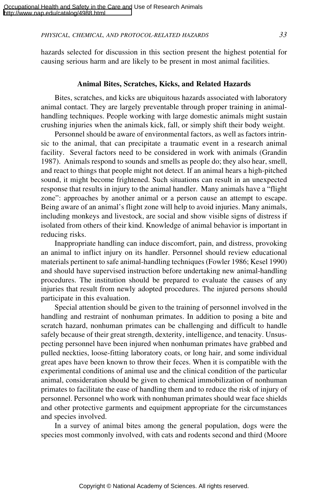hazards selected for discussion in this section present the highest potential for causing serious harm and are likely to be present in most animal facilities.

## **Animal Bites, Scratches, Kicks, and Related Hazards**

Bites, scratches, and kicks are ubiquitous hazards associated with laboratory animal contact. They are largely preventable through proper training in animalhandling techniques. People working with large domestic animals might sustain crushing injuries when the animals kick, fall, or simply shift their body weight.

Personnel should be aware of environmental factors, as well as factors intrinsic to the animal, that can precipitate a traumatic event in a research animal facility. Several factors need to be considered in work with animals (Grandin 1987). Animals respond to sounds and smells as people do; they also hear, smell, and react to things that people might not detect. If an animal hears a high-pitched sound, it might become frightened. Such situations can result in an unexpected response that results in injury to the animal handler. Many animals have a "flight zone": approaches by another animal or a person cause an attempt to escape. Being aware of an animal's flight zone will help to avoid injuries. Many animals, including monkeys and livestock, are social and show visible signs of distress if isolated from others of their kind. Knowledge of animal behavior is important in reducing risks.

Inappropriate handling can induce discomfort, pain, and distress, provoking an animal to inflict injury on its handler. Personnel should review educational materials pertinent to safe animal-handling techniques (Fowler 1986; Kesel 1990) and should have supervised instruction before undertaking new animal-handling procedures. The institution should be prepared to evaluate the causes of any injuries that result from newly adopted procedures. The injured persons should participate in this evaluation.

Special attention should be given to the training of personnel involved in the handling and restraint of nonhuman primates. In addition to posing a bite and scratch hazard, nonhuman primates can be challenging and difficult to handle safely because of their great strength, dexterity, intelligence, and tenacity. Unsuspecting personnel have been injured when nonhuman primates have grabbed and pulled neckties, loose-fitting laboratory coats, or long hair, and some individual great apes have been known to throw their feces. When it is compatible with the experimental conditions of animal use and the clinical condition of the particular animal, consideration should be given to chemical immobilization of nonhuman primates to facilitate the ease of handling them and to reduce the risk of injury of personnel. Personnel who work with nonhuman primates should wear face shields and other protective garments and equipment appropriate for the circumstances and species involved.

In a survey of animal bites among the general population, dogs were the species most commonly involved, with cats and rodents second and third (Moore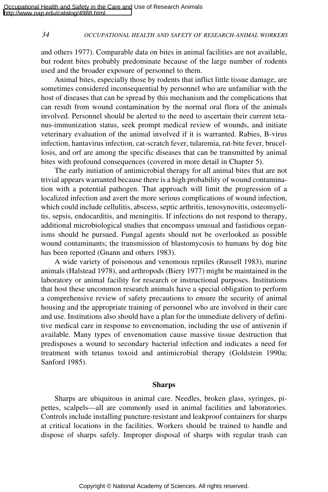and others 1977). Comparable data on bites in animal facilities are not available, but rodent bites probably predominate because of the large number of rodents used and the broader exposure of personnel to them.

Animal bites, especially those by rodents that inflict little tissue damage, are sometimes considered inconsequential by personnel who are unfamiliar with the host of diseases that can be spread by this mechanism and the complications that can result from wound contamination by the normal oral flora of the animals involved. Personnel should be alerted to the need to ascertain their current tetanus-immunization status, seek prompt medical review of wounds, and initiate veterinary evaluation of the animal involved if it is warranted. Rabies, B-virus infection, hantavirus infection, cat-scratch fever, tularemia, rat-bite fever, brucellosis, and orf are among the specific diseases that can be transmitted by animal bites with profound consequences (covered in more detail in Chapter 5).

The early initiation of antimicrobial therapy for all animal bites that are not trivial appears warranted because there is a high probability of wound contamination with a potential pathogen. That approach will limit the progression of a localized infection and avert the more serious complications of wound infection, which could include cellulitis, abscess, septic arthritis, tenosynovitis, osteomyelitis, sepsis, endocarditis, and meningitis. If infections do not respond to therapy, additional microbiological studies that encompass unusual and fastidious organisms should be pursued. Fungal agents should not be overlooked as possible wound contaminants; the transmission of blastomycosis to humans by dog bite has been reported (Gnann and others 1983).

A wide variety of poisonous and venomous reptiles (Russell 1983), marine animals (Halstead 1978), and arthropods (Biery 1977) might be maintained in the laboratory or animal facility for research or instructional purposes. Institutions that host these uncommon research animals have a special obligation to perform a comprehensive review of safety precautions to ensure the security of animal housing and the appropriate training of personnel who are involved in their care and use. Institutions also should have a plan for the immediate delivery of definitive medical care in response to envenomation, including the use of antivenin if available. Many types of envenomation cause massive tissue destruction that predisposes a wound to secondary bacterial infection and indicates a need for treatment with tetanus toxoid and antimicrobial therapy (Goldstein 1990a; Sanford 1985).

# **Sharps**

Sharps are ubiquitous in animal care. Needles, broken glass, syringes, pipettes, scalpels—all are commonly used in animal facilities and laboratories. Controls include installing puncture-resistant and leakproof containers for sharps at critical locations in the facilities. Workers should be trained to handle and dispose of sharps safely. Improper disposal of sharps with regular trash can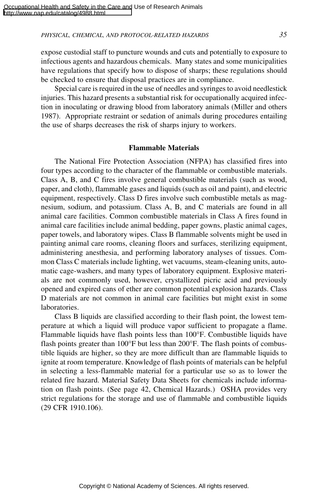expose custodial staff to puncture wounds and cuts and potentially to exposure to infectious agents and hazardous chemicals. Many states and some municipalities have regulations that specify how to dispose of sharps; these regulations should be checked to ensure that disposal practices are in compliance.

Special care is required in the use of needles and syringes to avoid needlestick injuries. This hazard presents a substantial risk for occupationally acquired infection in inoculating or drawing blood from laboratory animals (Miller and others 1987). Appropriate restraint or sedation of animals during procedures entailing the use of sharps decreases the risk of sharps injury to workers.

# **Flammable Materials**

The National Fire Protection Association (NFPA) has classified fires into four types according to the character of the flammable or combustible materials. Class A, B, and C fires involve general combustible materials (such as wood, paper, and cloth), flammable gases and liquids (such as oil and paint), and electric equipment, respectively. Class D fires involve such combustible metals as magnesium, sodium, and potassium. Class A, B, and C materials are found in all animal care facilities. Common combustible materials in Class A fires found in animal care facilities include animal bedding, paper gowns, plastic animal cages, paper towels, and laboratory wipes. Class B flammable solvents might be used in painting animal care rooms, cleaning floors and surfaces, sterilizing equipment, administering anesthesia, and performing laboratory analyses of tissues. Common Class C materials include lighting, wet vacuums, steam-cleaning units, automatic cage-washers, and many types of laboratory equipment. Explosive materials are not commonly used, however, crystallized picric acid and previously opened and expired cans of ether are common potential explosion hazards. Class D materials are not common in animal care facilities but might exist in some laboratories.

Class B liquids are classified according to their flash point, the lowest temperature at which a liquid will produce vapor sufficient to propagate a flame. Flammable liquids have flash points less than 100°F. Combustible liquids have flash points greater than 100°F but less than 200°F. The flash points of combustible liquids are higher, so they are more difficult than are flammable liquids to ignite at room temperature. Knowledge of flash points of materials can be helpful in selecting a less-flammable material for a particular use so as to lower the related fire hazard. Material Safety Data Sheets for chemicals include information on flash points. (See page 42, Chemical Hazards.) OSHA provides very strict regulations for the storage and use of flammable and combustible liquids (29 CFR 1910.106).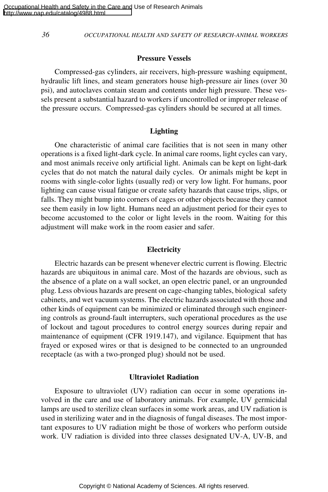# **Pressure Vessels**

Compressed-gas cylinders, air receivers, high-pressure washing equipment, hydraulic lift lines, and steam generators house high-pressure air lines (over 30 psi), and autoclaves contain steam and contents under high pressure. These vessels present a substantial hazard to workers if uncontrolled or improper release of the pressure occurs. Compressed-gas cylinders should be secured at all times.

## **Lighting**

One characteristic of animal care facilities that is not seen in many other operations is a fixed light-dark cycle. In animal care rooms, light cycles can vary, and most animals receive only artificial light. Animals can be kept on light-dark cycles that do not match the natural daily cycles. Or animals might be kept in rooms with single-color lights (usually red) or very low light. For humans, poor lighting can cause visual fatigue or create safety hazards that cause trips, slips, or falls. They might bump into corners of cages or other objects because they cannot see them easily in low light. Humans need an adjustment period for their eyes to become accustomed to the color or light levels in the room. Waiting for this adjustment will make work in the room easier and safer.

## **Electricity**

Electric hazards can be present whenever electric current is flowing. Electric hazards are ubiquitous in animal care. Most of the hazards are obvious, such as the absence of a plate on a wall socket, an open electric panel, or an ungrounded plug. Less obvious hazards are present on cage-changing tables, biological safety cabinets, and wet vacuum systems. The electric hazards associated with those and other kinds of equipment can be minimized or eliminated through such engineering controls as ground-fault interrupters, such operational procedures as the use of lockout and tagout procedures to control energy sources during repair and maintenance of equipment (CFR 1919.147), and vigilance. Equipment that has frayed or exposed wires or that is designed to be connected to an ungrounded receptacle (as with a two-pronged plug) should not be used.

## **Ultraviolet Radiation**

Exposure to ultraviolet (UV) radiation can occur in some operations involved in the care and use of laboratory animals. For example, UV germicidal lamps are used to sterilize clean surfaces in some work areas, and UV radiation is used in sterilizing water and in the diagnosis of fungal diseases. The most important exposures to UV radiation might be those of workers who perform outside work. UV radiation is divided into three classes designated UV-A, UV-B, and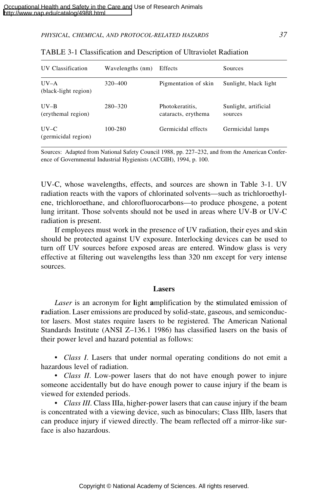| <b>UV</b> Classification       | Wavelengths (nm) | Effects                                | Sources                         |
|--------------------------------|------------------|----------------------------------------|---------------------------------|
| $UV-A$<br>(black-light region) | 320-400          | Pigmentation of skin                   | Sunlight, black light           |
| $UV-B$<br>(erythemal region)   | $280 - 320$      | Photokeratitis.<br>cataracts, erythema | Sunlight, artificial<br>sources |
| $UV-C$<br>(germicidal region)  | 100-280          | Germicidal effects                     | Germicidal lamps                |

## TABLE 3-1 Classification and Description of Ultraviolet Radiation

Sources: Adapted from National Safety Council 1988, pp. 227–232, and from the American Conference of Governmental Industrial Hygienists (ACGIH), 1994, p. 100.

UV-C, whose wavelengths, effects, and sources are shown in Table 3-1. UV radiation reacts with the vapors of chlorinated solvents—such as trichloroethylene, trichloroethane, and chlorofluorocarbons—to produce phosgene, a potent lung irritant. Those solvents should not be used in areas where UV-B or UV-C radiation is present.

If employees must work in the presence of UV radiation, their eyes and skin should be protected against UV exposure. Interlocking devices can be used to turn off UV sources before exposed areas are entered. Window glass is very effective at filtering out wavelengths less than 320 nm except for very intense sources.

#### **Lasers**

*Laser* is an acronym for **l**ight **a**mplification by the **s**timulated **e**mission of **r**adiation. Laser emissions are produced by solid-state, gaseous, and semiconductor lasers. Most states require lasers to be registered. The American National Standards Institute (ANSI Z–136.1 1986) has classified lasers on the basis of their power level and hazard potential as follows:

• *Class I*. Lasers that under normal operating conditions do not emit a hazardous level of radiation.

• *Class II*. Low-power lasers that do not have enough power to injure someone accidentally but do have enough power to cause injury if the beam is viewed for extended periods.

• *Class III*. Class IIIa, higher-power lasers that can cause injury if the beam is concentrated with a viewing device, such as binoculars; Class IIIb, lasers that can produce injury if viewed directly. The beam reflected off a mirror-like surface is also hazardous.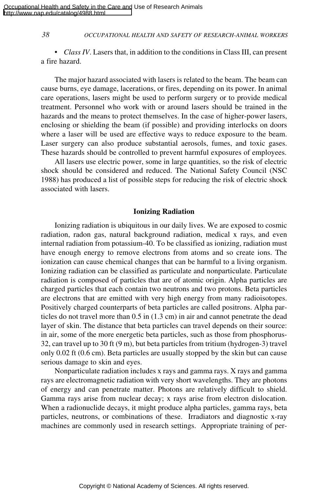• *Class IV*. Lasers that, in addition to the conditions in Class III, can present a fire hazard.

The major hazard associated with lasers is related to the beam. The beam can cause burns, eye damage, lacerations, or fires, depending on its power. In animal care operations, lasers might be used to perform surgery or to provide medical treatment. Personnel who work with or around lasers should be trained in the hazards and the means to protect themselves. In the case of higher-power lasers, enclosing or shielding the beam (if possible) and providing interlocks on doors where a laser will be used are effective ways to reduce exposure to the beam. Laser surgery can also produce substantial aerosols, fumes, and toxic gases. These hazards should be controlled to prevent harmful exposures of employees.

All lasers use electric power, some in large quantities, so the risk of electric shock should be considered and reduced. The National Safety Council (NSC 1988) has produced a list of possible steps for reducing the risk of electric shock associated with lasers.

### **Ionizing Radiation**

Ionizing radiation is ubiquitous in our daily lives. We are exposed to cosmic radiation, radon gas, natural background radiation, medical x rays, and even internal radiation from potassium-40. To be classified as ionizing, radiation must have enough energy to remove electrons from atoms and so create ions. The ionization can cause chemical changes that can be harmful to a living organism. Ionizing radiation can be classified as particulate and nonparticulate. Particulate radiation is composed of particles that are of atomic origin. Alpha particles are charged particles that each contain two neutrons and two protons. Beta particles are electrons that are emitted with very high energy from many radioisotopes. Positively charged counterparts of beta particles are called positrons. Alpha particles do not travel more than 0.5 in (1.3 cm) in air and cannot penetrate the dead layer of skin. The distance that beta particles can travel depends on their source: in air, some of the more energetic beta particles, such as those from phosphorus-32, can travel up to 30 ft (9 m), but beta particles from tritium (hydrogen-3) travel only 0.02 ft (0.6 cm). Beta particles are usually stopped by the skin but can cause serious damage to skin and eyes.

Nonparticulate radiation includes x rays and gamma rays. X rays and gamma rays are electromagnetic radiation with very short wavelengths. They are photons of energy and can penetrate matter. Photons are relatively difficult to shield. Gamma rays arise from nuclear decay; x rays arise from electron dislocation. When a radionuclide decays, it might produce alpha particles, gamma rays, beta particles, neutrons, or combinations of these. Irradiators and diagnostic x-ray machines are commonly used in research settings. Appropriate training of per-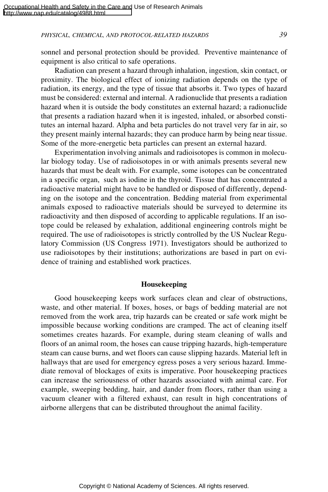sonnel and personal protection should be provided. Preventive maintenance of equipment is also critical to safe operations.

Radiation can present a hazard through inhalation, ingestion, skin contact, or proximity. The biological effect of ionizing radiation depends on the type of radiation, its energy, and the type of tissue that absorbs it. Two types of hazard must be considered: external and internal. A radionuclide that presents a radiation hazard when it is outside the body constitutes an external hazard; a radionuclide that presents a radiation hazard when it is ingested, inhaled, or absorbed constitutes an internal hazard. Alpha and beta particles do not travel very far in air, so they present mainly internal hazards; they can produce harm by being near tissue. Some of the more-energetic beta particles can present an external hazard.

Experimentation involving animals and radioisotopes is common in molecular biology today. Use of radioisotopes in or with animals presents several new hazards that must be dealt with. For example, some isotopes can be concentrated in a specific organ, such as iodine in the thyroid. Tissue that has concentrated a radioactive material might have to be handled or disposed of differently, depending on the isotope and the concentration. Bedding material from experimental animals exposed to radioactive materials should be surveyed to determine its radioactivity and then disposed of according to applicable regulations. If an isotope could be released by exhalation, additional engineering controls might be required. The use of radioisotopes is strictly controlled by the US Nuclear Regulatory Commission (US Congress 1971). Investigators should be authorized to use radioisotopes by their institutions; authorizations are based in part on evidence of training and established work practices.

# **Housekeeping**

Good housekeeping keeps work surfaces clean and clear of obstructions, waste, and other material. If boxes, hoses, or bags of bedding material are not removed from the work area, trip hazards can be created or safe work might be impossible because working conditions are cramped. The act of cleaning itself sometimes creates hazards. For example, during steam cleaning of walls and floors of an animal room, the hoses can cause tripping hazards, high-temperature steam can cause burns, and wet floors can cause slipping hazards. Material left in hallways that are used for emergency egress poses a very serious hazard. Immediate removal of blockages of exits is imperative. Poor housekeeping practices can increase the seriousness of other hazards associated with animal care. For example, sweeping bedding, hair, and dander from floors, rather than using a vacuum cleaner with a filtered exhaust, can result in high concentrations of airborne allergens that can be distributed throughout the animal facility.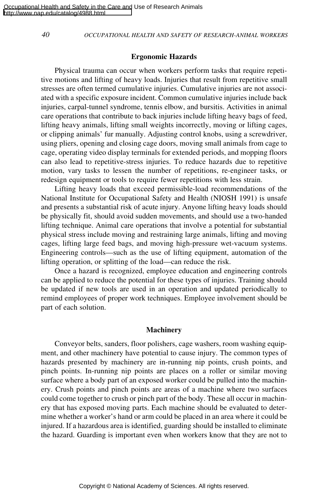## **Ergonomic Hazards**

Physical trauma can occur when workers perform tasks that require repetitive motions and lifting of heavy loads. Injuries that result from repetitive small stresses are often termed cumulative injuries. Cumulative injuries are not associated with a specific exposure incident. Common cumulative injuries include back injuries, carpal-tunnel syndrome, tennis elbow, and bursitis. Activities in animal care operations that contribute to back injuries include lifting heavy bags of feed, lifting heavy animals, lifting small weights incorrectly, moving or lifting cages, or clipping animals' fur manually. Adjusting control knobs, using a screwdriver, using pliers, opening and closing cage doors, moving small animals from cage to cage, operating video display terminals for extended periods, and mopping floors can also lead to repetitive-stress injuries. To reduce hazards due to repetitive motion, vary tasks to lessen the number of repetitions, re-engineer tasks, or redesign equipment or tools to require fewer repetitions with less strain.

Lifting heavy loads that exceed permissible-load recommendations of the National Institute for Occupational Safety and Health (NIOSH 1991) is unsafe and presents a substantial risk of acute injury. Anyone lifting heavy loads should be physically fit, should avoid sudden movements, and should use a two-handed lifting technique. Animal care operations that involve a potential for substantial physical stress include moving and restraining large animals, lifting and moving cages, lifting large feed bags, and moving high-pressure wet-vacuum systems. Engineering controls—such as the use of lifting equipment, automation of the lifting operation, or splitting of the load—can reduce the risk.

Once a hazard is recognized, employee education and engineering controls can be applied to reduce the potential for these types of injuries. Training should be updated if new tools are used in an operation and updated periodically to remind employees of proper work techniques. Employee involvement should be part of each solution.

### **Machinery**

Conveyor belts, sanders, floor polishers, cage washers, room washing equipment, and other machinery have potential to cause injury. The common types of hazards presented by machinery are in-running nip points, crush points, and pinch points. In-running nip points are places on a roller or similar moving surface where a body part of an exposed worker could be pulled into the machinery. Crush points and pinch points are areas of a machine where two surfaces could come together to crush or pinch part of the body. These all occur in machinery that has exposed moving parts. Each machine should be evaluated to determine whether a worker's hand or arm could be placed in an area where it could be injured. If a hazardous area is identified, guarding should be installed to eliminate the hazard. Guarding is important even when workers know that they are not to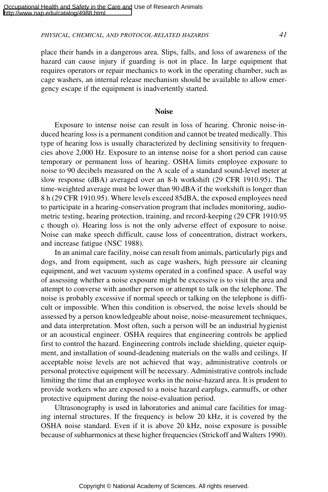place their hands in a dangerous area. Slips, falls, and loss of awareness of the hazard can cause injury if guarding is not in place. In large equipment that requires operators or repair mechanics to work in the operating chamber, such as cage washers, an internal release mechanism should be available to allow emergency escape if the equipment is inadvertently started.

## **Noise**

Exposure to intense noise can result in loss of hearing. Chronic noise-induced hearing loss is a permanent condition and cannot be treated medically. This type of hearing loss is usually characterized by declining sensitivity to frequencies above 2,000 Hz. Exposure to an intense noise for a short period can cause temporary or permanent loss of hearing. OSHA limits employee exposure to noise to 90 decibels measured on the A scale of a standard sound-level meter at slow response (dBA) averaged over an 8-h workshift (29 CFR 1910.95). The time-weighted average must be lower than 90 dBA if the workshift is longer than 8 h (29 CFR 1910.95). Where levels exceed 85dBA, the exposed employees need to participate in a hearing-conservation program that includes monitoring, audiometric testing, hearing protection, training, and record-keeping (29 CFR 1910.95 c though o). Hearing loss is not the only adverse effect of exposure to noise. Noise can make speech difficult, cause loss of concentration, distract workers, and increase fatigue (NSC 1988).

In an animal care facility, noise can result from animals, particularly pigs and dogs, and from equipment, such as cage washers, high pressure air cleaning equipment, and wet vacuum systems operated in a confined space. A useful way of assessing whether a noise exposure might be excessive is to visit the area and attempt to converse with another person or attempt to talk on the telephone. The noise is probably excessive if normal speech or talking on the telephone is difficult or impossible. When this condition is observed, the noise levels should be assessed by a person knowledgeable about noise, noise-measurement techniques, and data interpretation. Most often, such a person will be an industrial hygienist or an acoustical engineer. OSHA requires that engineering controls be applied first to control the hazard. Engineering controls include shielding, quieter equipment, and installation of sound-deadening materials on the walls and ceilings. If acceptable noise levels are not achieved that way, administrative controls or personal protective equipment will be necessary. Administrative controls include limiting the time that an employee works in the noise-hazard area. It is prudent to provide workers who are exposed to a noise hazard earplugs, earmuffs, or other protective equipment during the noise-evaluation period.

Ultrasonography is used in laboratories and animal care facilities for imaging internal structures. If the frequency is below 20 kHz, it is covered by the OSHA noise standard. Even if it is above 20 kHz, noise exposure is possible because of subharmonics at these higher frequencies (Strickoff and Walters 1990).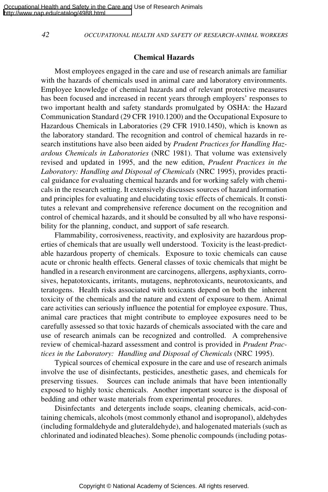# **Chemical Hazards**

Most employees engaged in the care and use of research animals are familiar with the hazards of chemicals used in animal care and laboratory environments. Employee knowledge of chemical hazards and of relevant protective measures has been focused and increased in recent years through employers' responses to two important health and safety standards promulgated by OSHA: the Hazard Communication Standard (29 CFR 1910.1200) and the Occupational Exposure to Hazardous Chemicals in Laboratories (29 CFR 1910.1450), which is known as the laboratory standard. The recognition and control of chemical hazards in research institutions have also been aided by *Prudent Practices for Handling Hazardous Chemicals in Laboratories* (NRC 1981). That volume was extensively revised and updated in 1995, and the new edition, *Prudent Practices in the Laboratory: Handling and Disposal of Chemicals* (NRC 1995), provides practical guidance for evaluating chemical hazards and for working safely with chemicals in the research setting. It extensively discusses sources of hazard information and principles for evaluating and elucidating toxic effects of chemicals. It constitutes a relevant and comprehensive reference document on the recognition and control of chemical hazards, and it should be consulted by all who have responsibility for the planning, conduct, and support of safe research.

Flammability, corrosiveness, reactivity, and explosivity are hazardous properties of chemicals that are usually well understood. Toxicity is the least-predictable hazardous property of chemicals. Exposure to toxic chemicals can cause acute or chronic health effects. General classes of toxic chemicals that might be handled in a research environment are carcinogens, allergens, asphyxiants, corrosives, hepatotoxicants, irritants, mutagens, nephrotoxicants, neurotoxicants, and teratogens. Health risks associated with toxicants depend on both the inherent toxicity of the chemicals and the nature and extent of exposure to them. Animal care activities can seriously influence the potential for employee exposure. Thus, animal care practices that might contribute to employee exposures need to be carefully assessed so that toxic hazards of chemicals associated with the care and use of research animals can be recognized and controlled. A comprehensive review of chemical-hazard assessment and control is provided in *Prudent Practices in the Laboratory: Handling and Disposal of Chemicals* (NRC 1995).

Typical sources of chemical exposure in the care and use of research animals involve the use of disinfectants, pesticides, anesthetic gases, and chemicals for preserving tissues. Sources can include animals that have been intentionally exposed to highly toxic chemicals. Another important source is the disposal of bedding and other waste materials from experimental procedures.

Disinfectants and detergents include soaps, cleaning chemicals, acid-containing chemicals, alcohols (most commonly ethanol and isopropanol), aldehydes (including formaldehyde and gluteraldehyde), and halogenated materials (such as chlorinated and iodinated bleaches). Some phenolic compounds (including potas-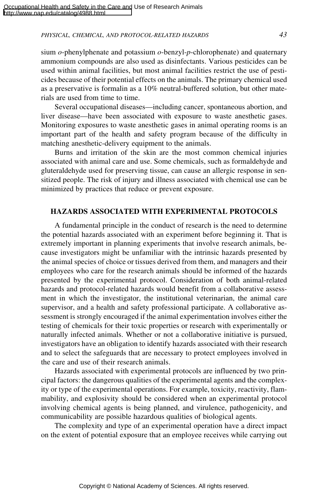sium *o*-phenylphenate and potassium *o*-benzyl-*p*-chlorophenate) and quaternary ammonium compounds are also used as disinfectants. Various pesticides can be used within animal facilities, but most animal facilities restrict the use of pesticides because of their potential effects on the animals. The primary chemical used as a preservative is formalin as a 10% neutral-buffered solution, but other materials are used from time to time.

Several occupational diseases—including cancer, spontaneous abortion, and liver disease—have been associated with exposure to waste anesthetic gases. Monitoring exposures to waste anesthetic gases in animal operating rooms is an important part of the health and safety program because of the difficulty in matching anesthetic-delivery equipment to the animals.

Burns and irritation of the skin are the most common chemical injuries associated with animal care and use. Some chemicals, such as formaldehyde and gluteraldehyde used for preserving tissue, can cause an allergic response in sensitized people. The risk of injury and illness associated with chemical use can be minimized by practices that reduce or prevent exposure.

# **HAZARDS ASSOCIATED WITH EXPERIMENTAL PROTOCOLS**

A fundamental principle in the conduct of research is the need to determine the potential hazards associated with an experiment before beginning it. That is extremely important in planning experiments that involve research animals, because investigators might be unfamiliar with the intrinsic hazards presented by the animal species of choice or tissues derived from them, and managers and their employees who care for the research animals should be informed of the hazards presented by the experimental protocol. Consideration of both animal-related hazards and protocol-related hazards would benefit from a collaborative assessment in which the investigator, the institutional veterinarian, the animal care supervisor, and a health and safety professional participate. A collaborative assessment is strongly encouraged if the animal experimentation involves either the testing of chemicals for their toxic properties or research with experimentally or naturally infected animals. Whether or not a collaborative initiative is pursued, investigators have an obligation to identify hazards associated with their research and to select the safeguards that are necessary to protect employees involved in the care and use of their research animals.

Hazards associated with experimental protocols are influenced by two principal factors: the dangerous qualities of the experimental agents and the complexity or type of the experimental operations. For example, toxicity, reactivity, flammability, and explosivity should be considered when an experimental protocol involving chemical agents is being planned, and virulence, pathogenicity, and communicability are possible hazardous qualities of biological agents.

The complexity and type of an experimental operation have a direct impact on the extent of potential exposure that an employee receives while carrying out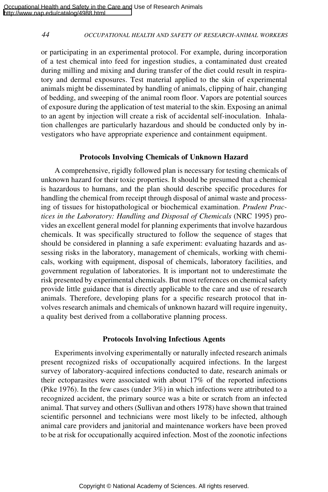or participating in an experimental protocol. For example, during incorporation of a test chemical into feed for ingestion studies, a contaminated dust created during milling and mixing and during transfer of the diet could result in respiratory and dermal exposures. Test material applied to the skin of experimental animals might be disseminated by handling of animals, clipping of hair, changing of bedding, and sweeping of the animal room floor. Vapors are potential sources of exposure during the application of test material to the skin. Exposing an animal to an agent by injection will create a risk of accidental self-inoculation. Inhalation challenges are particularly hazardous and should be conducted only by investigators who have appropriate experience and containment equipment.

# **Protocols Involving Chemicals of Unknown Hazard**

A comprehensive, rigidly followed plan is necessary for testing chemicals of unknown hazard for their toxic properties. It should be presumed that a chemical is hazardous to humans, and the plan should describe specific procedures for handling the chemical from receipt through disposal of animal waste and processing of tissues for histopathological or biochemical examination. *Prudent Practices in the Laboratory: Handling and Disposal of Chemicals* (NRC 1995) provides an excellent general model for planning experiments that involve hazardous chemicals. It was specifically structured to follow the sequence of stages that should be considered in planning a safe experiment: evaluating hazards and assessing risks in the laboratory, management of chemicals, working with chemicals, working with equipment, disposal of chemicals, laboratory facilities, and government regulation of laboratories. It is important not to underestimate the risk presented by experimental chemicals. But most references on chemical safety provide little guidance that is directly applicable to the care and use of research animals. Therefore, developing plans for a specific research protocol that involves research animals and chemicals of unknown hazard will require ingenuity, a quality best derived from a collaborative planning process.

# **Protocols Involving Infectious Agents**

Experiments involving experimentally or naturally infected research animals present recognized risks of occupationally acquired infections. In the largest survey of laboratory-acquired infections conducted to date, research animals or their ectoparasites were associated with about 17% of the reported infections (Pike 1976). In the few cases (under  $3\%$ ) in which infections were attributed to a recognized accident, the primary source was a bite or scratch from an infected animal. That survey and others (Sullivan and others 1978) have shown that trained scientific personnel and technicians were most likely to be infected, although animal care providers and janitorial and maintenance workers have been proved to be at risk for occupationally acquired infection. Most of the zoonotic infections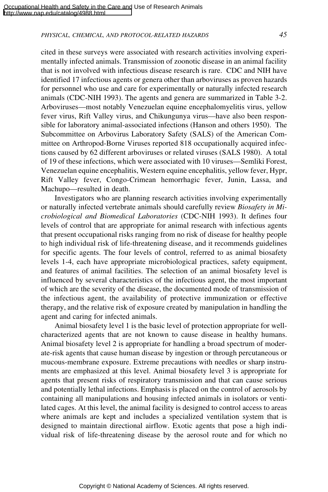cited in these surveys were associated with research activities involving experimentally infected animals. Transmission of zoonotic disease in an animal facility that is not involved with infectious disease research is rare. CDC and NIH have identified 17 infectious agents or genera other than arboviruses as proven hazards for personnel who use and care for experimentally or naturally infected research animals (CDC-NIH 1993). The agents and genera are summarized in Table 3-2. Arboviruses—most notably Venezuelan equine encephalomyelitis virus, yellow fever virus, Rift Valley virus, and Chikungunya virus—have also been responsible for laboratory animal-associated infections (Hanson and others 1950). The Subcommittee on Arbovirus Laboratory Safety (SALS) of the American Committee on Arthropod-Borne Viruses reported 818 occupationally acquired infections caused by 62 different arboviruses or related viruses (SALS 1980). A total of 19 of these infections, which were associated with 10 viruses—Semliki Forest, Venezuelan equine encephalitis, Western equine encephalitis, yellow fever, Hypr, Rift Valley fever, Congo-Crimean hemorrhagic fever, Junin, Lassa, and Machupo—resulted in death.

Investigators who are planning research activities involving experimentally or naturally infected vertebrate animals should carefully review *Biosafety in Microbiological and Biomedical Laboratories* (CDC-NIH 1993). It defines four levels of control that are appropriate for animal research with infectious agents that present occupational risks ranging from no risk of disease for healthy people to high individual risk of life-threatening disease, and it recommends guidelines for specific agents. The four levels of control, referred to as animal biosafety levels 1-4, each have appropriate microbiological practices, safety equipment, and features of animal facilities. The selection of an animal biosafety level is influenced by several characteristics of the infectious agent, the most important of which are the severity of the disease, the documented mode of transmission of the infectious agent, the availability of protective immunization or effective therapy, and the relative risk of exposure created by manipulation in handling the agent and caring for infected animals.

Animal biosafety level 1 is the basic level of protection appropriate for wellcharacterized agents that are not known to cause disease in healthy humans. Animal biosafety level 2 is appropriate for handling a broad spectrum of moderate-risk agents that cause human disease by ingestion or through percutaneous or mucous-membrane exposure. Extreme precautions with needles or sharp instruments are emphasized at this level. Animal biosafety level 3 is appropriate for agents that present risks of respiratory transmission and that can cause serious and potentially lethal infections. Emphasis is placed on the control of aerosols by containing all manipulations and housing infected animals in isolators or ventilated cages. At this level, the animal facility is designed to control access to areas where animals are kept and includes a specialized ventilation system that is designed to maintain directional airflow. Exotic agents that pose a high individual risk of life-threatening disease by the aerosol route and for which no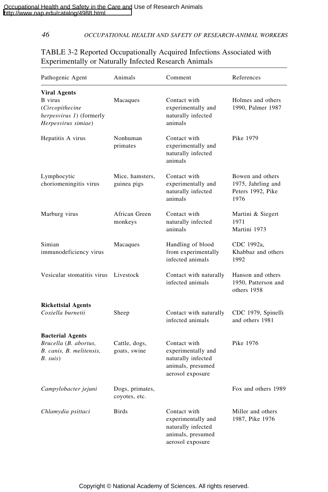| Pathogenic Agent                                                                                                    | Animals                          | Comment                                                                                           | References                                                          |
|---------------------------------------------------------------------------------------------------------------------|----------------------------------|---------------------------------------------------------------------------------------------------|---------------------------------------------------------------------|
| <b>Viral Agents</b><br><b>B</b> virus<br>(Circopithecine<br><i>herpesvirus 1</i> ) (formerly<br>Herpesvirus simiae) | Macaques                         | Contact with<br>experimentally and<br>naturally infected<br>animals                               | Holmes and others<br>1990. Palmer 1987                              |
| Hepatitis A virus                                                                                                   | Nonhuman<br>primates             | Contact with<br>experimentally and<br>naturally infected<br>animals                               | Pike 1979                                                           |
| Lymphocytic<br>choriomeningitis virus                                                                               | Mice, hamsters,<br>guinea pigs   | Contact with<br>experimentally and<br>naturally infected<br>animals                               | Bowen and others<br>1975, Jahrling and<br>Peters 1992, Pike<br>1976 |
| Marburg virus                                                                                                       | African Green<br>monkeys         | Contact with<br>naturally infected<br>animals                                                     | Martini & Siegert<br>1971<br>Martini 1973                           |
| Simian<br>immunodeficiency virus                                                                                    | Macaques                         | Handling of blood<br>from experimentally<br>infected animals                                      | CDC 1992a,<br>Khabbaz and others<br>1992                            |
| Vesicular stomatitis virus                                                                                          | Livestock                        | Contact with naturally<br>infected animals                                                        | Hanson and others<br>1950. Patterson and<br>others 1958             |
| <b>Rickettsial Agents</b><br>Coxiella burnetii                                                                      | Sheep                            | Contact with naturally<br>infected animals                                                        | CDC 1979, Spinelli<br>and others 1981                               |
| <b>Bacterial Agents</b><br>Brucella (B. abortus,<br>B. canis, B. melitensis,<br>$B. \; suis)$                       | Cattle, dogs,<br>goats, swine    | Contact with<br>experimentally and<br>naturally infected<br>animals, presumed<br>aerosol exposure | Pike 1976                                                           |
| Campylobacter jejuni                                                                                                | Dogs, primates,<br>coyotes, etc. |                                                                                                   | Fox and others 1989                                                 |
| Chlamydia psittaci                                                                                                  | <b>Birds</b>                     | Contact with<br>experimentally and<br>naturally infected<br>animals, presumed<br>aerosol exposure | Miller and others<br>1987, Pike 1976                                |

# TABLE 3-2 Reported Occupationally Acquired Infections Associated with Experimentally or Naturally Infected Research Animals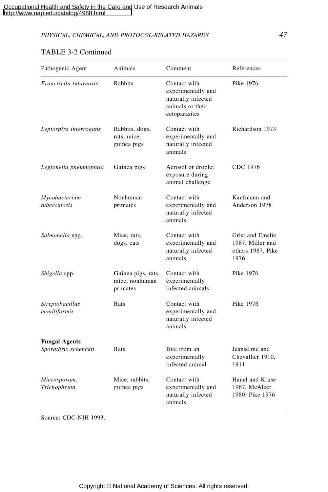# TABLE 3-2 Continued

| Pathogenic Agent                             | Animals                                          | Comment                                                                                       | References                                                        |
|----------------------------------------------|--------------------------------------------------|-----------------------------------------------------------------------------------------------|-------------------------------------------------------------------|
| Francisella tularensis                       | Rabbits                                          | Contact with<br>experimentally and<br>naturally infected<br>animals or their<br>ectoparasites | Pike 1976                                                         |
| Leptospira interrogans                       | Rabbits, dogs,<br>rats, mice,<br>guinea pigs     | Contact with<br>experimentally and<br>naturally infected<br>animals                           | Richardson 1973                                                   |
| Legionella pneumophila                       | Guinea pigs                                      | Aerosol or droplet<br>exposure during<br>animal challenge                                     | CDC 1976                                                          |
| Mycobacterium<br>tuberculosis                | Nonhuman<br>primates                             | Contact with<br>experimentally and<br>naturally infected<br>animals                           | Kaufmann and<br>Anderson 1978                                     |
| Salmonella spp.                              | Mice, rats,<br>dogs, cats                        | Contact with<br>experimentally and<br>naturally infected<br>animals                           | Grist and Emslie<br>1987, Miller and<br>others 1987, Pike<br>1976 |
| Shigella spp.                                | Guinea pigs, rats,<br>mice, nonhuman<br>primates | Contact with<br>experimentally<br>infected animals                                            | Pike 1976                                                         |
| Streptobacillus<br>moniliformis              | Rats                                             | Contact with<br>experimentally and<br>naturally infected<br>animals                           | Pike 1976                                                         |
| <b>Fungal Agents</b><br>Sporothrix schenckii | Rats                                             | Bite from an<br>experimentally<br>infected animal                                             | Jeanselme and<br>Chevallier 1910,<br>1911                         |
| Microsporum,<br>Trichophyton                 | Mice, rabbits,<br>guinea pigs                    | Contact with<br>experimentally and<br>naturally infected<br>animals                           | Hanel and Kruse<br>1967, McAleer<br>1980; Pike 1976               |

Source: CDC-NIH 1993.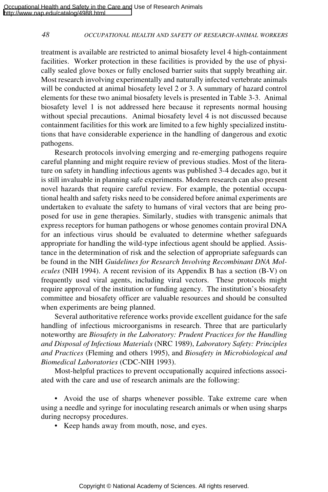treatment is available are restricted to animal biosafety level 4 high-containment facilities. Worker protection in these facilities is provided by the use of physically sealed glove boxes or fully enclosed barrier suits that supply breathing air. Most research involving experimentally and naturally infected vertebrate animals will be conducted at animal biosafety level 2 or 3. A summary of hazard control elements for these two animal biosafety levels is presented in Table 3-3. Animal biosafety level 1 is not addressed here because it represents normal housing without special precautions. Animal biosafety level 4 is not discussed because containment facilities for this work are limited to a few highly specialized institutions that have considerable experience in the handling of dangerous and exotic pathogens.

Research protocols involving emerging and re-emerging pathogens require careful planning and might require review of previous studies. Most of the literature on safety in handling infectious agents was published 3-4 decades ago, but it is still invaluable in planning safe experiments. Modern research can also present novel hazards that require careful review. For example, the potential occupational health and safety risks need to be considered before animal experiments are undertaken to evaluate the safety to humans of viral vectors that are being proposed for use in gene therapies. Similarly, studies with transgenic animals that express receptors for human pathogens or whose genomes contain proviral DNA for an infectious virus should be evaluated to determine whether safeguards appropriate for handling the wild-type infectious agent should be applied. Assistance in the determination of risk and the selection of appropriate safeguards can be found in the NIH *Guidelines for Research Involving Recombinant DNA Molecules* (NIH 1994). A recent revision of its Appendix B has a section (B-V) on frequently used viral agents, including viral vectors. These protocols might require approval of the institution or funding agency. The institution's biosafety committee and biosafety officer are valuable resources and should be consulted when experiments are being planned.

Several authoritative reference works provide excellent guidance for the safe handling of infectious microorganisms in research. Three that are particularly noteworthy are *Biosafety in the Laboratory: Prudent Practices for the Handling and Disposal of Infectious Materials* (NRC 1989), *Laboratory Safety: Principles and Practices* (Fleming and others 1995), and *Biosafety in Microbiological and Biomedical Laboratories* (CDC-NIH 1993).

Most-helpful practices to prevent occupationally acquired infections associated with the care and use of research animals are the following:

• Avoid the use of sharps whenever possible. Take extreme care when using a needle and syringe for inoculating research animals or when using sharps during necropsy procedures.

• Keep hands away from mouth, nose, and eyes.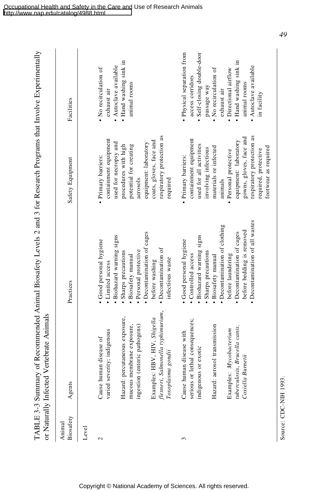| I |   |
|---|---|
|   |   |
|   |   |
|   |   |
|   |   |
| I |   |
|   |   |
|   |   |
|   |   |
|   |   |
|   |   |
|   |   |
|   |   |
|   |   |
|   |   |
|   |   |
|   |   |
|   |   |
| I |   |
|   |   |
|   |   |
| Ï |   |
|   |   |
| ı | ì |

| or Naturally Infected | Vertebrate Animals                                                                                                     | TABLE 3-3 Summary of Recommended Animal Biosafety Levels 2 and 3 for Research Programs that Involve Experimentally                               |                                                                                                                                                                   |                                                                                                                        |
|-----------------------|------------------------------------------------------------------------------------------------------------------------|--------------------------------------------------------------------------------------------------------------------------------------------------|-------------------------------------------------------------------------------------------------------------------------------------------------------------------|------------------------------------------------------------------------------------------------------------------------|
| Biosafety<br>Animal   | Agents                                                                                                                 | Practices                                                                                                                                        | Safety Equipment                                                                                                                                                  | Facilities                                                                                                             |
| Level                 |                                                                                                                        |                                                                                                                                                  |                                                                                                                                                                   |                                                                                                                        |
| $\mathbf{\Omega}$     | varied severity; indigenous<br>Cause human disease of                                                                  | · Biohazard warning signs<br>· Good personal hygiene<br>• Limited access                                                                         | containment equipment<br>used for necropsy and<br>· Primary barriers:                                                                                             | • Autoclave available<br>• No recirculation of<br>exhaust air                                                          |
|                       | Hazard: percutaneous exposure,<br>(enteric pathogens)<br>mucous membrane exposure,<br>ingestion                        | • Decontamination of cages<br>· Personal protective<br>Sharps precautions<br>· Biosafety manual                                                  | equipment: laboratory<br>procedures with high<br>potential for creating<br>aerosols                                                                               | · Hand washing sink in<br>animal rooms                                                                                 |
|                       | flexneri, Salmonella typhimurium,<br>HBV, HIV, Shigella<br>Toxoplasma gondii<br>Examples:                              | • Decontamination of<br>infectious waste<br>before washing                                                                                       | respiratory protection as<br>coats, gloves, face and<br>required                                                                                                  |                                                                                                                        |
| 3                     | lethal consequences;<br>Hazard: aerosol transmission<br>Cause human disease with<br>indigenous or exotic<br>serious or | · Biohazard warning signs<br>Good personal hygiene<br>· Sharps precautions<br>• Controlled access<br>· Biosafety manual                          | containment equipment<br>used for all activities<br>materials or infected<br>involving infectious<br>· Primary barriers:                                          | · Physical separation from<br>· Self-closing double-door<br>No recirculation of<br>access corridors<br>passage way     |
|                       | tuberculosis, Brucella canis,<br>Examples: Mycobacterium<br>Coxiella Burnetii                                          | • Decontamination of all wastes<br>• Decontamination of clothing<br>before bedding is removed<br>• Decontamination of cages<br>before laundering | respiratory protection as<br>gowns, gloves, face and<br>equipment: laboratory<br>footwear as required<br>required, protective<br>· Personal protective<br>animals | · Hand washing sink in<br>· Autoclave available<br>· Directional airflow<br>animal rooms<br>exhaust air<br>in facility |
| Source: CDC-NIH 1993. |                                                                                                                        |                                                                                                                                                  |                                                                                                                                                                   |                                                                                                                        |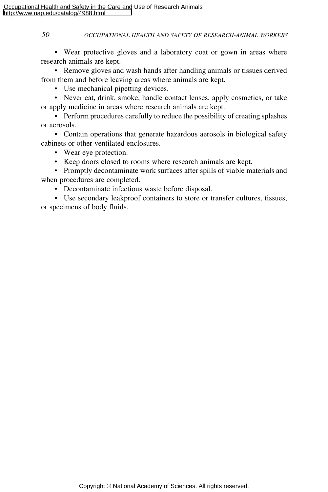• Wear protective gloves and a laboratory coat or gown in areas where research animals are kept.

• Remove gloves and wash hands after handling animals or tissues derived from them and before leaving areas where animals are kept.

• Use mechanical pipetting devices.

• Never eat, drink, smoke, handle contact lenses, apply cosmetics, or take or apply medicine in areas where research animals are kept.

• Perform procedures carefully to reduce the possibility of creating splashes or aerosols.

• Contain operations that generate hazardous aerosols in biological safety cabinets or other ventilated enclosures.

• Wear eye protection.

• Keep doors closed to rooms where research animals are kept.

• Promptly decontaminate work surfaces after spills of viable materials and when procedures are completed.

• Decontaminate infectious waste before disposal.

• Use secondary leakproof containers to store or transfer cultures, tissues, or specimens of body fluids.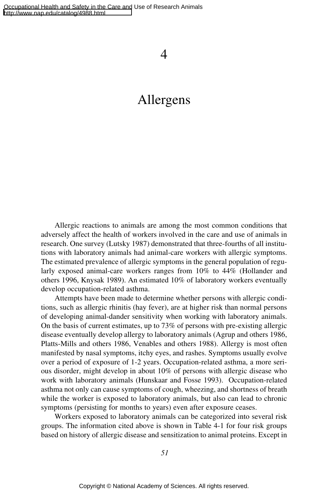# 4

# Allergens

Allergic reactions to animals are among the most common conditions that adversely affect the health of workers involved in the care and use of animals in research. One survey (Lutsky 1987) demonstrated that three-fourths of all institutions with laboratory animals had animal-care workers with allergic symptoms. The estimated prevalence of allergic symptoms in the general population of regularly exposed animal-care workers ranges from 10% to 44% (Hollander and others 1996, Knysak 1989). An estimated 10% of laboratory workers eventually develop occupation-related asthma.

Attempts have been made to determine whether persons with allergic conditions, such as allergic rhinitis (hay fever), are at higher risk than normal persons of developing animal-dander sensitivity when working with laboratory animals. On the basis of current estimates, up to 73% of persons with pre-existing allergic disease eventually develop allergy to laboratory animals (Agrup and others 1986, Platts-Mills and others 1986, Venables and others 1988). Allergy is most often manifested by nasal symptoms, itchy eyes, and rashes. Symptoms usually evolve over a period of exposure of 1-2 years. Occupation-related asthma, a more serious disorder, might develop in about 10% of persons with allergic disease who work with laboratory animals (Hunskaar and Fosse 1993). Occupation-related asthma not only can cause symptoms of cough, wheezing, and shortness of breath while the worker is exposed to laboratory animals, but also can lead to chronic symptoms (persisting for months to years) even after exposure ceases.

Workers exposed to laboratory animals can be categorized into several risk groups. The information cited above is shown in Table 4-1 for four risk groups based on history of allergic disease and sensitization to animal proteins. Except in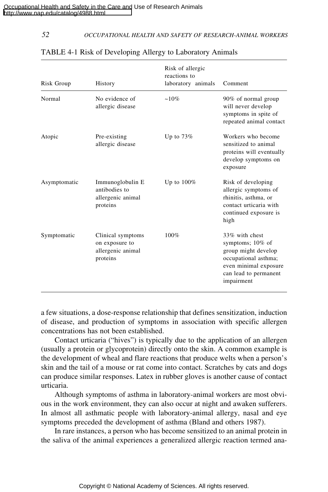| Risk Group   | History                                                              | Risk of allergic<br>reactions to<br>laboratory animals | Comment                                                                                                                                              |
|--------------|----------------------------------------------------------------------|--------------------------------------------------------|------------------------------------------------------------------------------------------------------------------------------------------------------|
| Normal       | No evidence of<br>allergic disease                                   | $~10\%$                                                | 90% of normal group<br>will never develop<br>symptoms in spite of<br>repeated animal contact                                                         |
| Atopic       | Pre-existing<br>allergic disease                                     | Up to $73%$                                            | Workers who become<br>sensitized to animal<br>proteins will eventually<br>develop symptoms on<br>exposure                                            |
| Asymptomatic | Immunoglobulin E<br>antibodies to<br>allergenic animal<br>proteins   | Up to $100\%$                                          | Risk of developing<br>allergic symptoms of<br>rhinitis, asthma, or<br>contact urticaria with<br>continued exposure is<br>high                        |
| Symptomatic  | Clinical symptoms<br>on exposure to<br>allergenic animal<br>proteins | 100%                                                   | 33% with chest<br>symptoms; $10\%$ of<br>group might develop<br>occupational asthma;<br>even minimal exposure<br>can lead to permanent<br>impairment |

# TABLE 4-1 Risk of Developing Allergy to Laboratory Animals

a few situations, a dose-response relationship that defines sensitization, induction of disease, and production of symptoms in association with specific allergen concentrations has not been established.

Contact urticaria ("hives") is typically due to the application of an allergen (usually a protein or glycoprotein) directly onto the skin. A common example is the development of wheal and flare reactions that produce welts when a person's skin and the tail of a mouse or rat come into contact. Scratches by cats and dogs can produce similar responses. Latex in rubber gloves is another cause of contact urticaria.

Although symptoms of asthma in laboratory-animal workers are most obvious in the work environment, they can also occur at night and awaken sufferers. In almost all asthmatic people with laboratory-animal allergy, nasal and eye symptoms preceded the development of asthma (Bland and others 1987).

In rare instances, a person who has become sensitized to an animal protein in the saliva of the animal experiences a generalized allergic reaction termed ana-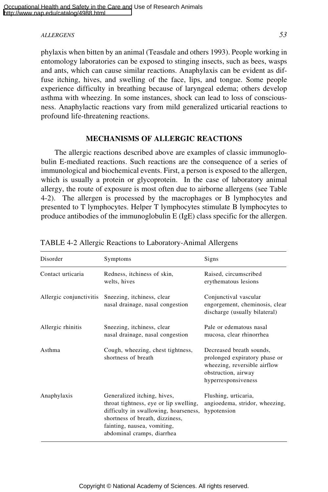## *ALLERGENS 53*

phylaxis when bitten by an animal (Teasdale and others 1993). People working in entomology laboratories can be exposed to stinging insects, such as bees, wasps and ants, which can cause similar reactions. Anaphylaxis can be evident as diffuse itching, hives, and swelling of the face, lips, and tongue. Some people experience difficulty in breathing because of laryngeal edema; others develop asthma with wheezing. In some instances, shock can lead to loss of consciousness. Anaphylactic reactions vary from mild generalized urticarial reactions to profound life-threatening reactions.

# **MECHANISMS OF ALLERGIC REACTIONS**

The allergic reactions described above are examples of classic immunoglobulin E-mediated reactions. Such reactions are the consequence of a series of immunological and biochemical events. First, a person is exposed to the allergen, which is usually a protein or glycoprotein. In the case of laboratory animal allergy, the route of exposure is most often due to airborne allergens (see Table 4-2). The allergen is processed by the macrophages or B lymphocytes and presented to T lymphocytes. Helper T lymphocytes stimulate B lymphocytes to produce antibodies of the immunoglobulin E (IgE) class specific for the allergen.

| Disorder                | Symptoms                                                                                                                                                                                                       | Signs                                                                                                                                   |
|-------------------------|----------------------------------------------------------------------------------------------------------------------------------------------------------------------------------------------------------------|-----------------------------------------------------------------------------------------------------------------------------------------|
| Contact urticaria       | Redness, itchiness of skin,<br>welts, hives                                                                                                                                                                    | Raised, circumscribed<br>erythematous lesions                                                                                           |
| Allergic conjunctivitis | Sneezing, itchiness, clear<br>nasal drainage, nasal congestion                                                                                                                                                 | Conjunctival vascular<br>engorgement, cheminosis, clear<br>discharge (usually bilateral)                                                |
| Allergic rhinitis       | Sneezing, itchiness, clear<br>nasal drainage, nasal congestion                                                                                                                                                 | Pale or edematous nasal<br>mucosa, clear rhinorrhea                                                                                     |
| Asthma                  | Cough, wheezing, chest tightness,<br>shortness of breath                                                                                                                                                       | Decreased breath sounds,<br>prolonged expiratory phase or<br>wheezing, reversible airflow<br>obstruction, airway<br>hyperresponsiveness |
| Anaphylaxis             | Generalized itching, hives,<br>throat tightness, eye or lip swelling,<br>difficulty in swallowing, hoarseness,<br>shortness of breath, dizziness,<br>fainting, nausea, vomiting,<br>abdominal cramps, diarrhea | Flushing, urticaria,<br>angioedema, stridor, wheezing,<br>hypotension                                                                   |

TABLE 4-2 Allergic Reactions to Laboratory-Animal Allergens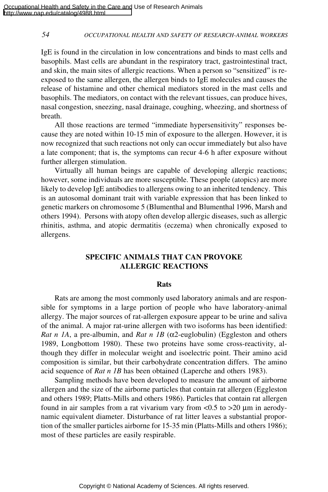IgE is found in the circulation in low concentrations and binds to mast cells and basophils. Mast cells are abundant in the respiratory tract, gastrointestinal tract, and skin, the main sites of allergic reactions. When a person so "sensitized" is reexposed to the same allergen, the allergen binds to IgE molecules and causes the release of histamine and other chemical mediators stored in the mast cells and basophils. The mediators, on contact with the relevant tissues, can produce hives, nasal congestion, sneezing, nasal drainage, coughing, wheezing, and shortness of breath.

All those reactions are termed "immediate hypersensitivity" responses because they are noted within 10-15 min of exposure to the allergen. However, it is now recognized that such reactions not only can occur immediately but also have a late component; that is, the symptoms can recur 4-6 h after exposure without further allergen stimulation.

Virtually all human beings are capable of developing allergic reactions; however, some individuals are more susceptible. These people (atopics) are more likely to develop IgE antibodies to allergens owing to an inherited tendency. This is an autosomal dominant trait with variable expression that has been linked to genetic markers on chromosome 5 (Blumenthal and Blumenthal 1996, Marsh and others 1994). Persons with atopy often develop allergic diseases, such as allergic rhinitis, asthma, and atopic dermatitis (eczema) when chronically exposed to allergens.

# **SPECIFIC ANIMALS THAT CAN PROVOKE ALLERGIC REACTIONS**

## **Rats**

Rats are among the most commonly used laboratory animals and are responsible for symptoms in a large portion of people who have laboratory-animal allergy. The major sources of rat-allergen exposure appear to be urine and saliva of the animal. A major rat-urine allergen with two isoforms has been identified: *Rat n 1A*, a pre-albumin, and *Rat n 1B* (α2-euglobulin) (Eggleston and others 1989, Longbottom 1980). These two proteins have some cross-reactivity, although they differ in molecular weight and isoelectric point. Their amino acid composition is similar, but their carbohydrate concentration differs. The amino acid sequence of *Rat n 1B* has been obtained (Laperche and others 1983).

Sampling methods have been developed to measure the amount of airborne allergen and the size of the airborne particles that contain rat allergen (Eggleston and others 1989; Platts-Mills and others 1986). Particles that contain rat allergen found in air samples from a rat vivarium vary from  $< 0.5$  to  $> 20 \mu m$  in aerodynamic equivalent diameter. Disturbance of rat litter leaves a substantial proportion of the smaller particles airborne for 15-35 min (Platts-Mills and others 1986); most of these particles are easily respirable.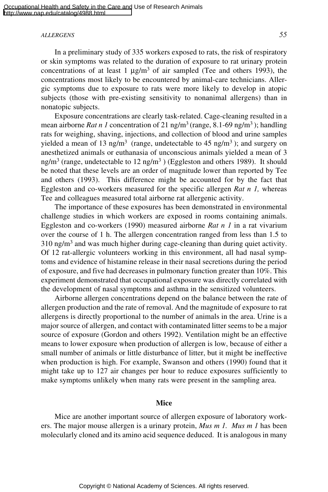## *ALLERGENS 55*

In a preliminary study of 335 workers exposed to rats, the risk of respiratory or skin symptoms was related to the duration of exposure to rat urinary protein concentrations of at least 1  $\mu$ g/m<sup>3</sup> of air sampled (Tee and others 1993), the concentrations most likely to be encountered by animal-care technicians. Allergic symptoms due to exposure to rats were more likely to develop in atopic subjects (those with pre-existing sensitivity to nonanimal allergens) than in nonatopic subjects.

Exposure concentrations are clearly task-related. Cage-cleaning resulted in a mean airborne *Rat n 1* concentration of 21 ng/m<sup>3</sup> (range, 8.1-69 ng/m<sup>3</sup>); handling rats for weighing, shaving, injections, and collection of blood and urine samples yielded a mean of 13 ng/m<sup>3</sup> (range, undetectable to 45 ng/m<sup>3</sup>); and surgery on anesthetized animals or euthanasia of unconscious animals yielded a mean of 3 ng/m<sup>3</sup> (range, undetectable to 12 ng/m<sup>3</sup>) (Eggleston and others 1989). It should be noted that these levels are an order of magnitude lower than reported by Tee and others (1993). This difference might be accounted for by the fact that Eggleston and co-workers measured for the specific allergen *Rat n 1,* whereas Tee and colleagues measured total airborne rat allergenic activity.

The importance of these exposures has been demonstrated in environmental challenge studies in which workers are exposed in rooms containing animals. Eggleston and co-workers (1990) measured airborne *Rat n 1* in a rat vivarium over the course of 1 h. The allergen concentration ranged from less than 1.5 to  $310$  ng/m<sup>3</sup> and was much higher during cage-cleaning than during quiet activity. Of 12 rat-allergic volunteers working in this environment, all had nasal symptoms and evidence of histamine release in their nasal secretions during the period of exposure, and five had decreases in pulmonary function greater than 10%. This experiment demonstrated that occupational exposure was directly correlated with the development of nasal symptoms and asthma in the sensitized volunteers.

Airborne allergen concentrations depend on the balance between the rate of allergen production and the rate of removal. And the magnitude of exposure to rat allergens is directly proportional to the number of animals in the area. Urine is a major source of allergen, and contact with contaminated litter seems to be a major source of exposure (Gordon and others 1992). Ventilation might be an effective means to lower exposure when production of allergen is low, because of either a small number of animals or little disturbance of litter, but it might be ineffective when production is high. For example, Swanson and others (1990) found that it might take up to 127 air changes per hour to reduce exposures sufficiently to make symptoms unlikely when many rats were present in the sampling area.

## **Mice**

Mice are another important source of allergen exposure of laboratory workers. The major mouse allergen is a urinary protein, *Mus m 1. Mus m 1* has been molecularly cloned and its amino acid sequence deduced. It is analogous in many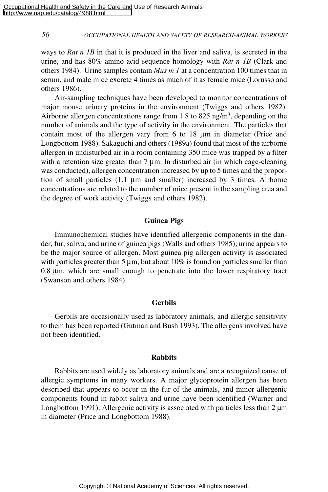ways to *Rat n 1B* in that it is produced in the liver and saliva, is secreted in the urine, and has 80% amino acid sequence homology with *Rat n 1B* (Clark and others 1984). Urine samples contain *Mus m 1* at a concentration 100 times that in serum, and male mice excrete 4 times as much of it as female mice (Lorusso and others 1986).

Air-sampling techniques have been developed to monitor concentrations of major mouse urinary proteins in the environment (Twiggs and others 1982). Airborne allergen concentrations range from 1.8 to 825 ng/m3, depending on the number of animals and the type of activity in the environment. The particles that contain most of the allergen vary from 6 to 18 µm in diameter (Price and Longbottom 1988). Sakaguchi and others (1989a) found that most of the airborne allergen in undisturbed air in a room containing 350 mice was trapped by a filter with a retention size greater than 7  $\mu$ m. In disturbed air (in which cage-cleaning was conducted), allergen concentration increased by up to 5 times and the proportion of small particles  $(1.1 \mu m)$  and smaller) increased by 3 times. Airborne concentrations are related to the number of mice present in the sampling area and the degree of work activity (Twiggs and others 1982).

## **Guinea Pigs**

Immunochemical studies have identified allergenic components in the dander, fur, saliva, and urine of guinea pigs (Walls and others 1985); urine appears to be the major source of allergen. Most guinea pig allergen activity is associated with particles greater than 5  $\mu$ m, but about 10% is found on particles smaller than 0.8 µm, which are small enough to penetrate into the lower respiratory tract (Swanson and others 1984).

## **Gerbils**

Gerbils are occasionally used as laboratory animals, and allergic sensitivity to them has been reported (Gutman and Bush 1993). The allergens involved have not been identified.

# **Rabbits**

Rabbits are used widely as laboratory animals and are a recognized cause of allergic symptoms in many workers. A major glycoprotein allergen has been described that appears to occur in the fur of the animals, and minor allergenic components found in rabbit saliva and urine have been identified (Warner and Longbottom 1991). Allergenic activity is associated with particles less than 2  $\mu$ m in diameter (Price and Longbottom 1988).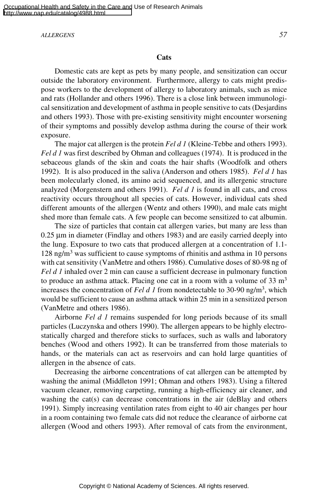*ALLERGENS 57*

## **Cats**

Domestic cats are kept as pets by many people, and sensitization can occur outside the laboratory environment. Furthermore, allergy to cats might predispose workers to the development of allergy to laboratory animals, such as mice and rats (Hollander and others 1996). There is a close link between immunological sensitization and development of asthma in people sensitive to cats (Desjardins and others 1993). Those with pre-existing sensitivity might encounter worsening of their symptoms and possibly develop asthma during the course of their work exposure.

The major cat allergen is the protein *Fel d 1* (Kleine-Tebbe and others 1993). *Fel d 1* was first described by Ohman and colleagues (1974). It is produced in the sebaceous glands of the skin and coats the hair shafts (Woodfolk and others 1992). It is also produced in the saliva (Anderson and others 1985). *Fel d 1* has been molecularly cloned, its amino acid sequenced, and its allergenic structure analyzed (Morgenstern and others 1991). *Fel d 1* is found in all cats, and cross reactivity occurs throughout all species of cats. However, individual cats shed different amounts of the allergen (Wentz and others 1990), and male cats might shed more than female cats. A few people can become sensitized to cat albumin.

The size of particles that contain cat allergen varies, but many are less than 0.25 µm in diameter (Findlay and others 1983) and are easily carried deeply into the lung. Exposure to two cats that produced allergen at a concentration of 1.1-  $128$  ng/m<sup>3</sup> was sufficient to cause symptoms of rhinitis and asthma in 10 persons with cat sensitivity (VanMetre and others 1986). Cumulative doses of 80-98 ng of *Fel d 1* inhaled over 2 min can cause a sufficient decrease in pulmonary function to produce an asthma attack. Placing one cat in a room with a volume of  $33 \text{ m}^3$ increases the concentration of *Fel d 1* from nondetectable to 30-90 ng/m<sup>3</sup>, which would be sufficient to cause an asthma attack within 25 min in a sensitized person (VanMetre and others 1986).

Airborne *Fel d 1* remains suspended for long periods because of its small particles (Luczynska and others 1990). The allergen appears to be highly electrostatically charged and therefore sticks to surfaces, such as walls and laboratory benches (Wood and others 1992). It can be transferred from those materials to hands, or the materials can act as reservoirs and can hold large quantities of allergen in the absence of cats.

Decreasing the airborne concentrations of cat allergen can be attempted by washing the animal (Middleton 1991; Ohman and others 1983). Using a filtered vacuum cleaner, removing carpeting, running a high-efficiency air cleaner, and washing the cat(s) can decrease concentrations in the air (deBlay and others 1991). Simply increasing ventilation rates from eight to 40 air changes per hour in a room containing two female cats did not reduce the clearance of airborne cat allergen (Wood and others 1993). After removal of cats from the environment,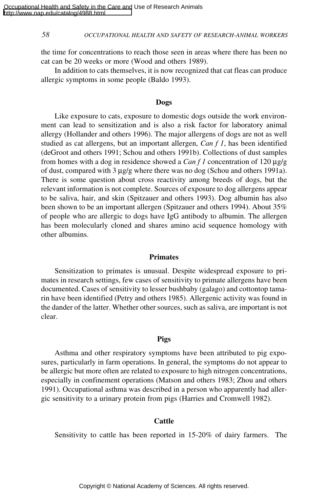the time for concentrations to reach those seen in areas where there has been no cat can be 20 weeks or more (Wood and others 1989).

In addition to cats themselves, it is now recognized that cat fleas can produce allergic symptoms in some people (Baldo 1993).

## **Dogs**

Like exposure to cats, exposure to domestic dogs outside the work environment can lead to sensitization and is also a risk factor for laboratory animal allergy (Hollander and others 1996). The major allergens of dogs are not as well studied as cat allergens, but an important allergen, *Can f 1*, has been identified (deGroot and others 1991; Schou and others 1991b). Collections of dust samples from homes with a dog in residence showed a *Can f 1* concentration of 120 µg/g of dust, compared with 3 µg/g where there was no dog (Schou and others 1991a). There is some question about cross reactivity among breeds of dogs, but the relevant information is not complete. Sources of exposure to dog allergens appear to be saliva, hair, and skin (Spitzauer and others 1993). Dog albumin has also been shown to be an important allergen (Spitzauer and others 1994). About 35% of people who are allergic to dogs have IgG antibody to albumin. The allergen has been molecularly cloned and shares amino acid sequence homology with other albumins.

#### **Primates**

Sensitization to primates is unusual. Despite widespread exposure to primates in research settings, few cases of sensitivity to primate allergens have been documented. Cases of sensitivity to lesser bushbaby (galago) and cottontop tamarin have been identified (Petry and others 1985). Allergenic activity was found in the dander of the latter. Whether other sources, such as saliva, are important is not clear.

## **Pigs**

Asthma and other respiratory symptoms have been attributed to pig exposures, particularly in farm operations. In general, the symptoms do not appear to be allergic but more often are related to exposure to high nitrogen concentrations, especially in confinement operations (Matson and others 1983; Zhou and others 1991). Occupational asthma was described in a person who apparently had allergic sensitivity to a urinary protein from pigs (Harries and Cromwell 1982).

#### **Cattle**

Sensitivity to cattle has been reported in 15-20% of dairy farmers. The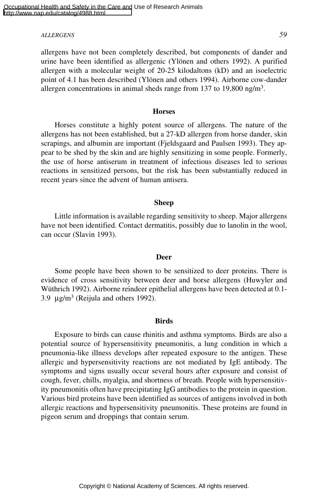## *ALLERGENS 59*

allergens have not been completely described, but components of dander and urine have been identified as allergenic (Ylönen and others 1992). A purified allergen with a molecular weight of 20-25 kilodaltons (kD) and an isoelectric point of 4.1 has been described (Ylönen and others 1994). Airborne cow-dander allergen concentrations in animal sheds range from 137 to 19,800 ng/m3.

#### **Horses**

Horses constitute a highly potent source of allergens. The nature of the allergens has not been established, but a 27-kD allergen from horse dander, skin scrapings, and albumin are important (Fjeldsgaard and Paulsen 1993). They appear to be shed by the skin and are highly sensitizing in some people. Formerly, the use of horse antiserum in treatment of infectious diseases led to serious reactions in sensitized persons, but the risk has been substantially reduced in recent years since the advent of human antisera.

### **Sheep**

Little information is available regarding sensitivity to sheep. Major allergens have not been identified. Contact dermatitis, possibly due to lanolin in the wool, can occur (Slavin 1993).

#### **Deer**

Some people have been shown to be sensitized to deer proteins. There is evidence of cross sensitivity between deer and horse allergens (Huwyler and Wüthrich 1992). Airborne reindeer epithelial allergens have been detected at 0.1- 3.9  $\mu$ g/m<sup>3</sup> (Reijula and others 1992).

## **Birds**

Exposure to birds can cause rhinitis and asthma symptoms. Birds are also a potential source of hypersensitivity pneumonitis, a lung condition in which a pneumonia-like illness develops after repeated exposure to the antigen. These allergic and hypersensitivity reactions are not mediated by IgE antibody. The symptoms and signs usually occur several hours after exposure and consist of cough, fever, chills, myalgia, and shortness of breath. People with hypersensitivity pneumonitis often have precipitating IgG antibodies to the protein in question. Various bird proteins have been identified as sources of antigens involved in both allergic reactions and hypersensitivity pneumonitis. These proteins are found in pigeon serum and droppings that contain serum.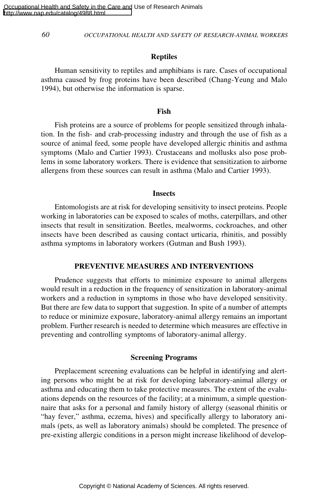#### **Reptiles**

Human sensitivity to reptiles and amphibians is rare. Cases of occupational asthma caused by frog proteins have been described (Chang-Yeung and Malo 1994), but otherwise the information is sparse.

#### **Fish**

Fish proteins are a source of problems for people sensitized through inhalation. In the fish- and crab-processing industry and through the use of fish as a source of animal feed, some people have developed allergic rhinitis and asthma symptoms (Malo and Cartier 1993). Crustaceans and mollusks also pose problems in some laboratory workers. There is evidence that sensitization to airborne allergens from these sources can result in asthma (Malo and Cartier 1993).

#### **Insects**

Entomologists are at risk for developing sensitivity to insect proteins. People working in laboratories can be exposed to scales of moths, caterpillars, and other insects that result in sensitization. Beetles, mealworms, cockroaches, and other insects have been described as causing contact urticaria, rhinitis, and possibly asthma symptoms in laboratory workers (Gutman and Bush 1993).

#### **PREVENTIVE MEASURES AND INTERVENTIONS**

Prudence suggests that efforts to minimize exposure to animal allergens would result in a reduction in the frequency of sensitization in laboratory-animal workers and a reduction in symptoms in those who have developed sensitivity. But there are few data to support that suggestion. In spite of a number of attempts to reduce or minimize exposure, laboratory-animal allergy remains an important problem. Further research is needed to determine which measures are effective in preventing and controlling symptoms of laboratory-animal allergy.

#### **Screening Programs**

Preplacement screening evaluations can be helpful in identifying and alerting persons who might be at risk for developing laboratory-animal allergy or asthma and educating them to take protective measures. The extent of the evaluations depends on the resources of the facility; at a minimum, a simple questionnaire that asks for a personal and family history of allergy (seasonal rhinitis or "hay fever," asthma, eczema, hives) and specifically allergy to laboratory animals (pets, as well as laboratory animals) should be completed. The presence of pre-existing allergic conditions in a person might increase likelihood of develop-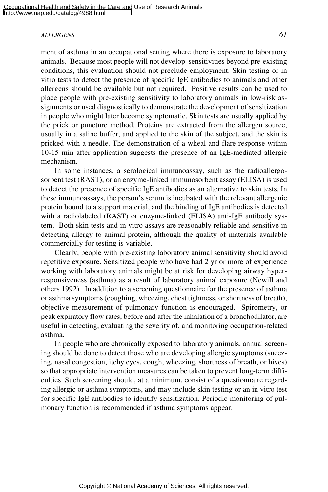#### *ALLERGENS 61*

ment of asthma in an occupational setting where there is exposure to laboratory animals. Because most people will not develop sensitivities beyond pre-existing conditions, this evaluation should not preclude employment. Skin testing or in vitro tests to detect the presence of specific IgE antibodies to animals and other allergens should be available but not required. Positive results can be used to place people with pre-existing sensitivity to laboratory animals in low-risk assignments or used diagnostically to demonstrate the development of sensitization in people who might later become symptomatic. Skin tests are usually applied by the prick or puncture method. Proteins are extracted from the allergen source, usually in a saline buffer, and applied to the skin of the subject, and the skin is pricked with a needle. The demonstration of a wheal and flare response within 10-15 min after application suggests the presence of an IgE-mediated allergic mechanism.

In some instances, a serological immunoassay, such as the radioallergosorbent test (RAST), or an enzyme-linked immunosorbent assay (ELISA) is used to detect the presence of specific IgE antibodies as an alternative to skin tests. In these immunoassays, the person's serum is incubated with the relevant allergenic protein bound to a support material, and the binding of IgE antibodies is detected with a radiolabeled (RAST) or enzyme-linked (ELISA) anti-IgE antibody system. Both skin tests and in vitro assays are reasonably reliable and sensitive in detecting allergy to animal protein, although the quality of materials available commercially for testing is variable.

Clearly, people with pre-existing laboratory animal sensitivity should avoid repetitive exposure. Sensitized people who have had 2 yr or more of experience working with laboratory animals might be at risk for developing airway hyperresponsiveness (asthma) as a result of laboratory animal exposure (Newill and others 1992). In addition to a screening questionnaire for the presence of asthma or asthma symptoms (coughing, wheezing, chest tightness, or shortness of breath), objective measurement of pulmonary function is encouraged. Spirometry, or peak expiratory flow rates, before and after the inhalation of a bronchodilator, are useful in detecting, evaluating the severity of, and monitoring occupation-related asthma.

In people who are chronically exposed to laboratory animals, annual screening should be done to detect those who are developing allergic symptoms (sneezing, nasal congestion, itchy eyes, cough, wheezing, shortness of breath, or hives) so that appropriate intervention measures can be taken to prevent long-term difficulties. Such screening should, at a minimum, consist of a questionnaire regarding allergic or asthma symptoms, and may include skin testing or an in vitro test for specific IgE antibodies to identify sensitization. Periodic monitoring of pulmonary function is recommended if asthma symptoms appear.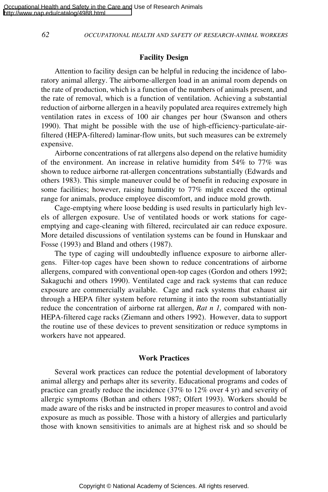#### **Facility Design**

Attention to facility design can be helpful in reducing the incidence of laboratory animal allergy. The airborne-allergen load in an animal room depends on the rate of production, which is a function of the numbers of animals present, and the rate of removal, which is a function of ventilation. Achieving a substantial reduction of airborne allergen in a heavily populated area requires extremely high ventilation rates in excess of 100 air changes per hour (Swanson and others 1990). That might be possible with the use of high-efficiency-particulate-airfiltered (HEPA-filtered) laminar-flow units, but such measures can be extremely expensive.

Airborne concentrations of rat allergens also depend on the relative humidity of the environment. An increase in relative humidity from 54% to 77% was shown to reduce airborne rat-allergen concentrations substantially (Edwards and others 1983). This simple maneuver could be of benefit in reducing exposure in some facilities; however, raising humidity to 77% might exceed the optimal range for animals, produce employee discomfort, and induce mold growth.

Cage-emptying where loose bedding is used results in particularly high levels of allergen exposure. Use of ventilated hoods or work stations for cageemptying and cage-cleaning with filtered, recirculated air can reduce exposure. More detailed discussions of ventilation systems can be found in Hunskaar and Fosse (1993) and Bland and others (1987).

The type of caging will undoubtedly influence exposure to airborne allergens. Filter-top cages have been shown to reduce concentrations of airborne allergens, compared with conventional open-top cages (Gordon and others 1992; Sakaguchi and others 1990). Ventilated cage and rack systems that can reduce exposure are commercially available. Cage and rack systems that exhaust air through a HEPA filter system before returning it into the room substantiatially reduce the concentration of airborne rat allergen, *Rat n 1,* compared with non-HEPA-filtered cage racks (Ziemann and others 1992). However, data to support the routine use of these devices to prevent sensitization or reduce symptoms in workers have not appeared.

#### **Work Practices**

Several work practices can reduce the potential development of laboratory animal allergy and perhaps alter its severity. Educational programs and codes of practice can greatly reduce the incidence (37% to 12% over 4 yr) and severity of allergic symptoms (Bothan and others 1987; Olfert 1993). Workers should be made aware of the risks and be instructed in proper measures to control and avoid exposure as much as possible. Those with a history of allergies and particularly those with known sensitivities to animals are at highest risk and so should be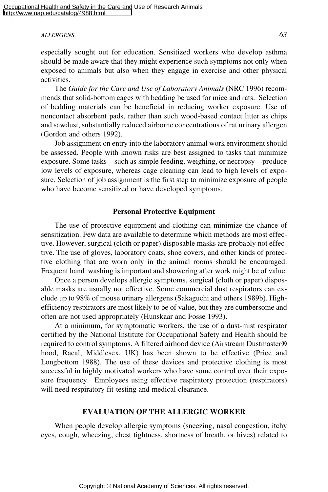#### *ALLERGENS 63*

especially sought out for education. Sensitized workers who develop asthma should be made aware that they might experience such symptoms not only when exposed to animals but also when they engage in exercise and other physical activities.

The *Guide for the Care and Use of Laboratory Animals* (NRC 1996) recommends that solid-bottom cages with bedding be used for mice and rats. Selection of bedding materials can be beneficial in reducing worker exposure. Use of noncontact absorbent pads, rather than such wood-based contact litter as chips and sawdust, substantially reduced airborne concentrations of rat urinary allergen (Gordon and others 1992).

Job assignment on entry into the laboratory animal work environment should be assessed. People with known risks are best assigned to tasks that minimize exposure. Some tasks—such as simple feeding, weighing, or necropsy—produce low levels of exposure, whereas cage cleaning can lead to high levels of exposure. Selection of job assignment is the first step to minimize exposure of people who have become sensitized or have developed symptoms.

#### **Personal Protective Equipment**

The use of protective equipment and clothing can minimize the chance of sensitization. Few data are available to determine which methods are most effective. However, surgical (cloth or paper) disposable masks are probably not effective. The use of gloves, laboratory coats, shoe covers, and other kinds of protective clothing that are worn only in the animal rooms should be encouraged. Frequent hand washing is important and showering after work might be of value.

Once a person develops allergic symptoms, surgical (cloth or paper) disposable masks are usually not effective. Some commercial dust respirators can exclude up to 98% of mouse urinary allergens (Sakaguchi and others 1989b). Highefficiency respirators are most likely to be of value, but they are cumbersome and often are not used appropriately (Hunskaar and Fosse 1993).

At a minimum, for symptomatic workers, the use of a dust-mist respirator certified by the National Institute for Occupational Safety and Health should be required to control symptoms. A filtered airhood device (Airstream Dustmaster® hood, Racal, Middlesex, UK) has been shown to be effective (Price and Longbottom 1988). The use of these devices and protective clothing is most successful in highly motivated workers who have some control over their exposure frequency. Employees using effective respiratory protection (respirators) will need respiratory fit-testing and medical clearance.

#### **EVALUATION OF THE ALLERGIC WORKER**

When people develop allergic symptoms (sneezing, nasal congestion, itchy eyes, cough, wheezing, chest tightness, shortness of breath, or hives) related to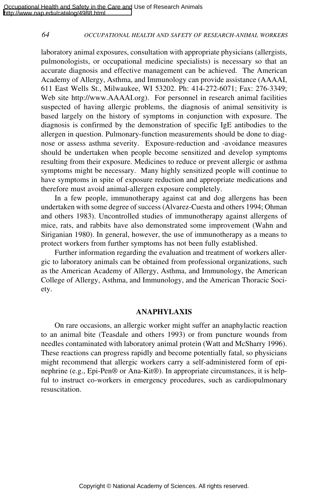laboratory animal exposures, consultation with appropriate physicians (allergists, pulmonologists, or occupational medicine specialists) is necessary so that an accurate diagnosis and effective management can be achieved. The American Academy of Allergy, Asthma, and Immunology can provide assistance (AAAAI, 611 East Wells St., Milwaukee, WI 53202. Ph: 414-272-6071; Fax: 276-3349; Web site http://www.AAAAI.org). For personnel in research animal facilities suspected of having allergic problems, the diagnosis of animal sensitivity is based largely on the history of symptoms in conjunction with exposure. The diagnosis is confirmed by the demonstration of specific IgE antibodies to the allergen in question. Pulmonary-function measurements should be done to diagnose or assess asthma severity. Exposure-reduction and -avoidance measures should be undertaken when people become sensitized and develop symptoms resulting from their exposure. Medicines to reduce or prevent allergic or asthma symptoms might be necessary. Many highly sensitized people will continue to have symptoms in spite of exposure reduction and appropriate medications and therefore must avoid animal-allergen exposure completely.

In a few people, immunotherapy against cat and dog allergens has been undertaken with some degree of success (Alvarez-Cuesta and others 1994; Ohman and others 1983). Uncontrolled studies of immunotherapy against allergens of mice, rats, and rabbits have also demonstrated some improvement (Wahn and Siriganian 1980). In general, however, the use of immunotherapy as a means to protect workers from further symptoms has not been fully established.

Further information regarding the evaluation and treatment of workers allergic to laboratory animals can be obtained from professional organizations, such as the American Academy of Allergy, Asthma, and Immunology, the American College of Allergy, Asthma, and Immunology, and the American Thoracic Society.

#### **ANAPHYLAXIS**

On rare occasions, an allergic worker might suffer an anaphylactic reaction to an animal bite (Teasdale and others 1993) or from puncture wounds from needles contaminated with laboratory animal protein (Watt and McSharry 1996). These reactions can progress rapidly and become potentially fatal, so physicians might recommend that allergic workers carry a self-administered form of epinephrine (e.g., Epi-Pen® or Ana-Kit®). In appropriate circumstances, it is helpful to instruct co-workers in emergency procedures, such as cardiopulmonary resuscitation.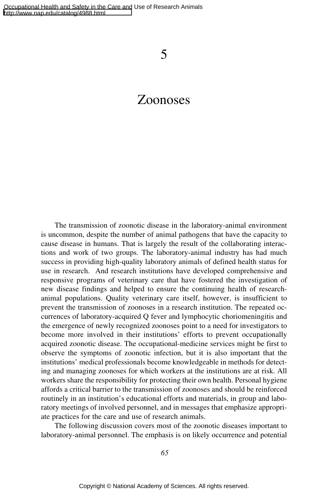# 5

# Zoonoses

The transmission of zoonotic disease in the laboratory-animal environment is uncommon, despite the number of animal pathogens that have the capacity to cause disease in humans. That is largely the result of the collaborating interactions and work of two groups. The laboratory-animal industry has had much success in providing high-quality laboratory animals of defined health status for use in research. And research institutions have developed comprehensive and responsive programs of veterinary care that have fostered the investigation of new disease findings and helped to ensure the continuing health of researchanimal populations. Quality veterinary care itself, however, is insufficient to prevent the transmission of zoonoses in a research institution. The repeated occurrences of laboratory-acquired Q fever and lymphocytic choriomeningitis and the emergence of newly recognized zoonoses point to a need for investigators to become more involved in their institutions' efforts to prevent occupationally acquired zoonotic disease. The occupational-medicine services might be first to observe the symptoms of zoonotic infection, but it is also important that the institutions' medical professionals become knowledgeable in methods for detecting and managing zoonoses for which workers at the institutions are at risk. All workers share the responsibility for protecting their own health. Personal hygiene affords a critical barrier to the transmission of zoonoses and should be reinforced routinely in an institution's educational efforts and materials, in group and laboratory meetings of involved personnel, and in messages that emphasize appropriate practices for the care and use of research animals.

The following discussion covers most of the zoonotic diseases important to laboratory-animal personnel. The emphasis is on likely occurrence and potential

*65*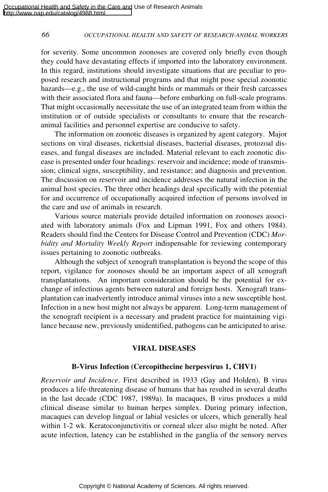for severity. Some uncommon zoonoses are covered only briefly even though they could have devastating effects if imported into the laboratory environment. In this regard, institutions should investigate situations that are peculiar to proposed research and instructional programs and that might pose special zoonotic hazards—e.g., the use of wild-caught birds or mammals or their fresh carcasses with their associated flora and fauna—before embarking on full-scale programs. That might occasionally necessitate the use of an integrated team from within the institution or of outside specialists or consultants to ensure that the researchanimal facilities and personnel expertise are conducive to safety.

The information on zoonotic diseases is organized by agent category. Major sections on viral diseases, rickettsial diseases, bacterial diseases, protozoal diseases, and fungal diseases are included. Material relevant to each zoonotic disease is presented under four headings: reservoir and incidence; mode of transmission; clinical signs, susceptibility, and resistance; and diagnosis and prevention. The discussion on reservoir and incidence addresses the natural infection in the animal host species. The three other headings deal specifically with the potential for and occurrence of occupationally acquired infection of persons involved in the care and use of animals in research.

Various source materials provide detailed information on zoonoses associated with laboratory animals (Fox and Lipman 1991, Fox and others 1984). Readers should find the Centers for Disease Control and Prevention (CDC) *Morbidity and Mortality Weekly Report* indispensable for reviewing contemporary issues pertaining to zoonotic outbreaks.

Although the subject of xenograft transplantation is beyond the scope of this report, vigilance for zoonoses should be an important aspect of all xenograft transplantations. An important consideration should be the potential for exchange of infectious agents between natural and foreign hosts. Xenograft transplantation can inadvertently introduce animal viruses into a new susceptible host. Infection in a new host might not always be apparent. Long-term management of the xenograft recipient is a necessary and prudent practice for maintaining vigilance because new, previously unidentified, pathogens can be anticipated to arise.

# **VIRAL DISEASES**

#### **B-Virus Infection (Cercopithecine herpesvirus 1, CHV1)**

*Reservoir and Incidence*. First described in 1933 (Gay and Holden), B virus produces a life-threatening disease of humans that has resulted in several deaths in the last decade (CDC 1987, 1989a). In macaques, B virus produces a mild clinical disease similar to human herpes simplex. During primary infection, macaques can develop lingual or labial vesicles or ulcers, which generally heal within 1-2 wk. Keratoconjunctivitis or corneal ulcer also might be noted. After acute infection, latency can be established in the ganglia of the sensory nerves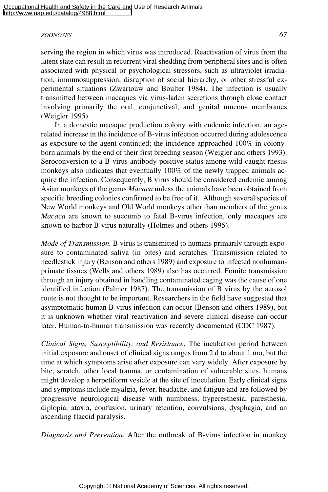serving the region in which virus was introduced. Reactivation of virus from the latent state can result in recurrent viral shedding from peripheral sites and is often associated with physical or psychological stressors, such as ultraviolet irradiation, immunosuppression, disruption of social hierarchy, or other stressful experimental situations (Zwartouw and Boulter 1984). The infection is usually transmitted between macaques via virus-laden secretions through close contact involving primarily the oral, conjunctival, and genital mucous membranes (Weigler 1995).

In a domestic macaque production colony with endemic infection, an agerelated increase in the incidence of B-virus infection occurred during adolescence as exposure to the agent continued; the incidence approached 100% in colonyborn animals by the end of their first breeding season (Weigler and others 1993). Seroconversion to a B-virus antibody-positive status among wild-caught rhesus monkeys also indicates that eventually 100% of the newly trapped animals acquire the infection. Consequently, B virus should be considered endemic among Asian monkeys of the genus *Macaca* unless the animals have been obtained from specific breeding colonies confirmed to be free of it. Although several species of New World monkeys and Old World monkeys other than members of the genus *Macaca* are known to succumb to fatal B-virus infection, only macaques are known to harbor B virus naturally (Holmes and others 1995).

*Mode of Transmission.* B virus is transmitted to humans primarily through exposure to contaminated saliva (in bites) and scratches. Transmission related to needlestick injury (Benson and others 1989) and exposure to infected nonhumanprimate tissues (Wells and others 1989) also has occurred. Fomite transmission through an injury obtained in handling contaminated caging was the cause of one identified infection (Palmer 1987). The transmission of B virus by the aerosol route is not thought to be important. Researchers in the field have suggested that asymptomatic human B-virus infection can occur (Benson and others 1989), but it is unknown whether viral reactivation and severe clinical disease can occur later. Human-to-human transmission was recently documented (CDC 1987).

*Clinical Signs, Susceptibility, and Resistance*. The incubation period between initial exposure and onset of clinical signs ranges from 2 d to about 1 mo, but the time at which symptoms arise after exposure can vary widely. After exposure by bite, scratch, other local trauma, or contamination of vulnerable sites, humans might develop a herpetiform vesicle at the site of inoculation. Early clinical signs and symptoms include myalgia, fever, headache, and fatigue and are followed by progressive neurological disease with numbness, hyperesthesia, paresthesia, diplopia, ataxia, confusion, urinary retention, convulsions, dysphagia, and an ascending flaccid paralysis.

*Diagnosis and Prevention*. After the outbreak of B-virus infection in monkey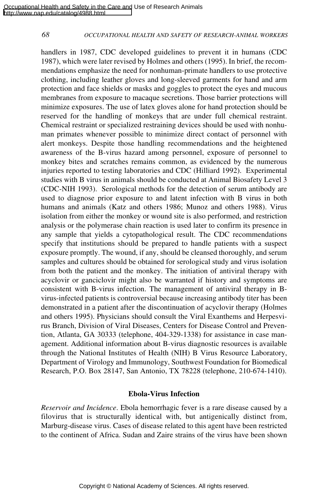handlers in 1987, CDC developed guidelines to prevent it in humans (CDC 1987), which were later revised by Holmes and others (1995). In brief, the recommendations emphasize the need for nonhuman-primate handlers to use protective clothing, including leather gloves and long-sleeved garments for hand and arm protection and face shields or masks and goggles to protect the eyes and mucous membranes from exposure to macaque secretions. Those barrier protections will minimize exposures. The use of latex gloves alone for hand protection should be reserved for the handling of monkeys that are under full chemical restraint. Chemical restraint or specialized restraining devices should be used with nonhuman primates whenever possible to minimize direct contact of personnel with alert monkeys. Despite those handling recommendations and the heightened awareness of the B-virus hazard among personnel, exposure of personnel to monkey bites and scratches remains common, as evidenced by the numerous injuries reported to testing laboratories and CDC (Hilliard 1992). Experimental studies with B virus in animals should be conducted at Animal Biosafety Level 3 (CDC-NIH 1993). Serological methods for the detection of serum antibody are used to diagnose prior exposure to and latent infection with B virus in both humans and animals (Katz and others 1986; Munoz and others 1988). Virus isolation from either the monkey or wound site is also performed, and restriction analysis or the polymerase chain reaction is used later to confirm its presence in any sample that yields a cytopathological result. The CDC recommendations specify that institutions should be prepared to handle patients with a suspect exposure promptly. The wound, if any, should be cleansed thoroughly, and serum samples and cultures should be obtained for serological study and virus isolation from both the patient and the monkey. The initiation of antiviral therapy with acyclovir or ganciclovir might also be warranted if history and symptoms are consistent with B-virus infection. The management of antiviral therapy in Bvirus-infected patients is controversial because increasing antibody titer has been demonstrated in a patient after the discontinuation of acyclovir therapy (Holmes and others 1995). Physicians should consult the Viral Exanthems and Herpesvirus Branch, Division of Viral Diseases, Centers for Disease Control and Prevention, Atlanta, GA 30333 (telephone, 404-329-1338) for assistance in case management. Additional information about B-virus diagnostic resources is available through the National Institutes of Health (NIH) B Virus Resource Laboratory, Department of Virology and Immunology, Southwest Foundation for Biomedical Research, P.O. Box 28147, San Antonio, TX 78228 (telephone, 210-674-1410).

#### **Ebola-Virus Infection**

*Reservoir and Incidence*. Ebola hemorrhagic fever is a rare disease caused by a filovirus that is structurally identical with, but antigenically distinct from, Marburg-disease virus. Cases of disease related to this agent have been restricted to the continent of Africa. Sudan and Zaire strains of the virus have been shown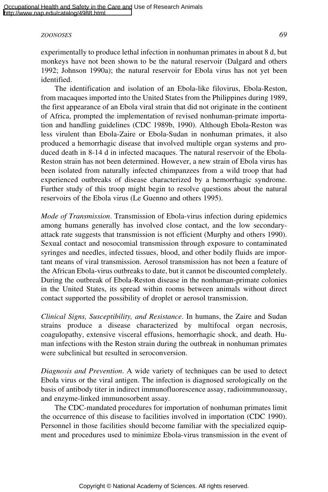experimentally to produce lethal infection in nonhuman primates in about 8 d, but monkeys have not been shown to be the natural reservoir (Dalgard and others 1992; Johnson 1990a); the natural reservoir for Ebola virus has not yet been identified.

The identification and isolation of an Ebola-like filovirus, Ebola-Reston, from macaques imported into the United States from the Philippines during 1989, the first appearance of an Ebola viral strain that did not originate in the continent of Africa, prompted the implementation of revised nonhuman-primate importation and handling guidelines (CDC 1989b, 1990). Although Ebola-Reston was less virulent than Ebola-Zaire or Ebola-Sudan in nonhuman primates, it also produced a hemorrhagic disease that involved multiple organ systems and produced death in 8-14 d in infected macaques. The natural reservoir of the Ebola-Reston strain has not been determined. However, a new strain of Ebola virus has been isolated from naturally infected chimpanzees from a wild troop that had experienced outbreaks of disease characterized by a hemorrhagic syndrome. Further study of this troop might begin to resolve questions about the natural reservoirs of the Ebola virus (Le Guenno and others 1995).

*Mode of Transmission*. Transmission of Ebola-virus infection during epidemics among humans generally has involved close contact, and the low secondaryattack rate suggests that transmission is not efficient (Murphy and others 1990). Sexual contact and nosocomial transmission through exposure to contaminated syringes and needles, infected tissues, blood, and other bodily fluids are important means of viral transmission. Aerosol transmission has not been a feature of the African Ebola-virus outbreaks to date, but it cannot be discounted completely. During the outbreak of Ebola-Reston disease in the nonhuman-primate colonies in the United States, its spread within rooms between animals without direct contact supported the possibility of droplet or aerosol transmission.

*Clinical Signs, Susceptibility, and Resistance*. In humans, the Zaire and Sudan strains produce a disease characterized by multifocal organ necrosis, coagulopathy, extensive visceral effusions, hemorrhagic shock, and death. Human infections with the Reston strain during the outbreak in nonhuman primates were subclinical but resulted in seroconversion.

*Diagnosis and Prevention*. A wide variety of techniques can be used to detect Ebola virus or the viral antigen. The infection is diagnosed serologically on the basis of antibody titer in indirect immunofluorescence assay, radioimmunoassay, and enzyme-linked immunosorbent assay.

The CDC-mandated procedures for importation of nonhuman primates limit the occurrence of this disease to facilities involved in importation (CDC 1990). Personnel in those facilities should become familiar with the specialized equipment and procedures used to minimize Ebola-virus transmission in the event of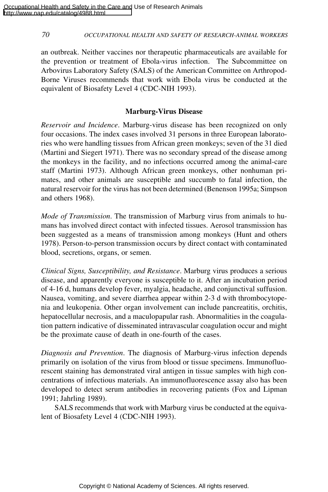an outbreak. Neither vaccines nor therapeutic pharmaceuticals are available for the prevention or treatment of Ebola-virus infection. The Subcommittee on Arbovirus Laboratory Safety (SALS) of the American Committee on Arthropod-Borne Viruses recommends that work with Ebola virus be conducted at the equivalent of Biosafety Level 4 (CDC-NIH 1993).

# **Marburg-Virus Disease**

*Reservoir and Incidence*. Marburg-virus disease has been recognized on only four occasions. The index cases involved 31 persons in three European laboratories who were handling tissues from African green monkeys; seven of the 31 died (Martini and Siegert 1971). There was no secondary spread of the disease among the monkeys in the facility, and no infections occurred among the animal-care staff (Martini 1973). Although African green monkeys, other nonhuman primates, and other animals are susceptible and succumb to fatal infection, the natural reservoir for the virus has not been determined (Benenson 1995a; Simpson and others 1968).

*Mode of Transmission*. The transmission of Marburg virus from animals to humans has involved direct contact with infected tissues. Aerosol transmission has been suggested as a means of transmission among monkeys (Hunt and others 1978). Person-to-person transmission occurs by direct contact with contaminated blood, secretions, organs, or semen.

*Clinical Signs, Susceptibility, and Resistance*. Marburg virus produces a serious disease, and apparently everyone is susceptible to it. After an incubation period of 4-16 d, humans develop fever, myalgia, headache, and conjunctival suffusion. Nausea, vomiting, and severe diarrhea appear within 2-3 d with thrombocytopenia and leukopenia. Other organ involvement can include pancreatitis, orchitis, hepatocellular necrosis, and a maculopapular rash. Abnormalities in the coagulation pattern indicative of disseminated intravascular coagulation occur and might be the proximate cause of death in one-fourth of the cases.

*Diagnosis and Prevention*. The diagnosis of Marburg-virus infection depends primarily on isolation of the virus from blood or tissue specimens. Immunofluorescent staining has demonstrated viral antigen in tissue samples with high concentrations of infectious materials. An immunofluorescence assay also has been developed to detect serum antibodies in recovering patients (Fox and Lipman 1991; Jahrling 1989).

SALS recommends that work with Marburg virus be conducted at the equivalent of Biosafety Level 4 (CDC-NIH 1993).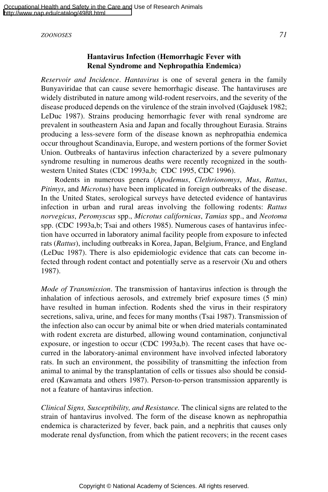*Reservoir and Incidence*. *Hantavirus* is one of several genera in the family Bunyaviridae that can cause severe hemorrhagic disease. The hantaviruses are widely distributed in nature among wild-rodent reservoirs, and the severity of the disease produced depends on the virulence of the strain involved (Gajdusek 1982; LeDuc 1987). Strains producing hemorrhagic fever with renal syndrome are prevalent in southeastern Asia and Japan and focally throughout Eurasia. Strains producing a less-severe form of the disease known as nephropathia endemica occur throughout Scandinavia, Europe, and western portions of the former Soviet Union. Outbreaks of hantavirus infection characterized by a severe pulmonary syndrome resulting in numerous deaths were recently recognized in the southwestern United States (CDC 1993a,b; CDC 1995, CDC 1996).

Rodents in numerous genera (*Apodemus*, *Clethrionomys*, *Mus*, *Rattus*, *Pitimys*, and *Microtus*) have been implicated in foreign outbreaks of the disease. In the United States, serological surveys have detected evidence of hantavirus infection in urban and rural areas involving the following rodents: *Rattus norvegicus*, *Peromyscus* spp., *Microtus californicus*, *Tamias* spp., and *Neotoma* spp. (CDC 1993a,b; Tsai and others 1985). Numerous cases of hantavirus infection have occurred in laboratory animal facility people from exposure to infected rats (*Rattus*), including outbreaks in Korea, Japan, Belgium, France, and England (LeDuc 1987). There is also epidemiologic evidence that cats can become infected through rodent contact and potentially serve as a reservoir (Xu and others 1987).

*Mode of Transmission*. The transmission of hantavirus infection is through the inhalation of infectious aerosols, and extremely brief exposure times (5 min) have resulted in human infection. Rodents shed the virus in their respiratory secretions, saliva, urine, and feces for many months (Tsai 1987). Transmission of the infection also can occur by animal bite or when dried materials contaminated with rodent excreta are disturbed, allowing wound contamination, conjunctival exposure, or ingestion to occur (CDC 1993a,b). The recent cases that have occurred in the laboratory-animal environment have involved infected laboratory rats. In such an environment, the possibility of transmitting the infection from animal to animal by the transplantation of cells or tissues also should be considered (Kawamata and others 1987). Person-to-person transmission apparently is not a feature of hantavirus infection.

*Clinical Signs, Susceptibility, and Resistance.* The clinical signs are related to the strain of hantavirus involved. The form of the disease known as nephropathia endemica is characterized by fever, back pain, and a nephritis that causes only moderate renal dysfunction, from which the patient recovers; in the recent cases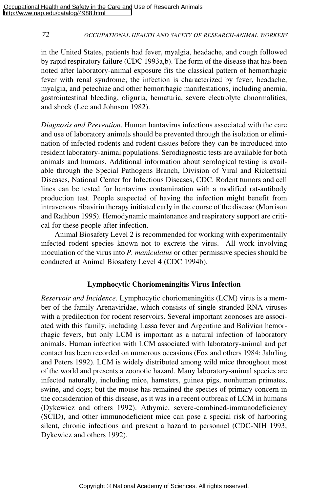in the United States, patients had fever, myalgia, headache, and cough followed by rapid respiratory failure (CDC 1993a,b). The form of the disease that has been noted after laboratory-animal exposure fits the classical pattern of hemorrhagic fever with renal syndrome; the infection is characterized by fever, headache, myalgia, and petechiae and other hemorrhagic manifestations, including anemia, gastrointestinal bleeding, oliguria, hematuria, severe electrolyte abnormalities, and shock (Lee and Johnson 1982).

*Diagnosis and Prevention*. Human hantavirus infections associated with the care and use of laboratory animals should be prevented through the isolation or elimination of infected rodents and rodent tissues before they can be introduced into resident laboratory-animal populations. Serodiagnostic tests are available for both animals and humans. Additional information about serological testing is available through the Special Pathogens Branch, Division of Viral and Rickettsial Diseases, National Center for Infectious Diseases, CDC. Rodent tumors and cell lines can be tested for hantavirus contamination with a modified rat-antibody production test. People suspected of having the infection might benefit from intravenous ribavirin therapy initiated early in the course of the disease (Morrison and Rathbun 1995). Hemodynamic maintenance and respiratory support are critical for these people after infection.

Animal Biosafety Level 2 is recommended for working with experimentally infected rodent species known not to excrete the virus. All work involving inoculation of the virus into *P. maniculatus* or other permissive species should be conducted at Animal Biosafety Level 4 (CDC 1994b).

# **Lymphocytic Choriomeningitis Virus Infection**

*Reservoir and Incidence*. Lymphocytic choriomeningitis (LCM) virus is a member of the family Arenaviridae, which consists of single-stranded-RNA viruses with a predilection for rodent reservoirs. Several important zoonoses are associated with this family, including Lassa fever and Argentine and Bolivian hemorrhagic fevers, but only LCM is important as a natural infection of laboratory animals. Human infection with LCM associated with laboratory-animal and pet contact has been recorded on numerous occasions (Fox and others 1984; Jahrling and Peters 1992). LCM is widely distributed among wild mice throughout most of the world and presents a zoonotic hazard. Many laboratory-animal species are infected naturally, including mice, hamsters, guinea pigs, nonhuman primates, swine, and dogs; but the mouse has remained the species of primary concern in the consideration of this disease, as it was in a recent outbreak of LCM in humans (Dykewicz and others 1992). Athymic, severe-combined-immunodeficiency (SCID), and other immunodeficient mice can pose a special risk of harboring silent, chronic infections and present a hazard to personnel (CDC-NIH 1993; Dykewicz and others 1992).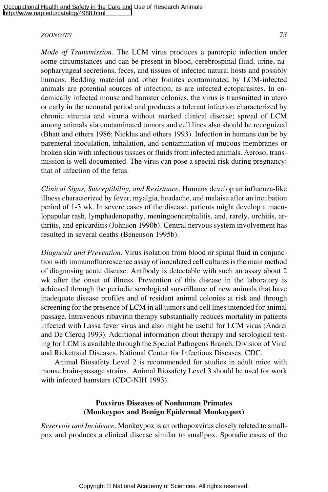*Mode of Transmission*. The LCM virus produces a pantropic infection under some circumstances and can be present in blood, cerebrospinal fluid, urine, nasopharyngeal secretions, feces, and tissues of infected natural hosts and possibly humans. Bedding material and other fomites contaminated by LCM-infected animals are potential sources of infection, as are infected ectoparasites. In endemically infected mouse and hamster colonies, the virus is transmitted in utero or early in the neonatal period and produces a tolerant infection characterized by chronic viremia and viruria without marked clinical disease; spread of LCM among animals via contaminated tumors and cell lines also should be recognized (Bhatt and others 1986; Nicklas and others 1993). Infection in humans can be by parenteral inoculation, inhalation, and contamination of mucous membranes or broken skin with infectious tissues or fluids from infected animals. Aerosol transmission is well documented. The virus can pose a special risk during pregnancy: that of infection of the fetus.

*Clinical Signs, Susceptibility, and Resistance*. Humans develop an influenza-like illness characterized by fever, myalgia, headache, and malaise after an incubation period of 1-3 wk. In severe cases of the disease, patients might develop a maculopapular rash, lymphadenopathy, meningoencephalitis, and, rarely, orchitis, arthritis, and epicarditis (Johnson 1990b). Central nervous system involvement has resulted in several deaths (Benenson 1995b).

*Diagnosis and Prevention*. Virus isolation from blood or spinal fluid in conjunction with immunofluorescence assay of inoculated cell cultures is the main method of diagnosing acute disease. Antibody is detectable with such an assay about 2 wk after the onset of illness. Prevention of this disease in the laboratory is achieved through the periodic serological surveillance of new animals that have inadequate disease profiles and of resident animal colonies at risk and through screening for the presence of LCM in all tumors and cell lines intended for animal passage. Intravenous ribavirin therapy substantially reduces mortality in patients infected with Lassa fever virus and also might be useful for LCM virus (Andrei and De Clercq 1993). Additional information about therapy and serological testing for LCM is available through the Special Pathogens Branch, Division of Viral and Rickettsial Diseases, National Center for Infectious Diseases, CDC.

Animal Biosafety Level 2 is recommended for studies in adult mice with mouse brain-passage strains. Animal Biosafety Level 3 should be used for work with infected hamsters (CDC-NIH 1993).

# **Poxvirus Diseases of Nonhuman Primates (Monkeypox and Benign Epidermal Monkeypox)**

*Reservoir and Incidence*. Monkeypox is an orthopoxvirus closely related to smallpox and produces a clinical disease similar to smallpox. Sporadic cases of the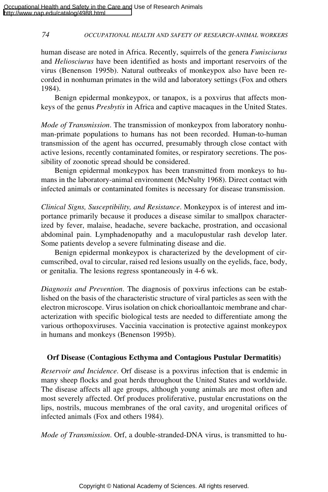human disease are noted in Africa. Recently, squirrels of the genera *Funisciurus* and *Heliosciurus* have been identified as hosts and important reservoirs of the virus (Benenson 1995b). Natural outbreaks of monkeypox also have been recorded in nonhuman primates in the wild and laboratory settings (Fox and others 1984).

Benign epidermal monkeypox, or tanapox, is a poxvirus that affects monkeys of the genus *Presbytis* in Africa and captive macaques in the United States.

*Mode of Transmission*. The transmission of monkeypox from laboratory nonhuman-primate populations to humans has not been recorded. Human-to-human transmission of the agent has occurred, presumably through close contact with active lesions, recently contaminated fomites, or respiratory secretions. The possibility of zoonotic spread should be considered.

Benign epidermal monkeypox has been transmitted from monkeys to humans in the laboratory-animal environment (McNulty 1968). Direct contact with infected animals or contaminated fomites is necessary for disease transmission.

*Clinical Signs, Susceptibility, and Resistance*. Monkeypox is of interest and importance primarily because it produces a disease similar to smallpox characterized by fever, malaise, headache, severe backache, prostration, and occasional abdominal pain. Lymphadenopathy and a maculopustular rash develop later. Some patients develop a severe fulminating disease and die.

Benign epidermal monkeypox is characterized by the development of circumscribed, oval to circular, raised red lesions usually on the eyelids, face, body, or genitalia. The lesions regress spontaneously in 4-6 wk.

*Diagnosis and Prevention*. The diagnosis of poxvirus infections can be established on the basis of the characteristic structure of viral particles as seen with the electron microscope. Virus isolation on chick chorioallantoic membrane and characterization with specific biological tests are needed to differentiate among the various orthopoxviruses. Vaccinia vaccination is protective against monkeypox in humans and monkeys (Benenson 1995b).

# **Orf Disease (Contagious Ecthyma and Contagious Pustular Dermatitis)**

*Reservoir and Incidence*. Orf disease is a poxvirus infection that is endemic in many sheep flocks and goat herds throughout the United States and worldwide. The disease affects all age groups, although young animals are most often and most severely affected. Orf produces proliferative, pustular encrustations on the lips, nostrils, mucous membranes of the oral cavity, and urogenital orifices of infected animals (Fox and others 1984).

*Mode of Transmission*. Orf, a double-stranded-DNA virus, is transmitted to hu-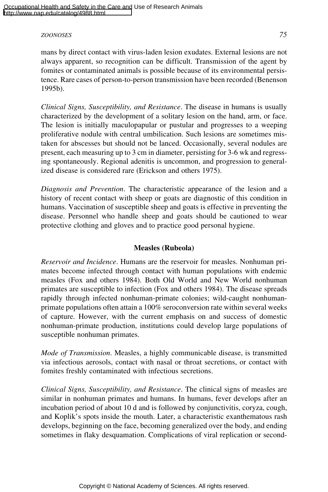mans by direct contact with virus-laden lesion exudates. External lesions are not always apparent, so recognition can be difficult. Transmission of the agent by fomites or contaminated animals is possible because of its environmental persistence. Rare cases of person-to-person transmission have been recorded (Benenson 1995b).

*Clinical Signs, Susceptibility, and Resistance*. The disease in humans is usually characterized by the development of a solitary lesion on the hand, arm, or face. The lesion is initially maculopapular or pustular and progresses to a weeping proliferative nodule with central umbilication. Such lesions are sometimes mistaken for abscesses but should not be lanced. Occasionally, several nodules are present, each measuring up to 3 cm in diameter, persisting for 3-6 wk and regressing spontaneously. Regional adenitis is uncommon, and progression to generalized disease is considered rare (Erickson and others 1975).

*Diagnosis and Prevention*. The characteristic appearance of the lesion and a history of recent contact with sheep or goats are diagnostic of this condition in humans. Vaccination of susceptible sheep and goats is effective in preventing the disease. Personnel who handle sheep and goats should be cautioned to wear protective clothing and gloves and to practice good personal hygiene.

# **Measles (Rubeola)**

*Reservoir and Incidence*. Humans are the reservoir for measles. Nonhuman primates become infected through contact with human populations with endemic measles (Fox and others 1984). Both Old World and New World nonhuman primates are susceptible to infection (Fox and others 1984). The disease spreads rapidly through infected nonhuman-primate colonies; wild-caught nonhumanprimate populations often attain a 100% seroconversion rate within several weeks of capture. However, with the current emphasis on and success of domestic nonhuman-primate production, institutions could develop large populations of susceptible nonhuman primates.

*Mode of Transmission*. Measles, a highly communicable disease, is transmitted via infectious aerosols, contact with nasal or throat secretions, or contact with fomites freshly contaminated with infectious secretions.

*Clinical Signs, Susceptibility, and Resistance*. The clinical signs of measles are similar in nonhuman primates and humans. In humans, fever develops after an incubation period of about 10 d and is followed by conjunctivitis, coryza, cough, and Koplik's spots inside the mouth. Later, a characteristic exanthematous rash develops, beginning on the face, becoming generalized over the body, and ending sometimes in flaky desquamation. Complications of viral replication or second-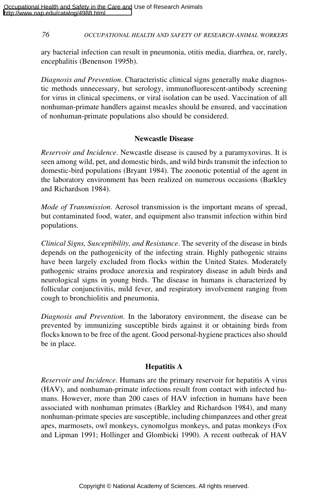ary bacterial infection can result in pneumonia, otitis media, diarrhea, or, rarely, encephalitis (Benenson 1995b).

*Diagnosis and Prevention*. Characteristic clinical signs generally make diagnostic methods unnecessary, but serology, immunofluorescent-antibody screening for virus in clinical specimens, or viral isolation can be used. Vaccination of all nonhuman-primate handlers against measles should be ensured, and vaccination of nonhuman-primate populations also should be considered.

# **Newcastle Disease**

*Reservoir and Incidence*. Newcastle disease is caused by a paramyxovirus. It is seen among wild, pet, and domestic birds, and wild birds transmit the infection to domestic-bird populations (Bryant 1984). The zoonotic potential of the agent in the laboratory environment has been realized on numerous occasions (Barkley and Richardson 1984).

*Mode of Transmission*. Aerosol transmission is the important means of spread, but contaminated food, water, and equipment also transmit infection within bird populations.

*Clinical Signs, Susceptibility, and Resistance*. The severity of the disease in birds depends on the pathogenicity of the infecting strain. Highly pathogenic strains have been largely excluded from flocks within the United States. Moderately pathogenic strains produce anorexia and respiratory disease in adult birds and neurological signs in young birds. The disease in humans is characterized by follicular conjunctivitis, mild fever, and respiratory involvement ranging from cough to bronchiolitis and pneumonia.

*Diagnosis and Prevention*. In the laboratory environment, the disease can be prevented by immunizing susceptible birds against it or obtaining birds from flocks known to be free of the agent. Good personal-hygiene practices also should be in place.

# **Hepatitis A**

*Reservoir and Incidence*. Humans are the primary reservoir for hepatitis A virus (HAV), and nonhuman-primate infections result from contact with infected humans. However, more than 200 cases of HAV infection in humans have been associated with nonhuman primates (Barkley and Richardson 1984), and many nonhuman-primate species are susceptible, including chimpanzees and other great apes, marmosets, owl monkeys, cynomolgus monkeys, and patas monkeys (Fox and Lipman 1991; Hollinger and Glombicki 1990). A recent outbreak of HAV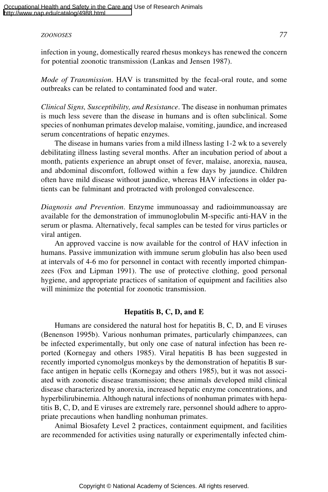*Mode of Transmission*. HAV is transmitted by the fecal-oral route, and some outbreaks can be related to contaminated food and water.

*Clinical Signs, Susceptibility, and Resistance*. The disease in nonhuman primates is much less severe than the disease in humans and is often subclinical. Some species of nonhuman primates develop malaise, vomiting, jaundice, and increased serum concentrations of hepatic enzymes.

The disease in humans varies from a mild illness lasting 1-2 wk to a severely debilitating illness lasting several months. After an incubation period of about a month, patients experience an abrupt onset of fever, malaise, anorexia, nausea, and abdominal discomfort, followed within a few days by jaundice. Children often have mild disease without jaundice, whereas HAV infections in older patients can be fulminant and protracted with prolonged convalescence.

*Diagnosis and Prevention*. Enzyme immunoassay and radioimmunoassay are available for the demonstration of immunoglobulin M-specific anti-HAV in the serum or plasma. Alternatively, fecal samples can be tested for virus particles or viral antigen.

An approved vaccine is now available for the control of HAV infection in humans. Passive immunization with immune serum globulin has also been used at intervals of 4-6 mo for personnel in contact with recently imported chimpanzees (Fox and Lipman 1991). The use of protective clothing, good personal hygiene, and appropriate practices of sanitation of equipment and facilities also will minimize the potential for zoonotic transmission.

#### **Hepatitis B, C, D, and E**

Humans are considered the natural host for hepatitis B, C, D, and E viruses (Benenson 1995b). Various nonhuman primates, particularly chimpanzees, can be infected experimentally, but only one case of natural infection has been reported (Kornegay and others 1985). Viral hepatitis B has been suggested in recently imported cynomolgus monkeys by the demonstration of hepatitis B surface antigen in hepatic cells (Kornegay and others 1985), but it was not associated with zoonotic disease transmission; these animals developed mild clinical disease characterized by anorexia, increased hepatic enzyme concentrations, and hyperbilirubinemia. Although natural infections of nonhuman primates with hepatitis B, C, D, and E viruses are extremely rare, personnel should adhere to appropriate precautions when handling nonhuman primates.

Animal Biosafety Level 2 practices, containment equipment, and facilities are recommended for activities using naturally or experimentally infected chim-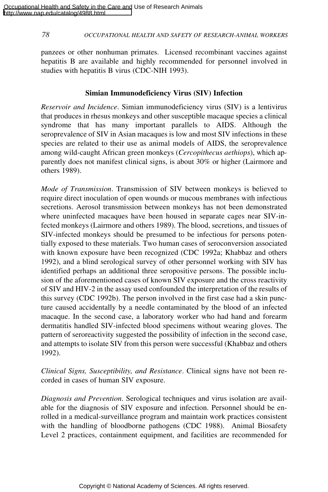panzees or other nonhuman primates. Licensed recombinant vaccines against hepatitis B are available and highly recommended for personnel involved in studies with hepatitis B virus (CDC-NIH 1993).

# **Simian Immunodeficiency Virus (SIV) Infection**

*Reservoir and Incidence*. Simian immunodeficiency virus (SIV) is a lentivirus that produces in rhesus monkeys and other susceptible macaque species a clinical syndrome that has many important parallels to AIDS. Although the seroprevalence of SIV in Asian macaques is low and most SIV infections in these species are related to their use as animal models of AIDS, the seroprevalence among wild-caught African green monkeys (*Cercopithecus aethiops*), which apparently does not manifest clinical signs, is about 30% or higher (Lairmore and others 1989).

*Mode of Transmission*. Transmission of SIV between monkeys is believed to require direct inoculation of open wounds or mucous membranes with infectious secretions. Aerosol transmission between monkeys has not been demonstrated where uninfected macaques have been housed in separate cages near SIV-infected monkeys (Lairmore and others 1989). The blood, secretions, and tissues of SIV-infected monkeys should be presumed to be infectious for persons potentially exposed to these materials. Two human cases of seroconversion associated with known exposure have been recognized (CDC 1992a; Khabbaz and others 1992), and a blind serological survey of other personnel working with SIV has identified perhaps an additional three seropositive persons. The possible inclusion of the aforementioned cases of known SIV exposure and the cross reactivity of SIV and HIV-2 in the assay used confounded the interpretation of the results of this survey (CDC 1992b). The person involved in the first case had a skin puncture caused accidentally by a needle contaminated by the blood of an infected macaque. In the second case, a laboratory worker who had hand and forearm dermatitis handled SIV-infected blood specimens without wearing gloves. The pattern of seroreactivity suggested the possibility of infection in the second case, and attempts to isolate SIV from this person were successful (Khabbaz and others 1992).

*Clinical Signs, Susceptibility, and Resistance*. Clinical signs have not been recorded in cases of human SIV exposure.

*Diagnosis and Prevention*. Serological techniques and virus isolation are available for the diagnosis of SIV exposure and infection. Personnel should be enrolled in a medical-surveillance program and maintain work practices consistent with the handling of bloodborne pathogens (CDC 1988). Animal Biosafety Level 2 practices, containment equipment, and facilities are recommended for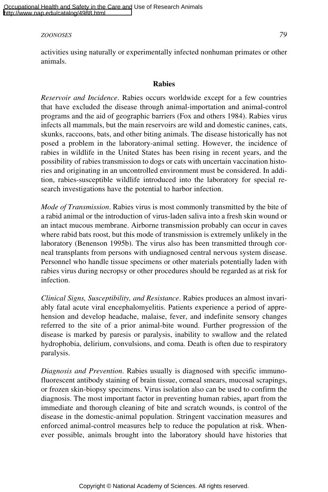activities using naturally or experimentally infected nonhuman primates or other animals.

#### **Rabies**

*Reservoir and Incidence*. Rabies occurs worldwide except for a few countries that have excluded the disease through animal-importation and animal-control programs and the aid of geographic barriers (Fox and others 1984). Rabies virus infects all mammals, but the main reservoirs are wild and domestic canines, cats, skunks, raccoons, bats, and other biting animals. The disease historically has not posed a problem in the laboratory-animal setting. However, the incidence of rabies in wildlife in the United States has been rising in recent years, and the possibility of rabies transmission to dogs or cats with uncertain vaccination histories and originating in an uncontrolled environment must be considered. In addition, rabies-susceptible wildlife introduced into the laboratory for special research investigations have the potential to harbor infection.

*Mode of Transmission*. Rabies virus is most commonly transmitted by the bite of a rabid animal or the introduction of virus-laden saliva into a fresh skin wound or an intact mucous membrane. Airborne transmission probably can occur in caves where rabid bats roost, but this mode of transmission is extremely unlikely in the laboratory (Benenson 1995b). The virus also has been transmitted through corneal transplants from persons with undiagnosed central nervous system disease. Personnel who handle tissue specimens or other materials potentially laden with rabies virus during necropsy or other procedures should be regarded as at risk for infection.

*Clinical Signs, Susceptibility, and Resistance*. Rabies produces an almost invariably fatal acute viral encephalomyelitis. Patients experience a period of apprehension and develop headache, malaise, fever, and indefinite sensory changes referred to the site of a prior animal-bite wound. Further progression of the disease is marked by paresis or paralysis, inability to swallow and the related hydrophobia, delirium, convulsions, and coma. Death is often due to respiratory paralysis.

*Diagnosis and Prevention*. Rabies usually is diagnosed with specific immunofluorescent antibody staining of brain tissue, corneal smears, mucosal scrapings, or frozen skin-biopsy specimens. Virus isolation also can be used to confirm the diagnosis. The most important factor in preventing human rabies, apart from the immediate and thorough cleaning of bite and scratch wounds, is control of the disease in the domestic-animal population. Stringent vaccination measures and enforced animal-control measures help to reduce the population at risk. Whenever possible, animals brought into the laboratory should have histories that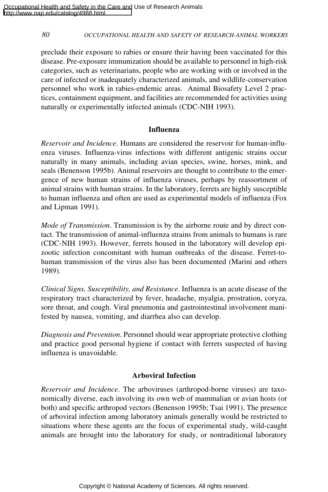preclude their exposure to rabies or ensure their having been vaccinated for this disease. Pre-exposure immunization should be available to personnel in high-risk categories, such as veterinarians, people who are working with or involved in the care of infected or inadequately characterized animals, and wildlife-conservation personnel who work in rabies-endemic areas. Animal Biosafety Level 2 practices, containment equipment, and facilities are recommended for activities using naturally or experimentally infected animals (CDC-NIH 1993).

# **Influenza**

*Reservoir and Incidence*. Humans are considered the reservoir for human-influenza viruses. Influenza-virus infections with different antigenic strains occur naturally in many animals, including avian species, swine, horses, mink, and seals (Benenson 1995b). Animal reservoirs are thought to contribute to the emergence of new human strains of influenza viruses, perhaps by reassortment of animal strains with human strains. In the laboratory, ferrets are highly susceptible to human influenza and often are used as experimental models of influenza (Fox and Lipman 1991).

*Mode of Transmission*. Transmission is by the airborne route and by direct contact. The transmission of animal-influenza strains from animals to humans is rare (CDC-NIH 1993). However, ferrets housed in the laboratory will develop epizootic infection concomitant with human outbreaks of the disease. Ferret-tohuman transmission of the virus also has been documented (Marini and others 1989).

*Clinical Signs, Susceptibility, and Resistance*. Influenza is an acute disease of the respiratory tract characterized by fever, headache, myalgia, prostration, coryza, sore throat, and cough. Viral pneumonia and gastrointestinal involvement manifested by nausea, vomiting, and diarrhea also can develop.

*Diagnosis and Prevention*. Personnel should wear appropriate protective clothing and practice good personal hygiene if contact with ferrets suspected of having influenza is unavoidable.

# **Arboviral Infection**

*Reservoir and Incidence*. The arboviruses (arthropod-borne viruses) are taxonomically diverse, each involving its own web of mammalian or avian hosts (or both) and specific arthropod vectors (Benenson 1995b; Tsai 1991). The presence of arboviral infection among laboratory animals generally would be restricted to situations where these agents are the focus of experimental study, wild-caught animals are brought into the laboratory for study, or nontraditional laboratory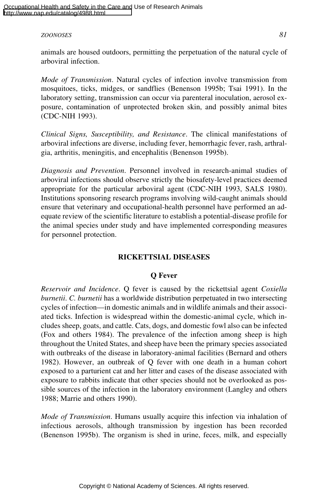animals are housed outdoors, permitting the perpetuation of the natural cycle of arboviral infection.

*Mode of Transmission*. Natural cycles of infection involve transmission from mosquitoes, ticks, midges, or sandflies (Benenson 1995b; Tsai 1991). In the laboratory setting, transmission can occur via parenteral inoculation, aerosol exposure, contamination of unprotected broken skin, and possibly animal bites (CDC-NIH 1993).

*Clinical Signs, Susceptibility, and Resistance*. The clinical manifestations of arboviral infections are diverse, including fever, hemorrhagic fever, rash, arthralgia, arthritis, meningitis, and encephalitis (Benenson 1995b).

*Diagnosis and Prevention*. Personnel involved in research-animal studies of arboviral infections should observe strictly the biosafety-level practices deemed appropriate for the particular arboviral agent (CDC-NIH 1993, SALS 1980). Institutions sponsoring research programs involving wild-caught animals should ensure that veterinary and occupational-health personnel have performed an adequate review of the scientific literature to establish a potential-disease profile for the animal species under study and have implemented corresponding measures for personnel protection.

# **RICKETTSIAL DISEASES**

# **Q Fever**

*Reservoir and Incidence*. Q fever is caused by the rickettsial agent *Coxiella burnetii*. *C. burnetii* has a worldwide distribution perpetuated in two intersecting cycles of infection—in domestic animals and in wildlife animals and their associated ticks. Infection is widespread within the domestic-animal cycle, which includes sheep, goats, and cattle. Cats, dogs, and domestic fowl also can be infected (Fox and others 1984). The prevalence of the infection among sheep is high throughout the United States, and sheep have been the primary species associated with outbreaks of the disease in laboratory-animal facilities (Bernard and others 1982). However, an outbreak of Q fever with one death in a human cohort exposed to a parturient cat and her litter and cases of the disease associated with exposure to rabbits indicate that other species should not be overlooked as possible sources of the infection in the laboratory environment (Langley and others 1988; Marrie and others 1990).

*Mode of Transmission*. Humans usually acquire this infection via inhalation of infectious aerosols, although transmission by ingestion has been recorded (Benenson 1995b). The organism is shed in urine, feces, milk, and especially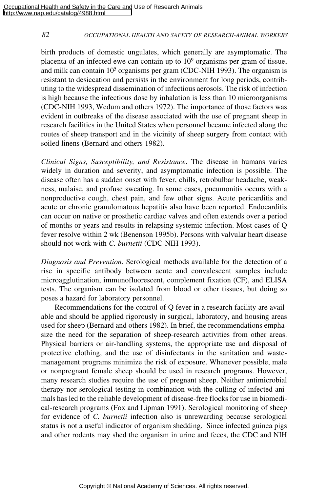birth products of domestic ungulates, which generally are asymptomatic. The placenta of an infected ewe can contain up to  $10<sup>9</sup>$  organisms per gram of tissue, and milk can contain  $10<sup>5</sup>$  organisms per gram (CDC-NIH 1993). The organism is resistant to desiccation and persists in the environment for long periods, contributing to the widespread dissemination of infectious aerosols. The risk of infection is high because the infectious dose by inhalation is less than 10 microorganisms (CDC-NIH 1993, Wedum and others 1972). The importance of those factors was evident in outbreaks of the disease associated with the use of pregnant sheep in research facilities in the United States when personnel became infected along the routes of sheep transport and in the vicinity of sheep surgery from contact with soiled linens (Bernard and others 1982).

*Clinical Signs, Susceptibility, and Resistance*. The disease in humans varies widely in duration and severity, and asymptomatic infection is possible. The disease often has a sudden onset with fever, chills, retrobulbar headache, weakness, malaise, and profuse sweating. In some cases, pneumonitis occurs with a nonproductive cough, chest pain, and few other signs. Acute pericarditis and acute or chronic granulomatous hepatitis also have been reported. Endocarditis can occur on native or prosthetic cardiac valves and often extends over a period of months or years and results in relapsing systemic infection. Most cases of Q fever resolve within 2 wk (Benenson 1995b). Persons with valvular heart disease should not work with *C. burnetii* (CDC-NIH 1993).

*Diagnosis and Prevention*. Serological methods available for the detection of a rise in specific antibody between acute and convalescent samples include microagglutination, immunofluorescent, complement fixation (CF), and ELISA tests. The organism can be isolated from blood or other tissues, but doing so poses a hazard for laboratory personnel.

Recommendations for the control of Q fever in a research facility are available and should be applied rigorously in surgical, laboratory, and housing areas used for sheep (Bernard and others 1982). In brief, the recommendations emphasize the need for the separation of sheep-research activities from other areas. Physical barriers or air-handling systems, the appropriate use and disposal of protective clothing, and the use of disinfectants in the sanitation and wastemanagement programs minimize the risk of exposure. Whenever possible, male or nonpregnant female sheep should be used in research programs. However, many research studies require the use of pregnant sheep. Neither antimicrobial therapy nor serological testing in combination with the culling of infected animals has led to the reliable development of disease-free flocks for use in biomedical-research programs (Fox and Lipman 1991). Serological monitoring of sheep for evidence of *C. burnetii* infection also is unrewarding because serological status is not a useful indicator of organism shedding. Since infected guinea pigs and other rodents may shed the organism in urine and feces, the CDC and NIH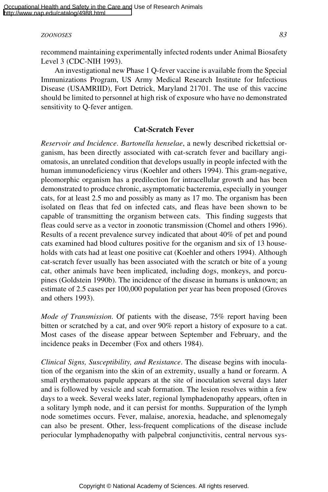recommend maintaining experimentally infected rodents under Animal Biosafety Level 3 (CDC-NIH 1993).

An investigational new Phase 1 Q-fever vaccine is available from the Special Immunizations Program, US Army Medical Research Institute for Infectious Disease (USAMRIID), Fort Detrick, Maryland 21701. The use of this vaccine should be limited to personnel at high risk of exposure who have no demonstrated sensitivity to Q-fever antigen.

# **Cat-Scratch Fever**

*Reservoir and Incidence*. *Bartonella henselae*, a newly described rickettsial organism, has been directly associated with cat-scratch fever and bacillary angiomatosis, an unrelated condition that develops usually in people infected with the human immunodeficiency virus (Koehler and others 1994). This gram-negative, pleomorphic organism has a predilection for intracellular growth and has been demonstrated to produce chronic, asymptomatic bacteremia, especially in younger cats, for at least 2.5 mo and possibly as many as 17 mo. The organism has been isolated on fleas that fed on infected cats, and fleas have been shown to be capable of transmitting the organism between cats. This finding suggests that fleas could serve as a vector in zoonotic transmission (Chomel and others 1996). Results of a recent prevalence survey indicated that about 40% of pet and pound cats examined had blood cultures positive for the organism and six of 13 households with cats had at least one positive cat (Koehler and others 1994). Although cat-scratch fever usually has been associated with the scratch or bite of a young cat, other animals have been implicated, including dogs, monkeys, and porcupines (Goldstein 1990b). The incidence of the disease in humans is unknown; an estimate of 2.5 cases per 100,000 population per year has been proposed (Groves and others 1993).

*Mode of Transmission*. Of patients with the disease, 75% report having been bitten or scratched by a cat, and over 90% report a history of exposure to a cat. Most cases of the disease appear between September and February, and the incidence peaks in December (Fox and others 1984).

*Clinical Signs, Susceptibility, and Resistance*. The disease begins with inoculation of the organism into the skin of an extremity, usually a hand or forearm. A small erythematous papule appears at the site of inoculation several days later and is followed by vesicle and scab formation. The lesion resolves within a few days to a week. Several weeks later, regional lymphadenopathy appears, often in a solitary lymph node, and it can persist for months. Suppuration of the lymph node sometimes occurs. Fever, malaise, anorexia, headache, and splenomegaly can also be present. Other, less-frequent complications of the disease include periocular lymphadenopathy with palpebral conjunctivitis, central nervous sys-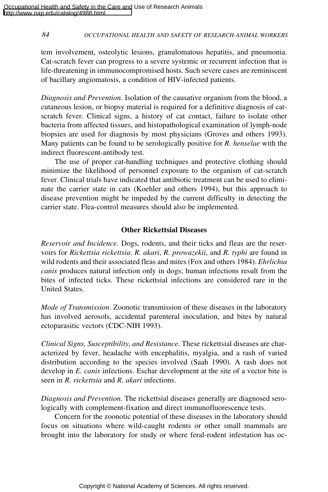tem involvement, osteolytic lesions, granulomatous hepatitis, and pneumonia. Cat-scratch fever can progress to a severe systemic or recurrent infection that is life-threatening in immunocompromised hosts. Such severe cases are reminiscent of bacillary angiomatosis, a condition of HIV-infected patients.

*Diagnosis and Prevention*. Isolation of the causative organism from the blood, a cutaneous lesion, or biopsy material is required for a definitive diagnosis of catscratch fever. Clinical signs, a history of cat contact, failure to isolate other bacteria from affected tissues, and histopathological examination of lymph-node biopsies are used for diagnosis by most physicians (Groves and others 1993). Many patients can be found to be serologically positive for *R. henselae* with the indirect fluorescent-antibody test.

The use of proper cat-handling techniques and protective clothing should minimize the likelihood of personnel exposure to the organism of cat-scratch fever. Clinical trials have indicated that antibiotic treatment can be used to eliminate the carrier state in cats (Koehler and others 1994), but this approach to disease prevention might be impeded by the current difficulty in detecting the carrier state. Flea-control measures should also be implemented.

# **Other Rickettsial Diseases**

*Reservoir and Incidence*. Dogs, rodents, and their ticks and fleas are the reservoirs for *Rickettsia rickettsia*. *R. akari*, *R. prowazekii*, and *R. typhi* are found in wild rodents and their associated fleas and mites (Fox and others 1984). *Ehrlichia canis* produces natural infection only in dogs; human infections result from the bites of infected ticks. These rickettsial infections are considered rare in the United States.

*Mode of Transmission*. Zoonotic transmission of these diseases in the laboratory has involved aerosols, accidental parenteral inoculation, and bites by natural ectoparasitic vectors (CDC-NIH 1993).

*Clinical Signs, Susceptibility, and Resistance*. These rickettsial diseases are characterized by fever, headache with encephalitis, myalgia, and a rash of varied distribution according to the species involved (Saah 1990). A rash does not develop in *E. canis* infections. Eschar development at the site of a vector bite is seen in *R. rickettsia* and *R. akari* infections.

*Diagnosis and Prevention.* The rickettsial diseases generally are diagnosed serologically with complement-fixation and direct immunofluorescence tests.

Concern for the zoonotic potential of these diseases in the laboratory should focus on situations where wild-caught rodents or other small mammals are brought into the laboratory for study or where feral-rodent infestation has oc-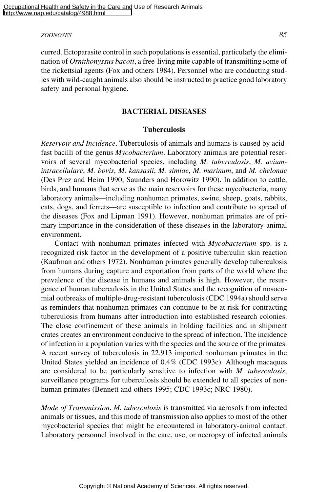curred. Ectoparasite control in such populations is essential, particularly the elimination of *Ornithonyssus bacoti*, a free-living mite capable of transmitting some of the rickettsial agents (Fox and others 1984). Personnel who are conducting studies with wild-caught animals also should be instructed to practice good laboratory safety and personal hygiene.

#### **BACTERIAL DISEASES**

#### **Tuberculosis**

*Reservoir and Incidence*. Tuberculosis of animals and humans is caused by acidfast bacilli of the genus *Mycobacterium*. Laboratory animals are potential reservoirs of several mycobacterial species, including *M. tuberculosis*, *M. aviumintracellulare*, *M. bovis*, *M. kansasii*, *M. simiae*, *M. marinum*, and *M. chelonae* (Des Prez and Heim 1990; Saunders and Horowitz 1990). In addition to cattle, birds, and humans that serve as the main reservoirs for these mycobacteria, many laboratory animals—including nonhuman primates, swine, sheep, goats, rabbits, cats, dogs, and ferrets—are susceptible to infection and contribute to spread of the diseases (Fox and Lipman 1991). However, nonhuman primates are of primary importance in the consideration of these diseases in the laboratory-animal environment.

Contact with nonhuman primates infected with *Mycobacterium* spp. is a recognized risk factor in the development of a positive tuberculin skin reaction (Kaufman and others 1972). Nonhuman primates generally develop tuberculosis from humans during capture and exportation from parts of the world where the prevalence of the disease in humans and animals is high. However, the resurgence of human tuberculosis in the United States and the recognition of nosocomial outbreaks of multiple-drug-resistant tuberculosis (CDC 1994a) should serve as reminders that nonhuman primates can continue to be at risk for contracting tuberculosis from humans after introduction into established research colonies. The close confinement of these animals in holding facilities and in shipment crates creates an environment conducive to the spread of infection. The incidence of infection in a population varies with the species and the source of the primates. A recent survey of tuberculosis in 22,913 imported nonhuman primates in the United States yielded an incidence of 0.4% (CDC 1993c). Although macaques are considered to be particularly sensitive to infection with *M. tuberculosis*, surveillance programs for tuberculosis should be extended to all species of nonhuman primates (Bennett and others 1995; CDC 1993c; NRC 1980).

*Mode of Transmission*. *M. tuberculosis* is transmitted via aerosols from infected animals or tissues, and this mode of transmission also applies to most of the other mycobacterial species that might be encountered in laboratory-animal contact. Laboratory personnel involved in the care, use, or necropsy of infected animals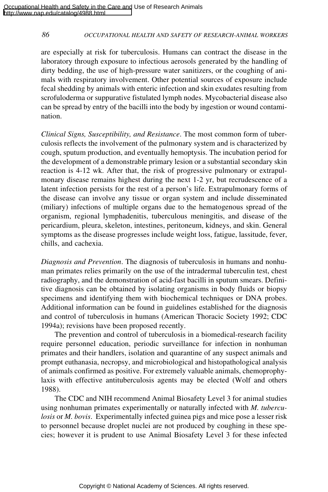are especially at risk for tuberculosis. Humans can contract the disease in the laboratory through exposure to infectious aerosols generated by the handling of dirty bedding, the use of high-pressure water sanitizers, or the coughing of animals with respiratory involvement. Other potential sources of exposure include fecal shedding by animals with enteric infection and skin exudates resulting from scrofuloderma or suppurative fistulated lymph nodes. Mycobacterial disease also can be spread by entry of the bacilli into the body by ingestion or wound contamination.

*Clinical Signs, Susceptibility, and Resistance*. The most common form of tuberculosis reflects the involvement of the pulmonary system and is characterized by cough, sputum production, and eventually hemoptysis. The incubation period for the development of a demonstrable primary lesion or a substantial secondary skin reaction is 4-12 wk. After that, the risk of progressive pulmonary or extrapulmonary disease remains highest during the next 1-2 yr, but recrudescence of a latent infection persists for the rest of a person's life. Extrapulmonary forms of the disease can involve any tissue or organ system and include disseminated (miliary) infections of multiple organs due to the hematogenous spread of the organism, regional lymphadenitis, tuberculous meningitis, and disease of the pericardium, pleura, skeleton, intestines, peritoneum, kidneys, and skin. General symptoms as the disease progresses include weight loss, fatigue, lassitude, fever, chills, and cachexia.

*Diagnosis and Prevention*. The diagnosis of tuberculosis in humans and nonhuman primates relies primarily on the use of the intradermal tuberculin test, chest radiography, and the demonstration of acid-fast bacilli in sputum smears. Definitive diagnosis can be obtained by isolating organisms in body fluids or biopsy specimens and identifying them with biochemical techniques or DNA probes. Additional information can be found in guidelines established for the diagnosis and control of tuberculosis in humans (American Thoracic Society 1992; CDC 1994a); revisions have been proposed recently.

The prevention and control of tuberculosis in a biomedical-research facility require personnel education, periodic surveillance for infection in nonhuman primates and their handlers, isolation and quarantine of any suspect animals and prompt euthanasia, necropsy, and microbiological and histopathological analysis of animals confirmed as positive. For extremely valuable animals, chemoprophylaxis with effective antituberculosis agents may be elected (Wolf and others 1988).

The CDC and NIH recommend Animal Biosafety Level 3 for animal studies using nonhuman primates experimentally or naturally infected with *M. tuberculosis* or *M. bovis*. Experimentally infected guinea pigs and mice pose a lesser risk to personnel because droplet nuclei are not produced by coughing in these species; however it is prudent to use Animal Biosafety Level 3 for these infected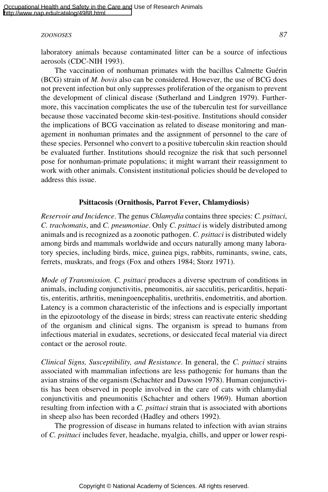laboratory animals because contaminated litter can be a source of infectious aerosols (CDC-NIH 1993).

The vaccination of nonhuman primates with the bacillus Calmette Guérin (BCG) strain of *M. bovis* also can be considered. However, the use of BCG does not prevent infection but only suppresses proliferation of the organism to prevent the development of clinical disease (Sutherland and Lindgren 1979). Furthermore, this vaccination complicates the use of the tuberculin test for surveillance because those vaccinated become skin-test-positive. Institutions should consider the implications of BCG vaccination as related to disease monitoring and management in nonhuman primates and the assignment of personnel to the care of these species. Personnel who convert to a positive tuberculin skin reaction should be evaluated further. Institutions should recognize the risk that such personnel pose for nonhuman-primate populations; it might warrant their reassignment to work with other animals. Consistent institutional policies should be developed to address this issue.

# **Psittacosis (Ornithosis, Parrot Fever, Chlamydiosis)**

*Reservoir and Incidence*. The genus *Chlamydia* contains three species: *C. psittaci*, *C. trachomatis*, and *C. pneumoniae*. Only *C. psittaci* is widely distributed among animals and is recognized as a zoonotic pathogen. *C. psittaci* is distributed widely among birds and mammals worldwide and occurs naturally among many laboratory species, including birds, mice, guinea pigs, rabbits, ruminants, swine, cats, ferrets, muskrats, and frogs (Fox and others 1984; Storz 1971).

*Mode of Transmission*. *C. psittaci* produces a diverse spectrum of conditions in animals, including conjunctivitis, pneumonitis, air sacculitis, pericarditis, hepatitis, enteritis, arthritis, meningoencephalitis, urethritis, endometritis, and abortion. Latency is a common characteristic of the infections and is especially important in the epizootology of the disease in birds; stress can reactivate enteric shedding of the organism and clinical signs. The organism is spread to humans from infectious material in exudates, secretions, or desiccated fecal material via direct contact or the aerosol route.

*Clinical Signs, Susceptibility, and Resistance*. In general, the *C. psittaci* strains associated with mammalian infections are less pathogenic for humans than the avian strains of the organism (Schachter and Dawson 1978). Human conjunctivitis has been observed in people involved in the care of cats with chlamydial conjunctivitis and pneumonitis (Schachter and others 1969). Human abortion resulting from infection with a *C. psittaci* strain that is associated with abortions in sheep also has been recorded (Hadley and others 1992).

The progression of disease in humans related to infection with avian strains of *C. psittaci* includes fever, headache, myalgia, chills, and upper or lower respi-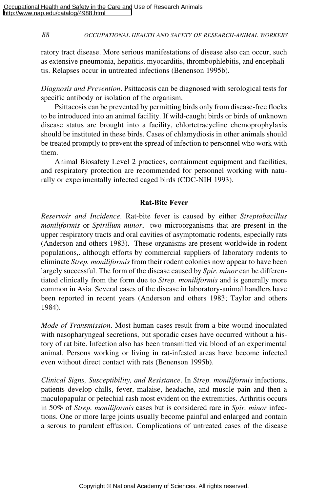ratory tract disease. More serious manifestations of disease also can occur, such as extensive pneumonia, hepatitis, myocarditis, thrombophlebitis, and encephalitis. Relapses occur in untreated infections (Benenson 1995b).

*Diagnosis and Prevention*. Psittacosis can be diagnosed with serological tests for specific antibody or isolation of the organism.

Psittacosis can be prevented by permitting birds only from disease-free flocks to be introduced into an animal facility. If wild-caught birds or birds of unknown disease status are brought into a facility, chlortetracycline chemoprophylaxis should be instituted in these birds. Cases of chlamydiosis in other animals should be treated promptly to prevent the spread of infection to personnel who work with them.

Animal Biosafety Level 2 practices, containment equipment and facilities, and respiratory protection are recommended for personnel working with naturally or experimentally infected caged birds (CDC-NIH 1993).

# **Rat-Bite Fever**

*Reservoir and Incidence*. Rat-bite fever is caused by either *Streptobacillus moniliformis* or *Spirillum minor*, two microorganisms that are present in the upper respiratory tracts and oral cavities of asymptomatic rodents, especially rats (Anderson and others 1983). These organisms are present worldwide in rodent populations,. although efforts by commercial suppliers of laboratory rodents to eliminate *Strep. moniliformis* from their rodent colonies now appear to have been largely successful. The form of the disease caused by *Spir. minor* can be differentiated clinically from the form due to *Strep. moniliformis* and is generally more common in Asia. Several cases of the disease in laboratory-animal handlers have been reported in recent years (Anderson and others 1983; Taylor and others 1984).

*Mode of Transmission*. Most human cases result from a bite wound inoculated with nasopharyngeal secretions, but sporadic cases have occurred without a history of rat bite. Infection also has been transmitted via blood of an experimental animal. Persons working or living in rat-infested areas have become infected even without direct contact with rats (Benenson 1995b).

*Clinical Signs, Susceptibility, and Resistance*. In *Strep. moniliformis* infections, patients develop chills, fever, malaise, headache, and muscle pain and then a maculopapular or petechial rash most evident on the extremities. Arthritis occurs in 50% of *Strep. moniliformis* cases but is considered rare in *Spir. minor* infections. One or more large joints usually become painful and enlarged and contain a serous to purulent effusion. Complications of untreated cases of the disease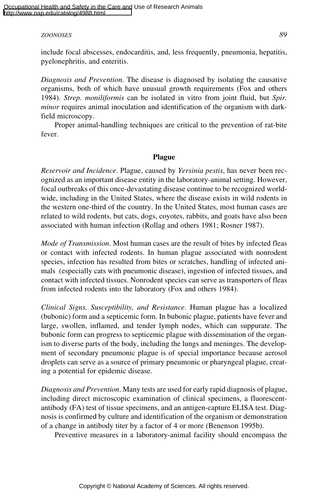include focal abscesses, endocarditis, and, less frequently, pneumonia, hepatitis, pyelonephritis, and enteritis.

*Diagnosis and Prevention*. The disease is diagnosed by isolating the causative organisms, both of which have unusual growth requirements (Fox and others 1984). *Strep. moniliformis* can be isolated in vitro from joint fluid, but *Spir. minor* requires animal inoculation and identification of the organism with darkfield microscopy.

Proper animal-handling techniques are critical to the prevention of rat-bite fever.

#### **Plague**

*Reservoir and Incidence*. Plague, caused by *Yersinia pestis*, has never been recognized as an important disease entity in the laboratory-animal setting. However, focal outbreaks of this once-devastating disease continue to be recognized worldwide, including in the United States, where the disease exists in wild rodents in the western one-third of the country. In the United States, most human cases are related to wild rodents, but cats, dogs, coyotes, rabbits, and goats have also been associated with human infection (Rollag and others 1981; Rosner 1987).

*Mode of Transmission*. Most human cases are the result of bites by infected fleas or contact with infected rodents. In human plague associated with nonrodent species, infection has resulted from bites or scratches, handling of infected animals (especially cats with pneumonic disease), ingestion of infected tissues, and contact with infected tissues. Nonrodent species can serve as transporters of fleas from infected rodents into the laboratory (Fox and others 1984).

*Clinical Signs, Susceptibility, and Resistance*. Human plague has a localized (bubonic) form and a septicemic form. In bubonic plague, patients have fever and large, swollen, inflamed, and tender lymph nodes, which can suppurate. The bubonic form can progress to septicemic plague with dissemination of the organism to diverse parts of the body, including the lungs and meninges. The development of secondary pneumonic plague is of special importance because aerosol droplets can serve as a source of primary pneumonic or pharyngeal plague, creating a potential for epidemic disease.

*Diagnosis and Prevention*. Many tests are used for early rapid diagnosis of plague, including direct microscopic examination of clinical specimens, a fluorescentantibody (FA) test of tissue specimens, and an antigen-capture ELISA test. Diagnosis is confirmed by culture and identification of the organism or demonstration of a change in antibody titer by a factor of 4 or more (Benenson 1995b).

Preventive measures in a laboratory-animal facility should encompass the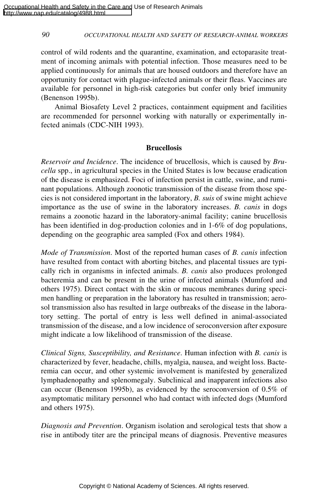control of wild rodents and the quarantine, examination, and ectoparasite treatment of incoming animals with potential infection. Those measures need to be applied continuously for animals that are housed outdoors and therefore have an opportunity for contact with plague-infected animals or their fleas. Vaccines are available for personnel in high-risk categories but confer only brief immunity (Benenson 1995b).

Animal Biosafety Level 2 practices, containment equipment and facilities are recommended for personnel working with naturally or experimentally infected animals (CDC-NIH 1993).

#### **Brucellosis**

*Reservoir and Incidence*. The incidence of brucellosis, which is caused by *Brucella* spp., in agricultural species in the United States is low because eradication of the disease is emphasized. Foci of infection persist in cattle, swine, and ruminant populations. Although zoonotic transmission of the disease from those species is not considered important in the laboratory, *B. suis* of swine might achieve importance as the use of swine in the laboratory increases. *B. canis* in dogs remains a zoonotic hazard in the laboratory-animal facility; canine brucellosis has been identified in dog-production colonies and in 1-6% of dog populations, depending on the geographic area sampled (Fox and others 1984).

*Mode of Transmission*. Most of the reported human cases of *B. canis* infection have resulted from contact with aborting bitches, and placental tissues are typically rich in organisms in infected animals. *B. canis* also produces prolonged bacteremia and can be present in the urine of infected animals (Mumford and others 1975). Direct contact with the skin or mucous membranes during specimen handling or preparation in the laboratory has resulted in transmission; aerosol transmission also has resulted in large outbreaks of the disease in the laboratory setting. The portal of entry is less well defined in animal-associated transmission of the disease, and a low incidence of seroconversion after exposure might indicate a low likelihood of transmission of the disease.

*Clinical Signs, Susceptibility, and Resistance*. Human infection with *B. canis* is characterized by fever, headache, chills, myalgia, nausea, and weight loss. Bacteremia can occur, and other systemic involvement is manifested by generalized lymphadenopathy and splenomegaly. Subclinical and inapparent infections also can occur (Benenson 1995b), as evidenced by the seroconversion of 0.5% of asymptomatic military personnel who had contact with infected dogs (Mumford and others 1975).

*Diagnosis and Prevention*. Organism isolation and serological tests that show a rise in antibody titer are the principal means of diagnosis. Preventive measures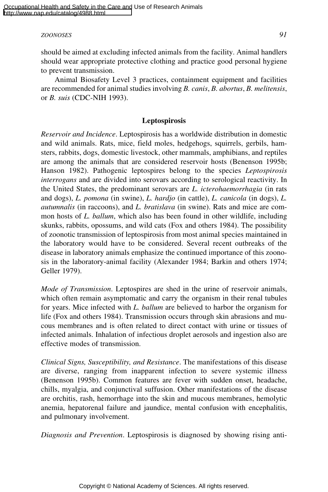should be aimed at excluding infected animals from the facility. Animal handlers should wear appropriate protective clothing and practice good personal hygiene to prevent transmission.

Animal Biosafety Level 3 practices, containment equipment and facilities are recommended for animal studies involving *B. canis*, *B. abortus*, *B. melitensis*, or *B. suis* (CDC-NIH 1993).

#### **Leptospirosis**

*Reservoir and Incidence*. Leptospirosis has a worldwide distribution in domestic and wild animals. Rats, mice, field moles, hedgehogs, squirrels, gerbils, hamsters, rabbits, dogs, domestic livestock, other mammals, amphibians, and reptiles are among the animals that are considered reservoir hosts (Benenson 1995b; Hanson 1982). Pathogenic leptospires belong to the species *Leptospirosis interrogans* and are divided into serovars according to serological reactivity. In the United States, the predominant serovars are *L. icterohaemorrhagia* (in rats and dogs), *L. pomona* (in swine), *L. hardjo* (in cattle), *L. canicola* (in dogs), *L. autumnalis* (in raccoons), and *L. bratislava* (in swine). Rats and mice are common hosts of *L. ballum*, which also has been found in other wildlife, including skunks, rabbits, opossums, and wild cats (Fox and others 1984). The possibility of zoonotic transmission of leptospirosis from most animal species maintained in the laboratory would have to be considered. Several recent outbreaks of the disease in laboratory animals emphasize the continued importance of this zoonosis in the laboratory-animal facility (Alexander 1984; Barkin and others 1974; Geller 1979).

*Mode of Transmission*. Leptospires are shed in the urine of reservoir animals, which often remain asymptomatic and carry the organism in their renal tubules for years. Mice infected with *L. ballum* are believed to harbor the organism for life (Fox and others 1984). Transmission occurs through skin abrasions and mucous membranes and is often related to direct contact with urine or tissues of infected animals. Inhalation of infectious droplet aerosols and ingestion also are effective modes of transmission.

*Clinical Signs, Susceptibility, and Resistance*. The manifestations of this disease are diverse, ranging from inapparent infection to severe systemic illness (Benenson 1995b). Common features are fever with sudden onset, headache, chills, myalgia, and conjunctival suffusion. Other manifestations of the disease are orchitis, rash, hemorrhage into the skin and mucous membranes, hemolytic anemia, hepatorenal failure and jaundice, mental confusion with encephalitis, and pulmonary involvement.

*Diagnosis and Prevention*. Leptospirosis is diagnosed by showing rising anti-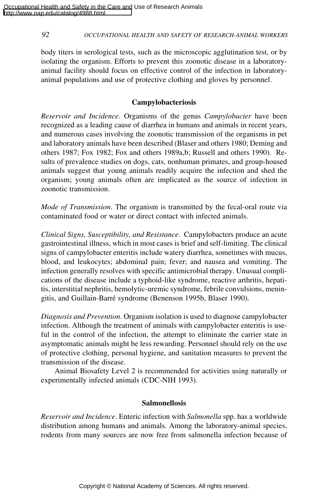body titers in serological tests, such as the microscopic agglutination test, or by isolating the organism. Efforts to prevent this zoonotic disease in a laboratoryanimal facility should focus on effective control of the infection in laboratoryanimal populations and use of protective clothing and gloves by personnel.

# **Campylobacteriosis**

*Reservoir and Incidence*. Organisms of the genus *Campylobacter* have been recognized as a leading cause of diarrhea in humans and animals in recent years, and numerous cases involving the zoonotic transmission of the organisms in pet and laboratory animals have been described (Blaser and others 1980; Deming and others 1987; Fox 1982; Fox and others 1989a,b; Russell and others 1990). Results of prevalence studies on dogs, cats, nonhuman primates, and group-housed animals suggest that young animals readily acquire the infection and shed the organism; young animals often are implicated as the source of infection in zoonotic transmission.

*Mode of Transmission*. The organism is transmitted by the fecal-oral route via contaminated food or water or direct contact with infected animals.

*Clinical Signs, Susceptibility, and Resistance*. Campylobacters produce an acute gastrointestinal illness, which in most cases is brief and self-limiting. The clinical signs of campylobacter enteritis include watery diarrhea, sometimes with mucus, blood, and leukocytes; abdominal pain; fever; and nausea and vomiting. The infection generally resolves with specific antimicrobial therapy. Unusual complications of the disease include a typhoid-like syndrome, reactive arthritis, hepatitis, interstitial nephritis, hemolytic-uremic syndrome, febrile convulsions, meningitis, and Guillain-Barré syndrome (Benenson 1995b, Blaser 1990).

*Diagnosis and Prevention*. Organism isolation is used to diagnose campylobacter infection. Although the treatment of animals with campylobacter enteritis is useful in the control of the infection, the attempt to eliminate the carrier state in asymptomatic animals might be less rewarding. Personnel should rely on the use of protective clothing, personal hygiene, and sanitation measures to prevent the transmission of the disease.

Animal Biosafety Level 2 is recommended for activities using naturally or experimentally infected animals (CDC-NIH 1993).

# **Salmonellosis**

*Reservoir and Incidence*. Enteric infection with *Salmonella* spp. has a worldwide distribution among humans and animals. Among the laboratory-animal species, rodents from many sources are now free from salmonella infection because of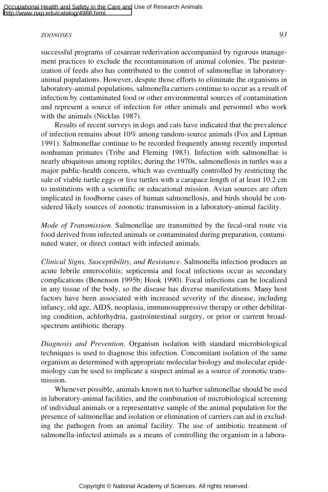successful programs of cesarean rederivation accompanied by rigorous management practices to exclude the recontamination of animal colonies. The pasteurization of feeds also has contributed to the control of salmonellae in laboratoryanimal populations. However, despite those efforts to eliminate the organisms in laboratory-animal populations, salmonella carriers continue to occur as a result of infection by contaminated food or other environmental sources of contamination and represent a source of infection for other animals and personnel who work with the animals (Nicklas 1987).

Results of recent surveys in dogs and cats have indicated that the prevalence of infection remains about 10% among random-source animals (Fox and Lipman 1991). Salmonellae continue to be recorded frequently among recently imported nonhuman primates (Tribe and Fleming 1983). Infection with salmonellae is nearly ubiquitous among reptiles; during the 1970s, salmonellosis in turtles was a major public-health concern, which was eventually controlled by restricting the sale of viable turtle eggs or live turtles with a carapace length of at least 10.2 cm to institutions with a scientific or educational mission. Avian sources are often implicated in foodborne cases of human salmonellosis, and birds should be considered likely sources of zoonotic transmission in a laboratory-animal facility.

*Mode of Transmission*. Salmonellae are transmitted by the fecal-oral route via food derived from infected animals or contaminated during preparation, contaminated water, or direct contact with infected animals.

*Clinical Signs, Susceptibility, and Resistance*. Salmonella infection produces an acute febrile enterocolitis; septicemia and focal infections occur as secondary complications (Benenson 1995b; Hook 1990). Focal infections can be localized in any tissue of the body, so the disease has diverse manifestations. Many host factors have been associated with increased severity of the disease, including infancy, old age, AIDS, neoplasia, immunosuppressive therapy or other debilitating condition, achlorhydria, gastrointestinal surgery, or prior or current broadspectrum antibiotic therapy.

*Diagnosis and Prevention*. Organism isolation with standard microbiological techniques is used to diagnose this infection. Concomitant isolation of the same organism as determined with appropriate molecular biology and molecular epidemiology can be used to implicate a suspect animal as a source of zoonotic transmission.

Whenever possible, animals known not to harbor salmonellae should be used in laboratory-animal facilities, and the combination of microbiological screening of individual animals or a representative sample of the animal population for the presence of salmonellae and isolation or elimination of carriers can aid in excluding the pathogen from an animal facility. The use of antibiotic treatment of salmonella-infected animals as a means of controlling the organism in a labora-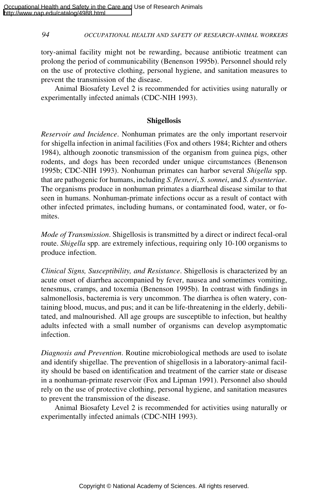tory-animal facility might not be rewarding, because antibiotic treatment can prolong the period of communicability (Benenson 1995b). Personnel should rely on the use of protective clothing, personal hygiene, and sanitation measures to prevent the transmission of the disease.

Animal Biosafety Level 2 is recommended for activities using naturally or experimentally infected animals (CDC-NIH 1993).

### **Shigellosis**

*Reservoir and Incidence*. Nonhuman primates are the only important reservoir for shigella infection in animal facilities (Fox and others 1984; Richter and others 1984), although zoonotic transmission of the organism from guinea pigs, other rodents, and dogs has been recorded under unique circumstances (Benenson 1995b; CDC-NIH 1993). Nonhuman primates can harbor several *Shigella* spp. that are pathogenic for humans, including *S. flexneri*, *S. sonnei*, and *S. dysenteriae*. The organisms produce in nonhuman primates a diarrheal disease similar to that seen in humans. Nonhuman-primate infections occur as a result of contact with other infected primates, including humans, or contaminated food, water, or fomites.

*Mode of Transmission*. Shigellosis is transmitted by a direct or indirect fecal-oral route. *Shigella* spp. are extremely infectious, requiring only 10-100 organisms to produce infection.

*Clinical Signs, Susceptibility, and Resistance*. Shigellosis is characterized by an acute onset of diarrhea accompanied by fever, nausea and sometimes vomiting, tenesmus, cramps, and toxemia (Benenson 1995b). In contrast with findings in salmonellosis, bacteremia is very uncommon. The diarrhea is often watery, containing blood, mucus, and pus; and it can be life-threatening in the elderly, debilitated, and malnourished. All age groups are susceptible to infection, but healthy adults infected with a small number of organisms can develop asymptomatic infection.

*Diagnosis and Prevention*. Routine microbiological methods are used to isolate and identify shigellae. The prevention of shigellosis in a laboratory-animal facility should be based on identification and treatment of the carrier state or disease in a nonhuman-primate reservoir (Fox and Lipman 1991). Personnel also should rely on the use of protective clothing, personal hygiene, and sanitation measures to prevent the transmission of the disease.

Animal Biosafety Level 2 is recommended for activities using naturally or experimentally infected animals (CDC-NIH 1993).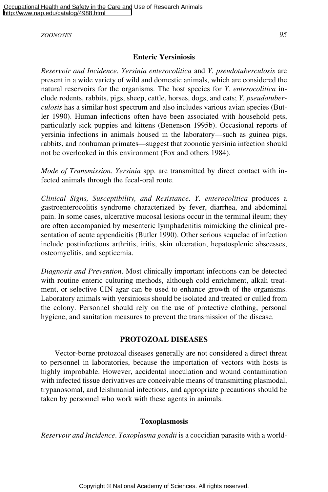#### **Enteric Yersiniosis**

*Reservoir and Incidence*. *Yersinia enterocolitica* and *Y. pseudotuberculosis* are present in a wide variety of wild and domestic animals, which are considered the natural reservoirs for the organisms. The host species for *Y. enterocolitica* include rodents, rabbits, pigs, sheep, cattle, horses, dogs, and cats; *Y. pseudotuberculosis* has a similar host spectrum and also includes various avian species (Butler 1990). Human infections often have been associated with household pets, particularly sick puppies and kittens (Benenson 1995b). Occasional reports of yersinia infections in animals housed in the laboratory—such as guinea pigs, rabbits, and nonhuman primates—suggest that zoonotic yersinia infection should not be overlooked in this environment (Fox and others 1984).

*Mode of Transmission*. *Yersinia* spp. are transmitted by direct contact with infected animals through the fecal-oral route.

*Clinical Signs, Susceptibility, and Resistance*. *Y. enterocolitica* produces a gastroenterocolitis syndrome characterized by fever, diarrhea, and abdominal pain. In some cases, ulcerative mucosal lesions occur in the terminal ileum; they are often accompanied by mesenteric lymphadenitis mimicking the clinical presentation of acute appendicitis (Butler 1990). Other serious sequelae of infection include postinfectious arthritis, iritis, skin ulceration, hepatosplenic abscesses, osteomyelitis, and septicemia.

*Diagnosis and Prevention*. Most clinically important infections can be detected with routine enteric culturing methods, although cold enrichment, alkali treatment, or selective CIN agar can be used to enhance growth of the organisms. Laboratory animals with yersiniosis should be isolated and treated or culled from the colony. Personnel should rely on the use of protective clothing, personal hygiene, and sanitation measures to prevent the transmission of the disease.

# **PROTOZOAL DISEASES**

Vector-borne protozoal diseases generally are not considered a direct threat to personnel in laboratories, because the importation of vectors with hosts is highly improbable. However, accidental inoculation and wound contamination with infected tissue derivatives are conceivable means of transmitting plasmodal, trypanosomal, and leishmanial infections, and appropriate precautions should be taken by personnel who work with these agents in animals.

#### **Toxoplasmosis**

*Reservoir and Incidence*. *Toxoplasma gondii* is a coccidian parasite with a world-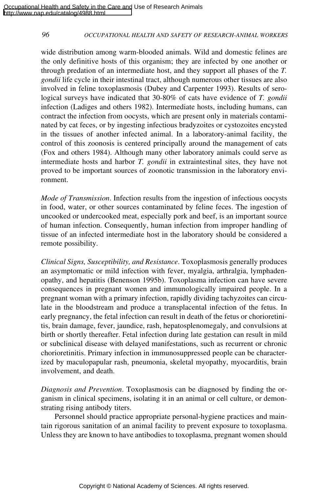wide distribution among warm-blooded animals. Wild and domestic felines are the only definitive hosts of this organism; they are infected by one another or through predation of an intermediate host, and they support all phases of the *T. gondii* life cycle in their intestinal tract, although numerous other tissues are also involved in feline toxoplasmosis (Dubey and Carpenter 1993). Results of serological surveys have indicated that 30-80% of cats have evidence of *T. gondii* infection (Ladiges and others 1982). Intermediate hosts, including humans, can contract the infection from oocysts, which are present only in materials contaminated by cat feces, or by ingesting infectious bradyzoites or cystozoites encysted in the tissues of another infected animal. In a laboratory-animal facility, the control of this zoonosis is centered principally around the management of cats (Fox and others 1984). Although many other laboratory animals could serve as intermediate hosts and harbor *T. gondii* in extraintestinal sites, they have not proved to be important sources of zoonotic transmission in the laboratory environment.

*Mode of Transmission*. Infection results from the ingestion of infectious oocysts in food, water, or other sources contaminated by feline feces. The ingestion of uncooked or undercooked meat, especially pork and beef, is an important source of human infection. Consequently, human infection from improper handling of tissue of an infected intermediate host in the laboratory should be considered a remote possibility.

*Clinical Signs, Susceptibility, and Resistance*. Toxoplasmosis generally produces an asymptomatic or mild infection with fever, myalgia, arthralgia, lymphadenopathy, and hepatitis (Benenson 1995b). Toxoplasma infection can have severe consequences in pregnant women and immunologically impaired people. In a pregnant woman with a primary infection, rapidly dividing tachyzoites can circulate in the bloodstream and produce a transplacental infection of the fetus. In early pregnancy, the fetal infection can result in death of the fetus or chorioretinitis, brain damage, fever, jaundice, rash, hepatosplenomegaly, and convulsions at birth or shortly thereafter. Fetal infection during late gestation can result in mild or subclinical disease with delayed manifestations, such as recurrent or chronic chorioretinitis. Primary infection in immunosuppressed people can be characterized by maculopapular rash, pneumonia, skeletal myopathy, myocarditis, brain involvement, and death.

*Diagnosis and Prevention*. Toxoplasmosis can be diagnosed by finding the organism in clinical specimens, isolating it in an animal or cell culture, or demonstrating rising antibody titers.

Personnel should practice appropriate personal-hygiene practices and maintain rigorous sanitation of an animal facility to prevent exposure to toxoplasma. Unless they are known to have antibodies to toxoplasma, pregnant women should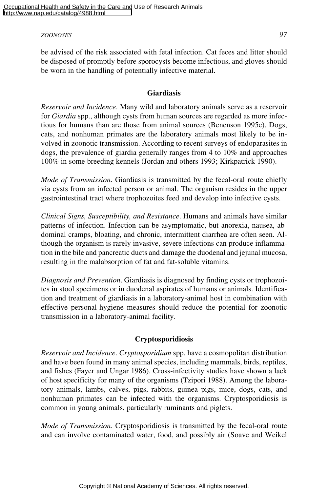#### *ZOONOSES 97*

be advised of the risk associated with fetal infection. Cat feces and litter should be disposed of promptly before sporocysts become infectious, and gloves should be worn in the handling of potentially infective material.

## **Giardiasis**

*Reservoir and Incidence*. Many wild and laboratory animals serve as a reservoir for *Giardia* spp., although cysts from human sources are regarded as more infectious for humans than are those from animal sources (Benenson 1995c). Dogs, cats, and nonhuman primates are the laboratory animals most likely to be involved in zoonotic transmission. According to recent surveys of endoparasites in dogs, the prevalence of giardia generally ranges from 4 to 10% and approaches 100% in some breeding kennels (Jordan and others 1993; Kirkpatrick 1990).

*Mode of Transmission*. Giardiasis is transmitted by the fecal-oral route chiefly via cysts from an infected person or animal. The organism resides in the upper gastrointestinal tract where trophozoites feed and develop into infective cysts.

*Clinical Signs, Susceptibility, and Resistance*. Humans and animals have similar patterns of infection. Infection can be asymptomatic, but anorexia, nausea, abdominal cramps, bloating, and chronic, intermittent diarrhea are often seen. Although the organism is rarely invasive, severe infections can produce inflammation in the bile and pancreatic ducts and damage the duodenal and jejunal mucosa, resulting in the malabsorption of fat and fat-soluble vitamins.

*Diagnosis and Prevention*. Giardiasis is diagnosed by finding cysts or trophozoites in stool specimens or in duodenal aspirates of humans or animals. Identification and treatment of giardiasis in a laboratory-animal host in combination with effective personal-hygiene measures should reduce the potential for zoonotic transmission in a laboratory-animal facility.

## **Cryptosporidiosis**

*Reservoir and Incidence*. *Cryptosporidium* spp. have a cosmopolitan distribution and have been found in many animal species, including mammals, birds, reptiles, and fishes (Fayer and Ungar 1986). Cross-infectivity studies have shown a lack of host specificity for many of the organisms (Tzipori 1988). Among the laboratory animals, lambs, calves, pigs, rabbits, guinea pigs, mice, dogs, cats, and nonhuman primates can be infected with the organisms. Cryptosporidiosis is common in young animals, particularly ruminants and piglets.

*Mode of Transmission*. Cryptosporidiosis is transmitted by the fecal-oral route and can involve contaminated water, food, and possibly air (Soave and Weikel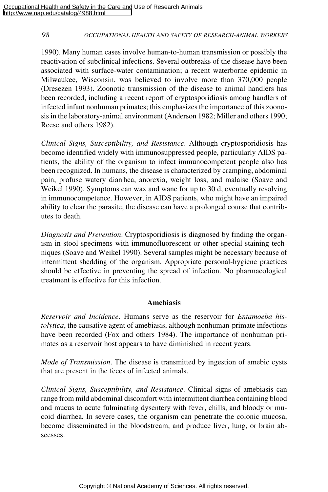1990). Many human cases involve human-to-human transmission or possibly the reactivation of subclinical infections. Several outbreaks of the disease have been associated with surface-water contamination; a recent waterborne epidemic in Milwaukee, Wisconsin, was believed to involve more than 370,000 people (Dresezen 1993). Zoonotic transmission of the disease to animal handlers has been recorded, including a recent report of cryptosporidiosis among handlers of infected infant nonhuman primates; this emphasizes the importance of this zoonosis in the laboratory-animal environment (Anderson 1982; Miller and others 1990; Reese and others 1982).

*Clinical Signs, Susceptibility, and Resistance*. Although cryptosporidiosis has become identified widely with immunosuppressed people, particularly AIDS patients, the ability of the organism to infect immunocompetent people also has been recognized. In humans, the disease is characterized by cramping, abdominal pain, profuse watery diarrhea, anorexia, weight loss, and malaise (Soave and Weikel 1990). Symptoms can wax and wane for up to 30 d, eventually resolving in immunocompetence. However, in AIDS patients, who might have an impaired ability to clear the parasite, the disease can have a prolonged course that contributes to death.

*Diagnosis and Prevention*. Cryptosporidiosis is diagnosed by finding the organism in stool specimens with immunofluorescent or other special staining techniques (Soave and Weikel 1990). Several samples might be necessary because of intermittent shedding of the organism. Appropriate personal-hygiene practices should be effective in preventing the spread of infection. No pharmacological treatment is effective for this infection.

## **Amebiasis**

*Reservoir and Incidence*. Humans serve as the reservoir for *Entamoeba histolytica*, the causative agent of amebiasis, although nonhuman-primate infections have been recorded (Fox and others 1984). The importance of nonhuman primates as a reservoir host appears to have diminished in recent years.

*Mode of Transmission*. The disease is transmitted by ingestion of amebic cysts that are present in the feces of infected animals.

*Clinical Signs, Susceptibility, and Resistance*. Clinical signs of amebiasis can range from mild abdominal discomfort with intermittent diarrhea containing blood and mucus to acute fulminating dysentery with fever, chills, and bloody or mucoid diarrhea. In severe cases, the organism can penetrate the colonic mucosa, become disseminated in the bloodstream, and produce liver, lung, or brain abscesses.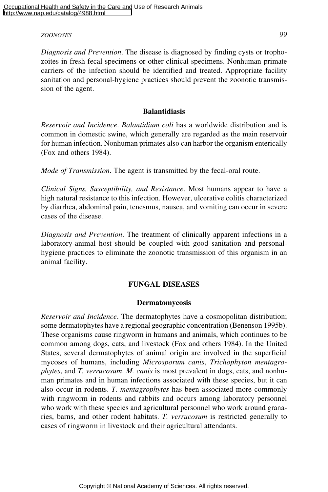#### *ZOONOSES 99*

*Diagnosis and Prevention*. The disease is diagnosed by finding cysts or trophozoites in fresh fecal specimens or other clinical specimens. Nonhuman-primate carriers of the infection should be identified and treated. Appropriate facility sanitation and personal-hygiene practices should prevent the zoonotic transmission of the agent.

#### **Balantidiasis**

*Reservoir and Incidence*. *Balantidium coli* has a worldwide distribution and is common in domestic swine, which generally are regarded as the main reservoir for human infection. Nonhuman primates also can harbor the organism enterically (Fox and others 1984).

*Mode of Transmission*. The agent is transmitted by the fecal-oral route.

*Clinical Signs, Susceptibility, and Resistance*. Most humans appear to have a high natural resistance to this infection. However, ulcerative colitis characterized by diarrhea, abdominal pain, tenesmus, nausea, and vomiting can occur in severe cases of the disease.

*Diagnosis and Prevention*. The treatment of clinically apparent infections in a laboratory-animal host should be coupled with good sanitation and personalhygiene practices to eliminate the zoonotic transmission of this organism in an animal facility.

# **FUNGAL DISEASES**

## **Dermatomycosis**

*Reservoir and Incidence*. The dermatophytes have a cosmopolitan distribution; some dermatophytes have a regional geographic concentration (Benenson 1995b). These organisms cause ringworm in humans and animals, which continues to be common among dogs, cats, and livestock (Fox and others 1984). In the United States, several dermatophytes of animal origin are involved in the superficial mycoses of humans, including *Microsporum canis*, *Trichophyton mentagrophytes*, and *T. verrucosum*. *M. canis* is most prevalent in dogs, cats, and nonhuman primates and in human infections associated with these species, but it can also occur in rodents. *T. mentagrophytes* has been associated more commonly with ringworm in rodents and rabbits and occurs among laboratory personnel who work with these species and agricultural personnel who work around granaries, barns, and other rodent habitats. *T. verrucosum* is restricted generally to cases of ringworm in livestock and their agricultural attendants.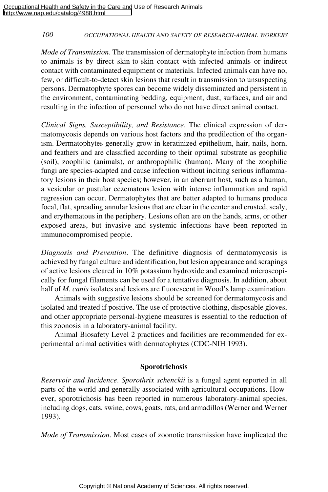*Mode of Transmission*. The transmission of dermatophyte infection from humans to animals is by direct skin-to-skin contact with infected animals or indirect contact with contaminated equipment or materials. Infected animals can have no, few, or difficult-to-detect skin lesions that result in transmission to unsuspecting persons. Dermatophyte spores can become widely disseminated and persistent in the environment, contaminating bedding, equipment, dust, surfaces, and air and resulting in the infection of personnel who do not have direct animal contact.

*Clinical Signs, Susceptibility, and Resistance*. The clinical expression of dermatomycosis depends on various host factors and the predilection of the organism. Dermatophytes generally grow in keratinized epithelium, hair, nails, horn, and feathers and are classified according to their optimal substrate as geophilic (soil), zoophilic (animals), or anthropophilic (human). Many of the zoophilic fungi are species-adapted and cause infection without inciting serious inflammatory lesions in their host species; however, in an aberrant host, such as a human, a vesicular or pustular eczematous lesion with intense inflammation and rapid regression can occur. Dermatophytes that are better adapted to humans produce focal, flat, spreading annular lesions that are clear in the center and crusted, scaly, and erythematous in the periphery. Lesions often are on the hands, arms, or other exposed areas, but invasive and systemic infections have been reported in immunocompromised people.

*Diagnosis and Prevention*. The definitive diagnosis of dermatomycosis is achieved by fungal culture and identification, but lesion appearance and scrapings of active lesions cleared in 10% potassium hydroxide and examined microscopically for fungal filaments can be used for a tentative diagnosis. In addition, about half of *M. canis* isolates and lesions are fluorescent in Wood's lamp examination.

Animals with suggestive lesions should be screened for dermatomycosis and isolated and treated if positive. The use of protective clothing, disposable gloves, and other appropriate personal-hygiene measures is essential to the reduction of this zoonosis in a laboratory-animal facility.

Animal Biosafety Level 2 practices and facilities are recommended for experimental animal activities with dermatophytes (CDC-NIH 1993).

# **Sporotrichosis**

*Reservoir and Incidence*. *Sporothrix schenckii* is a fungal agent reported in all parts of the world and generally associated with agricultural occupations. However, sporotrichosis has been reported in numerous laboratory-animal species, including dogs, cats, swine, cows, goats, rats, and armadillos (Werner and Werner 1993).

*Mode of Transmission*. Most cases of zoonotic transmission have implicated the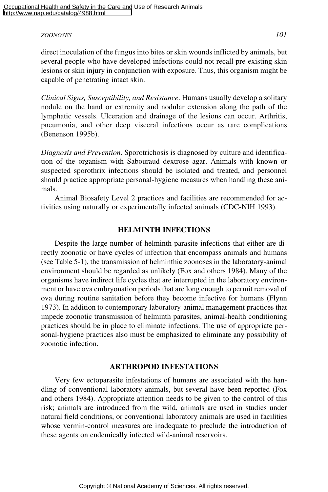#### *ZOONOSES 101*

direct inoculation of the fungus into bites or skin wounds inflicted by animals, but several people who have developed infections could not recall pre-existing skin lesions or skin injury in conjunction with exposure. Thus, this organism might be capable of penetrating intact skin.

*Clinical Signs, Susceptibility, and Resistance*. Humans usually develop a solitary nodule on the hand or extremity and nodular extension along the path of the lymphatic vessels. Ulceration and drainage of the lesions can occur. Arthritis, pneumonia, and other deep visceral infections occur as rare complications (Benenson 1995b).

*Diagnosis and Prevention*. Sporotrichosis is diagnosed by culture and identification of the organism with Sabouraud dextrose agar. Animals with known or suspected sporothrix infections should be isolated and treated, and personnel should practice appropriate personal-hygiene measures when handling these animals.

Animal Biosafety Level 2 practices and facilities are recommended for activities using naturally or experimentally infected animals (CDC-NIH 1993).

## **HELMINTH INFECTIONS**

Despite the large number of helminth-parasite infections that either are directly zoonotic or have cycles of infection that encompass animals and humans (see Table 5-1), the transmission of helminthic zoonoses in the laboratory-animal environment should be regarded as unlikely (Fox and others 1984). Many of the organisms have indirect life cycles that are interrupted in the laboratory environment or have ova embryonation periods that are long enough to permit removal of ova during routine sanitation before they become infective for humans (Flynn 1973). In addition to contemporary laboratory-animal management practices that impede zoonotic transmission of helminth parasites, animal-health conditioning practices should be in place to eliminate infections. The use of appropriate personal-hygiene practices also must be emphasized to eliminate any possibility of zoonotic infection.

#### **ARTHROPOD INFESTATIONS**

Very few ectoparasite infestations of humans are associated with the handling of conventional laboratory animals, but several have been reported (Fox and others 1984). Appropriate attention needs to be given to the control of this risk; animals are introduced from the wild, animals are used in studies under natural field conditions, or conventional laboratory animals are used in facilities whose vermin-control measures are inadequate to preclude the introduction of these agents on endemically infected wild-animal reservoirs.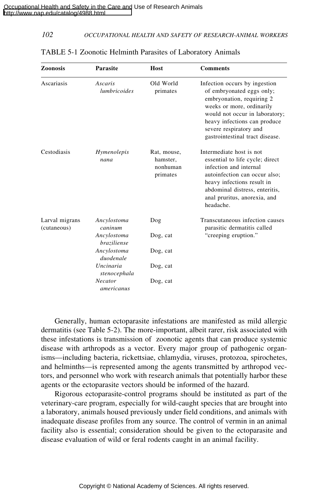| Zoonosis                      | <b>Parasite</b>                  | Host                                            | <b>Comments</b>                                                                                                                                                                                                                                     |
|-------------------------------|----------------------------------|-------------------------------------------------|-----------------------------------------------------------------------------------------------------------------------------------------------------------------------------------------------------------------------------------------------------|
| Ascariasis                    | Ascaris<br>lumbricoides          | Old World<br>primates                           | Infection occurs by ingestion<br>of embryonated eggs only;<br>embryonation, requiring 2<br>weeks or more, ordinarily<br>would not occur in laboratory;<br>heavy infections can produce<br>severe respiratory and<br>gastrointestinal tract disease. |
| Cestodiasis                   | Hymenolepis<br>nana              | Rat, mouse,<br>hamster,<br>nonhuman<br>primates | Intermediate host is not<br>essential to life cycle; direct<br>infection and internal<br>autoinfection can occur also;<br>heavy infections result in<br>abdominal distress, enteritis,<br>anal pruritus, anorexia, and<br>headache.                 |
| Larval migrans<br>(cutaneous) | Ancylostoma<br>$c$ <i>aninum</i> | Dog                                             | Transcutaneous infection causes<br>parasitic dermatitis called                                                                                                                                                                                      |
|                               | Ancylostoma<br>braziliense       | Dog, cat                                        | "creeping eruption."                                                                                                                                                                                                                                |
|                               | Ancylostoma<br>duodenale         | Dog, cat                                        |                                                                                                                                                                                                                                                     |
|                               | Uncinaria<br>stenocephala        | Dog, cat                                        |                                                                                                                                                                                                                                                     |
|                               | <b>Necator</b><br>americanus     | Dog, cat                                        |                                                                                                                                                                                                                                                     |

#### TABLE 5-1 Zoonotic Helminth Parasites of Laboratory Animals

Generally, human ectoparasite infestations are manifested as mild allergic dermatitis (see Table 5-2). The more-important, albeit rarer, risk associated with these infestations is transmission of zoonotic agents that can produce systemic disease with arthropods as a vector. Every major group of pathogenic organisms—including bacteria, rickettsiae, chlamydia, viruses, protozoa, spirochetes, and helminths—is represented among the agents transmitted by arthropod vectors, and personnel who work with research animals that potentially harbor these agents or the ectoparasite vectors should be informed of the hazard.

Rigorous ectoparasite-control programs should be instituted as part of the veterinary-care program, especially for wild-caught species that are brought into a laboratory, animals housed previously under field conditions, and animals with inadequate disease profiles from any source. The control of vermin in an animal facility also is essential; consideration should be given to the ectoparasite and disease evaluation of wild or feral rodents caught in an animal facility.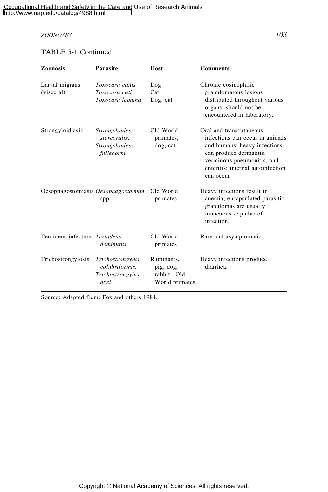## *ZOONOSES 103*

## TABLE 5-1 Continued

| <b>Zoonosis</b>                    | <b>Parasite</b>                                                                   | Host                                                     | <b>Comments</b>                                                                                                                                                                                        |
|------------------------------------|-----------------------------------------------------------------------------------|----------------------------------------------------------|--------------------------------------------------------------------------------------------------------------------------------------------------------------------------------------------------------|
| Larval migrans<br>(visceral)       | Toxocara canis<br>Toxocara cati<br>Toxocara leonina                               | Dog<br>Cat<br>Dog, cat                                   | Chronic eosinophilic<br>granulomatous lesions<br>distributed throughout various<br>organs; should not be<br>encountered in laboratory.                                                                 |
| Strongyloidiasis                   | <i><u><b>Strongyloides</b></u></i><br>stercoralis,<br>Strongyloides<br>fulleborni | Old World<br>primates,<br>dog, cat                       | Oral and transcutaneous<br>infections can occur in animals<br>and humans; heavy infections<br>can produce dermatitis,<br>verminous pneumonitis, and<br>enteritis; internal autoinfection<br>can occur. |
| Oesophagostomiasis Oesophagostomum | spp.                                                                              | Old World<br>primates                                    | Heavy infections result in<br>anemia; encapsulated parasitic<br>granulomas are usually<br>innocuous sequelae of<br>infection.                                                                          |
| Ternidens infection Ternidens      | deminutus                                                                         | Old World<br>primates                                    | Rare and asymptomatic.                                                                                                                                                                                 |
| Trichostrongylosis                 | Trichostrongylus<br>colubriformis,<br>Trichostrongylus<br>axei                    | Ruminants.<br>pig, dog,<br>rabbit, Old<br>World primates | Heavy infections produce<br>diarrhea.                                                                                                                                                                  |

Source: Adapted from: Fox and others 1984.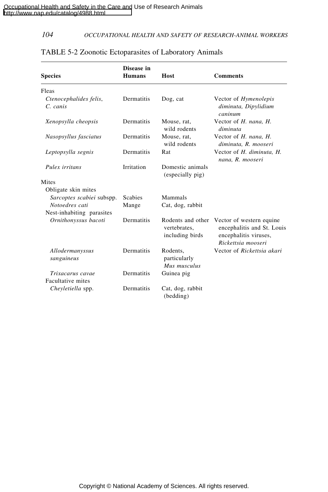| <b>Species</b>                      | Disease in<br><b>Humans</b> | Host                                     | <b>Comments</b>                                                                                                         |
|-------------------------------------|-----------------------------|------------------------------------------|-------------------------------------------------------------------------------------------------------------------------|
| Fleas                               |                             |                                          |                                                                                                                         |
| Ctenocephalides felis,<br>C. can is | Dermatitis                  | Dog, cat                                 | Vector of Hymenolepis<br>diminuta, Dipylidium<br>$c$ <i>aninum</i>                                                      |
| Xenopsylla cheopsis                 | Dermatitis                  | Mouse, rat,<br>wild rodents              | Vector of H. nana, H.<br>diminuta                                                                                       |
| Nasopsyllus fasciatus               | Dermatitis                  | Mouse, rat,<br>wild rodents              | Vector of H. nana, H.<br>diminuta, R. mooseri                                                                           |
| Leptopsylla segnis                  | Dermatitis                  | Rat                                      | Vector of H. diminuta, H.<br>nana, R. mooseri                                                                           |
| Pulex irritans                      | Irritation                  | Domestic animals<br>(especially pig)     |                                                                                                                         |
| Mites                               |                             |                                          |                                                                                                                         |
| Obligate skin mites                 |                             |                                          |                                                                                                                         |
| Sarcoptes scabiei subspp.           | <b>Scabies</b>              | Mammals                                  |                                                                                                                         |
| Notoedres cati                      | Mange                       | Cat, dog, rabbit                         |                                                                                                                         |
| Nest-inhabiting parasites           |                             |                                          |                                                                                                                         |
| Ornithonyssus bacoti                | Dermatitis                  | vertebrates.<br>including birds          | Rodents and other Vector of western equine<br>encephalitis and St. Louis<br>encephalitis viruses,<br>Rickettsia mooseri |
| Allodermanyssus<br>sanguineus       | Dermatitis                  | Rodents,<br>particularly<br>Mus musculus | Vector of Rickettsia akari                                                                                              |
| Trixacarus cavae                    | Dermatitis                  | Guinea pig                               |                                                                                                                         |
| <b>Facultative mites</b>            |                             |                                          |                                                                                                                         |
| Cheyletiella spp.                   | Dermatitis                  | Cat, dog, rabbit<br>(bedding)            |                                                                                                                         |

# TABLE 5-2 Zoonotic Ectoparasites of Laboratory Animals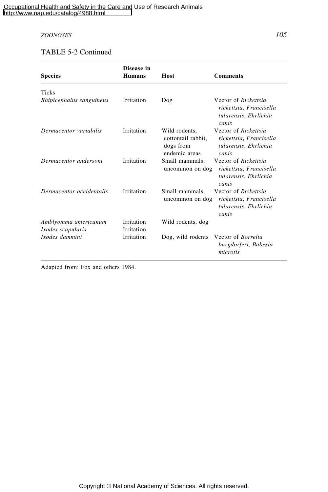## *ZOONOSES 105*

## TABLE 5-2 Continued

| <b>Species</b>                            | Disease in<br><b>Humans</b> | Host                                                              | <b>Comments</b>                                                                   |
|-------------------------------------------|-----------------------------|-------------------------------------------------------------------|-----------------------------------------------------------------------------------|
| <b>Ticks</b>                              |                             |                                                                   |                                                                                   |
| Rhipicephalus sanguineus                  | Irritation                  | Dog                                                               | Vector of Rickettsia<br>rickettsia, Francisella<br>tularensis, Ehrlichia<br>canis |
| Dermacentor variabilis                    | Irritation                  | Wild rodents,<br>cottontail rabbit,<br>dogs from<br>endemic areas | Vector of Rickettsia<br>rickettsia, Francisella<br>tularensis, Ehrlichia<br>canis |
| Dermacentor andersoni                     | Irritation                  | Small mammals,<br>uncommon on dog                                 | Vector of Rickettsia<br>rickettsia, Francisella<br>tularensis, Ehrlichia<br>canis |
| Dermacentor occidentalis                  | Irritation                  | Small mammals,<br>uncommon on dog                                 | Vector of Rickettsia<br>rickettsia, Francisella<br>tularensis, Ehrlichia<br>canis |
| Amblyomma americanum<br>Ixodes scapularis | Irritation<br>Irritation    | Wild rodents, dog                                                 |                                                                                   |
| Ixodes dammini                            | Irritation                  | Dog, wild rodents                                                 | Vector of <i>Borrelia</i><br>burgdorferi, Babesia<br>microtis                     |

Adapted from: Fox and others 1984.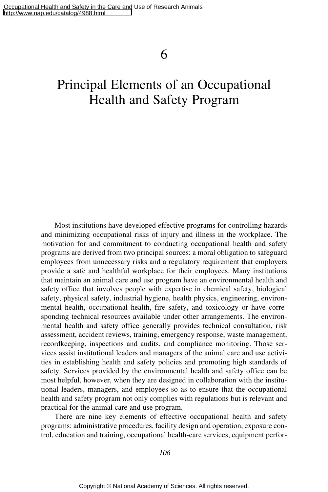6

# Principal Elements of an Occupational Health and Safety Program

Most institutions have developed effective programs for controlling hazards and minimizing occupational risks of injury and illness in the workplace. The motivation for and commitment to conducting occupational health and safety programs are derived from two principal sources: a moral obligation to safeguard employees from unnecessary risks and a regulatory requirement that employers provide a safe and healthful workplace for their employees. Many institutions that maintain an animal care and use program have an environmental health and safety office that involves people with expertise in chemical safety, biological safety, physical safety, industrial hygiene, health physics, engineering, environmental health, occupational health, fire safety, and toxicology or have corresponding technical resources available under other arrangements. The environmental health and safety office generally provides technical consultation, risk assessment, accident reviews, training, emergency response, waste management, recordkeeping, inspections and audits, and compliance monitoring. Those services assist institutional leaders and managers of the animal care and use activities in establishing health and safety policies and promoting high standards of safety. Services provided by the environmental health and safety office can be most helpful, however, when they are designed in collaboration with the institutional leaders, managers, and employees so as to ensure that the occupational health and safety program not only complies with regulations but is relevant and practical for the animal care and use program.

There are nine key elements of effective occupational health and safety programs: administrative procedures, facility design and operation, exposure control, education and training, occupational health-care services, equipment perfor-

*106*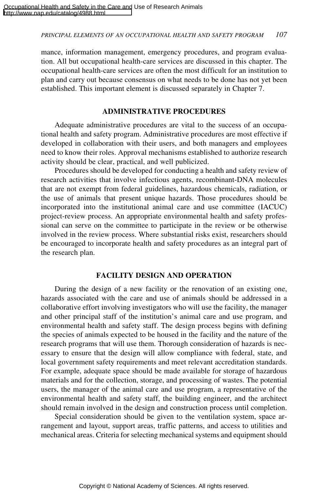#### *PRINCIPAL ELEMENTS OF AN OCCUPATIONAL HEALTH AND SAFETY PROGRAM 107*

mance, information management, emergency procedures, and program evaluation. All but occupational health-care services are discussed in this chapter. The occupational health-care services are often the most difficult for an institution to plan and carry out because consensus on what needs to be done has not yet been established. This important element is discussed separately in Chapter 7.

#### **ADMINISTRATIVE PROCEDURES**

Adequate administrative procedures are vital to the success of an occupational health and safety program. Administrative procedures are most effective if developed in collaboration with their users, and both managers and employees need to know their roles. Approval mechanisms established to authorize research activity should be clear, practical, and well publicized.

Procedures should be developed for conducting a health and safety review of research activities that involve infectious agents, recombinant-DNA molecules that are not exempt from federal guidelines, hazardous chemicals, radiation, or the use of animals that present unique hazards. Those procedures should be incorporated into the institutional animal care and use committee (IACUC) project-review process. An appropriate environmental health and safety professional can serve on the committee to participate in the review or be otherwise involved in the review process. Where substantial risks exist, researchers should be encouraged to incorporate health and safety procedures as an integral part of the research plan.

#### **FACILITY DESIGN AND OPERATION**

During the design of a new facility or the renovation of an existing one, hazards associated with the care and use of animals should be addressed in a collaborative effort involving investigators who will use the facility, the manager and other principal staff of the institution's animal care and use program, and environmental health and safety staff. The design process begins with defining the species of animals expected to be housed in the facility and the nature of the research programs that will use them. Thorough consideration of hazards is necessary to ensure that the design will allow compliance with federal, state, and local government safety requirements and meet relevant accreditation standards. For example, adequate space should be made available for storage of hazardous materials and for the collection, storage, and processing of wastes. The potential users, the manager of the animal care and use program, a representative of the environmental health and safety staff, the building engineer, and the architect should remain involved in the design and construction process until completion.

Special consideration should be given to the ventilation system, space arrangement and layout, support areas, traffic patterns, and access to utilities and mechanical areas. Criteria for selecting mechanical systems and equipment should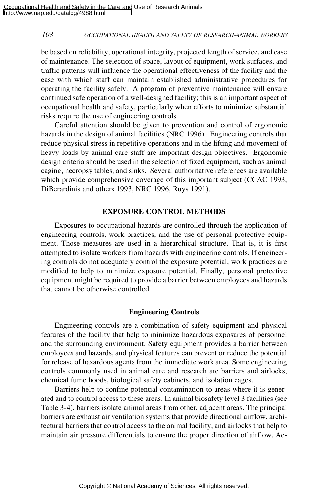be based on reliability, operational integrity, projected length of service, and ease of maintenance. The selection of space, layout of equipment, work surfaces, and traffic patterns will influence the operational effectiveness of the facility and the ease with which staff can maintain established administrative procedures for operating the facility safely. A program of preventive maintenance will ensure continued safe operation of a well-designed facility; this is an important aspect of occupational health and safety, particularly when efforts to minimize substantial risks require the use of engineering controls.

Careful attention should be given to prevention and control of ergonomic hazards in the design of animal facilities (NRC 1996). Engineering controls that reduce physical stress in repetitive operations and in the lifting and movement of heavy loads by animal care staff are important design objectives. Ergonomic design criteria should be used in the selection of fixed equipment, such as animal caging, necropsy tables, and sinks. Several authoritative references are available which provide comprehensive coverage of this important subject (CCAC 1993, DiBerardinis and others 1993, NRC 1996, Ruys 1991).

## **EXPOSURE CONTROL METHODS**

Exposures to occupational hazards are controlled through the application of engineering controls, work practices, and the use of personal protective equipment. Those measures are used in a hierarchical structure. That is, it is first attempted to isolate workers from hazards with engineering controls. If engineering controls do not adequately control the exposure potential, work practices are modified to help to minimize exposure potential. Finally, personal protective equipment might be required to provide a barrier between employees and hazards that cannot be otherwise controlled.

## **Engineering Controls**

Engineering controls are a combination of safety equipment and physical features of the facility that help to minimize hazardous exposures of personnel and the surrounding environment. Safety equipment provides a barrier between employees and hazards, and physical features can prevent or reduce the potential for release of hazardous agents from the immediate work area. Some engineering controls commonly used in animal care and research are barriers and airlocks, chemical fume hoods, biological safety cabinets, and isolation cages.

Barriers help to confine potential contamination to areas where it is generated and to control access to these areas. In animal biosafety level 3 facilities (see Table 3-4), barriers isolate animal areas from other, adjacent areas. The principal barriers are exhaust air ventilation systems that provide directional airflow, architectural barriers that control access to the animal facility, and airlocks that help to maintain air pressure differentials to ensure the proper direction of airflow. Ac-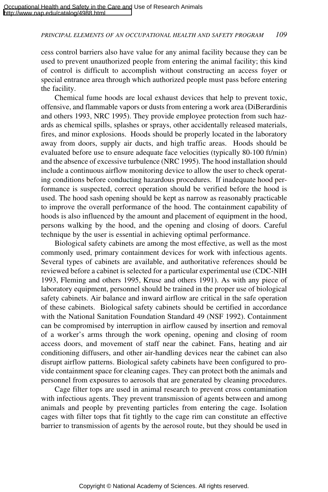#### *PRINCIPAL ELEMENTS OF AN OCCUPATIONAL HEALTH AND SAFETY PROGRAM 109*

cess control barriers also have value for any animal facility because they can be used to prevent unauthorized people from entering the animal facility; this kind of control is difficult to accomplish without constructing an access foyer or special entrance area through which authorized people must pass before entering the facility.

Chemical fume hoods are local exhaust devices that help to prevent toxic, offensive, and flammable vapors or dusts from entering a work area (DiBerardinis and others 1993, NRC 1995). They provide employee protection from such hazards as chemical spills, splashes or sprays, other accidentally released materials, fires, and minor explosions. Hoods should be properly located in the laboratory away from doors, supply air ducts, and high traffic areas. Hoods should be evaluated before use to ensure adequate face velocities (typically 80-100 ft/min) and the absence of excessive turbulence (NRC 1995). The hood installation should include a continuous airflow monitoring device to allow the user to check operating conditions before conducting hazardous procedures. If inadequate hood performance is suspected, correct operation should be verified before the hood is used. The hood sash opening should be kept as narrow as reasonably practicable to improve the overall performance of the hood. The containment capability of hoods is also influenced by the amount and placement of equipment in the hood, persons walking by the hood, and the opening and closing of doors. Careful technique by the user is essential in achieving optimal performance.

Biological safety cabinets are among the most effective, as well as the most commonly used, primary containment devices for work with infectious agents. Several types of cabinets are available, and authoritative references should be reviewed before a cabinet is selected for a particular experimental use (CDC-NIH 1993, Fleming and others 1995, Kruse and others 1991). As with any piece of laboratory equipment, personnel should be trained in the proper use of biological safety cabinets. Air balance and inward airflow are critical in the safe operation of these cabinets. Biological safety cabinets should be certified in accordance with the National Sanitation Foundation Standard 49 (NSF 1992). Containment can be compromised by interruption in airflow caused by insertion and removal of a worker's arms through the work opening, opening and closing of room access doors, and movement of staff near the cabinet. Fans, heating and air conditioning diffusers, and other air-handling devices near the cabinet can also disrupt airflow patterns. Biological safety cabinets have been configured to provide containment space for cleaning cages. They can protect both the animals and personnel from exposures to aerosols that are generated by cleaning procedures.

Cage filter tops are used in animal research to prevent cross contamination with infectious agents. They prevent transmission of agents between and among animals and people by preventing particles from entering the cage. Isolation cages with filter tops that fit tightly to the cage rim can constitute an effective barrier to transmission of agents by the aerosol route, but they should be used in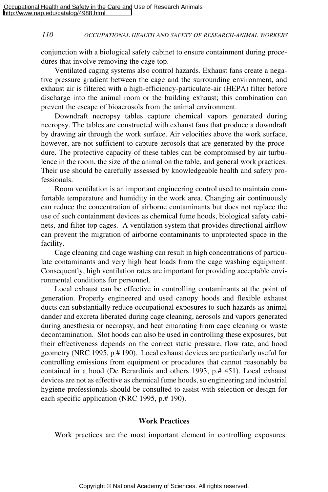conjunction with a biological safety cabinet to ensure containment during procedures that involve removing the cage top.

Ventilated caging systems also control hazards. Exhaust fans create a negative pressure gradient between the cage and the surrounding environment, and exhaust air is filtered with a high-efficiency-particulate-air (HEPA) filter before discharge into the animal room or the building exhaust; this combination can prevent the escape of bioaerosols from the animal environment.

Downdraft necropsy tables capture chemical vapors generated during necropsy. The tables are constructed with exhaust fans that produce a downdraft by drawing air through the work surface. Air velocities above the work surface, however, are not sufficient to capture aerosols that are generated by the procedure. The protective capacity of these tables can be compromised by air turbulence in the room, the size of the animal on the table, and general work practices. Their use should be carefully assessed by knowledgeable health and safety professionals.

Room ventilation is an important engineering control used to maintain comfortable temperature and humidity in the work area. Changing air continuously can reduce the concentration of airborne contaminants but does not replace the use of such containment devices as chemical fume hoods, biological safety cabinets, and filter top cages. A ventilation system that provides directional airflow can prevent the migration of airborne contaminants to unprotected space in the facility.

Cage cleaning and cage washing can result in high concentrations of particulate contaminants and very high heat loads from the cage washing equipment. Consequently, high ventilation rates are important for providing acceptable environmental conditions for personnel.

Local exhaust can be effective in controlling contaminants at the point of generation. Properly engineered and used canopy hoods and flexible exhaust ducts can substantially reduce occupational exposures to such hazards as animal dander and excreta liberated during cage cleaning, aerosols and vapors generated during anesthesia or necropsy, and heat emanating from cage cleaning or waste decontamination. Slot hoods can also be used in controlling these exposures, but their effectiveness depends on the correct static pressure, flow rate, and hood geometry (NRC 1995, p.# 190). Local exhaust devices are particularly useful for controlling emissions from equipment or procedures that cannot reasonably be contained in a hood (De Berardinis and others 1993, p.# 451). Local exhaust devices are not as effective as chemical fume hoods, so engineering and industrial hygiene professionals should be consulted to assist with selection or design for each specific application (NRC 1995, p.# 190).

## **Work Practices**

Work practices are the most important element in controlling exposures.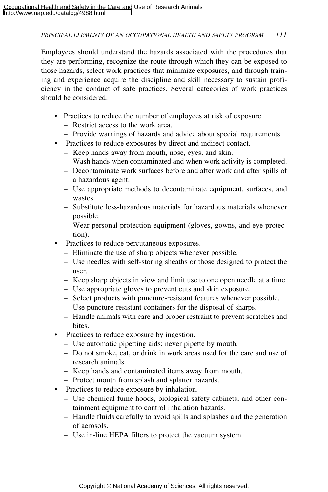## *PRINCIPAL ELEMENTS OF AN OCCUPATIONAL HEALTH AND SAFETY PROGRAM 111*

Employees should understand the hazards associated with the procedures that they are performing, recognize the route through which they can be exposed to those hazards, select work practices that minimize exposures, and through training and experience acquire the discipline and skill necessary to sustain proficiency in the conduct of safe practices. Several categories of work practices should be considered:

- Practices to reduce the number of employees at risk of exposure.
	- Restrict access to the work area.
	- Provide warnings of hazards and advice about special requirements.
- Practices to reduce exposures by direct and indirect contact.
	- Keep hands away from mouth, nose, eyes, and skin.
	- Wash hands when contaminated and when work activity is completed.
	- Decontaminate work surfaces before and after work and after spills of a hazardous agent.
	- Use appropriate methods to decontaminate equipment, surfaces, and wastes.
	- Substitute less-hazardous materials for hazardous materials whenever possible.
	- Wear personal protection equipment (gloves, gowns, and eye protection).
- Practices to reduce percutaneous exposures.
	- Eliminate the use of sharp objects whenever possible.
	- Use needles with self-storing sheaths or those designed to protect the user.
	- Keep sharp objects in view and limit use to one open needle at a time.
	- Use appropriate gloves to prevent cuts and skin exposure.
	- Select products with puncture-resistant features whenever possible.
	- Use puncture-resistant containers for the disposal of sharps.
	- Handle animals with care and proper restraint to prevent scratches and bites.
- Practices to reduce exposure by ingestion.
	- Use automatic pipetting aids; never pipette by mouth.
	- Do not smoke, eat, or drink in work areas used for the care and use of research animals.
	- Keep hands and contaminated items away from mouth.
	- Protect mouth from splash and splatter hazards.
- Practices to reduce exposure by inhalation.
	- Use chemical fume hoods, biological safety cabinets, and other containment equipment to control inhalation hazards.
	- Handle fluids carefully to avoid spills and splashes and the generation of aerosols.
	- Use in-line HEPA filters to protect the vacuum system.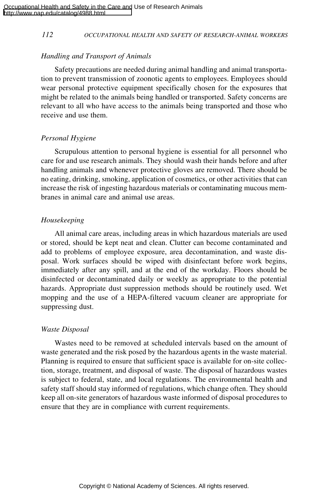## *Handling and Transport of Animals*

Safety precautions are needed during animal handling and animal transportation to prevent transmission of zoonotic agents to employees. Employees should wear personal protective equipment specifically chosen for the exposures that might be related to the animals being handled or transported. Safety concerns are relevant to all who have access to the animals being transported and those who receive and use them.

## *Personal Hygiene*

Scrupulous attention to personal hygiene is essential for all personnel who care for and use research animals. They should wash their hands before and after handling animals and whenever protective gloves are removed. There should be no eating, drinking, smoking, application of cosmetics, or other activities that can increase the risk of ingesting hazardous materials or contaminating mucous membranes in animal care and animal use areas.

## *Housekeeping*

All animal care areas, including areas in which hazardous materials are used or stored, should be kept neat and clean. Clutter can become contaminated and add to problems of employee exposure, area decontamination, and waste disposal. Work surfaces should be wiped with disinfectant before work begins, immediately after any spill, and at the end of the workday. Floors should be disinfected or decontaminated daily or weekly as appropriate to the potential hazards. Appropriate dust suppression methods should be routinely used. Wet mopping and the use of a HEPA-filtered vacuum cleaner are appropriate for suppressing dust.

## *Waste Disposal*

Wastes need to be removed at scheduled intervals based on the amount of waste generated and the risk posed by the hazardous agents in the waste material. Planning is required to ensure that sufficient space is available for on-site collection, storage, treatment, and disposal of waste. The disposal of hazardous wastes is subject to federal, state, and local regulations. The environmental health and safety staff should stay informed of regulations, which change often. They should keep all on-site generators of hazardous waste informed of disposal procedures to ensure that they are in compliance with current requirements.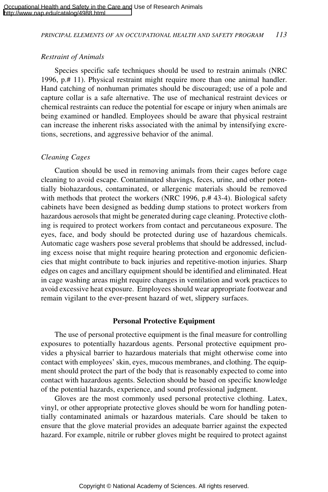#### *PRINCIPAL ELEMENTS OF AN OCCUPATIONAL HEALTH AND SAFETY PROGRAM 113*

# *Restraint of Animals*

Species specific safe techniques should be used to restrain animals (NRC 1996, p.# 11). Physical restraint might require more than one animal handler. Hand catching of nonhuman primates should be discouraged; use of a pole and capture collar is a safe alternative. The use of mechanical restraint devices or chemical restraints can reduce the potential for escape or injury when animals are being examined or handled. Employees should be aware that physical restraint can increase the inherent risks associated with the animal by intensifying excretions, secretions, and aggressive behavior of the animal.

# *Cleaning Cages*

Caution should be used in removing animals from their cages before cage cleaning to avoid escape. Contaminated shavings, feces, urine, and other potentially biohazardous, contaminated, or allergenic materials should be removed with methods that protect the workers (NRC 1996, p.# 43-4). Biological safety cabinets have been designed as bedding dump stations to protect workers from hazardous aerosols that might be generated during cage cleaning. Protective clothing is required to protect workers from contact and percutaneous exposure. The eyes, face, and body should be protected during use of hazardous chemicals. Automatic cage washers pose several problems that should be addressed, including excess noise that might require hearing protection and ergonomic deficiencies that might contribute to back injuries and repetitive-motion injuries. Sharp edges on cages and ancillary equipment should be identified and eliminated. Heat in cage washing areas might require changes in ventilation and work practices to avoid excessive heat exposure. Employees should wear appropriate footwear and remain vigilant to the ever-present hazard of wet, slippery surfaces.

# **Personal Protective Equipment**

The use of personal protective equipment is the final measure for controlling exposures to potentially hazardous agents. Personal protective equipment provides a physical barrier to hazardous materials that might otherwise come into contact with employees' skin, eyes, mucous membranes, and clothing. The equipment should protect the part of the body that is reasonably expected to come into contact with hazardous agents. Selection should be based on specific knowledge of the potential hazards, experience, and sound professional judgment.

Gloves are the most commonly used personal protective clothing. Latex, vinyl, or other appropriate protective gloves should be worn for handling potentially contaminated animals or hazardous materials. Care should be taken to ensure that the glove material provides an adequate barrier against the expected hazard. For example, nitrile or rubber gloves might be required to protect against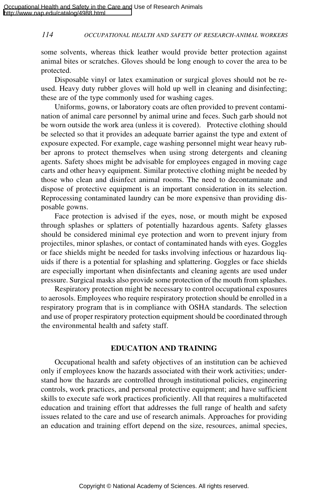some solvents, whereas thick leather would provide better protection against animal bites or scratches. Gloves should be long enough to cover the area to be protected.

Disposable vinyl or latex examination or surgical gloves should not be reused. Heavy duty rubber gloves will hold up well in cleaning and disinfecting; these are of the type commonly used for washing cages.

Uniforms, gowns, or laboratory coats are often provided to prevent contamination of animal care personnel by animal urine and feces. Such garb should not be worn outside the work area (unless it is covered). Protective clothing should be selected so that it provides an adequate barrier against the type and extent of exposure expected. For example, cage washing personnel might wear heavy rubber aprons to protect themselves when using strong detergents and cleaning agents. Safety shoes might be advisable for employees engaged in moving cage carts and other heavy equipment. Similar protective clothing might be needed by those who clean and disinfect animal rooms. The need to decontaminate and dispose of protective equipment is an important consideration in its selection. Reprocessing contaminated laundry can be more expensive than providing disposable gowns.

Face protection is advised if the eyes, nose, or mouth might be exposed through splashes or splatters of potentially hazardous agents. Safety glasses should be considered minimal eye protection and worn to prevent injury from projectiles, minor splashes, or contact of contaminated hands with eyes. Goggles or face shields might be needed for tasks involving infectious or hazardous liquids if there is a potential for splashing and splattering. Goggles or face shields are especially important when disinfectants and cleaning agents are used under pressure. Surgical masks also provide some protection of the mouth from splashes.

Respiratory protection might be necessary to control occupational exposures to aerosols. Employees who require respiratory protection should be enrolled in a respiratory program that is in compliance with OSHA standards. The selection and use of proper respiratory protection equipment should be coordinated through the environmental health and safety staff.

## **EDUCATION AND TRAINING**

Occupational health and safety objectives of an institution can be achieved only if employees know the hazards associated with their work activities; understand how the hazards are controlled through institutional policies, engineering controls, work practices, and personal protective equipment; and have sufficient skills to execute safe work practices proficiently. All that requires a multifaceted education and training effort that addresses the full range of health and safety issues related to the care and use of research animals. Approaches for providing an education and training effort depend on the size, resources, animal species,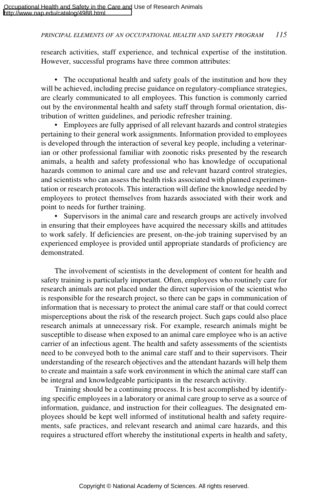## *PRINCIPAL ELEMENTS OF AN OCCUPATIONAL HEALTH AND SAFETY PROGRAM 115*

research activities, staff experience, and technical expertise of the institution. However, successful programs have three common attributes:

• The occupational health and safety goals of the institution and how they will be achieved, including precise guidance on regulatory-compliance strategies, are clearly communicated to all employees. This function is commonly carried out by the environmental health and safety staff through formal orientation, distribution of written guidelines, and periodic refresher training.

• Employees are fully apprised of all relevant hazards and control strategies pertaining to their general work assignments. Information provided to employees is developed through the interaction of several key people, including a veterinarian or other professional familiar with zoonotic risks presented by the research animals, a health and safety professional who has knowledge of occupational hazards common to animal care and use and relevant hazard control strategies, and scientists who can assess the health risks associated with planned experimentation or research protocols. This interaction will define the knowledge needed by employees to protect themselves from hazards associated with their work and point to needs for further training.

• Supervisors in the animal care and research groups are actively involved in ensuring that their employees have acquired the necessary skills and attitudes to work safely. If deficiencies are present, on-the-job training supervised by an experienced employee is provided until appropriate standards of proficiency are demonstrated.

The involvement of scientists in the development of content for health and safety training is particularly important. Often, employees who routinely care for research animals are not placed under the direct supervision of the scientist who is responsible for the research project, so there can be gaps in communication of information that is necessary to protect the animal care staff or that could correct misperceptions about the risk of the research project. Such gaps could also place research animals at unnecessary risk. For example, research animals might be susceptible to disease when exposed to an animal care employee who is an active carrier of an infectious agent. The health and safety assessments of the scientists need to be conveyed both to the animal care staff and to their supervisors. Their understanding of the research objectives and the attendant hazards will help them to create and maintain a safe work environment in which the animal care staff can be integral and knowledgeable participants in the research activity.

Training should be a continuing process. It is best accomplished by identifying specific employees in a laboratory or animal care group to serve as a source of information, guidance, and instruction for their colleagues. The designated employees should be kept well informed of institutional health and safety requirements, safe practices, and relevant research and animal care hazards, and this requires a structured effort whereby the institutional experts in health and safety,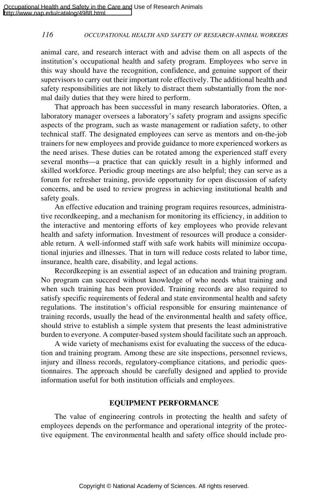animal care, and research interact with and advise them on all aspects of the institution's occupational health and safety program. Employees who serve in this way should have the recognition, confidence, and genuine support of their supervisors to carry out their important role effectively. The additional health and safety responsibilities are not likely to distract them substantially from the normal daily duties that they were hired to perform.

That approach has been successful in many research laboratories. Often, a laboratory manager oversees a laboratory's safety program and assigns specific aspects of the program, such as waste management or radiation safety, to other technical staff. The designated employees can serve as mentors and on-the-job trainers for new employees and provide guidance to more experienced workers as the need arises. These duties can be rotated among the experienced staff every several months—a practice that can quickly result in a highly informed and skilled workforce. Periodic group meetings are also helpful; they can serve as a forum for refresher training, provide opportunity for open discussion of safety concerns, and be used to review progress in achieving institutional health and safety goals.

An effective education and training program requires resources, administrative recordkeeping, and a mechanism for monitoring its efficiency, in addition to the interactive and mentoring efforts of key employees who provide relevant health and safety information. Investment of resources will produce a considerable return. A well-informed staff with safe work habits will minimize occupational injuries and illnesses. That in turn will reduce costs related to labor time, insurance, health care, disability, and legal actions.

Recordkeeping is an essential aspect of an education and training program. No program can succeed without knowledge of who needs what training and when such training has been provided. Training records are also required to satisfy specific requirements of federal and state environmental health and safety regulations. The institution's official responsible for ensuring maintenance of training records, usually the head of the environmental health and safety office, should strive to establish a simple system that presents the least administrative burden to everyone. A computer-based system should facilitate such an approach.

A wide variety of mechanisms exist for evaluating the success of the education and training program. Among these are site inspections, personnel reviews, injury and illness records, regulatory-compliance citations, and periodic questionnaires. The approach should be carefully designed and applied to provide information useful for both institution officials and employees.

## **EQUIPMENT PERFORMANCE**

The value of engineering controls in protecting the health and safety of employees depends on the performance and operational integrity of the protective equipment. The environmental health and safety office should include pro-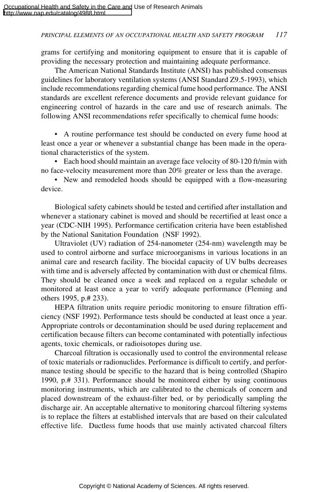## *PRINCIPAL ELEMENTS OF AN OCCUPATIONAL HEALTH AND SAFETY PROGRAM 117*

grams for certifying and monitoring equipment to ensure that it is capable of providing the necessary protection and maintaining adequate performance.

The American National Standards Institute (ANSI) has published consensus guidelines for laboratory ventilation systems (ANSI Standard Z9.5-1993), which include recommendations regarding chemical fume hood performance. The ANSI standards are excellent reference documents and provide relevant guidance for engineering control of hazards in the care and use of research animals. The following ANSI recommendations refer specifically to chemical fume hoods:

• A routine performance test should be conducted on every fume hood at least once a year or whenever a substantial change has been made in the operational characteristics of the system.

• Each hood should maintain an average face velocity of 80-120 ft/min with no face-velocity measurement more than 20% greater or less than the average.

• New and remodeled hoods should be equipped with a flow-measuring device.

Biological safety cabinets should be tested and certified after installation and whenever a stationary cabinet is moved and should be recertified at least once a year (CDC-NIH 1995). Performance certification criteria have been established by the National Sanitation Foundation (NSF 1992).

Ultraviolet (UV) radiation of 254-nanometer (254-nm) wavelength may be used to control airborne and surface microorganisms in various locations in an animal care and research facility. The biocidal capacity of UV bulbs decreases with time and is adversely affected by contamination with dust or chemical films. They should be cleaned once a week and replaced on a regular schedule or monitored at least once a year to verify adequate performance (Fleming and others 1995, p.# 233).

HEPA filtration units require periodic monitoring to ensure filtration efficiency (NSF 1992). Performance tests should be conducted at least once a year. Appropriate controls or decontamination should be used during replacement and certification because filters can become contaminated with potentially infectious agents, toxic chemicals, or radioisotopes during use.

Charcoal filtration is occasionally used to control the environmental release of toxic materials or radionuclides. Performance is difficult to certify, and performance testing should be specific to the hazard that is being controlled (Shapiro 1990, p.# 331). Performance should be monitored either by using continuous monitoring instruments, which are calibrated to the chemicals of concern and placed downstream of the exhaust-filter bed, or by periodically sampling the discharge air. An acceptable alternative to monitoring charcoal filtering systems is to replace the filters at established intervals that are based on their calculated effective life. Ductless fume hoods that use mainly activated charcoal filters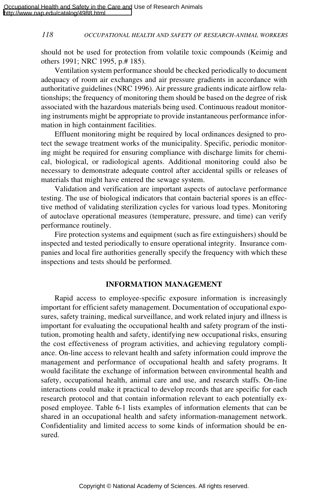should not be used for protection from volatile toxic compounds (Keimig and others 1991; NRC 1995, p.# 185).

Ventilation system performance should be checked periodically to document adequacy of room air exchanges and air pressure gradients in accordance with authoritative guidelines (NRC 1996). Air pressure gradients indicate airflow relationships; the frequency of monitoring them should be based on the degree of risk associated with the hazardous materials being used. Continuous readout monitoring instruments might be appropriate to provide instantaneous performance information in high containment facilities.

Effluent monitoring might be required by local ordinances designed to protect the sewage treatment works of the municipality. Specific, periodic monitoring might be required for ensuring compliance with discharge limits for chemical, biological, or radiological agents. Additional monitoring could also be necessary to demonstrate adequate control after accidental spills or releases of materials that might have entered the sewage system.

Validation and verification are important aspects of autoclave performance testing. The use of biological indicators that contain bacterial spores is an effective method of validating sterilization cycles for various load types. Monitoring of autoclave operational measures (temperature, pressure, and time) can verify performance routinely.

Fire protection systems and equipment (such as fire extinguishers) should be inspected and tested periodically to ensure operational integrity. Insurance companies and local fire authorities generally specify the frequency with which these inspections and tests should be performed.

## **INFORMATION MANAGEMENT**

Rapid access to employee-specific exposure information is increasingly important for efficient safety management. Documentation of occupational exposures, safety training, medical surveillance, and work related injury and illness is important for evaluating the occupational health and safety program of the institution, promoting health and safety, identifying new occupational risks, ensuring the cost effectiveness of program activities, and achieving regulatory compliance. On-line access to relevant health and safety information could improve the management and performance of occupational health and safety programs. It would facilitate the exchange of information between environmental health and safety, occupational health, animal care and use, and research staffs. On-line interactions could make it practical to develop records that are specific for each research protocol and that contain information relevant to each potentially exposed employee. Table 6-1 lists examples of information elements that can be shared in an occupational health and safety information-management network. Confidentiality and limited access to some kinds of information should be ensured.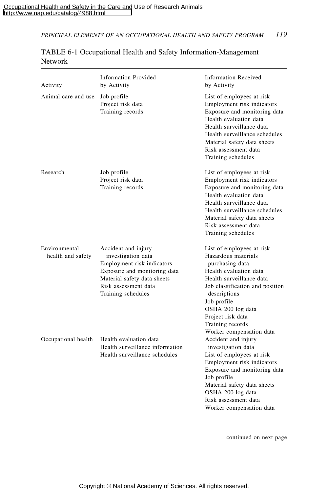| Activity                           | <b>Information Provided</b><br>by Activity                                                                                                                                           | <b>Information Received</b><br>by Activity                                                                                                                                                                                                                                            |
|------------------------------------|--------------------------------------------------------------------------------------------------------------------------------------------------------------------------------------|---------------------------------------------------------------------------------------------------------------------------------------------------------------------------------------------------------------------------------------------------------------------------------------|
| Animal care and use                | Job profile<br>Project risk data<br>Training records                                                                                                                                 | List of employees at risk<br>Employment risk indicators<br>Exposure and monitoring data<br>Health evaluation data<br>Health surveillance data<br>Health surveillance schedules<br>Material safety data sheets<br>Risk assessment data<br>Training schedules                           |
| Research                           | Job profile<br>Project risk data<br>Training records                                                                                                                                 | List of employees at risk<br>Employment risk indicators<br>Exposure and monitoring data<br>Health evaluation data<br>Health surveillance data<br>Health surveillance schedules<br>Material safety data sheets<br>Risk assessment data<br>Training schedules                           |
| Environmental<br>health and safety | Accident and injury<br>investigation data<br>Employment risk indicators<br>Exposure and monitoring data<br>Material safety data sheets<br>Risk assessment data<br>Training schedules | List of employees at risk<br>Hazardous materials<br>purchasing data<br>Health evaluation data<br>Health surveillance data<br>Job classification and position<br>descriptions<br>Job profile<br>OSHA 200 log data<br>Project risk data<br>Training records<br>Worker compensation data |
| Occupational health                | Health evaluation data<br>Health surveillance information<br>Health surveillance schedules                                                                                           | Accident and injury<br>investigation data<br>List of employees at risk<br>Employment risk indicators<br>Exposure and monitoring data<br>Job profile<br>Material safety data sheets<br>OSHA 200 log data<br>Risk assessment data<br>Worker compensation data                           |

## TABLE 6-1 Occupational Health and Safety Information-Management Network

continued on next page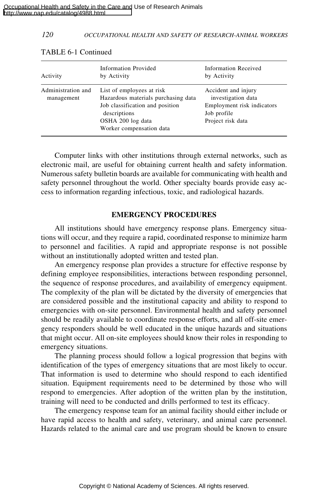| Activity                         | Information Provided<br>by Activity                                                                                                                                  | Information Received<br>by Activity                                                                         |
|----------------------------------|----------------------------------------------------------------------------------------------------------------------------------------------------------------------|-------------------------------------------------------------------------------------------------------------|
| Administration and<br>management | List of employees at risk<br>Hazardous materials purchasing data<br>Job classification and position<br>descriptions<br>OSHA 200 log data<br>Worker compensation data | Accident and injury<br>investigation data<br>Employment risk indicators<br>Job profile<br>Project risk data |

#### TABLE 6-1 Continued

Computer links with other institutions through external networks, such as electronic mail, are useful for obtaining current health and safety information. Numerous safety bulletin boards are available for communicating with health and safety personnel throughout the world. Other specialty boards provide easy access to information regarding infectious, toxic, and radiological hazards.

## **EMERGENCY PROCEDURES**

All institutions should have emergency response plans. Emergency situations will occur, and they require a rapid, coordinated response to minimize harm to personnel and facilities. A rapid and appropriate response is not possible without an institutionally adopted written and tested plan.

An emergency response plan provides a structure for effective response by defining employee responsibilities, interactions between responding personnel, the sequence of response procedures, and availability of emergency equipment. The complexity of the plan will be dictated by the diversity of emergencies that are considered possible and the institutional capacity and ability to respond to emergencies with on-site personnel. Environmental health and safety personnel should be readily available to coordinate response efforts, and all off-site emergency responders should be well educated in the unique hazards and situations that might occur. All on-site employees should know their roles in responding to emergency situations.

The planning process should follow a logical progression that begins with identification of the types of emergency situations that are most likely to occur. That information is used to determine who should respond to each identified situation. Equipment requirements need to be determined by those who will respond to emergencies. After adoption of the written plan by the institution, training will need to be conducted and drills performed to test its efficacy.

The emergency response team for an animal facility should either include or have rapid access to health and safety, veterinary, and animal care personnel. Hazards related to the animal care and use program should be known to ensure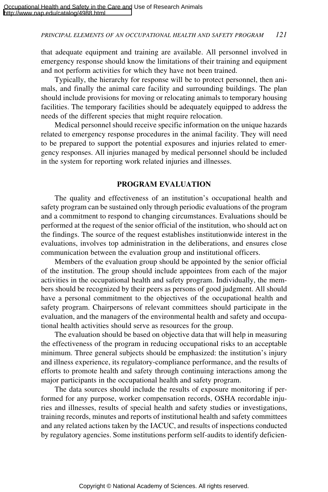that adequate equipment and training are available. All personnel involved in emergency response should know the limitations of their training and equipment and not perform activities for which they have not been trained.

Typically, the hierarchy for response will be to protect personnel, then animals, and finally the animal care facility and surrounding buildings. The plan should include provisions for moving or relocating animals to temporary housing facilities. The temporary facilities should be adequately equipped to address the needs of the different species that might require relocation.

Medical personnel should receive specific information on the unique hazards related to emergency response procedures in the animal facility. They will need to be prepared to support the potential exposures and injuries related to emergency responses. All injuries managed by medical personnel should be included in the system for reporting work related injuries and illnesses.

## **PROGRAM EVALUATION**

The quality and effectiveness of an institution's occupational health and safety program can be sustained only through periodic evaluations of the program and a commitment to respond to changing circumstances. Evaluations should be performed at the request of the senior official of the institution, who should act on the findings. The source of the request establishes institutionwide interest in the evaluations, involves top administration in the deliberations, and ensures close communication between the evaluation group and institutional officers.

Members of the evaluation group should be appointed by the senior official of the institution. The group should include appointees from each of the major activities in the occupational health and safety program. Individually, the members should be recognized by their peers as persons of good judgment. All should have a personal commitment to the objectives of the occupational health and safety program. Chairpersons of relevant committees should participate in the evaluation, and the managers of the environmental health and safety and occupational health activities should serve as resources for the group.

The evaluation should be based on objective data that will help in measuring the effectiveness of the program in reducing occupational risks to an acceptable minimum. Three general subjects should be emphasized: the institution's injury and illness experience, its regulatory-compliance performance, and the results of efforts to promote health and safety through continuing interactions among the major participants in the occupational health and safety program.

The data sources should include the results of exposure monitoring if performed for any purpose, worker compensation records, OSHA recordable injuries and illnesses, results of special health and safety studies or investigations, training records, minutes and reports of institutional health and safety committees and any related actions taken by the IACUC, and results of inspections conducted by regulatory agencies. Some institutions perform self-audits to identify deficien-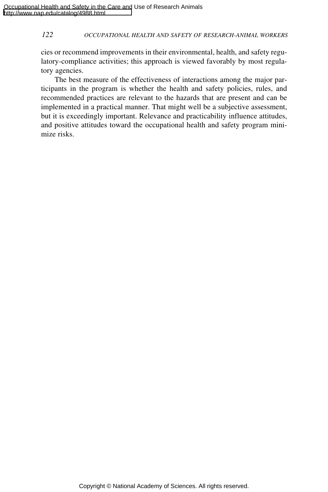cies or recommend improvements in their environmental, health, and safety regulatory-compliance activities; this approach is viewed favorably by most regulatory agencies.

The best measure of the effectiveness of interactions among the major participants in the program is whether the health and safety policies, rules, and recommended practices are relevant to the hazards that are present and can be implemented in a practical manner. That might well be a subjective assessment, but it is exceedingly important. Relevance and practicability influence attitudes, and positive attitudes toward the occupational health and safety program minimize risks.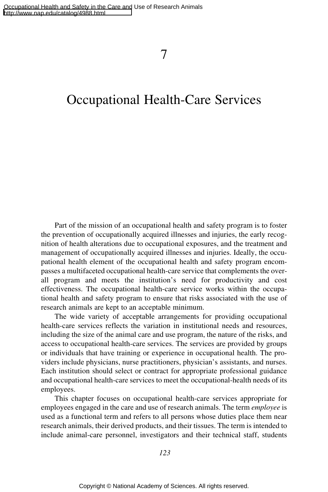# Occupational Health-Care Services

Part of the mission of an occupational health and safety program is to foster the prevention of occupationally acquired illnesses and injuries, the early recognition of health alterations due to occupational exposures, and the treatment and management of occupationally acquired illnesses and injuries. Ideally, the occupational health element of the occupational health and safety program encompasses a multifaceted occupational health-care service that complements the overall program and meets the institution's need for productivity and cost effectiveness. The occupational health-care service works within the occupational health and safety program to ensure that risks associated with the use of research animals are kept to an acceptable minimum.

The wide variety of acceptable arrangements for providing occupational health-care services reflects the variation in institutional needs and resources, including the size of the animal care and use program, the nature of the risks, and access to occupational health-care services. The services are provided by groups or individuals that have training or experience in occupational health. The providers include physicians, nurse practitioners, physician's assistants, and nurses. Each institution should select or contract for appropriate professional guidance and occupational health-care services to meet the occupational-health needs of its employees.

This chapter focuses on occupational health-care services appropriate for employees engaged in the care and use of research animals. The term *employee* is used as a functional term and refers to all persons whose duties place them near research animals, their derived products, and their tissues. The term is intended to include animal-care personnel, investigators and their technical staff, students

*123*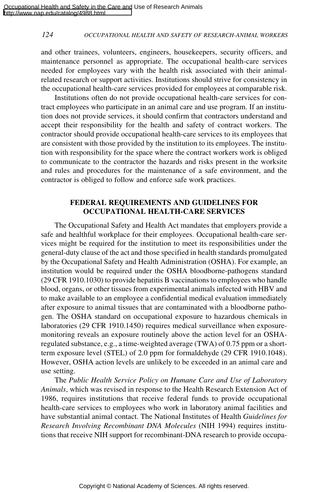and other trainees, volunteers, engineers, housekeepers, security officers, and maintenance personnel as appropriate. The occupational health-care services needed for employees vary with the health risk associated with their animalrelated research or support activities. Institutions should strive for consistency in the occupational health-care services provided for employees at comparable risk.

Institutions often do not provide occupational health-care services for contract employees who participate in an animal care and use program. If an institution does not provide services, it should confirm that contractors understand and accept their responsibility for the health and safety of contract workers. The contractor should provide occupational health-care services to its employees that are consistent with those provided by the institution to its employees. The institution with responsibility for the space where the contract workers work is obliged to communicate to the contractor the hazards and risks present in the worksite and rules and procedures for the maintenance of a safe environment, and the contractor is obliged to follow and enforce safe work practices.

# **FEDERAL REQUIREMENTS AND GUIDELINES FOR OCCUPATIONAL HEALTH-CARE SERVICES**

The Occupational Safety and Health Act mandates that employers provide a safe and healthful workplace for their employees. Occupational health-care services might be required for the institution to meet its responsibilities under the general-duty clause of the act and those specified in health standards promulgated by the Occupational Safety and Health Administration (OSHA). For example, an institution would be required under the OSHA bloodborne-pathogens standard (29 CFR 1910.1030) to provide hepatitis B vaccinations to employees who handle blood, organs, or other tissues from experimental animals infected with HBV and to make available to an employee a confidential medical evaluation immediately after exposure to animal tissues that are contaminated with a bloodborne pathogen. The OSHA standard on occupational exposure to hazardous chemicals in laboratories (29 CFR 1910.1450) requires medical surveillance when exposuremonitoring reveals an exposure routinely above the action level for an OSHAregulated substance, e.g., a time-weighted average (TWA) of 0.75 ppm or a shortterm exposure level (STEL) of 2.0 ppm for formaldehyde (29 CFR 1910.1048). However, OSHA action levels are unlikely to be exceeded in an animal care and use setting.

The *Public Health Service Policy on Humane Care and Use of Laboratory Animals*, which was revised in response to the Health Research Extension Act of 1986, requires institutions that receive federal funds to provide occupational health-care services to employees who work in laboratory animal facilities and have substantial animal contact. The National Institutes of Health *Guidelines for Research Involving Recombinant DNA Molecules* (NIH 1994) requires institutions that receive NIH support for recombinant-DNA research to provide occupa-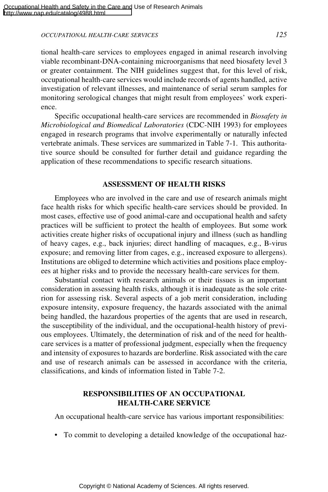#### *OCCUPATIONAL HEALTH-CARE SERVICES 125*

tional health-care services to employees engaged in animal research involving viable recombinant-DNA-containing microorganisms that need biosafety level 3 or greater containment. The NIH guidelines suggest that, for this level of risk, occupational health-care services would include records of agents handled, active investigation of relevant illnesses, and maintenance of serial serum samples for monitoring serological changes that might result from employees' work experience.

Specific occupational health-care services are recommended in *Biosafety in Microbiological and Biomedical Laboratories* (CDC-NIH 1993) for employees engaged in research programs that involve experimentally or naturally infected vertebrate animals. These services are summarized in Table 7-1. This authoritative source should be consulted for further detail and guidance regarding the application of these recommendations to specific research situations.

## **ASSESSMENT OF HEALTH RISKS**

Employees who are involved in the care and use of research animals might face health risks for which specific health-care services should be provided. In most cases, effective use of good animal-care and occupational health and safety practices will be sufficient to protect the health of employees. But some work activities create higher risks of occupational injury and illness (such as handling of heavy cages, e.g., back injuries; direct handling of macaques, e.g., B-virus exposure; and removing litter from cages, e.g., increased exposure to allergens). Institutions are obliged to determine which activities and positions place employees at higher risks and to provide the necessary health-care services for them.

Substantial contact with research animals or their tissues is an important consideration in assessing health risks, although it is inadequate as the sole criterion for assessing risk. Several aspects of a job merit consideration, including exposure intensity, exposure frequency, the hazards associated with the animal being handled, the hazardous properties of the agents that are used in research, the susceptibility of the individual, and the occupational-health history of previous employees. Ultimately, the determination of risk and of the need for healthcare services is a matter of professional judgment, especially when the frequency and intensity of exposures to hazards are borderline. Risk associated with the care and use of research animals can be assessed in accordance with the criteria, classifications, and kinds of information listed in Table 7-2.

# **RESPONSIBILITIES OF AN OCCUPATIONAL HEALTH-CARE SERVICE**

An occupational health-care service has various important responsibilities:

• To commit to developing a detailed knowledge of the occupational haz-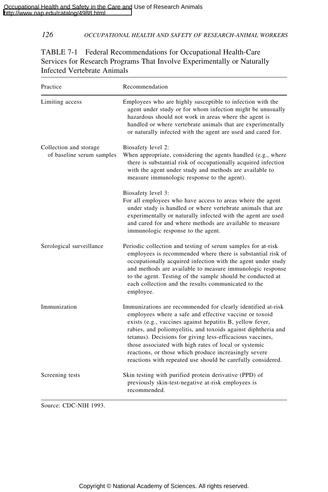| Practice                                            | Recommendation                                                                                                                                                                                                                                                                                                                                                                                                                                                                                     |
|-----------------------------------------------------|----------------------------------------------------------------------------------------------------------------------------------------------------------------------------------------------------------------------------------------------------------------------------------------------------------------------------------------------------------------------------------------------------------------------------------------------------------------------------------------------------|
| Limiting access                                     | Employees who are highly susceptible to infection with the<br>agent under study or for whom infection might be unusually<br>hazardous should not work in areas where the agent is<br>handled or where vertebrate animals that are experimentally<br>or naturally infected with the agent are used and cared for.                                                                                                                                                                                   |
| Collection and storage<br>of baseline serum samples | Biosafety level 2:<br>When appropriate, considering the agents handled (e.g., where<br>there is substantial risk of occupationally acquired infection<br>with the agent under study and methods are available to<br>measure immunologic response to the agent).                                                                                                                                                                                                                                    |
|                                                     | Biosafety level 3:<br>For all employees who have access to areas where the agent<br>under study is handled or where vertebrate animals that are<br>experimentally or naturally infected with the agent are used<br>and cared for and where methods are available to measure<br>immunologic response to the agent.                                                                                                                                                                                  |
| Serological surveillance                            | Periodic collection and testing of serum samples for at-risk<br>employees is recommended where there is substantial risk of<br>occupationally acquired infection with the agent under study<br>and methods are available to measure immunologic response<br>to the agent. Testing of the sample should be conducted at<br>each collection and the results communicated to the<br>employee.                                                                                                         |
| Immunization                                        | Immunizations are recommended for clearly identified at-risk<br>employees where a safe and effective vaccine or toxoid<br>exists (e.g., vaccines against hepatitis B, yellow fever,<br>rabies, and poliomyelitis, and toxoids against diphtheria and<br>tetanus). Decisions for giving less-efficacious vaccines,<br>those associated with high rates of local or systemic<br>reactions, or those which produce increasingly severe<br>reactions with repeated use should be carefully considered. |
| Screening tests                                     | Skin testing with purified protein derivative (PPD) of<br>previously skin-test-negative at-risk employees is<br>recommended.                                                                                                                                                                                                                                                                                                                                                                       |

TABLE 7-1 Federal Recommendations for Occupational Health-Care Services for Research Programs That Involve Experimentally or Naturally Infected Vertebrate Animals

Source: CDC-NIH 1993.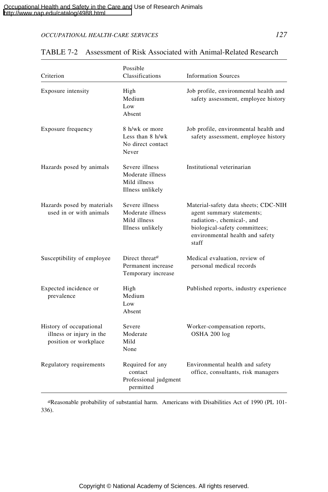# *OCCUPATIONAL HEALTH-CARE SERVICES 127*

| Criterion                                                                    | Possible<br>Classifications                                                | <b>Information Sources</b>                                                                                                                                                   |
|------------------------------------------------------------------------------|----------------------------------------------------------------------------|------------------------------------------------------------------------------------------------------------------------------------------------------------------------------|
| Exposure intensity                                                           | High<br>Medium<br>Low<br>Absent                                            | Job profile, environmental health and<br>safety assessment, employee history                                                                                                 |
| Exposure frequency                                                           | 8 h/wk or more<br>Less than $8 \text{ h/wk}$<br>No direct contact<br>Never | Job profile, environmental health and<br>safety assessment, employee history                                                                                                 |
| Hazards posed by animals                                                     | Severe illness<br>Moderate illness<br>Mild illness<br>Illness unlikely     | Institutional veterinarian                                                                                                                                                   |
| Hazards posed by materials<br>used in or with animals                        | Severe illness<br>Moderate illness<br>Mild illness<br>Illness unlikely     | Material-safety data sheets; CDC-NIH<br>agent summary statements;<br>radiation-, chemical-, and<br>biological-safety committees;<br>environmental health and safety<br>staff |
| Susceptibility of employee                                                   | Direct threat <sup>a</sup><br>Permanent increase<br>Temporary increase     | Medical evaluation, review of<br>personal medical records                                                                                                                    |
| Expected incidence or<br>prevalence                                          | High<br>Medium<br>Low<br>Absent                                            | Published reports, industry experience                                                                                                                                       |
| History of occupational<br>illness or injury in the<br>position or workplace | Severe<br>Moderate<br>Mild<br>None                                         | Worker-compensation reports,<br>OSHA 200 log                                                                                                                                 |
| Regulatory requirements                                                      | Required for any<br>contact<br>Professional judgment<br>permitted          | Environmental health and safety<br>office, consultants, risk managers                                                                                                        |

# TABLE 7-2 Assessment of Risk Associated with Animal-Related Research

*a*Reasonable probability of substantial harm. Americans with Disabilities Act of 1990 (PL 101- 336).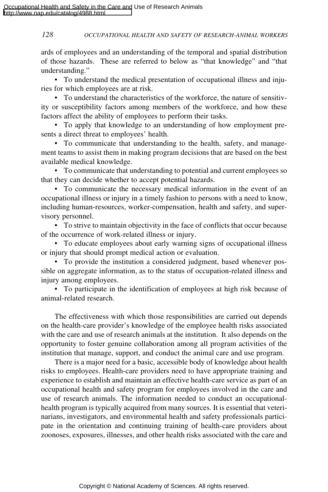ards of employees and an understanding of the temporal and spatial distribution of those hazards. These are referred to below as "that knowledge" and "that understanding."

• To understand the medical presentation of occupational illness and injuries for which employees are at risk.

• To understand the characteristics of the workforce, the nature of sensitivity or susceptibility factors among members of the workforce, and how these factors affect the ability of employees to perform their tasks.

• To apply that knowledge to an understanding of how employment presents a direct threat to employees' health.

• To communicate that understanding to the health, safety, and management teams to assist them in making program decisions that are based on the best available medical knowledge.

• To communicate that understanding to potential and current employees so that they can decide whether to accept potential hazards.

• To communicate the necessary medical information in the event of an occupational illness or injury in a timely fashion to persons with a need to know, including human-resources, worker-compensation, health and safety, and supervisory personnel.

• To strive to maintain objectivity in the face of conflicts that occur because of the occurrence of work-related illness or injury.

• To educate employees about early warning signs of occupational illness or injury that should prompt medical action or evaluation.

• To provide the institution a considered judgment, based whenever possible on aggregate information, as to the status of occupation-related illness and injury among employees.

• To participate in the identification of employees at high risk because of animal-related research.

The effectiveness with which those responsibilities are carried out depends on the health-care provider's knowledge of the employee health risks associated with the care and use of research animals at the institution. It also depends on the opportunity to foster genuine collaboration among all program activities of the institution that manage, support, and conduct the animal care and use program.

There is a major need for a basic, accessible body of knowledge about health risks to employees. Health-care providers need to have appropriate training and experience to establish and maintain an effective health-care service as part of an occupational health and safety program for employees involved in the care and use of research animals. The information needed to conduct an occupationalhealth program is typically acquired from many sources. It is essential that veterinarians, investigators, and environmental health and safety professionals participate in the orientation and continuing training of health-care providers about zoonoses, exposures, illnesses, and other health risks associated with the care and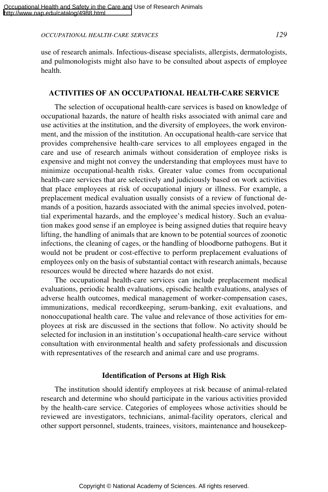*OCCUPATIONAL HEALTH-CARE SERVICES 129*

use of research animals. Infectious-disease specialists, allergists, dermatologists, and pulmonologists might also have to be consulted about aspects of employee health.

## **ACTIVITIES OF AN OCCUPATIONAL HEALTH-CARE SERVICE**

The selection of occupational health-care services is based on knowledge of occupational hazards, the nature of health risks associated with animal care and use activities at the institution, and the diversity of employees, the work environment, and the mission of the institution. An occupational health-care service that provides comprehensive health-care services to all employees engaged in the care and use of research animals without consideration of employee risks is expensive and might not convey the understanding that employees must have to minimize occupational-health risks. Greater value comes from occupational health-care services that are selectively and judiciously based on work activities that place employees at risk of occupational injury or illness. For example, a preplacement medical evaluation usually consists of a review of functional demands of a position, hazards associated with the animal species involved, potential experimental hazards, and the employee's medical history. Such an evaluation makes good sense if an employee is being assigned duties that require heavy lifting, the handling of animals that are known to be potential sources of zoonotic infections, the cleaning of cages, or the handling of bloodborne pathogens. But it would not be prudent or cost-effective to perform preplacement evaluations of employees only on the basis of substantial contact with research animals, because resources would be directed where hazards do not exist.

The occupational health-care services can include preplacement medical evaluations, periodic health evaluations, episodic health evaluations, analyses of adverse health outcomes, medical management of worker-compensation cases, immunizations, medical recordkeeping, serum-banking, exit evaluations, and nonoccupational health care. The value and relevance of those activities for employees at risk are discussed in the sections that follow. No activity should be selected for inclusion in an institution's occupational health-care service without consultation with environmental health and safety professionals and discussion with representatives of the research and animal care and use programs.

## **Identification of Persons at High Risk**

The institution should identify employees at risk because of animal-related research and determine who should participate in the various activities provided by the health-care service. Categories of employees whose activities should be reviewed are investigators, technicians, animal-facility operators, clerical and other support personnel, students, trainees, visitors, maintenance and housekeep-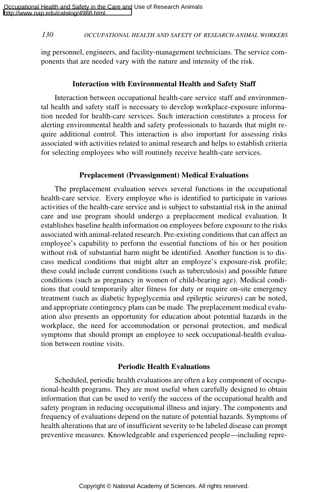ing personnel, engineers, and facility-management technicians. The service components that are needed vary with the nature and intensity of the risk.

#### **Interaction with Environmental Health and Safety Staff**

Interaction between occupational health-care service staff and environmental health and safety staff is necessary to develop workplace-exposure information needed for health-care services. Such interaction constitutes a process for alerting environmental health and safety professionals to hazards that might require additional control. This interaction is also important for assessing risks associated with activities related to animal research and helps to establish criteria for selecting employees who will routinely receive health-care services.

## **Preplacement (Preassignment) Medical Evaluations**

The preplacement evaluation serves several functions in the occupational health-care service. Every employee who is identified to participate in various activities of the health-care service and is subject to substantial risk in the animal care and use program should undergo a preplacement medical evaluation. It establishes baseline health information on employees before exposure to the risks associated with animal-related research. Pre-existing conditions that can affect an employee's capability to perform the essential functions of his or her position without risk of substantial harm might be identified. Another function is to discuss medical conditions that might alter an employee's exposure-risk profile; these could include current conditions (such as tuberculosis) and possible future conditions (such as pregnancy in women of child-bearing age). Medical conditions that could temporarily alter fitness for duty or require on-site emergency treatment (such as diabetic hypoglycemia and epileptic seizures) can be noted, and appropriate contingency plans can be made. The preplacement medical evaluation also presents an opportunity for education about potential hazards in the workplace, the need for accommodation or personal protection, and medical symptoms that should prompt an employee to seek occupational-health evaluation between routine visits.

#### **Periodic Health Evaluations**

Scheduled, periodic health evaluations are often a key component of occupational-health programs. They are most useful when carefully designed to obtain information that can be used to verify the success of the occupational health and safety program in reducing occupational illness and injury. The components and frequency of evaluations depend on the nature of potential hazards. Symptoms of health alterations that are of insufficient severity to be labeled disease can prompt preventive measures. Knowledgeable and experienced people—including repre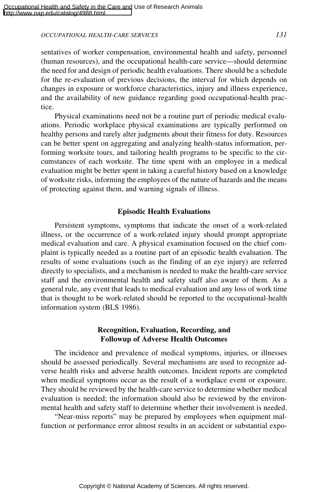*OCCUPATIONAL HEALTH-CARE SERVICES 131*

for the re-evaluation of previous decisions, the interval for which depends on changes in exposure or workforce characteristics, injury and illness experience, and the availability of new guidance regarding good occupational-health practice.

Physical examinations need not be a routine part of periodic medical evaluations. Periodic workplace physical examinations are typically performed on healthy persons and rarely alter judgments about their fitness for duty. Resources can be better spent on aggregating and analyzing health-status information, performing worksite tours, and tailoring health programs to be specific to the circumstances of each worksite. The time spent with an employee in a medical evaluation might be better spent in taking a careful history based on a knowledge of worksite risks, informing the employees of the nature of hazards and the means of protecting against them, and warning signals of illness.

## **Episodic Health Evaluations**

Persistent symptoms, symptoms that indicate the onset of a work-related illness, or the occurrence of a work-related injury should prompt appropriate medical evaluation and care. A physical examination focused on the chief complaint is typically needed as a routine part of an episodic health evaluation. The results of some evaluations (such as the finding of an eye injury) are referred directly to specialists, and a mechanism is needed to make the health-care service staff and the environmental health and safety staff also aware of them. As a general rule, any event that leads to medical evaluation and any loss of work time that is thought to be work-related should be reported to the occupational-health information system (BLS 1986).

## **Recognition, Evaluation, Recording, and Followup of Adverse Health Outcomes**

The incidence and prevalence of medical symptoms, injuries, or illnesses should be assessed periodically. Several mechanisms are used to recognize adverse health risks and adverse health outcomes. Incident reports are completed when medical symptoms occur as the result of a workplace event or exposure. They should be reviewed by the health-care service to determine whether medical evaluation is needed; the information should also be reviewed by the environmental health and safety staff to determine whether their involvement is needed.

"Near-miss reports" may be prepared by employees when equipment malfunction or performance error almost results in an accident or substantial expo-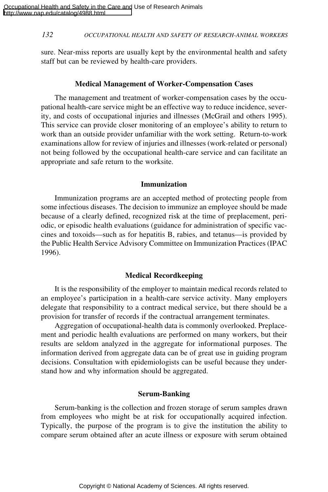sure. Near-miss reports are usually kept by the environmental health and safety staff but can be reviewed by health-care providers.

#### **Medical Management of Worker-Compensation Cases**

The management and treatment of worker-compensation cases by the occupational health-care service might be an effective way to reduce incidence, severity, and costs of occupational injuries and illnesses (McGrail and others 1995). This service can provide closer monitoring of an employee's ability to return to work than an outside provider unfamiliar with the work setting. Return-to-work examinations allow for review of injuries and illnesses (work-related or personal) not being followed by the occupational health-care service and can facilitate an appropriate and safe return to the worksite.

#### **Immunization**

Immunization programs are an accepted method of protecting people from some infectious diseases. The decision to immunize an employee should be made because of a clearly defined, recognized risk at the time of preplacement, periodic, or episodic health evaluations (guidance for administration of specific vaccines and toxoids—such as for hepatitis B, rabies, and tetanus—is provided by the Public Health Service Advisory Committee on Immunization Practices (IPAC 1996).

### **Medical Recordkeeping**

It is the responsibility of the employer to maintain medical records related to an employee's participation in a health-care service activity. Many employers delegate that responsibility to a contract medical service, but there should be a provision for transfer of records if the contractual arrangement terminates.

Aggregation of occupational-health data is commonly overlooked. Preplacement and periodic health evaluations are performed on many workers, but their results are seldom analyzed in the aggregate for informational purposes. The information derived from aggregate data can be of great use in guiding program decisions. Consultation with epidemiologists can be useful because they understand how and why information should be aggregated.

#### **Serum-Banking**

Serum-banking is the collection and frozen storage of serum samples drawn from employees who might be at risk for occupationally acquired infection. Typically, the purpose of the program is to give the institution the ability to compare serum obtained after an acute illness or exposure with serum obtained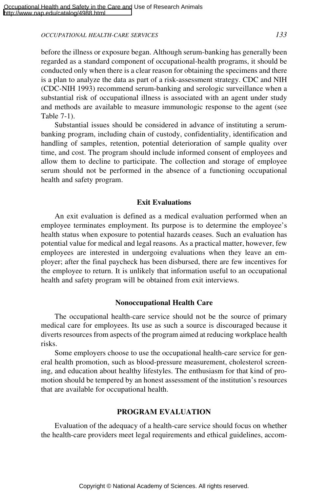*OCCUPATIONAL HEALTH-CARE SERVICES 133*

before the illness or exposure began. Although serum-banking has generally been regarded as a standard component of occupational-health programs, it should be conducted only when there is a clear reason for obtaining the specimens and there is a plan to analyze the data as part of a risk-assessment strategy. CDC and NIH (CDC-NIH 1993) recommend serum-banking and serologic surveillance when a substantial risk of occupational illness is associated with an agent under study and methods are available to measure immunologic response to the agent (see Table 7-1).

Substantial issues should be considered in advance of instituting a serumbanking program, including chain of custody, confidentiality, identification and handling of samples, retention, potential deterioration of sample quality over time, and cost. The program should include informed consent of employees and allow them to decline to participate. The collection and storage of employee serum should not be performed in the absence of a functioning occupational health and safety program.

### **Exit Evaluations**

An exit evaluation is defined as a medical evaluation performed when an employee terminates employment. Its purpose is to determine the employee's health status when exposure to potential hazards ceases. Such an evaluation has potential value for medical and legal reasons. As a practical matter, however, few employees are interested in undergoing evaluations when they leave an employer; after the final paycheck has been disbursed, there are few incentives for the employee to return. It is unlikely that information useful to an occupational health and safety program will be obtained from exit interviews.

### **Nonoccupational Health Care**

The occupational health-care service should not be the source of primary medical care for employees. Its use as such a source is discouraged because it diverts resources from aspects of the program aimed at reducing workplace health risks.

Some employers choose to use the occupational health-care service for general health promotion, such as blood-pressure measurement, cholesterol screening, and education about healthy lifestyles. The enthusiasm for that kind of promotion should be tempered by an honest assessment of the institution's resources that are available for occupational health.

#### **PROGRAM EVALUATION**

Evaluation of the adequacy of a health-care service should focus on whether the health-care providers meet legal requirements and ethical guidelines, accom-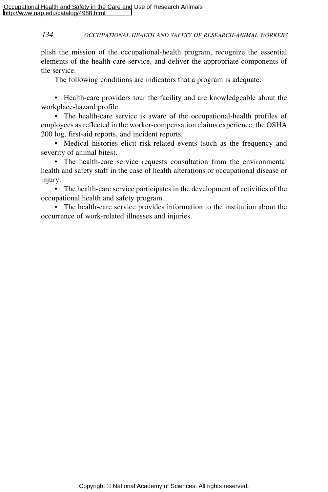plish the mission of the occupational-health program, recognize the essential elements of the health-care service, and deliver the appropriate components of the service.

The following conditions are indicators that a program is adequate:

• Health-care providers tour the facility and are knowledgeable about the workplace-hazard profile.

• The health-care service is aware of the occupational-health profiles of employees as reflected in the worker-compensation claims experience, the OSHA 200 log, first-aid reports, and incident reports.

• Medical histories elicit risk-related events (such as the frequency and severity of animal bites).

• The health-care service requests consultation from the environmental health and safety staff in the case of health alterations or occupational disease or injury.

• The health-care service participates in the development of activities of the occupational health and safety program.

• The health-care service provides information to the institution about the occurrence of work-related illnesses and injuries.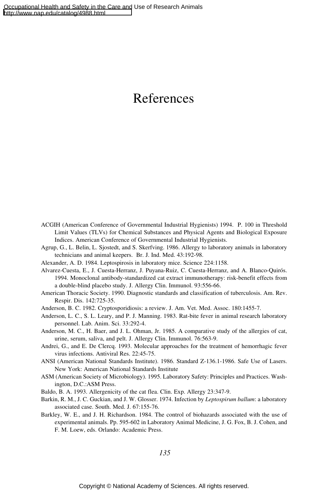# References

- ACGIH (American Conference of Governmental Industrial Hygienists) 1994. P. 100 in Threshold Limit Values (TLVs) for Chemical Substances and Physical Agents and Biological Exposure Indices. American Conference of Governmental Industrial Hygienists.
- Agrup, G., L. Belin, L. Sjostedt, and S. Skerfving. 1986. Allergy to laboratory animals in laboratory technicians and animal keepers. Br. J. Ind. Med. 43:192-98.
- Alexander, A. D. 1984. Leptospirosis in laboratory mice. Science 224:1158.
- Alvarez-Cuesta, E., J. Cuesta-Herranz, J. Puyana-Ruiz, C. Cuesta-Herranz, and A. Blanco-Quirós. 1994. Monoclonal antibody-standardized cat extract immunotherapy: risk-benefit effects from a double-blind placebo study. J. Allergy Clin. Immunol. 93:556-66.
- American Thoracic Society. 1990. Diagnostic standards and classification of tuberculosis. Am. Rev. Respir. Dis. 142:725-35.
- Anderson, B. C. 1982. Cryptosporidiosis: a review. J. Am. Vet. Med. Assoc. 180:1455-7.
- Anderson, L. C., S. L. Leary, and P. J. Manning. 1983. Rat-bite fever in animal research laboratory personnel. Lab. Anim. Sci. 33:292-4.
- Anderson, M. C., H. Baer, and J. L. Ohman, Jr. 1985. A comparative study of the allergies of cat, urine, serum, saliva, and pelt. J. Allergy Clin. Immunol. 76:563-9.
- Andrei, G., and E. De Clercq. 1993. Molecular approaches for the treatment of hemorrhagic fever virus infections. Antiviral Res. 22:45-75.
- ANSI (American National Standards Institute). 1986. Standard Z-136.1-1986. Safe Use of Lasers. New York: American National Standards Institute
- ASM (American Society of Microbiology). 1995. Laboratory Safety: Principles and Practices. Washington, D.C.:ASM Press.
- Baldo, B. A. 1993. Allergenicity of the cat flea. Clin. Exp. Allergy 23:347-9.
- Barkin, R. M., J. C. Guckian, and J. W. Glosser. 1974. Infection by *Leptospirum ballum*: a laboratory associated case. South. Med. J. 67:155-76.
- Barkley, W. E., and J. H. Richardson. 1984. The control of biohazards associated with the use of experimental animals. Pp. 595-602 in Laboratory Animal Medicine, J. G. Fox, B. J. Cohen, and F. M. Loew, eds. Orlando: Academic Press.

*135*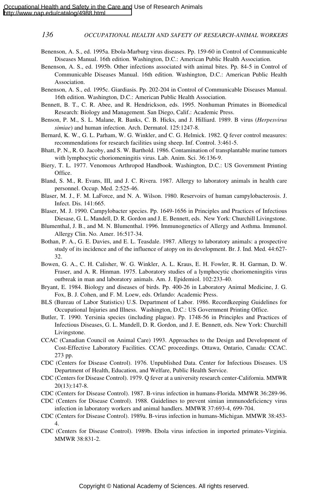- Benenson, A. S., ed. 1995a. Ebola-Marburg virus diseases. Pp. 159-60 in Control of Communicable Diseases Manual. 16th edition. Washington, D.C.: American Public Health Association.
- Benenson, A. S., ed. 1995b. Other infections associated with animal bites. Pp. 84-5 in Control of Communicable Diseases Manual. 16th edition. Washington, D.C.: American Public Health Association.
- Benenson, A. S., ed. 1995c. Giardiasis. Pp. 202-204 in Control of Communicable Diseases Manual. 16th edition. Washington, D.C.: American Public Health Association.
- Bennett, B. T., C. R. Abee, and R. Hendrickson, eds. 1995. Nonhuman Primates in Biomedical Research: Biology and Management. San Diego, Calif.: Academic Press.
- Benson, P. M., S. L. Malane, R. Banks, C. B. Hicks, and J. Hilliard. 1989. B virus (*Herpesvirus simiae*) and human infection. Arch. Dermatol. 125:1247-8.
- Bernard, K. W., G. L. Parham, W. G. Winkler, and C. G. Helmick. 1982. Q fever control measures: recommendations for research facilities using sheep. Inf. Control. 3:461-5.
- Bhatt, P. N., R. O. Jacoby, and S. W. Barthold. 1986. Contamination of transplantable murine tumors with lymphocytic choriomeningitis virus. Lab. Anim. Sci. 36:136-9.
- Biery, T. L. 1977. Venomous Arthropod Handbook. Washington, D.C.: US Government Printing Office.
- Bland, S. M., R. Evans, III, and J. C. Rivera. 1987. Allergy to laboratory animals in health care personnel. Occup. Med. 2:525-46.
- Blaser, M. J., F. M. LaForce, and N. A. Wilson. 1980. Reservoirs of human campylobacterosis. J. Infect. Dis. 141:665.
- Blaser, M. J. 1990. Campylobacter species. Pp. 1649-1656 in Principles and Practices of Infectious Diesase, G. L. Mandell, D. R. Gordon and J. E. Bennett, eds. New York: Churchill Livingstone.
- Blumenthal, J. B., and M. N. Blumenthal. 1996. Immunogenetics of Allergy and Asthma. Immunol. Allergy Clin. No. Amer. 16:517-34.
- Bothan, P. A., G. E. Davies, and E. L. Teasdale. 1987. Allergy to laboratory animals: a prospective study of its incidence and of the influence of atopy on its development. Br. J. Ind. Med. 44:627- 32.
- Bowen, G. A., C. H. Calisher, W. G. Winkler, A. L. Kraus, E. H. Fowler, R. H. Garman, D. W. Fraser, and A. R. Hinman. 1975. Laboratory studies of a lymphocytic choriomeningitis virus outbreak in man and laboratory animals. Am. J. Epidemiol. 102:233-40.
- Bryant, E. 1984. Biology and diseases of birds. Pp. 400-26 in Laboratory Animal Medicine, J. G. Fox, B. J. Cohen, and F. M. Loew, eds. Orlando: Academic Press.
- BLS (Bureau of Labor Statistics) U.S. Department of Labor. 1986. Recordkeeping Guidelines for Occupational Injuries and Illness. Washington, D.C.: US Government Printing Office.
- Butler, T. 1990. Yersinia species (including plague). Pp. 1748-56 in Principles and Practices of Infectious Diseases, G. L. Mandell, D. R. Gordon, and J. E. Bennett, eds. New York: Churchill Livingstone.
- CCAC (Canadian Council on Animal Care) 1993. Approaches to the Design and Development of Cost-Effective Laboratory Facilities. CCAC proceedings. Ottawa, Ontario, Canada: CCAC. 273 pp.
- CDC (Centers for Disease Control). 1976. Unpublished Data. Center for Infectious Diseases. US Department of Health, Education, and Welfare, Public Health Service.
- CDC (Centers for Disease Control). 1979. Q fever at a university research center-California. MMWR 20(13):147-8.
- CDC (Centers for Disease Control). 1987. B-virus infection in humans-Florida. MMWR 36:289-96.
- CDC (Centers for Disease Control). 1988. Guidelines to prevent simian immunodeficiency virus infection in laboratory workers and animal handlers. MMWR 37:693-4, 699-704.
- CDC (Centers for Disease Control). 1989a. B-virus infection in humans-Michigan. MMWR 38:453- 4.
- CDC (Centers for Disease Control). 1989b. Ebola virus infection in imported primates-Virginia. MMWR 38:831-2.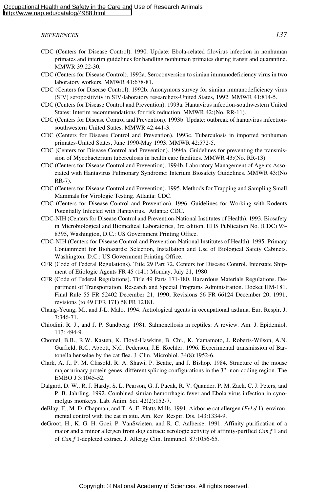- CDC (Centers for Disease Control). 1990. Update: Ebola-related filovirus infection in nonhuman primates and interim guidelines for handling nonhuman primates during transit and quarantine. MMWR 39:22-30.
- CDC (Centers for Disease Control). 1992a. Seroconversion to simian immunodeficiency virus in two laboratory workers. MMWR 41:678-81.
- CDC (Centers for Disease Control). 1992b. Anonymous survey for simian immunodeficiency virus (SIV) seropositivity in SIV-laboratory researchers-United States, 1992. MMWR 41:814-5.
- CDC (Centers for Disease Control and Prevention). 1993a. Hantavirus infection-southwestern United States: Interim recommendations for risk reduction. MMWR 42:(No. RR-11).
- CDC (Centers for Disease Control and Prevention). 1993b. Update: outbreak of hantavirus infectionsouthwestern United States. MMWR 42:441-3.
- CDC (Centers for Disease Control and Prevention). 1993c. Tuberculosis in imported nonhuman primates-United States, June 1990-May 1993. MMWR 42:572-5.
- CDC (Centers for Disease Control and Prevention). 1994a. Guidelines for preventing the transmission of Mycobacterium tuberculosis in health care facilities. MMWR 43:(No. RR-13).
- CDC (Centers for Disease Control and Prevention). 1994b. Laboratory Management of Agents Associated with Hantavirus Pulmonary Syndrome: Interium Biosafety Guidelines. MMWR 43:(No RR-7).
- CDC (Centers for Disease Control and Prevention). 1995. Methods for Trapping and Sampling Small Mammals for Virologic Testing. Atlanta: CDC.
- CDC (Centers for Disease Control and Prevention). 1996. Guidelines for Working with Rodents Potentially Infected with Hantavirus. Atlanta: CDC.
- CDC-NIH (Centers for Disease Control and Prevention-National Institutes of Health). 1993. Biosafety in Microbiological and Biomedical Laboratories, 3rd edition. HHS Publication No. (CDC) 93- 8395, Washington, D.C.: US Government Printing Office.
- CDC-NIH (Centers for Disease Control and Prevention-National Institutes of Health). 1995. Primary Containment for Biohazards: Selection, Installation and Use of Biological Safety Cabinets. Washington, D.C.: US Government Printing Office.
- CFR (Code of Federal Regulations). Title 29 Part 72. Centers for Disease Control. Interstate Shipment of Etiologic Agents FR 45 (141) Monday, July 21, 1980.
- CFR (Code of Federal Regulations). Title 49 Parts 171-180. Hazardous Materials Regulations. Department of Transportation. Research and Special Programs Administration. Docket HM-181. Final Rule 55 FR 52402 December 21, 1990; Revisions 56 FR 66124 December 20, 1991; revisions (to 49 CFR 171) 58 FR 12181.
- Chang-Yeung, M., and J-L. Malo. 1994. Aetiological agents in occupational asthma. Eur. Respir. J. 7:346-71.
- Chiodini, R. J., and J. P. Sundberg. 1981. Salmonellosis in reptiles: A review. Am. J. Epidemiol. 113: 494-9.
- Chomel, B.B., R.W. Kasten, K. Floyd-Hawkins, B. Chi., K. Yamamoto, J. Roberts-Wilson, A.N. Gurfield, R.C. Abbott, N.C. Pederson, J.E. Koehler. 1996. Experimental transmission of Bartonella henselae by the cat flea. J. Clin. Microbiol. 34(8):1952-6.
- Clark, A. J., P. M. Clissold, R. A. Shawi, P. Beatie, and J. Bishop. 1984. Structure of the mouse major urinary protein genes: different splicing configurations in the 3" -non-coding region. The EMBO J 3:1045-52.
- Dalgard, D. W., R. J. Hardy, S. L. Pearson, G. J. Pucak, R. V. Quander, P. M. Zack, C. J. Peters, and P. B. Jahrling. 1992. Combined simian hemorrhagic fever and Ebola virus infection in cynomolgus monkeys. Lab. Anim. Sci. 42(2):152-7.
- deBlay, F., M. D. Chapman, and T. A. E. Platts-Mills. 1991. Airborne cat allergen (*Fel d* 1): environmental control with the cat in situ. Am. Rev. Respir. Dis. 143:1334-9.
- deGroot, H., K. G. H. Goei, P. VanSwieten, and R. C. Aalberse. 1991. Affinity purification of a major and a minor allergen from dog extract: serologic activity of affinity-purified *Can f* 1 and of *Can f* 1-depleted extract. J. Allergy Clin. Immunol. 87:1056-65.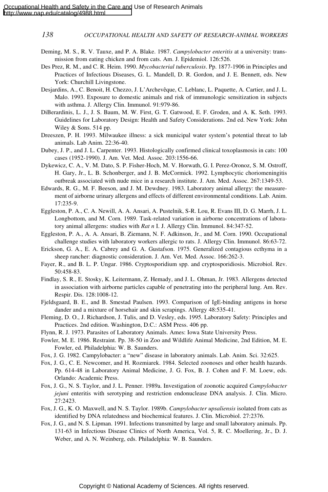- Deming, M. S., R. V. Tauxe, and P. A. Blake. 1987. *Campylobacter enteritis* at a university: transmission from eating chicken and from cats. Am. J. Epidemiol. 126:526.
- Des Prez, R. M., and C. R. Heim. 1990. *Mycobacterial tuberculosis*. Pp. 1877-1906 in Principles and Practices of Infectious Diseases, G. L. Mandell, D. R. Gordon, and J. E. Bennett, eds. New York: Churchill Livingstone.
- Desjardins, A., C. Benoit, H. Chezzo, J. L'Archevêque, C. Leblanc, L. Paquette, A. Cartier, and J. L. Malo. 1993. Exposure to domestic animals and risk of immunologic sensitization in subjects with asthma. J. Allergy Clin. Immunol. 91:979-86.
- DiBerardinis, L. J., J. S. Baum, M. W. First, G. T. Gatwood, E. F. Groden, and A. K. Seth. 1993. Guidelines for Laboratory Design: Health and Safety Considerations. 2nd ed. New York: John Wiley & Sons. 514 pp.
- Dreeszen, P. H. 1993. Milwaukee illness: a sick municipal water system's potential threat to lab animals. Lab Anim. 22:36-40.
- Dubey, J. P., and J. L. Carpenter. 1993. Histologically confirmed clinical toxoplasmosis in cats: 100 cases (1952-1990). J. Am. Vet. Med. Assoc. 203:1556-66.
- Dykewicz, C. A., V. M. Dato, S. P. Fisher-Hoch, M. V. Horwath, G. I. Perez-Oronoz, S. M. Ostroff, H. Gary, Jr., L. B. Schonberger, and J. B. McCormick. 1992. Lymphocytic choriomeningitis outbreak associated with nude mice in a research institute. J. Am. Med. Assoc. 267:1349-53.
- Edwards, R. G., M. F. Beeson, and J. M. Dewdney. 1983. Laboratory animal allergy: the measurement of airborne urinary allergens and effects of different environmental conditions. Lab. Anim. 17:235-9.
- Eggleston, P. A., C. A. Newill, A. A. Ansari, A. Pustelnik, S-R. Lou, R. Evans III, D. G. Marrh, J. L. Longbottom, and M. Corn. 1989. Task-related variation in airborne concentrations of laboratory animal allergens: studies with *Rat n* I. J. Allergy Clin. Immunol. 84:347-52.
- Eggleston, P. A., A. A. Ansari, B. Ziemann, N. F. Adkinson, Jr., and M. Corn. 1990. Occupational challenge studies with laboratory workers allergic to rats. J. Allergy Clin. Immunol. 86:63-72.
- Erickson, G. A., E. A. Cabrey and G. A. Gustafson. 1975. Generalized contagious ecthyma in a sheep rancher: diagnostic consideration. J. Am. Vet. Med. Assoc. 166:262-3.
- Fayer, R., and B. L. P. Ungar. 1986. Cryptosporidium spp. and cryptosporidiosis. Microbiol. Rev. 50:458-83.
- Findlay, S. R., E. Stosky, K. Leitermann, Z. Hemady, and J. L. Ohman, Jr. 1983. Allergens detected in association with airborne particles capable of penetrating into the peripheral lung. Am. Rev. Respir. Dis. 128:1008-12.
- Fjeldsgaard, B. E., and B. Smestad Paulsen. 1993. Comparison of IgE-binding antigens in horse dander and a mixture of horsehair and skin scrapings. Allergy 48:535-41.
- Fleming, D. O., J. Richardson, J. Tulis, and D. Vesley, eds. 1995. Laboratory Safety: Principles and Practices. 2nd edition. Washington, D.C.: ASM Press. 406 pp.
- Flynn, R. J. 1973. Parasites of Laboratory Animals. Ames: Iowa State University Press.
- Fowler, M. E. 1986. Restraint. Pp. 38-50 in Zoo and Wildlife Animal Medicine, 2nd Edition, M. E. Fowler, ed. Philadelphia: W. B. Saunders.
- Fox, J. G. 1982. Campylobacter: a "new" disease in laboratory animals. Lab. Anim. Sci. 32:625.
- Fox, J. G., C. E. Newcomer, and H. Rozmiarek. 1984. Selected zoonoses and other health hazards. Pp. 614-48 in Laboratory Animal Medicine, J. G. Fox, B. J. Cohen and F. M. Loew, eds. Orlando: Academic Press.
- Fox, J. G., N. S. Taylor, and J. L. Penner. 1989a. Investigation of zoonotic acquired *Campylobacter jejuni* enteritis with serotyping and restriction endonuclease DNA analysis. J. Clin. Micro. 27:2423.
- Fox, J. G., K. O. Maxwell, and N. S. Taylor. 1989b. *Campylobacter upsaliensis* isolated from cats as identified by DNA relatedness and biochemical features. J. Clin. Microbiol. 27:2376.
- Fox, J. G., and N. S. Lipman. 1991. Infections transmitted by large and small laboratory animals. Pp. 131-63 in Infectious Disease Clinics of North America, Vol. 5, R. C. Moellering, Jr., D. J. Weber, and A. N. Weinberg, eds. Philadelphia: W. B. Saunders.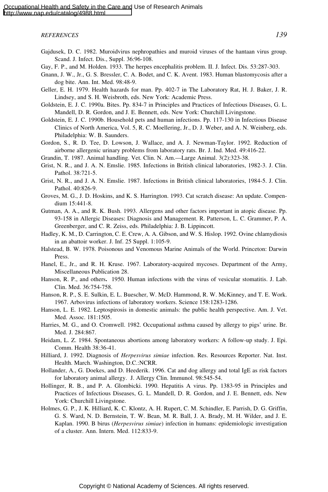- Gajdusek, D. C. 1982. Muroidvirus nephropathies and muroid viruses of the hantaan virus group. Scand. J. Infect. Dis., Suppl. 36:96-108.
- Gay, F. P., and M. Holden. 1933. The herpes encephalitis problem. II. J. Infect. Dis. 53:287-303.
- Gnann, J. W., Jr., G. S. Bressler, C. A. Bodet, and C. K. Avent. 1983. Human blastomycosis after a dog bite. Ann. Int. Med. 98:48-9.
- Geller, E. H. 1979. Health hazards for man. Pp. 402-7 in The Laboratory Rat, H. J. Baker, J. R. Lindsey, and S. H. Weisbroth, eds. New York: Academic Press.
- Goldstein, E. J. C. 1990a. Bites. Pp. 834-7 in Principles and Practices of Infectious Diseases, G. L. Mandell, D. R. Gordon, and J. E. Bennett, eds. New York: Churchill Livingstone.
- Goldstein, E. J. C. 1990b. Household pets and human infections. Pp. 117-130 in Infectious Disease Clinics of North America, Vol. 5, R. C. Moellering, Jr., D. J. Weber, and A. N. Weinberg, eds. Philadelphia: W. B. Saunders.
- Gordon, S., R. D. Tee, D. Lowson, J. Wallace, and A. J. Newman-Taylor. 1992. Reduction of airborne allergenic urinary problems from laboratory rats. Br. J. Ind. Med. 49:416-22.
- Grandin, T. 1987. Animal handling. Vet. Clin. N. Am.—Large Animal. 3(2):323-38.
- Grist, N. R., and J. A. N. Emslie. 1985. Infections in British clinical laboratories, 1982-3. J. Clin. Pathol. 38:721-5.
- Grist, N. R., and J. A. N. Emslie. 1987. Infections in British clinical laboratories, 1984-5. J. Clin. Pathol. 40:826-9.
- Groves, M. G., J. D. Hoskins, and K. S. Harrington. 1993. Cat scratch disease: An update. Compendium 15:441-8.
- Gutman, A. A., and R. K. Bush. 1993. Allergens and other factors important in atopic disease. Pp. 93-158 in Allergic Diseases: Diagnosis and Management. R. Patterson, L. C. Grammer, P. A. Greenberger, and C. R. Zeiss, eds. Philadelphia: J. B. Lippincott.
- Hadley, K. M., D. Carrington, C. E. Crew, A. A. Gibson, and W. S. Hislop. 1992. Ovine chlamydiosis in an abattoir worker. J. Inf. 25 Suppl. 1:105-9.
- Halstead, B. W. 1978. Poisonous and Venomous Marine Animals of the World. Princeton: Darwin Press.
- Hanel, E., Jr., and R. H. Kruse. 1967. Laboratory-acquired mycoses. Department of the Army, Miscellaneous Publication 28.
- Hanson, R. P., and others**.** 1950. Human infections with the virus of vesicular stomatitis. J. Lab. Clin. Med. 36:754-758.
- Hanson, R. P., S. E. Sulkin, E. L. Buescher, W. McD. Hammond, R. W. McKinney, and T. E. Work. 1967. Arbovirus infections of laboratory workers. Science 158:1283-1286.
- Hanson, L. E. 1982. Leptospirosis in domestic animals: the public health perspective. Am. J. Vet. Med. Assoc. 181:1505.
- Harries, M. G., and O. Cromwell. 1982. Occupational asthma caused by allergy to pigs' urine. Br. Med. J. 284:867.
- Heidam, L. Z. 1984. Spontaneous abortions among laboratory workers: A follow-up study. J. Epi. Comm. Health 38:36-41.
- Hilliard, J. 1992. Diagnosis of *Herpesvirus simiae* infection. Res. Resources Reporter. Nat. Inst. Health. March. Washington, D.C.:NCRR.
- Hollander, A., G. Doekes, and D. Heederik. 1996. Cat and dog allergy and total IgE as risk factors for laboratory animal allergy. J. Allergy Clin. Immunol. 98:545-54.
- Hollinger, R. B., and P. A. Glombicki. 1990. Hepatitis A virus. Pp. 1383-95 in Principles and Practices of Infectious Diseases, G. L. Mandell, D. R. Gordon, and J. E. Bennett, eds. New York: Churchill Livingstone.
- Holmes, G. P., J. K. Hilliard, K. C. Klontz, A. H. Rupert, C. M. Schindler, E. Parrish, D. G. Griffin, G. S. Ward, N. D. Bernstein, T. W. Bean, M. R. Ball, J. A. Brady, M. H. Wilder, and J. E. Kaplan. 1990. B birus (*Herpesvirus simiae*) infection in humans: epidemiologic investigation of a cluster. Ann. Intern. Med. 112:833-9.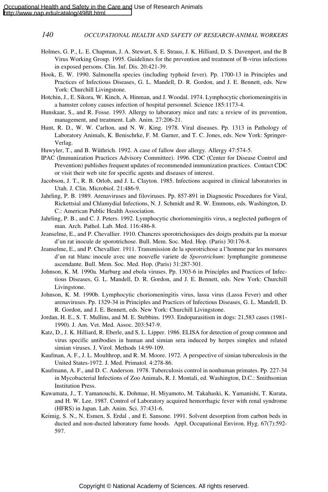- Holmes, G. P., L. E. Chapman, J. A. Stewart, S. E. Straus, J. K. Hilliard, D. S. Davenport, and the B Virus Working Group. 1995. Guidelines for the prevention and treatment of B-virus infections in exposed persons. Clin. Inf. Dis. 20:421-39.
- Hook, E. W. 1990. Salmonella species (including typhoid fever). Pp. 1700-13 in Principles and Practices of Infectious Diseases, G. L. Mandell, D. R. Gordon, and J. E. Bennett, eds. New York: Churchill Livingstone.
- Hotchin, J., E. Sikora, W. Kinch, A. Hinman, and J. Woodal. 1974. Lymphocytic choriomeningitis in a hamster colony causes infection of hospital personnel. Science 185:1173-4.
- Hunskaar, S., and R. Fosse. 1993. Allergy to laboratory mice and rats: a review of its prevention, management, and treatment. Lab. Anim. 27:206-21.
- Hunt, R. D., W. W. Carlton, and N. W. King. 1978. Viral diseases. Pp. 1313 in Pathology of Laboratory Animals, K. Benischrke, F. M. Garner, and T. C. Jones, eds. New York: Springer-Verlag.
- Huwyler, T., and B. Wüthrich. 1992. A case of fallow deer allergy. Allergy 47:574-5.
- IPAC (Immunization Practices Advisory Committee). 1996. CDC (Center for Disease Control and Prevention) publishes frequent updates of recommended immunization practices. Contact CDC or visit their web site for specific agents and diseases of interest.
- Jacobson, J. T., R. B. Orlob, and J. L. Clayton. 1985. Infections acquired in clinical laboratories in Utah. J. Clin. Microbiol. 21:486-9.
- Jahrling, P. B. 1989. Arenaviruses and filoviruses. Pp. 857-891 in Diagnostic Procedures for Viral, Rickettsial and Chlamydial Infections, N. J. Schmidt and R. W. Emmons, eds. Washington, D. C.: American Public Health Association.
- Jahrling, P. B., and C. J. Peters. 1992. Lymphocytic choriomeningitis virus, a neglected pathogen of man. Arch. Pathol. Lab. Med. 116:486-8.
- Jeanselme, E., and P. Chevallier. 1910. Chancres sporotrichosiques des doigts produits par la morsur d'un rat inocule de sporotrichose. Bull. Mem. Soc. Med. Hop. (Paris) 30:176-8.
- Jeanselme, E., and P. Chevallier. 1911. Transmission de la sporotrichose a l'homme par les morsures d'un rat blanc inocule avec une nouvelle variete de *Sporotrichum*: lymphangite gommeuse ascendante. Bull. Mem. Soc. Med. Hop. (Paris) 31:287-301.
- Johnson, K. M. 1990a. Marburg and ebola viruses. Pp. 1303-6 in Principles and Practices of Infectious Diseases, G. L. Mandell, D. R. Gordon, and J. E. Bennett, eds. New York: Churchill Livingstone.
- Johnson, K. M. 1990b. Lymphocytic choriomeningitis virus, lassa virus (Lassa Fever) and other arenaviruses. Pp. 1329-34 in Principles and Practices of Infectious Diseases, G. L. Mandell, D. R. Gordon, and J. E. Bennett, eds. New York: Churchill Livingstone.
- Jordan, H. E., S. T. Mullins, and M. E. Stebbins. 1993. Endoparasitism in dogs: 21,583 cases (1981- 1990). J. Am. Vet. Med. Assoc. 203:547-9.
- Katz, D., J. K. Hilliard, R. Eberle, and S. L. Lipper. 1986. ELISA for detection of group common and virus specific antibodies in human and simian sera induced by herpes simplex and related simian viruses. J. Virol. Methods 14:99-109.
- Kaufman, A. F., J. L. Moulthrop, and R. M. Moore. 1972. A perspective of simian tuberculosis in the United States-1972. J. Med. Primatol. 4:278-86.
- Kaufmann, A. F., and D. C. Anderson. 1978. Tuberculosis control in nonhuman primates. Pp. 227-34 in Mycobacterial Infections of Zoo Animals, R. J. Montali, ed. Washington, D.C.: Smithsonian Institution Press.
- Kawamata, J., T. Yamanouchi, K. Dohmae, H. Miyamoto, M. Takahaski, K. Yamanishi, T. Kurata, and H. W. Lee. 1987. Control of Laboratory acquired hemorrhagic fever with renal syndrome (HFRS) in Japan. Lab. Anim. Sci. 37:431-6.
- Keimig, S. N., N. Esmen, S. Erdal , and E. Sansone. 1991. Solvent desorption from carbon beds in ducted and non-ducted laboratory fume hoods. Appl. Occupational Environ. Hyg. 67(7):592- 597.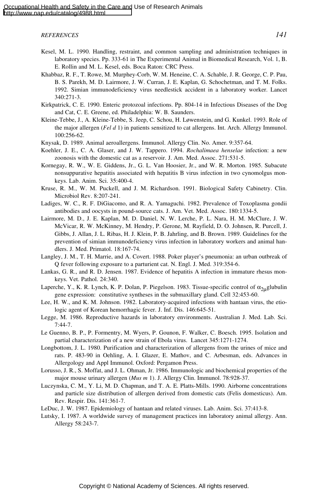- Khabbaz, R. F., T. Rowe, M. Murphey-Corb, W. M. Heneine, C. A. Schable, J. R. George, C. P. Pau, B. S. Parekh, M. D. Lairmore, J. W. Curran, J. E. Kaplan, G. Schochetman, and T. M. Folks. 1992. Simian immunodeficiency virus needlestick accident in a laboratory worker. Lancet 340:271-3.
- Kirkpatrick, C. E. 1990. Enteric protozoal infections. Pp. 804-14 in Infectious Diseases of the Dog and Cat, C. E. Greene, ed. Philadelphia: W. B. Saunders.
- Kleine-Tebbe, J., A. Kleine-Tebbe, S. Jeep, C. Schou, H. Løwenstein, and G. Kunkel. 1993. Role of the major allergen (*Fel d* 1) in patients sensitized to cat allergens. Int. Arch. Allergy Immunol. 100:256-62.
- Knysak, D. 1989. Animal aeroallergens. Immunol. Allergy Clin. No. Amer. 9:357-64.
- Koehler, J. E., C. A. Glaser, and J. W. Tappero. 1994. *Rochalimaea henselae* infection: a new zoonosis with the domestic cat as a reservoir. J. Am. Med. Assoc. 271:531-5.
- Kornegay, R. W., W. E. Giddens, Jr., G. L. Van Hoosier, Jr., and W. R. Morton. 1985. Subacute nonsuppurative hepatitis associated with hepatitis B virus infection in two cynomolgus monkeys. Lab. Anim. Sci. 35:400-4.
- Kruse, R. M., W. M. Puckell, and J. M. Richardson. 1991. Biological Safety Cabinetry. Clin. Microbiol Rev. 8:207-241.
- Ladiges, W. C., R. F. DiGiacomo, and R. A. Yamaguchi. 1982. Prevalence of Toxoplasma gondii antibodies and oocysts in pound-source cats. J. Am. Vet. Med. Assoc. 180:1334-5.
- Lairmore, M. D., J. E. Kaplan, M. D. Daniel, N. W. Lerche, P. L. Nara, H. M. McClure, J. W. McVicar, R. W. McKinney, M. Hendry, P. Gerone, M. Rayfield, D. O. Johnsen, R. Purcell, J. Gibbs, J. Allan, J. L. Ribas, H. J. Klein, P. B. Jahrling, and B. Brown. 1989. Guidelines for the prevention of simian immunodeficiency virus infection in laboratory workers and animal handlers. J. Med. Primatol. 18:167-74.
- Langley, J. M., T. H. Marrie, and A. Covert. 1988. Poker player's pneumonia: an urban outbreak of Q fever following exposure to a parturient cat. N. Engl. J. Med. 319:354-6.
- Lankas, G. R., and R. D. Jensen. 1987. Evidence of hepatitis A infection in immature rhesus monkeys. Vet. Pathol. 24:340.
- Laperche, Y., K. R. Lynch, K. P. Dolan, P. Piegelson. 1983. Tissue-specific control of  $\alpha_{2\mu}$ glubulin gene expression: constitutive syntheses in the submaxillary gland. Cell 32:453-60.
- Lee, H. W., and K. M. Johnson. 1982. Laboratory-acquired infections with hantaan virus, the etiologic agent of Korean hemorrhagic fever. J. Inf. Dis. 146:645-51.
- Legge, M. 1986. Reproductive hazards in laboratory environments. Australian J. Med. Lab. Sci. 7:44-7.
- Le Guenno, B. P., P. Formentry, M. Wyers, P. Gounon, F. Walker, C. Boesch. 1995. Isolation and partial characterization of a new strain of Ebola virus. Lancet 345:1271-1274.
- Longbottom, J. L. 1980. Purification and characterization of allergens from the urines of mice and rats. P. 483-90 in Oehling, A. I. Glazer, E. Mathov, and C. Arbesman, eds. Advances in Allergology and Appl Immunol. Oxford: Pergamon Press.
- Lorusso, J. R., S. Moffat, and J. L. Ohman, Jr. 1986. Immunologic and biochemical properties of the major mouse urinary allergen (*Mus m* 1). J. Allergy Clin. Immunol. 78:928-37.
- Luczynska, C. M., Y. Li, M. D. Chapman, and T. A. E. Platts-Mills. 1990. Airborne concentrations and particle size distribution of allergen derived from domestic cats (Felis domesticus). Am. Rev. Respir. Dis. 141:361-7.
- LeDuc, J. W. 1987. Epidemiology of hantaan and related viruses. Lab. Anim. Sci. 37:413-8.
- Lutsky, I. 1987. A worldwide survey of management practices inn laboratory animal allergy. Ann. Allergy 58:243-7.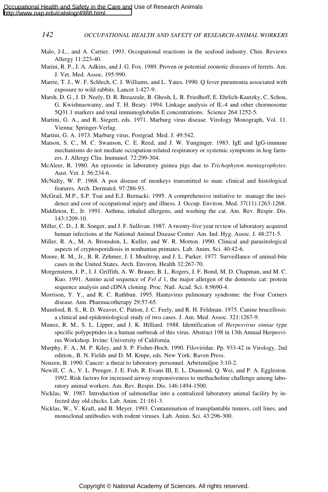- Malo, J-L., and A. Cartier. 1993. Occupational reactions in the seafood industry. Chin. Reviews Allergy 11:223-40.
- Marini, R. P., J. A. Adkins, and J. G. Fox. 1989. Proven or potential zoonotic diseases of ferrets. Am. J. Vet. Med. Assoc. 195:990.
- Marrie, T. J., W. F. Schlech, C. J. Williams, and L. Yates. 1990. Q fever pneumonia associated with exposure to wild rabbits. Lancet 1:427-9.
- Marsh, D. G., J. D. Neely, D. R. Breazeale, B. Ghosh, L. R. Friedhoff, E. Ehrlich-Kautzky, C. Schou, G. Kwishnaswamy, and T. H. Beaty. 1994. Linkage analysis of IL-4 and other chormosome 5Q31.1 markers and total immunoglobulin E concentrations. Science 264:1252-5.
- Martini, G. A., and R. Siegert, eds. 1971. Marburg virus disease. Virology Monograph, Vol. 11. Vienna: Springer-Verlag.
- Martini, G. A. 1973. Marburg virus. Postgrad. Med. J. 49:542.
- Matson, S. C., M. C. Swanson, C. E. Reed, and J. W. Yunginger. 1983. IgE and IgG-immune mechanisms do not mediate occupation-related respiratory or systemic symptoms in hog farmers. J. Allergy Clin. Immunol. 72:299-304.
- McAleer, R. 1980. An epizootic in laboratory guinea pigs due to *Trichophyton mentagrophytes*. Aust. Vet. J. 56:234-6.
- McNulty, W. P. 1968. A pox disease of monkeys transmitted to man: clinical and histological features. Arch. Dermatol. 97:286-93.
- McGrail, M.P., S.P. Tsai and E.J. Bernacki. 1995. A comprehensive initiative to manage the incidence and cost of occupational injury and illness. J. Occup. Environ. Med. 37(11):1263-1268.
- Middleton, E., Jr. 1991. Asthma, inhaled allergens, and washing the cat. Am. Rev. Respir. Dis. 143:1209-10.
- Miller, C. D., J. R. Songer, and J. F. Sullivan. 1987. A twenty-five year review of laboratory acquired human infections at the National Animal Disease Center. Am. Ind. Hyg. Assoc. J. 48:271-5.
- Miller, R. A., M. A. Bronsdon, L. Kuller, and W. R. Morton. 1990. Clinical and parasitological aspects of cryptosporidiosis in nonhuman primates. Lab. Anim. Sci. 40:42-6.
- Moore, R. M., Jr., B. R. Zehmer, J. I. Moultrop, and J. L. Parker. 1977. Surveillance of animal-bite cases in the United States. Arch. Environ. Health 32:267-70.
- Morgenstern, J. P., I. J. Griffith, A. W. Brauer, B. L. Rogers, J. F. Bond, M. D. Chapman, and M. C. Kuo. 1991. Amino acid sequence of *Fel d* 1, the major allergen of the domestic cat: protein sequence analysis and cDNA cloning. Proc. Natl. Acad. Sci. 8:9690-4.
- Morrison, Y. Y., and R. C. Rathbun. 1995. Hantavirus pulmonary syndrome: the Four Corners disease. Ann. Pharmacotherapy 29:57-65.
- Mumford, R. S., R. D. Weaver, C. Patton, J. C. Feely, and R. H. Feldman. 1975. Canine brucellosis: a clinical and epidemiological study of two cases. J. Am. Med. Assoc. 321:1267-9.
- Munoz, R. M., S. L. Lipper, and J. K. Hilliard. 1988. Identification of *Herpesvirus simiae* type specific polypeptides in a human outbreak of this virus. Abstract 198 in 13th Annual Herpesvirus Workshop. Irvine: University of California.
- Murphy, F. A., M. P. Kiley, and S. P. Fisher-Hoch. 1990. Filoviridae. Pp. 933-42 in Virology, 2nd edition., B. N. Fields and D. M. Kmpe, eds. New York: Raven Press.
- Nenzen, B. 1990. Cancer: a threat to laboratory personnel. Arbetsmiljoe 3:10-2.
- Newill, C. A., V. L. Prenger, J. E. Fish, R. Evans III, E. L. Diamond, Q. Wei, and P. A. Eggleston. 1992. Risk factors for increased airway responsiveness to methacholine challenge among laboratory animal workers. Am. Rev. Respir. Dis. 146:1494-1500.
- Nicklas, W. 1987. Introduction of salmonellae into a centralized laboratory animal facility by infected day old chicks. Lab. Anim. 21:161-3.
- Nicklas, W., V. Kraft, and B. Meyer. 1993. Contamination of transplantable tumors, cell lines, and monoclonal antibodies with rodent viruses. Lab. Anim. Sci. 43:296-300.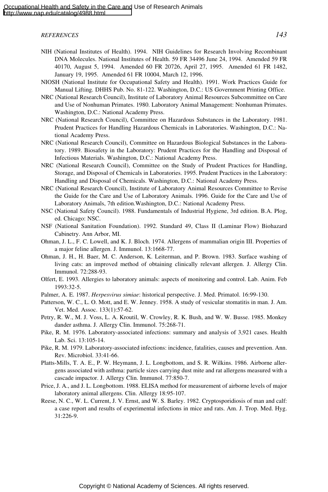- NIOSH (National Institute for Occupational Safety and Health). 1991. Work Practices Guide for Manual Lifting. DHHS Pub. No. 81-122. Washington, D.C.: US Government Printing Office.
- NRC (National Research Council), Institute of Laboratory Animal Resources Subcommittee on Care and Use of Nonhuman Primates. 1980. Laboratory Animal Management: Nonhuman Primates. Washington, D.C.: National Academy Press.
- NRC (National Research Council), Committee on Hazardous Substances in the Laboratory. 1981. Prudent Practices for Handling Hazardous Chemicals in Laboratories. Washington, D.C.: National Academy Press.
- NRC (National Research Council), Committee on Hazardous Biological Substances in the Laboratory. 1989. Biosafety in the Laboratory: Prudent Practices for the Handling and Disposal of Infectious Materials. Washington, D.C.: National Academy Press.
- NRC (National Research Council), Committee on the Study of Prudent Practices for Handling, Storage, and Disposal of Chemicals in Laboratories. 1995. Prudent Practices in the Laboratory: Handling and Disposal of Chemicals. Washington, D.C.: National Academy Press.
- NRC (National Research Council), Institute of Laboratory Animal Resources Committee to Revise the Guide for the Care and Use of Laboratory Animals. 1996. Guide for the Care and Use of Laboratory Animals, 7th edition.Washington, D.C.: National Academy Press.
- NSC (National Safety Council). 1988. Fundamentals of Industrial Hygiene, 3rd edition. B.A. Plog, ed. Chicago: NSC.
- NSF (National Sanitation Foundation). 1992. Standard 49, Class II (Laminar Flow) Biohazard Cabinetry. Ann Arbor, MI.
- Ohman, J. L., F. C. Lowell, and K. J. Bloch. 1974. Allergens of mammalian origin III. Properties of a major feline allergen. J. Immunol. 13:1668-77.
- Ohman, J. H., H. Baer, M. C. Anderson, K. Leiterman, and P. Brown. 1983. Surface washing of living cats: an improved method of obtaining clinically relevant allergen. J. Allergy Clin. Immunol. 72:288-93.
- Olfert, E. 1993. Allergies to laboratory animals: aspects of monitoring and control. Lab. Anim. Feb 1993:32-5.
- Palmer, A. E. 1987. *Herpesvirus simiae*: historical perspective. J. Med. Primatol. 16:99-130.
- Patterson, W. C., L. O. Mott, and E. W. Jenney. 1958. A study of vesicular stomatitis in man. J. Am. Vet. Med. Assoc. 133(1):57-62.
- Petry, R. W., M. J. Voss, L. A. Kroutil, W. Crowley, R. K. Bush, and W. W. Busse. 1985. Monkey dander asthma. J. Allergy Clin. Immunol. 75:268-71.
- Pike, R. M. 1976. Laboratory-associated infections: summary and analysis of 3,921 cases. Health Lab. Sci. 13:105-14.
- Pike, R. M. 1979. Laboratory-associated infections: incidence, fatalities, causes and prevention. Ann. Rev. Microbiol. 33:41-66.
- Platts-Mills, T. A. E., P. W. Heymann, J. L. Longbottom, and S. R. Wilkins. 1986. Airborne allergens associated with asthma: particle sizes carrying dust mite and rat allergens measured with a cascade impactor. J. Allergy Clin. Immunol. 77:850-7.
- Price, J. A., and J. L. Longbottom. 1988. ELISA method for measurement of airborne levels of major laboratory animal allergens. Clin. Allergy 18:95-107.
- Reese, N. C., W. L. Current, J. V. Ernst, and W. S. Barley. 1982. Cryptosporidiosis of man and calf: a case report and results of experimental infections in mice and rats. Am. J. Trop. Med. Hyg. 31:226-9.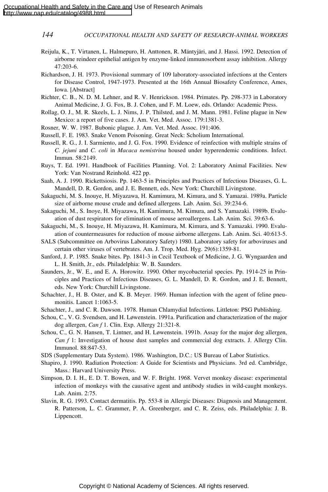- Reijula, K., T. Virtanen, L. Halmepuro, H. Anttonen, R. Mäntyjäri, and J. Hassi. 1992. Detection of airborne reindeer epithelial antigen by enzyme-linked immunosorbent assay inhibition. Allergy 47:203-6.
- Richardson, J. H. 1973. Provisional summary of 109 laboratory-associated infections at the Centers for Disease Control, 1947-1973. Presented at the 16th Annual Biosafety Conference, Ames, Iowa. [Abstract]
- Richter, C. B., N. D. M. Lehner, and R. V. Henrickson. 1984. Primates. Pp. 298-373 in Laboratory Animal Medicine, J. G. Fox, B. J. Cohen, and F. M. Loew, eds. Orlando: Academic Press.
- Rollag, O. J., M. R. Skeels, L. J. Nims, J. P. Thilsted, and J. M. Mann. 1981. Feline plague in New Mexico: a report of five cases. J. Am. Vet. Med. Assoc. 179:1381-3.
- Rosner, W. W. 1987. Bubonic plague. J. Am. Vet. Med. Assoc. 191:406.
- Russell, F. E. 1983. Snake Venom Poisoning. Great Neck: Scholium International.
- Russell, R. G., J. I. Sarmiento, and J. G. Fox. 1990. Evidence of reinfection with multiple strains of *C. jejuni* and *C. coli* in *Macaca nemistrina* housed under hyperendemic conditions. Infect. Immun. 58:2149.
- Ruys, T. Ed. 1991. Handbook of Facilities Planning. Vol. 2: Laboratory Animal Facilities. New York: Van Nostrand Reinhold. 422 pp.
- Saah, A. J. 1990. Rickettsiosis. Pp. 1463-5 in Principles and Practices of Infectious Diseases, G. L. Mandell, D. R. Gordon, and J. E. Bennett, eds. New York: Churchill Livingstone.
- Sakaguchi, M. S. Inouye, H. Miyazawa, H. Kamimura, M. Kimura, and S. Yamazai. 1989a. Particle size of airborne mouse crude and defined allergens. Lab. Anim. Sci. 39:234-6.
- Sakaguchi, M., S. Inoye, H. Miyazawa, H. Kamimura, M. Kimura, and S. Yamazaki. 1989b. Evaluation of dust respirators for elimination of mouse aeroallergens. Lab. Anim. Sci. 39:63-6.
- Sakaguchi, M., S. Inouye, H. Miyazawa, H. Kamimura, M. Kimura, and S. Yamazaki. 1990. Evaluation of countermeasures for reduction of mouse airborne allergens. Lab. Anim. Sci. 40:613-5.
- SALS (Subcommittee on Arbovirus Laboratory Safety) 1980. Laboratory safety for arboviruses and certain other viruses of vertebrates. Am. J. Trop. Med. Hyg. 29(6):1359-81.
- Sanford, J. P. 1985. Snake bites. Pp. 1841-3 in Cecil Textbook of Medicine, J. G. Wyngaarden and L. H. Smith, Jr., eds. Philadelphia: W. B. Saunders.
- Saunders, Jr., W. E., and E. A. Horowitz. 1990. Other mycobacterial species. Pp. 1914-25 in Principles and Practices of Infectious Diseases, G. L. Mandell, D. R. Gordon, and J. E. Bennett, eds. New York: Churchill Livingstone.
- Schachter, J., H. B. Oster, and K. B. Meyer. 1969. Human infection with the agent of feline pneumonitis. Lancet 1:1063-5.
- Schachter, J., and C. R. Dawson. 1978. Human Chlamydial Infections. Littleton: PSG Publishing.
- Schou, C., V. G. Svendsen, and H. Løwenstein. 1991a. Purification and characterization of the major dog allergen, *Can f* 1. Clin. Exp. Allergy 21:321-8.
- Schou, C., G. N. Hansen, T. Lintner, and H. Løwenstein. 1991b. Assay for the major dog allergen, *Can f* 1: Investigation of house dust samples and commercial dog extracts. J. Allergy Clin. Immunol. 88:847-53.
- SDS (Supplementary Data System). 1986. Washington, D.C.: US Bureau of Labor Statistics.
- Shapiro, J. 1990. Radiation Protection: A Guide for Scientists and Physicians. 3rd ed. Cambridge, Mass.: Harvard University Press.
- Simpson, D. I. H., E. D. T. Bowen, and W. F. Bright. 1968. Vervet monkey disease: experimental infection of monkeys with the causative agent and antibody studies in wild-caught monkeys. Lab. Anim. 2:75.
- Slavin, R. G. 1993. Contact dermatitis. Pp. 553-8 in Allergic Diseases: Diagnosis and Management. R. Patterson, L. C. Grammer, P. A. Greenberger, and C. R. Zeiss, eds. Philadelphia: J. B. Lippencott.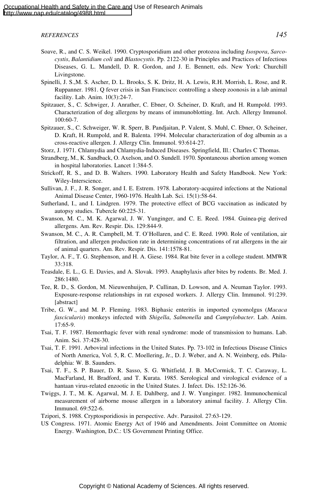- Soave, R., and C. S. Weikel. 1990. Cryptosporidium and other protozoa including *Isospora*, *Sarcocystis*, *Balantidium coli* and *Blastocystis*. Pp. 2122-30 in Principles and Practices of Infectious Diseases, G. L. Mandell, D. R. Gordon, and J. E. Bennett, eds. New York: Churchill Livingstone.
- Spinelli, J. S.,M. S. Ascher, D. L. Brooks, S. K. Dritz, H. A. Lewis, R.H. Morrish, L. Rose, and R. Ruppanner. 1981. Q fever crisis in San Francisco: controlling a sheep zoonosis in a lab animal facility. Lab. Anim. 10(3):24-7.
- Spitzauer, S., C. Schwiger, J. Anrather, C. Ebner, O. Scheiner, D. Kraft, and H. Rumpold. 1993. Characterization of dog allergens by means of immunoblotting. Int. Arch. Allergy Immunol. 100:60-7.
- Spitzauer, S., C. Schweiger, W. R. Sperr, B. Pandjaitan, P. Valent, S. Muhl, C. Ebner, O. Scheiner, D. Kraft, H. Rumpold, and R. Balenta. 1994. Molecular characterization of dog albumin as a cross-reactive allergen. J. Allergy Clin. Immunol. 93:614-27.
- Storz, J. 1971. Chlamydia and Chlamydia-Induced Diseases. Springfield, Ill.: Charles C Thomas.
- Strandberg, M., K. Sandback, O. Axelson, and O. Sundell. 1970. Spontaneous abortion among women in hospital laboratories. Lancet 1:384-5.
- Strickoff, R. S., and D. B. Walters. 1990. Laboratory Health and Safety Handbook. New York: Wiley-Interscience.
- Sullivan, J. F., J. R. Songer, and I. E. Estrem. 1978. Laboratory-acquired infections at the National Animal Disease Center, 1960-1976. Health Lab. Sci. 15(1):58-64.
- Sutherland, I., and I. Lindgren. 1979. The protective effect of BCG vaccination as indicated by autopsy studies. Tubercle 60:225-31.
- Swanson, M. C., M. K. Agarwal, J. W. Yunginger, and C. E. Reed. 1984. Guinea-pig derived allergens. Am. Rev. Respir. Dis. 129:844-9.
- Swanson, M. C., A. R. Campbell, M. T. O'Hollaren, and C. E. Reed. 1990. Role of ventilation, air filtration, and allergen production rate in determining concentrations of rat allergens in the air of animal quarters. Am. Rev. Respir. Dis. 141:1578-81.
- Taylor, A. F., T. G. Stephenson, and H. A. Giese. 1984. Rat bite fever in a college student. MMWR 33:318.
- Teasdale, E. L., G. E. Davies, and A. Slovak. 1993. Anaphylaxis after bites by rodents. Br. Med. J. 286:1480.
- Tee, R. D., S. Gordon, M. Nieuwenhuijen, P. Cullinan, D. Lowson, and A. Neuman Taylor. 1993. Exposure-response relationships in rat exposed workers. J. Allergy Clin. Immunol. 91:239. [abstract]
- Tribe, G. W., and M. P. Fleming. 1983. Biphasic enteritis in imported cynomolgus (*Macaca fascicularis*) monkeys infected with *Shigella*, *Salmonella* and *Campylobacter*. Lab. Anim. 17:65-9.
- Tsai, T. F. 1987. Hemorrhagic fever with renal syndrome: mode of transmission to humans. Lab. Anim. Sci. 37:428-30.
- Tsai, T. F. 1991. Arboviral infections in the United States. Pp. 73-102 in Infectious Disease Clinics of North America, Vol. 5, R. C. Moellering, Jr., D. J. Weber, and A. N. Weinberg, eds. Philadelphia: W. B. Saunders.
- Tsai, T. F., S. P. Bauer, D. R. Sasso, S. G. Whitfield, J. B. McCormick, T. C. Caraway, L. MacFarland, H. Bradford, and T. Kurata. 1985. Serological and virological evidence of a hantaan virus-related enzootic in the United States. J. Infect. Dis. 152:126-36.
- Twiggs, J. T., M. K. Agarwal, M. J. E. Dahlberg, and J. W. Yunginger. 1982. Immunochemical measurement of airborne mouse allergen in a laboratory animal facility. J. Allergy Clin. Immunol. 69:522-6.
- Tzipori, S. 1988. Cryptosporidiosis in perspective. Adv. Parasitol. 27:63-129.
- US Congress. 1971. Atomic Energy Act of 1946 and Amendments. Joint Committee on Atomic Energy. Washington, D.C.: US Government Printing Office.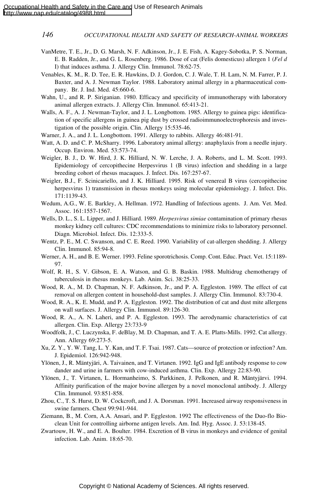- VanMetre, T. E., Jr., D. G. Marsh, N. F. Adkinson, Jr., J. E. Fish, A. Kagey-Sobotka, P. S. Norman, E. B. Radden, Jr., and G. L. Rosenberg. 1986. Dose of cat (Felis domesticus) allergen 1 (*Fel d* I) that induces asthma. J. Allergy Clin. Immunol. 78:62-75.
- Venables, K. M., R. D. Tee, E. R. Hawkins, D. J. Gordon, C. J. Wale, T. H. Lam, N. M. Farrer, P. J. Baxter, and A. J. Newman Taylor. 1988. Laboratory animal allergy in a pharmaceutical company. Br. J. Ind. Med. 45:660-6.
- Wahn, U., and R. P. Siriganian. 1980. Efficacy and specificity of immunotherapy with laboratory animal allergen extracts. J. Allergy Clin. Immunol. 65:413-21.
- Walls, A. F., A. J. Newman-Taylor, and J. L. Longbottom. 1985. Allergy to guinea pigs: identification of specific allergens in guinea pig dust by crossed radioimmunoelectrophoresis and investigation of the possible origin. Clin. Allergy 15:535-46.
- Warner, J. A., and J. L. Longbottom. 1991. Allergy to rabbits. Allergy 46:481-91.
- Watt, A. D. and C. P. McSharry. 1996. Laboratory animal allergy: anaphylaxis from a needle injury. Occup. Environ. Med. 53:573-74.
- Weigler, B. J., D. W. Hird, J. K. Hilliard, N. W. Lerche, J. A. Roberts, and L. M. Scott. 1993. Epidemiology of cercopithecine Herpesvirus 1 (B virus) infection and shedding in a large breeding cohort of rhesus macaques. J. Infect. Dis. 167:257-67.
- Weigler, B.J., F. Scinicariello, and J. K. Hilliard. 1995. Risk of venereal B virus (cercopithecine herpesvirus 1) transmission in rhesus monkeys using molecular epidemiology. J. Infect. Dis. 171:1139-43.
- Wedum, A.G., W. E. Barkley, A. Hellman. 1972. Handling of Infectious agents. J. Am. Vet. Med. Assoc. 161:1557-1567.
- Wells, D. L., S. L. Lipper, and J. Hilliard. 1989. *Herpesvirus simiae* contamination of primary rhesus monkey kidney cell cultures: CDC recommendations to minimize risks to laboratory personnel. Diagn. Microbiol. Infect. Dis. 12:333-5.
- Wentz, P. E., M. C. Swanson, and C. E. Reed. 1990. Variability of cat-allergen shedding. J. Allergy Clin. Immunol. 85:94-8.
- Werner, A. H., and B. E. Werner. 1993. Feline sporotrichosis. Comp. Cont. Educ. Pract. Vet. 15:1189- 97.
- Wolf, R. H., S. V. Gibson, E. A. Watson, and G. B. Baskin. 1988. Multidrug chemotherapy of tuberculosis in rhesus monkeys. Lab. Anim. Sci. 38:25-33.
- Wood, R. A., M. D. Chapman, N. F. Adkinson, Jr., and P. A. Eggleston. 1989. The effect of cat removal on allergen content in household-dust samples. J. Allergy Clin. Immunol. 83:730-4.
- Wood, R. A., K. E. Mudd, and P. A. Eggleston. 1992. The distribution of cat and dust mite allergens on wall surfaces. J. Allergy Clin. Immunol. 89:126-30.
- Wood, R. A., A. N. Laheri, and P. A. Eggleston. 1993. The aerodynamic characteristics of cat allergen. Clin. Exp. Allergy 23:733-9
- Woodfolk, J., C. Luczynska, F. deBlay, M. D. Chapman, and T. A. E. Platts-Mills. 1992. Cat allergy. Ann. Allergy 69:273-5.
- Xu, Z. Y., Y. W. Tang, L. Y. Kan, and T. F. Tsai. 1987. Cats—source of protection or infection? Am. J. Epidemiol. 126:942-948.
- Ylönen, J., R. Mäntyjäri, A. Taivainen, and T. Virtanen. 1992. IgG and IgE antibody response to cow dander and urine in farmers with cow-induced asthma. Clin. Exp. Allergy 22:83-90.
- Ylönen, J., T. Virtanen, L. Hormanheimo, S. Parkkinen, J. Pelkonen, and R. Mäntyjärvi. 1994. Affinity purification of the major bovine allergen by a novel monoclonal antibody. J. Allergy Clin. Immunol. 93:851-858.
- Zhou, C., T. S. Hurst, D. W. Cockcroft, and J. A. Dorsman. 1991. Increased airway responsiveness in swine farmers. Chest 99:941-944.
- Ziemann, B., M. Corn, A.A. Ansari, and P. Eggleston. 1992 The effectiveness of the Duo-flo Bioclean Unit for controlling airborne antigen levels. Am. Ind. Hyg. Assoc. J. 53:138-45.
- Zwartouw, H. W., and E. A. Boulter. 1984. Excretion of B virus in monkeys and evidence of genital infection. Lab. Anim. 18:65-70.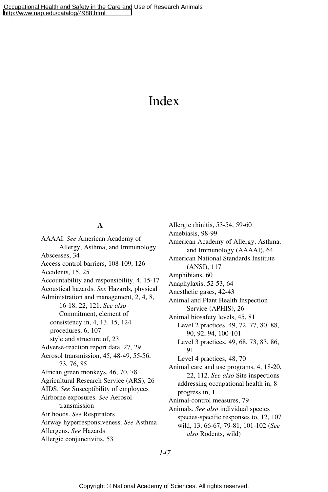# Index

# **A**

AAAAI. *See* American Academy of Allergy, Asthma, and Immunology Abscesses, 34 Access control barriers, 108-109, 126 Accidents, 15, 25 Accountability and responsibility, 4, 15-17 Acoustical hazards. *See* Hazards, physical Administration and management, 2, 4, 8, 16-18, 22, 121. *See also* Commitment, element of consistency in, 4, 13, 15, 124 procedures, 6, 107 style and structure of, 23 Adverse-reaction report data, 27, 29 Aerosol transmission, 45, 48-49, 55-56, 73, 76, 85 African green monkeys, 46, 70, 78 Agricultural Research Service (ARS), 26 AIDS. *See* Susceptibility of employees Airborne exposures. *See* Aerosol transmission Air hoods. *See* Respirators Airway hyperresponsiveness. *See* Asthma Allergens. *See* Hazards Allergic conjunctivitis, 53

Allergic rhinitis, 53-54, 59-60 Amebiasis, 98-99 American Academy of Allergy, Asthma, and Immunology (AAAAI), 64 American National Standards Institute (ANSI), 117 Amphibians, 60 Anaphylaxis, 52-53, 64 Anesthetic gases, 42-43 Animal and Plant Health Inspection Service (APHIS), 26 Animal biosafety levels, 45, 81 Level 2 practices, 49, 72, 77, 80, 88, 90, 92, 94, 100-101 Level 3 practices, 49, 68, 73, 83, 86, 91 Level 4 practices, 48, 70 Animal care and use programs, 4, 18-20, 22, 112. *See also* Site inspections addressing occupational health in, 8 progress in, 1 Animal-control measures, 79 Animals. *See also* individual species species-specific responses to, 12, 107 wild, 13, 66-67, 79-81, 101-102 (*See also* Rodents, wild)

*147*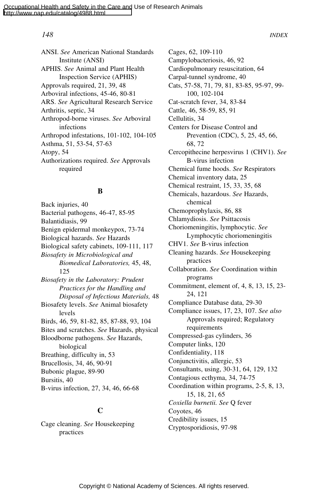#### *148 INDEX*

ANSI. *See* American National Standards Institute (ANSI) APHIS. *See* Animal and Plant Health Inspection Service (APHIS) Approvals required, 21, 39, 48 Arboviral infections, 45-46, 80-81 ARS. *See* Agricultural Research Service Arthritis, septic, 34 Arthropod-borne viruses. *See* Arboviral infections Arthropod infestations, 101-102, 104-105 Asthma, 51, 53-54, 57-63 Atopy, 54 Authorizations required. *See* Approvals required

#### **B**

Back injuries, 40 Bacterial pathogens, 46-47, 85-95 Balantidiasis, 99 Benign epidermal monkeypox, 73-74 Biological hazards. *See* Hazards Biological safety cabinets, 109-111, 117 *Biosafety in Microbiological and Biomedical Laboratories,* 45, 48, 125 *Biosafety in the Laboratory: Prudent Practices for the Handling and Disposal of Infectious Materials,* 48 Biosafety levels. *See* Animal biosafety levels Birds, 46, 59, 81-82, 85, 87-88, 93, 104 Bites and scratches. *See* Hazards, physical Bloodborne pathogens. *See* Hazards, biological Breathing, difficulty in, 53 Brucellosis, 34, 46, 90-91 Bubonic plague, 89-90 Bursitis, 40 B-virus infection, 27, 34, 46, 66-68

# **C**

Cage cleaning. *See* Housekeeping practices

Cages, 62, 109-110 Campylobacteriosis, 46, 92 Cardiopulmonary resuscitation, 64 Carpal-tunnel syndrome, 40 Cats, 57-58, 71, 79, 81, 83-85, 95-97, 99- 100, 102-104 Cat-scratch fever, 34, 83-84 Cattle, 46, 58-59, 85, 91 Cellulitis, 34 Centers for Disease Control and Prevention (CDC), 5, 25, 45, 66, 68, 72 Cercopithecine herpesvirus 1 (CHV1). *See* B-virus infection Chemical fume hoods. *See* Respirators Chemical inventory data, 25 Chemical restraint, 15, 33, 35, 68 Chemicals, hazardous. *See* Hazards, chemical Chemoprophylaxis, 86, 88 Chlamydiosis. *See* Psittacosis Choriomeningitis, lymphocytic. *See* Lymphocytic choriomeningitis CHV1. *See* B-virus infection Cleaning hazards. *See* Housekeeping practices Collaboration. *See* Coordination within programs Commitment, element of, 4, 8, 13, 15, 23- 24, 121 Compliance Database data, 29-30 Compliance issues, 17, 23, 107. *See also* Approvals required; Regulatory requirements Compressed-gas cylinders, 36 Computer links, 120 Confidentiality, 118 Conjunctivitis, allergic, 53 Consultants, using, 30-31, 64, 129, 132 Contagious ecthyma, 34, 74-75 Coordination within programs, 2-5, 8, 13, 15, 18, 21, 65 *Coxiella burnetii. See* Q fever Coyotes, 46 Credibility issues, 15 Cryptosporidiosis, 97-98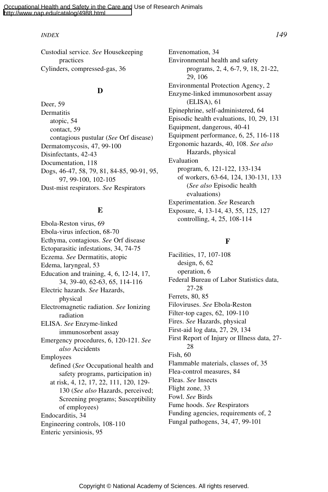#### *INDEX 149*

Custodial service. *See* Housekeeping practices Cylinders, compressed-gas, 36

#### **D**

Deer, 59 **Dermatitis** atopic, 54 contact, 59 contagious pustular (*See* Orf disease) Dermatomycosis, 47, 99-100 Disinfectants, 42-43 Documentation, 118 Dogs, 46-47, 58, 79, 81, 84-85, 90-91, 95, 97, 99-100, 102-105 Dust-mist respirators. *See* Respirators

#### **E**

Ebola-Reston virus, 69 Ebola-virus infection, 68-70 Ecthyma, contagious. *See* Orf disease Ectoparasitic infestations, 34, 74-75 Eczema. *See* Dermatitis, atopic Edema, laryngeal, 53 Education and training, 4, 6, 12-14, 17, 34, 39-40, 62-63, 65, 114-116 Electric hazards. *See* Hazards, physical Electromagnetic radiation. *See* Ionizing radiation ELISA. *See* Enzyme-linked immunosorbent assay Emergency procedures, 6, 120-121. *See also* Accidents Employees defined (*See* Occupational health and safety programs, participation in) at risk, 4, 12, 17, 22, 111, 120, 129- 130 (*See also* Hazards, perceived; Screening programs; Susceptibility of employees) Endocarditis, 34 Engineering controls, 108-110 Enteric yersiniosis, 95

Envenomation, 34 Environmental health and safety programs, 2, 4, 6-7, 9, 18, 21-22, 29, 106 Environmental Protection Agency, 2 Enzyme-linked immunosorbent assay (ELISA), 61 Epinephrine, self-administered, 64 Episodic health evaluations, 10, 29, 131 Equipment, dangerous, 40-41 Equipment performance, 6, 25, 116-118 Ergonomic hazards, 40, 108. *See also* Hazards, physical Evaluation program, 6, 121-122, 133-134 of workers, 63-64, 124, 130-131, 133 (*See also* Episodic health evaluations) Experimentation. *See* Research Exposure, 4, 13-14, 43, 55, 125, 127 controlling, 4, 25, 108-114

# **F**

Facilities, 17, 107-108 design, 6, 62 operation, 6 Federal Bureau of Labor Statistics data, 27-28 Ferrets, 80, 85 Filoviruses. *See* Ebola-Reston Filter-top cages, 62, 109-110 Fires. *See* Hazards, physical First-aid log data, 27, 29, 134 First Report of Injury or Illness data, 27- 28 Fish, 60 Flammable materials, classes of, 35 Flea-control measures, 84 Fleas. *See* Insects Flight zone, 33 Fowl. *See* Birds Fume hoods. *See* Respirators Funding agencies, requirements of, 2 Fungal pathogens, 34, 47, 99-101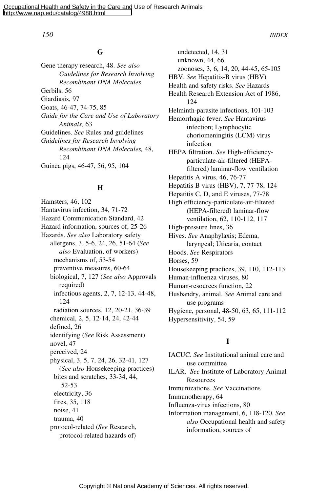#### **G**

Gene therapy research, 48. *See also Guidelines for Research Involving Recombinant DNA Molecules* Gerbils, 56 Giardiasis, 97 Goats, 46-47, 74-75, 85 *Guide for the Care and Use of Laboratory Animals,* 63 Guidelines. *See* Rules and guidelines *Guidelines for Research Involving Recombinant DNA Molecules,* 48, 124 Guinea pigs, 46-47, 56, 95, 104

#### **H**

Hamsters, 46, 102 Hantavirus infection, 34, 71-72 Hazard Communication Standard, 42 Hazard information, sources of, 25-26 Hazards. *See also* Laboratory safety allergens, 3, 5-6, 24, 26, 51-64 (*See also* Evaluation, of workers) mechanisms of, 53-54 preventive measures, 60-64 biological, 7, 127 (*See also* Approvals required) infectious agents, 2, 7, 12-13, 44-48, 124 radiation sources, 12, 20-21, 36-39 chemical, 2, 5, 12-14, 24, 42-44 defined, 26 identifying (*See* Risk Assessment) novel, 47 perceived, 24 physical, 3, 5, 7, 24, 26, 32-41, 127 (*See also* Housekeeping practices) bites and scratches, 33-34, 44, 52-53 electricity, 36 fires, 35, 118 noise, 41 trauma, 40 protocol-related (*See* Research, protocol-related hazards of)

undetected, 14, 31 unknown, 44, 66 zoonoses, 3, 6, 14, 20, 44-45, 65-105 HBV. *See* Hepatitis-B virus (HBV) Health and safety risks. *See* Hazards Health Research Extension Act of 1986, 124 Helminth-parasite infections, 101-103 Hemorrhagic fever. *See* Hantavirus infection; Lymphocytic choriomeningitis (LCM) virus infection HEPA filtration. *See* High-efficiencyparticulate-air-filtered (HEPAfiltered) laminar-flow ventilation Hepatitis A virus, 46, 76-77 Hepatitis B virus (HBV), 7, 77-78, 124 Hepatitis C, D, and E viruses, 77-78 High efficiency-particulate-air-filtered (HEPA-filtered) laminar-flow ventilation, 62, 110-112, 117 High-pressure lines, 36 Hives. *See* Anaphylaxis; Edema, laryngeal; Uticaria, contact Hoods. *See* Respirators Horses, 59 Housekeeping practices, 39, 110, 112-113 Human-influenza viruses, 80 Human-resources function, 22 Husbandry, animal. *See* Animal care and use programs Hygiene, personal, 48-50, 63, 65, 111-112 Hypersensitivity, 54, 59

# **I**

IACUC. *See* Institutional animal care and use committee ILAR. *See* Institute of Laboratory Animal Resources Immunizations. *See* Vaccinations Immunotherapy, 64 Influenza-virus infections, 80 Information management, 6, 118-120. *See also* Occupational health and safety information, sources of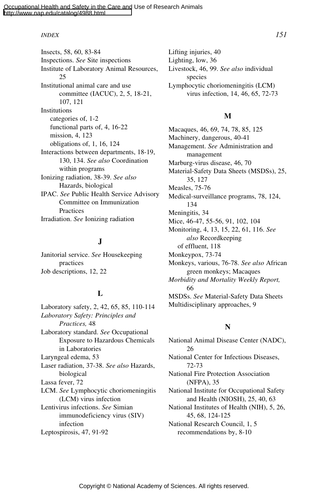#### *INDEX 151*

Insects, 58, 60, 83-84 Inspections. *See* Site inspections Institute of Laboratory Animal Resources, 25 Institutional animal care and use committee (IACUC), 2, 5, 18-21, 107, 121 Institutions categories of, 1-2 functional parts of, 4, 16-22 mission, 4, 123 obligations of, 1, 16, 124 Interactions between departments, 18-19, 130, 134. *See also* Coordination within programs Ionizing radiation, 38-39. *See also* Hazards, biological IPAC. *See* Public Health Service Advisory Committee on Immunization **Practices** Irradiation. *See* Ionizing radiation

# **J**

Janitorial service. *See* Housekeeping practices Job descriptions, 12, 22

## **L**

Laboratory safety, 2, 42, 65, 85, 110-114 *Laboratory Safety: Principles and Practices,* 48 Laboratory standard. *See* Occupational Exposure to Hazardous Chemicals in Laboratories Laryngeal edema, 53 Laser radiation, 37-38. *See also* Hazards, biological Lassa fever, 72 LCM. *See* Lymphocytic choriomeningitis (LCM) virus infection Lentivirus infections. *See* Simian immunodeficiency virus (SIV) infection Leptospirosis, 47, 91-92

Lifting injuries, 40 Lighting, low, 36 Livestock, 46, 99. *See also* individual species Lymphocytic choriomeningitis (LCM) virus infection, 14, 46, 65, 72-73

# **M**

Macaques, 46, 69, 74, 78, 85, 125 Machinery, dangerous, 40-41 Management. *See* Administration and management Marburg-virus disease, 46, 70 Material-Safety Data Sheets (MSDSs), 25, 35, 127 Measles, 75-76 Medical-surveillance programs, 78, 124, 134 Meningitis, 34 Mice, 46-47, 55-56, 91, 102, 104 Monitoring, 4, 13, 15, 22, 61, 116. *See also* Recordkeeping of effluent, 118 Monkeypox, 73-74 Monkeys, various, 76-78. *See also* African green monkeys; Macaques *Morbidity and Mortality Weekly Report,* 66 MSDSs. *See* Material-Safety Data Sheets Multidisciplinary approaches, 9

# **N**

National Animal Disease Center (NADC),  $26$ National Center for Infectious Diseases, 72-73 National Fire Protection Association (NFPA), 35 National Institute for Occupational Safety and Health (NIOSH), 25, 40, 63 National Institutes of Health (NIH), 5, 26, 45, 68, 124-125 National Research Council, 1, 5 recommendations by, 8-10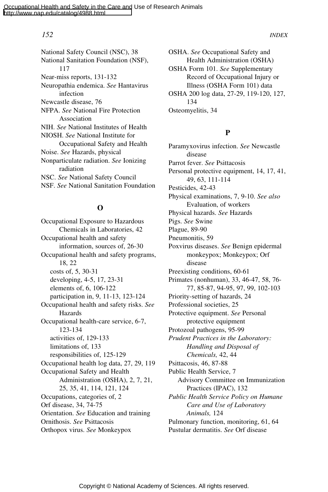National Safety Council (NSC), 38 National Sanitation Foundation (NSF), 117 Near-miss reports, 131-132 Neuropathia endemica. *See* Hantavirus infection Newcastle disease, 76 NFPA. *See* National Fire Protection Association NIH. *See* National Institutes of Health NIOSH. *See* National Institute for Occupational Safety and Health Noise. *See* Hazards, physical Nonparticulate radiation. *See* Ionizing radiation NSC. *See* National Safety Council NSF. *See* National Sanitation Foundation

# **O**

Occupational Exposure to Hazardous Chemicals in Laboratories, 42 Occupational health and safety information, sources of, 26-30 Occupational health and safety programs, 18, 22 costs of, 5, 30-31 developing, 4-5, 17, 23-31 elements of, 6, 106-122 participation in, 9, 11-13, 123-124 Occupational health and safety risks. *See* Hazards Occupational health-care service, 6-7, 123-134 activities of, 129-133 limitations of, 133 responsibilities of, 125-129 Occupational health log data, 27, 29, 119 Occupational Safety and Health Administration (OSHA), 2, 7, 21, 25, 35, 41, 114, 121, 124 Occupations, categories of, 2 Orf disease, 34, 74-75 Orientation. *See* Education and training Ornithosis. *See* Psittacosis Orthopox virus. *See* Monkeypox

OSHA. *See* Occupational Safety and Health Administration (OSHA) OSHA Form 101. *See* Supplementary Record of Occupational Injury or Illness (OSHA Form 101) data OSHA 200 log data, 27-29, 119-120, 127, 134 Osteomyelitis, 34

# **P**

Paramyxovirus infection. *See* Newcastle disease Parrot fever. *See* Psittacosis Personal protective equipment, 14, 17, 41, 49, 63, 111-114 Pesticides, 42-43 Physical examinations, 7, 9-10. *See also* Evaluation, of workers Physical hazards. *See* Hazards Pigs. *See* Swine Plague, 89-90 Pneumonitis, 59 Poxvirus diseases. *See* Benign epidermal monkeypox; Monkeypox; Orf disease Preexisting conditions, 60-61 Primates (nonhuman), 33, 46-47, 58, 76- 77, 85-87, 94-95, 97, 99, 102-103 Priority-setting of hazards, 24 Professional societies, 25 Protective equipment. *See* Personal protective equipment Protozoal pathogens, 95-99 *Prudent Practices in the Laboratory: Handling and Disposal of Chemicals,* 42, 44 Psittacosis, 46, 87-88 Public Health Service, 7 Advisory Committee on Immunization Practices (IPAC), 132 *Public Health Service Policy on Humane Care and Use of Laboratory Animals,* 124 Pulmonary function, monitoring, 61, 64 Pustular dermatitis. *See* Orf disease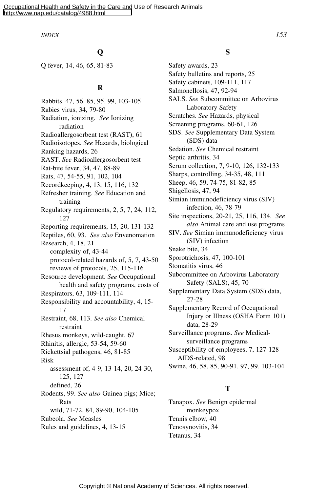Occupational Health and Safety in the Care and Use of Research Animals <http://www.nap.edu/catalog/4988.html>

*INDEX 153*

#### **Q**

Q fever, 14, 46, 65, 81-83

#### **R**

Rabbits, 47, 56, 85, 95, 99, 103-105 Rabies virus, 34, 79-80 Radiation, ionizing. *See* Ionizing radiation Radioallergosorbent test (RAST), 61 Radioisotopes. *See* Hazards, biological Ranking hazards, 26 RAST. *See* Radioallergosorbent test Rat-bite fever, 34, 47, 88-89 Rats, 47, 54-55, 91, 102, 104 Recordkeeping, 4, 13, 15, 116, 132 Refresher training. *See* Education and training Regulatory requirements, 2, 5, 7, 24, 112, 127 Reporting requirements, 15, 20, 131-132 Reptiles, 60, 93. *See also* Envenomation Research, 4, 18, 21 complexity of, 43-44 protocol-related hazards of, 5, 7, 43-50 reviews of protocols, 25, 115-116 Resource development. *See* Occupational health and safety programs, costs of Respirators, 63, 109-111, 114 Responsibility and accountability, 4, 15- 17 Restraint, 68, 113. *See also* Chemical restraint Rhesus monkeys, wild-caught, 67 Rhinitis, allergic, 53-54, 59-60 Rickettsial pathogens, 46, 81-85 Risk assessment of, 4-9, 13-14, 20, 24-30, 125, 127 defined, 26 Rodents, 99. *See also* Guinea pigs; Mice; Rats wild, 71-72, 84, 89-90, 104-105 Rubeola. *See* Measles Rules and guidelines, 4, 13-15

# **S**

Safety awards, 23 Safety bulletins and reports, 25 Safety cabinets, 109-111, 117 Salmonellosis, 47, 92-94 SALS. *See* Subcommittee on Arbovirus Laboratory Safety Scratches. *See* Hazards, physical Screening programs, 60-61, 126 SDS. *See* Supplementary Data System (SDS) data Sedation. *See* Chemical restraint Septic arthritis, 34 Serum collection, 7, 9-10, 126, 132-133 Sharps, controlling, 34-35, 48, 111 Sheep, 46, 59, 74-75, 81-82, 85 Shigellosis, 47, 94 Simian immunodeficiency virus (SIV) infection, 46, 78-79 Site inspections, 20-21, 25, 116, 134. *See also* Animal care and use programs SIV. *See* Simian immunodeficiency virus (SIV) infection Snake bite, 34 Sporotrichosis, 47, 100-101 Stomatitis virus, 46 Subcommittee on Arbovirus Laboratory Safety (SALS), 45, 70 Supplementary Data System (SDS) data, 27-28 Supplementary Record of Occupational Injury or Illness (OSHA Form 101) data, 28-29 Surveillance programs. *See* Medicalsurveillance programs Susceptibility of employees, 7, 127-128 AIDS-related, 98 Swine, 46, 58, 85, 90-91, 97, 99, 103-104

# **T**

Tanapox. *See* Benign epidermal monkeypox Tennis elbow, 40 Tenosynovitis, 34 Tetanus, 34